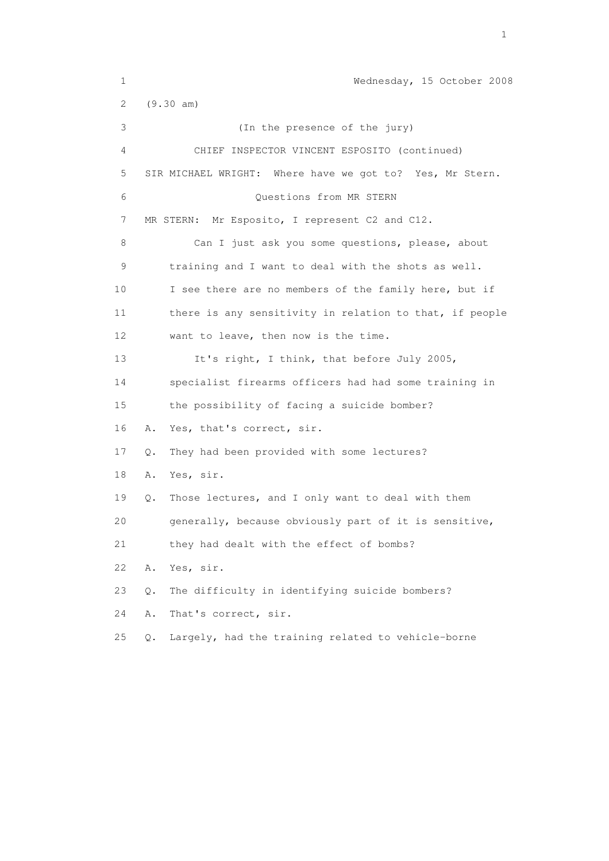1 Wednesday, 15 October 2008 2 (9.30 am) 3 (In the presence of the jury) 4 CHIEF INSPECTOR VINCENT ESPOSITO (continued) 5 SIR MICHAEL WRIGHT: Where have we got to? Yes, Mr Stern. 6 Questions from MR STERN 7 MR STERN: Mr Esposito, I represent C2 and C12. 8 Can I just ask you some questions, please, about 9 training and I want to deal with the shots as well. 10 I see there are no members of the family here, but if 11 there is any sensitivity in relation to that, if people 12 want to leave, then now is the time. 13 It's right, I think, that before July 2005, 14 specialist firearms officers had had some training in 15 the possibility of facing a suicide bomber? 16 A. Yes, that's correct, sir. 17 Q. They had been provided with some lectures? 18 A. Yes, sir. 19 Q. Those lectures, and I only want to deal with them 20 generally, because obviously part of it is sensitive, 21 they had dealt with the effect of bombs? 22 A. Yes, sir. 23 Q. The difficulty in identifying suicide bombers? 24 A. That's correct, sir. 25 Q. Largely, had the training related to vehicle-borne

the contract of the contract of the contract of the contract of the contract of the contract of the contract of the contract of the contract of the contract of the contract of the contract of the contract of the contract o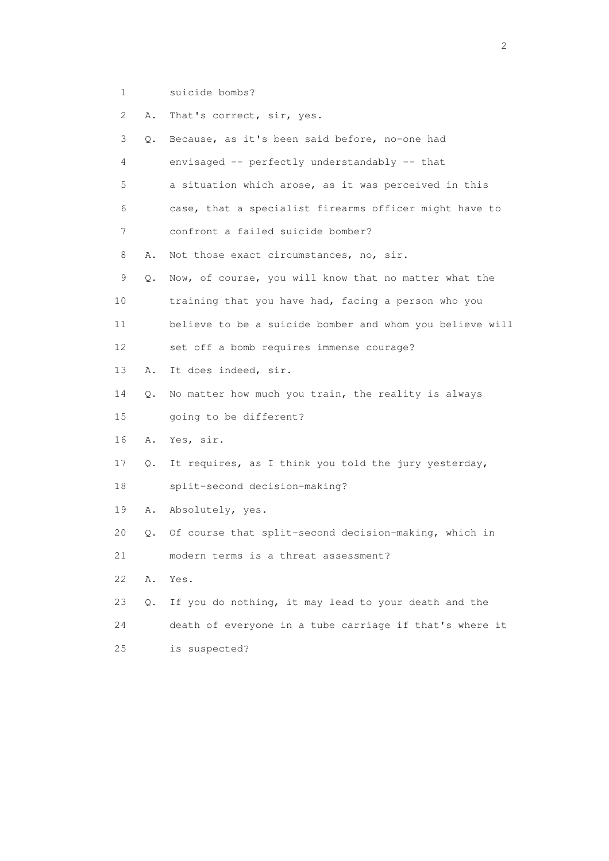1 suicide bombs?

 2 A. That's correct, sir, yes. 3 Q. Because, as it's been said before, no-one had 4 envisaged -- perfectly understandably -- that 5 a situation which arose, as it was perceived in this 6 case, that a specialist firearms officer might have to 7 confront a failed suicide bomber? 8 A. Not those exact circumstances, no, sir. 9 Q. Now, of course, you will know that no matter what the 10 training that you have had, facing a person who you 11 believe to be a suicide bomber and whom you believe will 12 set off a bomb requires immense courage? 13 A. It does indeed, sir. 14 Q. No matter how much you train, the reality is always 15 going to be different? 16 A. Yes, sir. 17 Q. It requires, as I think you told the jury yesterday, 18 split-second decision-making? 19 A. Absolutely, yes. 20 Q. Of course that split-second decision-making, which in 21 modern terms is a threat assessment? 22 A. Yes. 23 Q. If you do nothing, it may lead to your death and the 24 death of everyone in a tube carriage if that's where it 25 is suspected?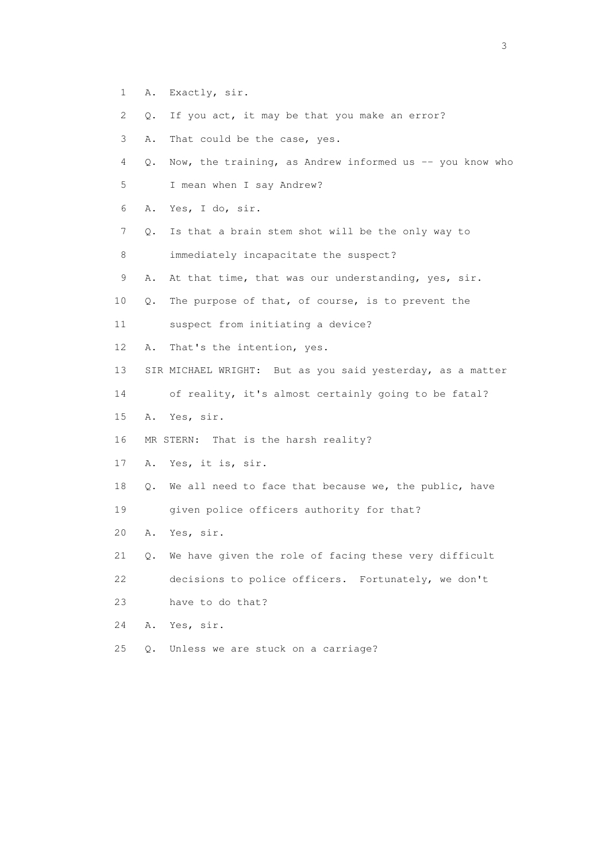- 1 A. Exactly, sir.
- 2 Q. If you act, it may be that you make an error?
- 3 A. That could be the case, yes.
- 4 Q. Now, the training, as Andrew informed us -- you know who
- 5 I mean when I say Andrew?
- 6 A. Yes, I do, sir.
- 7 Q. Is that a brain stem shot will be the only way to
- 8 immediately incapacitate the suspect?
- 9 A. At that time, that was our understanding, yes, sir.
- 10 Q. The purpose of that, of course, is to prevent the
- 11 suspect from initiating a device?
- 12 A. That's the intention, yes.
- 13 SIR MICHAEL WRIGHT: But as you said yesterday, as a matter
- 14 of reality, it's almost certainly going to be fatal?
- 15 A. Yes, sir.
- 16 MR STERN: That is the harsh reality?
- 17 A. Yes, it is, sir.
- 18 Q. We all need to face that because we, the public, have
- 19 given police officers authority for that?
- 20 A. Yes, sir.
- 21 Q. We have given the role of facing these very difficult
- 22 decisions to police officers. Fortunately, we don't

23 have to do that?

- 24 A. Yes, sir.
- 25 Q. Unless we are stuck on a carriage?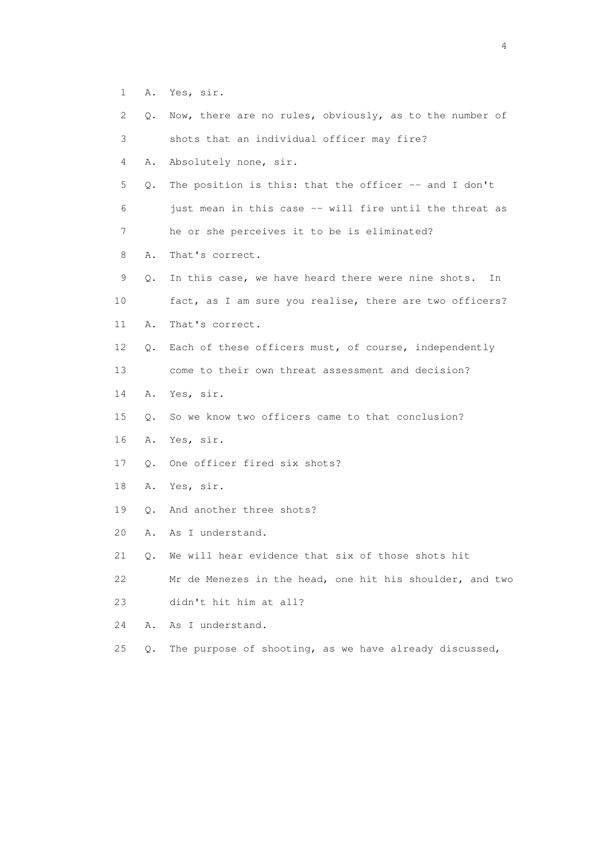- 1 A. Yes, sir.
- 2 Q. Now, there are no rules, obviously, as to the number of 3 shots that an individual officer may fire? 4 A. Absolutely none, sir. 5 Q. The position is this: that the officer -- and I don't 6 just mean in this case -- will fire until the threat as 7 he or she perceives it to be is eliminated? 8 A. That's correct. 9 Q. In this case, we have heard there were nine shots. In 10 fact, as I am sure you realise, there are two officers?
- 11 A. That's correct.
- 12 Q. Each of these officers must, of course, independently
- 13 come to their own threat assessment and decision?
- 14 A. Yes, sir.
- 15 Q. So we know two officers came to that conclusion?
- 16 A. Yes, sir.
- 17 Q. One officer fired six shots?
- 18 A. Yes, sir.
- 19 Q. And another three shots?
- 20 A. As I understand.
- 21 Q. We will hear evidence that six of those shots hit
- 22 Mr de Menezes in the head, one hit his shoulder, and two
- 23 didn't hit him at all?
- 24 A. As I understand.
- 25 Q. The purpose of shooting, as we have already discussed,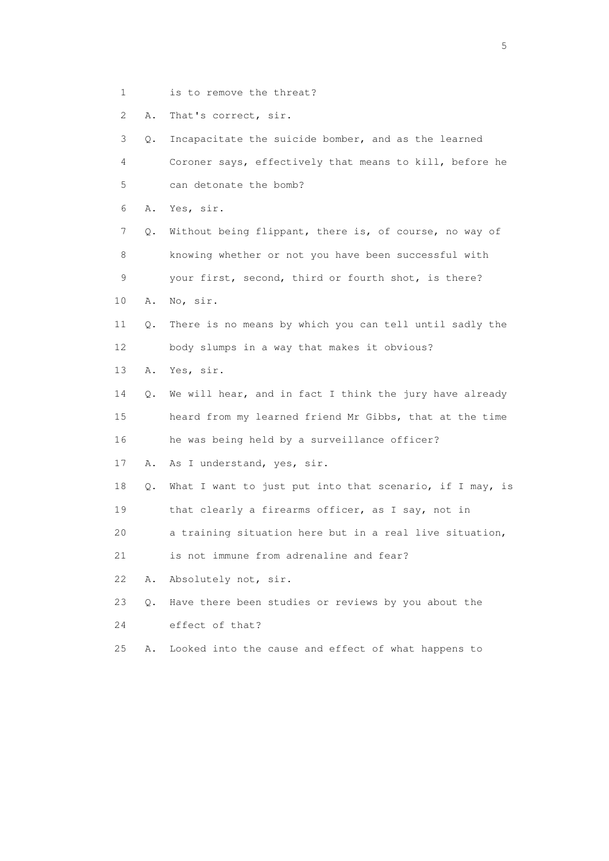1 is to remove the threat?

2 A. That's correct, sir.

 3 Q. Incapacitate the suicide bomber, and as the learned 4 Coroner says, effectively that means to kill, before he 5 can detonate the bomb? 6 A. Yes, sir. 7 Q. Without being flippant, there is, of course, no way of 8 knowing whether or not you have been successful with 9 your first, second, third or fourth shot, is there? 10 A. No, sir. 11 Q. There is no means by which you can tell until sadly the 12 body slumps in a way that makes it obvious? 13 A. Yes, sir. 14 Q. We will hear, and in fact I think the jury have already 15 heard from my learned friend Mr Gibbs, that at the time 16 he was being held by a surveillance officer? 17 A. As I understand, yes, sir. 18 Q. What I want to just put into that scenario, if I may, is 19 that clearly a firearms officer, as I say, not in 20 a training situation here but in a real live situation, 21 is not immune from adrenaline and fear? 22 A. Absolutely not, sir. 23 Q. Have there been studies or reviews by you about the 24 effect of that? 25 A. Looked into the cause and effect of what happens to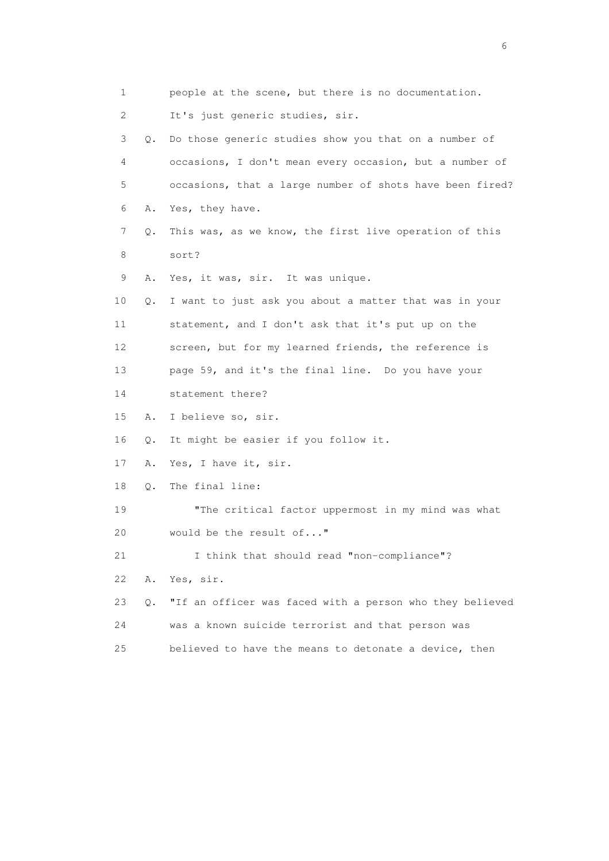| 1  |    | people at the scene, but there is no documentation.      |
|----|----|----------------------------------------------------------|
| 2  |    | It's just generic studies, sir.                          |
| 3  | 0. | Do those generic studies show you that on a number of    |
| 4  |    | occasions, I don't mean every occasion, but a number of  |
| 5  |    | occasions, that a large number of shots have been fired? |
| 6  | Α. | Yes, they have.                                          |
| 7  | Q. | This was, as we know, the first live operation of this   |
| 8  |    | sort?                                                    |
| 9  | Α. | Yes, it was, sir. It was unique.                         |
| 10 | Q. | I want to just ask you about a matter that was in your   |
| 11 |    | statement, and I don't ask that it's put up on the       |
| 12 |    | screen, but for my learned friends, the reference is     |
| 13 |    | page 59, and it's the final line. Do you have your       |
| 14 |    | statement there?                                         |
| 15 | Α. | I believe so, sir.                                       |
| 16 | Q. | It might be easier if you follow it.                     |
| 17 | Α. | Yes, I have it, sir.                                     |
| 18 | Q. | The final line:                                          |
| 19 |    | "The critical factor uppermost in my mind was what       |
| 20 |    | would be the result of"                                  |
| 21 |    | I think that should read "non-compliance"?               |
| 22 | Α. | Yes, sir.                                                |
| 23 | О. | "If an officer was faced with a person who they believed |
| 24 |    | was a known suicide terrorist and that person was        |
| 25 |    | believed to have the means to detonate a device, then    |

 $\sim$  6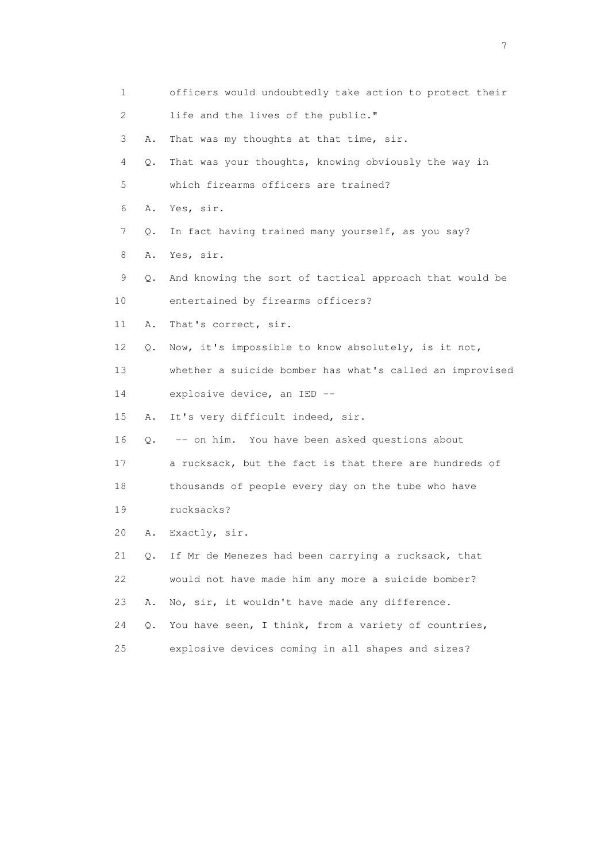1 officers would undoubtedly take action to protect their 2 life and the lives of the public." 3 A. That was my thoughts at that time, sir. 4 Q. That was your thoughts, knowing obviously the way in 5 which firearms officers are trained? 6 A. Yes, sir. 7 Q. In fact having trained many yourself, as you say? 8 A. Yes, sir. 9 Q. And knowing the sort of tactical approach that would be 10 entertained by firearms officers? 11 A. That's correct, sir. 12 Q. Now, it's impossible to know absolutely, is it not, 13 whether a suicide bomber has what's called an improvised 14 explosive device, an IED -- 15 A. It's very difficult indeed, sir. 16 Q. -- on him. You have been asked questions about 17 a rucksack, but the fact is that there are hundreds of 18 thousands of people every day on the tube who have 19 rucksacks? 20 A. Exactly, sir. 21 Q. If Mr de Menezes had been carrying a rucksack, that 22 would not have made him any more a suicide bomber? 23 A. No, sir, it wouldn't have made any difference. 24 Q. You have seen, I think, from a variety of countries, 25 explosive devices coming in all shapes and sizes?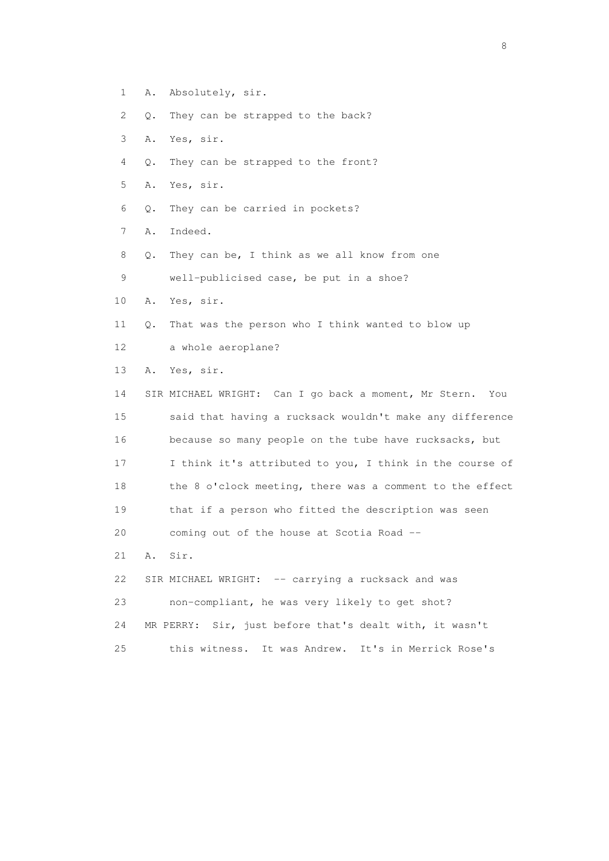- 1 A. Absolutely, sir.
- 2 Q. They can be strapped to the back?
- 3 A. Yes, sir.
- 4 Q. They can be strapped to the front?
- 5 A. Yes, sir.
- 6 Q. They can be carried in pockets?
- 7 A. Indeed.
- 8 Q. They can be, I think as we all know from one
- 9 well-publicised case, be put in a shoe?
- 10 A. Yes, sir.
- 11 Q. That was the person who I think wanted to blow up
- 12 a whole aeroplane?
- 13 A. Yes, sir.

 14 SIR MICHAEL WRIGHT: Can I go back a moment, Mr Stern. You 15 said that having a rucksack wouldn't make any difference 16 because so many people on the tube have rucksacks, but 17 I think it's attributed to you, I think in the course of 18 the 8 o'clock meeting, there was a comment to the effect 19 that if a person who fitted the description was seen 20 coming out of the house at Scotia Road -- 21 A. Sir.

22 SIR MICHAEL WRIGHT: -- carrying a rucksack and was 23 non-compliant, he was very likely to get shot? 24 MR PERRY: Sir, just before that's dealt with, it wasn't 25 this witness. It was Andrew. It's in Merrick Rose's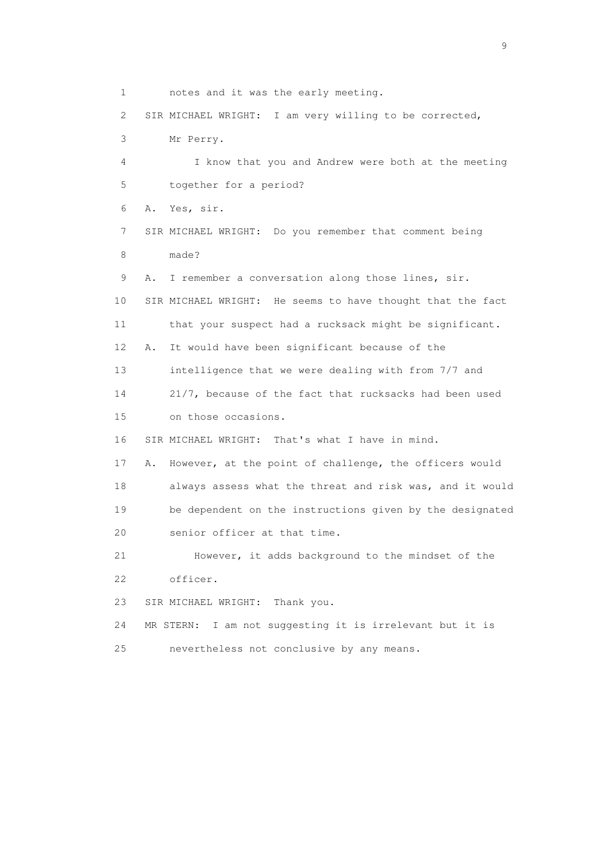1 notes and it was the early meeting. 2 SIR MICHAEL WRIGHT: I am very willing to be corrected, 3 Mr Perry. 4 I know that you and Andrew were both at the meeting 5 together for a period? 6 A. Yes, sir. 7 SIR MICHAEL WRIGHT: Do you remember that comment being 8 made? 9 A. I remember a conversation along those lines, sir. 10 SIR MICHAEL WRIGHT: He seems to have thought that the fact 11 that your suspect had a rucksack might be significant. 12 A. It would have been significant because of the 13 intelligence that we were dealing with from 7/7 and 14 21/7, because of the fact that rucksacks had been used 15 on those occasions. 16 SIR MICHAEL WRIGHT: That's what I have in mind. 17 A. However, at the point of challenge, the officers would 18 always assess what the threat and risk was, and it would 19 be dependent on the instructions given by the designated 20 senior officer at that time. 21 However, it adds background to the mindset of the 22 officer. 23 SIR MICHAEL WRIGHT: Thank you. 24 MR STERN: I am not suggesting it is irrelevant but it is 25 nevertheless not conclusive by any means.

en de la construction de la construction de la construction de la construction de la construction de la constr<br>1911 : la construction de la construction de la construction de la construction de la construction de la const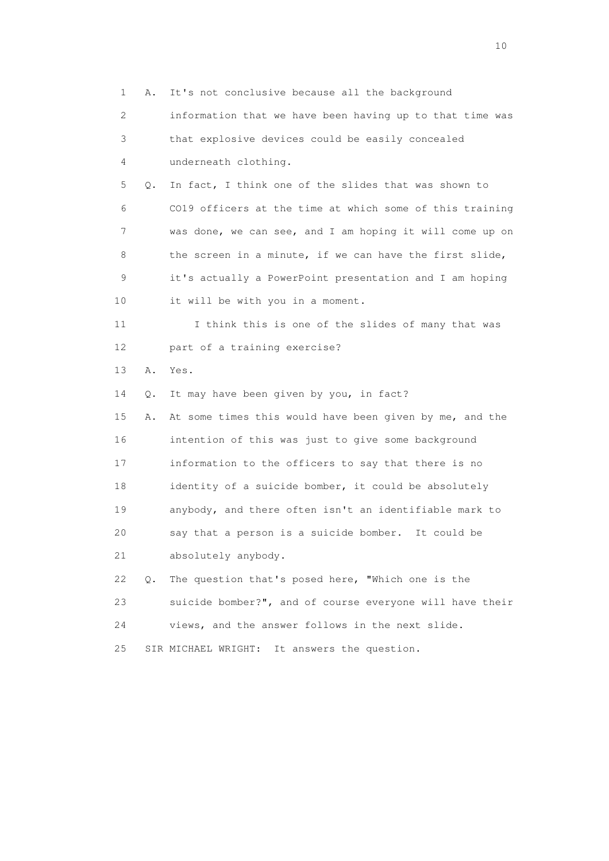1 A. It's not conclusive because all the background 2 information that we have been having up to that time was 3 that explosive devices could be easily concealed 4 underneath clothing. 5 Q. In fact, I think one of the slides that was shown to 6 CO19 officers at the time at which some of this training 7 was done, we can see, and I am hoping it will come up on 8 the screen in a minute, if we can have the first slide, 9 it's actually a PowerPoint presentation and I am hoping 10 it will be with you in a moment. 11 I think this is one of the slides of many that was 12 part of a training exercise? 13 A. Yes. 14 Q. It may have been given by you, in fact? 15 A. At some times this would have been given by me, and the 16 intention of this was just to give some background 17 information to the officers to say that there is no 18 identity of a suicide bomber, it could be absolutely 19 anybody, and there often isn't an identifiable mark to 20 say that a person is a suicide bomber. It could be 21 absolutely anybody. 22 Q. The question that's posed here, "Which one is the 23 suicide bomber?", and of course everyone will have their 24 views, and the answer follows in the next slide. 25 SIR MICHAEL WRIGHT: It answers the question.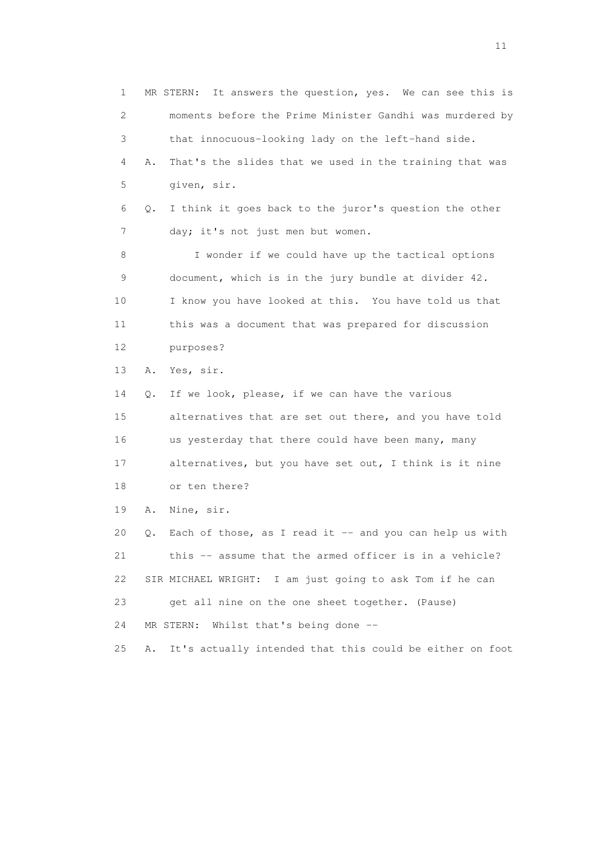1 MR STERN: It answers the question, yes. We can see this is 2 moments before the Prime Minister Gandhi was murdered by 3 that innocuous-looking lady on the left-hand side. 4 A. That's the slides that we used in the training that was 5 given, sir. 6 Q. I think it goes back to the juror's question the other 7 day; it's not just men but women. 8 I wonder if we could have up the tactical options 9 document, which is in the jury bundle at divider 42. 10 I know you have looked at this. You have told us that 11 this was a document that was prepared for discussion 12 purposes? 13 A. Yes, sir. 14 Q. If we look, please, if we can have the various 15 alternatives that are set out there, and you have told 16 us yesterday that there could have been many, many 17 alternatives, but you have set out, I think is it nine 18 or ten there? 19 A. Nine, sir. 20 Q. Each of those, as I read it -- and you can help us with 21 this -- assume that the armed officer is in a vehicle? 22 SIR MICHAEL WRIGHT: I am just going to ask Tom if he can 23 get all nine on the one sheet together. (Pause) 24 MR STERN: Whilst that's being done -- 25 A. It's actually intended that this could be either on foot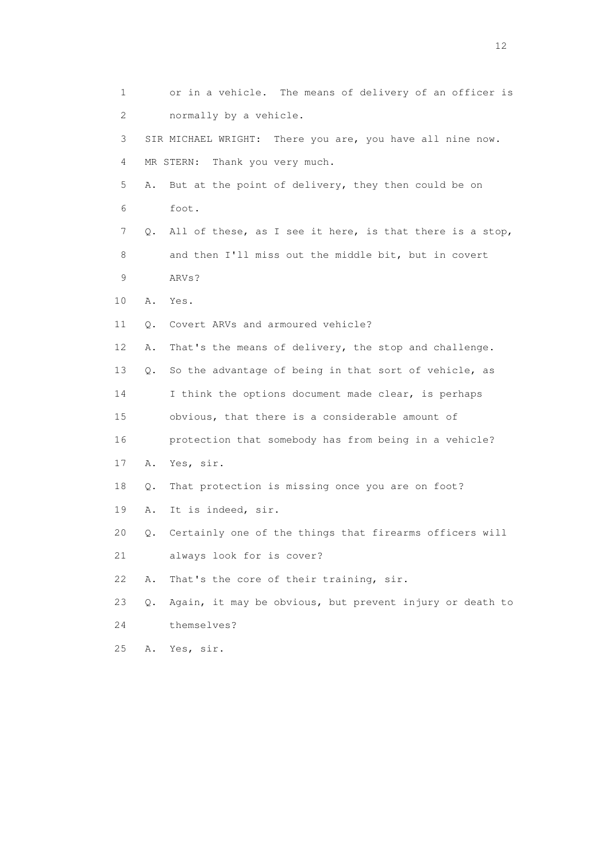1 or in a vehicle. The means of delivery of an officer is 2 normally by a vehicle. 3 SIR MICHAEL WRIGHT: There you are, you have all nine now. 4 MR STERN: Thank you very much. 5 A. But at the point of delivery, they then could be on 6 foot. 7 Q. All of these, as I see it here, is that there is a stop, 8 and then I'll miss out the middle bit, but in covert 9 ARVs? 10 A. Yes. 11 Q. Covert ARVs and armoured vehicle? 12 A. That's the means of delivery, the stop and challenge. 13 Q. So the advantage of being in that sort of vehicle, as 14 I think the options document made clear, is perhaps 15 obvious, that there is a considerable amount of 16 protection that somebody has from being in a vehicle? 17 A. Yes, sir. 18 Q. That protection is missing once you are on foot? 19 A. It is indeed, sir. 20 Q. Certainly one of the things that firearms officers will 21 always look for is cover? 22 A. That's the core of their training, sir. 23 Q. Again, it may be obvious, but prevent injury or death to 24 themselves? 25 A. Yes, sir.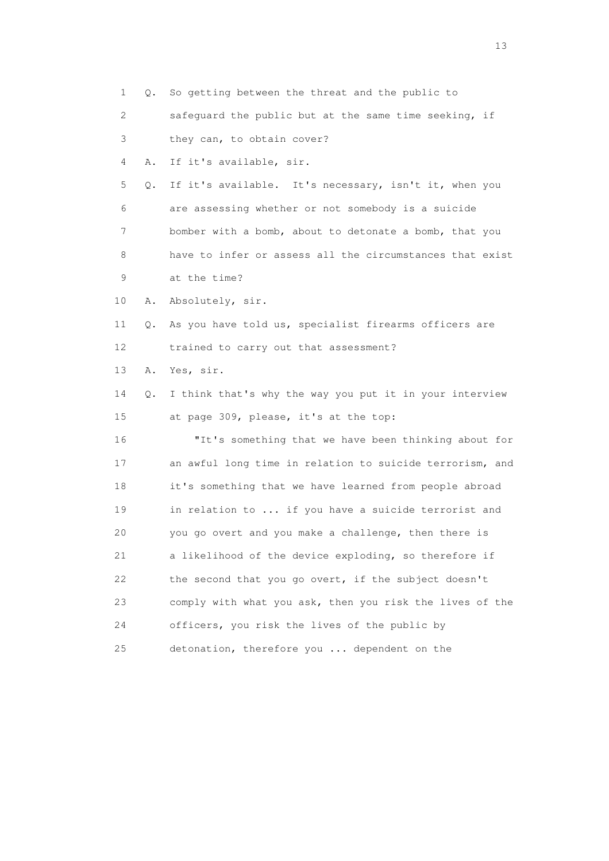1 Q. So getting between the threat and the public to 2 safeguard the public but at the same time seeking, if 3 they can, to obtain cover? 4 A. If it's available, sir. 5 Q. If it's available. It's necessary, isn't it, when you 6 are assessing whether or not somebody is a suicide 7 bomber with a bomb, about to detonate a bomb, that you 8 have to infer or assess all the circumstances that exist 9 at the time? 10 A. Absolutely, sir. 11 Q. As you have told us, specialist firearms officers are 12 trained to carry out that assessment? 13 A. Yes, sir. 14 Q. I think that's why the way you put it in your interview 15 at page 309, please, it's at the top: 16 "It's something that we have been thinking about for 17 an awful long time in relation to suicide terrorism, and 18 it's something that we have learned from people abroad 19 in relation to ... if you have a suicide terrorist and 20 you go overt and you make a challenge, then there is 21 a likelihood of the device exploding, so therefore if 22 the second that you go overt, if the subject doesn't 23 comply with what you ask, then you risk the lives of the 24 officers, you risk the lives of the public by 25 detonation, therefore you ... dependent on the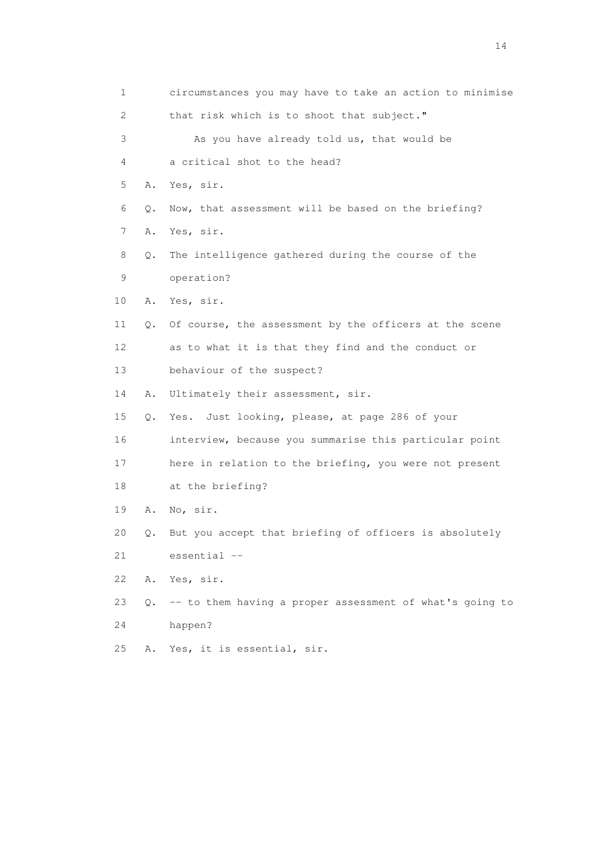| 1                     |       | circumstances you may have to take an action to minimise |
|-----------------------|-------|----------------------------------------------------------|
| $\mathbf{2}^{\prime}$ |       | that risk which is to shoot that subject."               |
| 3                     |       | As you have already told us, that would be               |
| 4                     |       | a critical shot to the head?                             |
| 5                     | Α.    | Yes, sir.                                                |
| 6                     | $Q$ . | Now, that assessment will be based on the briefing?      |
| 7                     | Α.    | Yes, sir.                                                |
| 8                     | Q.    | The intelligence gathered during the course of the       |
| 9                     |       | operation?                                               |
| 10 <sup>°</sup>       | Α.    | Yes, sir.                                                |
| 11                    | Q.    | Of course, the assessment by the officers at the scene   |
| 12                    |       | as to what it is that they find and the conduct or       |
| 13                    |       | behaviour of the suspect?                                |
| 14                    | Α.    | Ultimately their assessment, sir.                        |
| 15                    | $Q$ . | Yes. Just looking, please, at page 286 of your           |
| 16                    |       | interview, because you summarise this particular point   |
| 17                    |       | here in relation to the briefing, you were not present   |
| 18                    |       | at the briefing?                                         |
| 19                    | Α.    | No, sir.                                                 |
| 20                    | Q.    | But you accept that briefing of officers is absolutely   |
| 21                    |       | essential --                                             |
| 22                    | Α.    | Yes, sir.                                                |
| 23                    | Q.    | -- to them having a proper assessment of what's going to |
| 24                    |       | happen?                                                  |
| 25                    | Α.    | Yes, it is essential, sir.                               |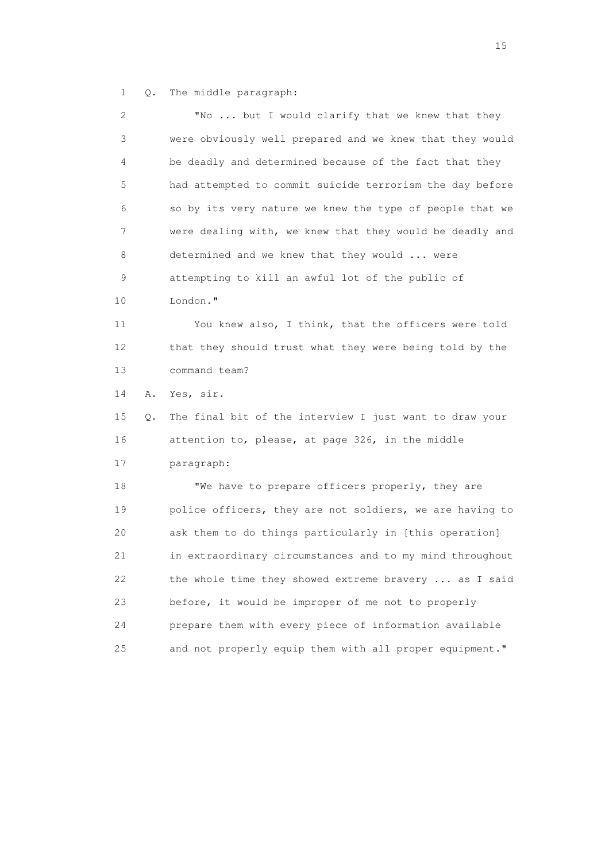1 Q. The middle paragraph:

| 2  |    | "No  but I would clarify that we knew that they          |
|----|----|----------------------------------------------------------|
| 3  |    | were obviously well prepared and we knew that they would |
| 4  |    | be deadly and determined because of the fact that they   |
| 5  |    | had attempted to commit suicide terrorism the day before |
| 6  |    | so by its very nature we knew the type of people that we |
| 7  |    | were dealing with, we knew that they would be deadly and |
| 8  |    | determined and we knew that they would  were             |
| 9  |    | attempting to kill an awful lot of the public of         |
| 10 |    | London."                                                 |
| 11 |    | You knew also, I think, that the officers were told      |
| 12 |    | that they should trust what they were being told by the  |
| 13 |    | command team?                                            |
| 14 | Α. | Yes, sir.                                                |
| 15 | Q. | The final bit of the interview I just want to draw your  |
| 16 |    | attention to, please, at page 326, in the middle         |
| 17 |    | paragraph:                                               |
| 18 |    | "We have to prepare officers properly, they are          |
| 19 |    | police officers, they are not soldiers, we are having to |
| 20 |    | ask them to do things particularly in [this operation]   |
| 21 |    | in extraordinary circumstances and to my mind throughout |
| 22 |    | the whole time they showed extreme bravery  as I said    |
| 23 |    | before, it would be improper of me not to properly       |
| 24 |    | prepare them with every piece of information available   |
| 25 |    | and not properly equip them with all proper equipment."  |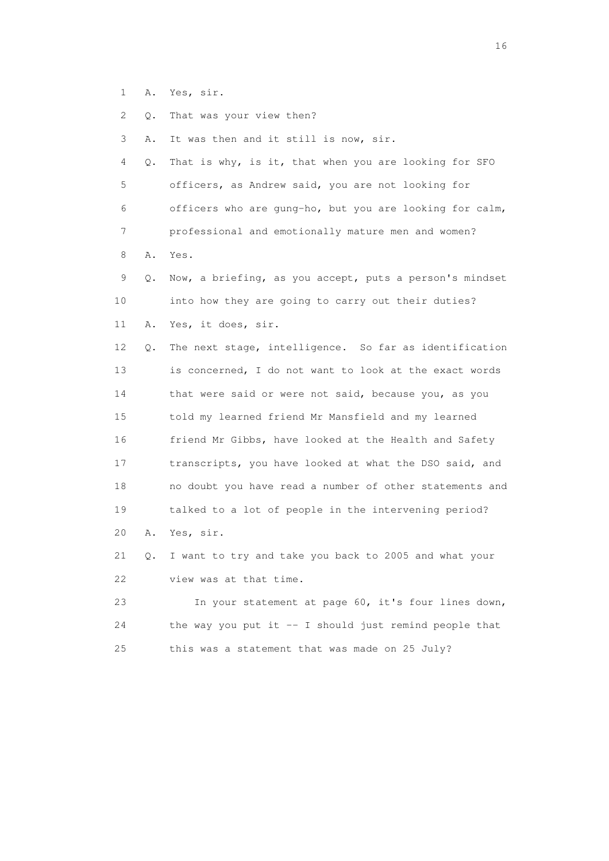- 1 A. Yes, sir.
- 2 Q. That was your view then?
- 3 A. It was then and it still is now, sir.

 4 Q. That is why, is it, that when you are looking for SFO 5 officers, as Andrew said, you are not looking for 6 officers who are gung-ho, but you are looking for calm, 7 professional and emotionally mature men and women?

8 A. Yes.

 9 Q. Now, a briefing, as you accept, puts a person's mindset 10 into how they are going to carry out their duties? 11 A. Yes, it does, sir.

 12 Q. The next stage, intelligence. So far as identification 13 is concerned, I do not want to look at the exact words 14 that were said or were not said, because you, as you 15 told my learned friend Mr Mansfield and my learned 16 friend Mr Gibbs, have looked at the Health and Safety 17 transcripts, you have looked at what the DSO said, and 18 no doubt you have read a number of other statements and 19 talked to a lot of people in the intervening period? 20 A. Yes, sir.

 21 Q. I want to try and take you back to 2005 and what your 22 view was at that time.

 23 In your statement at page 60, it's four lines down, 24 the way you put it -- I should just remind people that 25 this was a statement that was made on 25 July?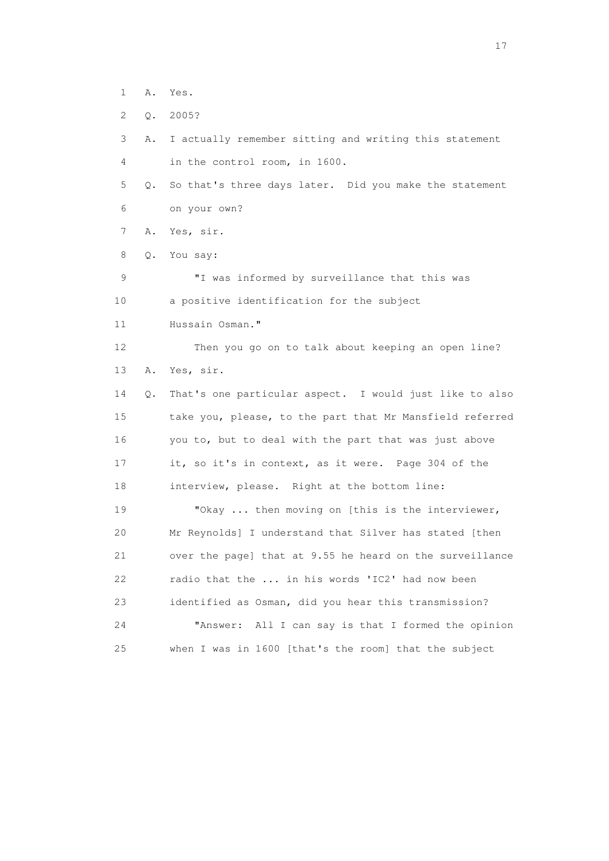1 A. Yes.

2 Q. 2005?

 3 A. I actually remember sitting and writing this statement 4 in the control room, in 1600.

 5 Q. So that's three days later. Did you make the statement 6 on your own?

7 A. Yes, sir.

8 Q. You say:

 9 "I was informed by surveillance that this was 10 a positive identification for the subject

11 Hussain Osman."

 12 Then you go on to talk about keeping an open line? 13 A. Yes, sir.

 14 Q. That's one particular aspect. I would just like to also 15 take you, please, to the part that Mr Mansfield referred 16 you to, but to deal with the part that was just above 17 it, so it's in context, as it were. Page 304 of the 18 interview, please. Right at the bottom line:

19 "Okay ... then moving on [this is the interviewer, 20 Mr Reynolds] I understand that Silver has stated [then 21 over the page] that at 9.55 he heard on the surveillance 22 radio that the ... in his words 'IC2' had now been 23 identified as Osman, did you hear this transmission? 24 "Answer: All I can say is that I formed the opinion 25 when I was in 1600 [that's the room] that the subject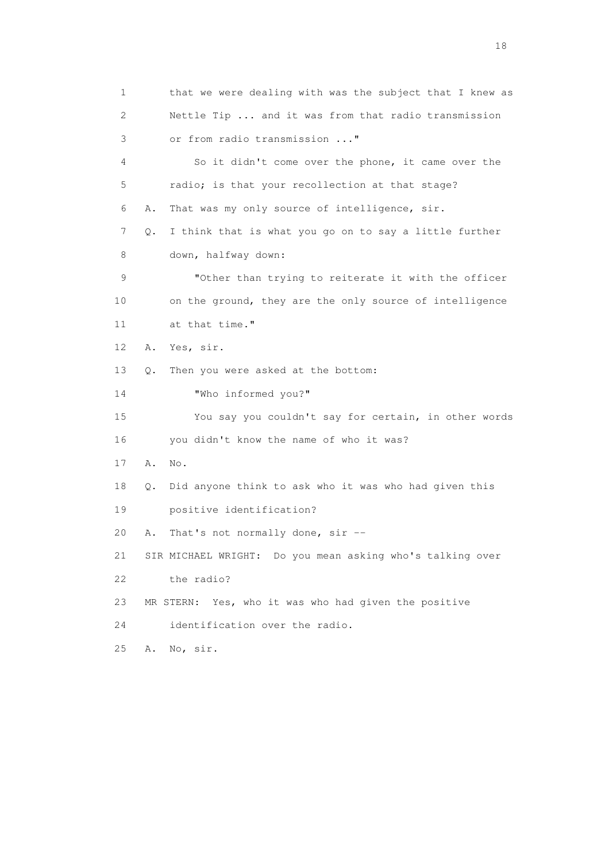1 that we were dealing with was the subject that I knew as 2 Nettle Tip ... and it was from that radio transmission 3 or from radio transmission ..." 4 So it didn't come over the phone, it came over the 5 radio; is that your recollection at that stage? 6 A. That was my only source of intelligence, sir. 7 Q. I think that is what you go on to say a little further 8 down, halfway down: 9 "Other than trying to reiterate it with the officer 10 on the ground, they are the only source of intelligence 11 at that time." 12 A. Yes, sir. 13 Q. Then you were asked at the bottom: 14 "Who informed you?" 15 You say you couldn't say for certain, in other words 16 you didn't know the name of who it was? 17 A. No. 18 Q. Did anyone think to ask who it was who had given this 19 positive identification? 20 A. That's not normally done, sir -- 21 SIR MICHAEL WRIGHT: Do you mean asking who's talking over 22 the radio? 23 MR STERN: Yes, who it was who had given the positive 24 identification over the radio. 25 A. No, sir.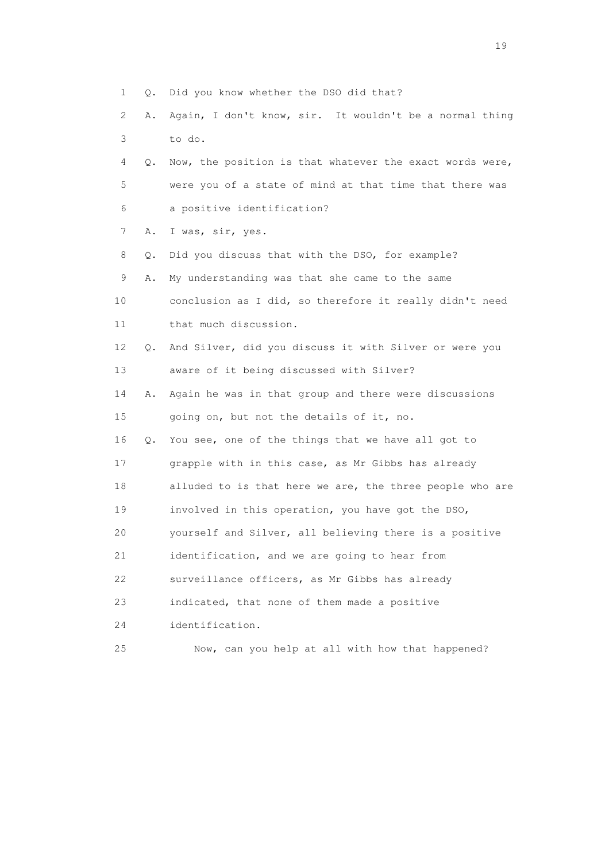- 1 Q. Did you know whether the DSO did that?
- 2 A. Again, I don't know, sir. It wouldn't be a normal thing 3 to do.
- 4 Q. Now, the position is that whatever the exact words were, 5 were you of a state of mind at that time that there was 6 a positive identification?
- 7 A. I was, sir, yes.
- 8 Q. Did you discuss that with the DSO, for example?
- 9 A. My understanding was that she came to the same 10 conclusion as I did, so therefore it really didn't need
- 11 that much discussion.
- 12 Q. And Silver, did you discuss it with Silver or were you 13 aware of it being discussed with Silver?
- 14 A. Again he was in that group and there were discussions 15 going on, but not the details of it, no.
- 16 Q. You see, one of the things that we have all got to 17 grapple with in this case, as Mr Gibbs has already 18 alluded to is that here we are, the three people who are 19 involved in this operation, you have got the DSO, 20 yourself and Silver, all believing there is a positive 21 identification, and we are going to hear from
- 22 surveillance officers, as Mr Gibbs has already
- 23 indicated, that none of them made a positive
- 24 identification.
- 25 Now, can you help at all with how that happened?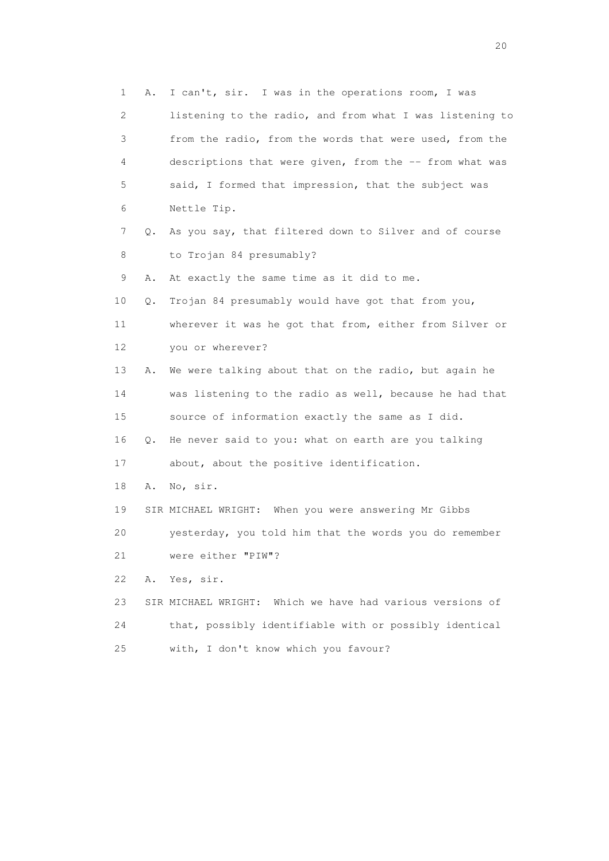1 A. I can't, sir. I was in the operations room, I was 2 listening to the radio, and from what I was listening to 3 from the radio, from the words that were used, from the 4 descriptions that were given, from the -- from what was 5 said, I formed that impression, that the subject was 6 Nettle Tip. 7 Q. As you say, that filtered down to Silver and of course 8 to Trojan 84 presumably? 9 A. At exactly the same time as it did to me. 10 Q. Trojan 84 presumably would have got that from you, 11 wherever it was he got that from, either from Silver or 12 you or wherever? 13 A. We were talking about that on the radio, but again he 14 was listening to the radio as well, because he had that 15 source of information exactly the same as I did. 16 Q. He never said to you: what on earth are you talking 17 about, about the positive identification. 18 A. No, sir. 19 SIR MICHAEL WRIGHT: When you were answering Mr Gibbs 20 yesterday, you told him that the words you do remember 21 were either "PIW"? 22 A. Yes, sir. 23 SIR MICHAEL WRIGHT: Which we have had various versions of 24 that, possibly identifiable with or possibly identical 25 with, I don't know which you favour?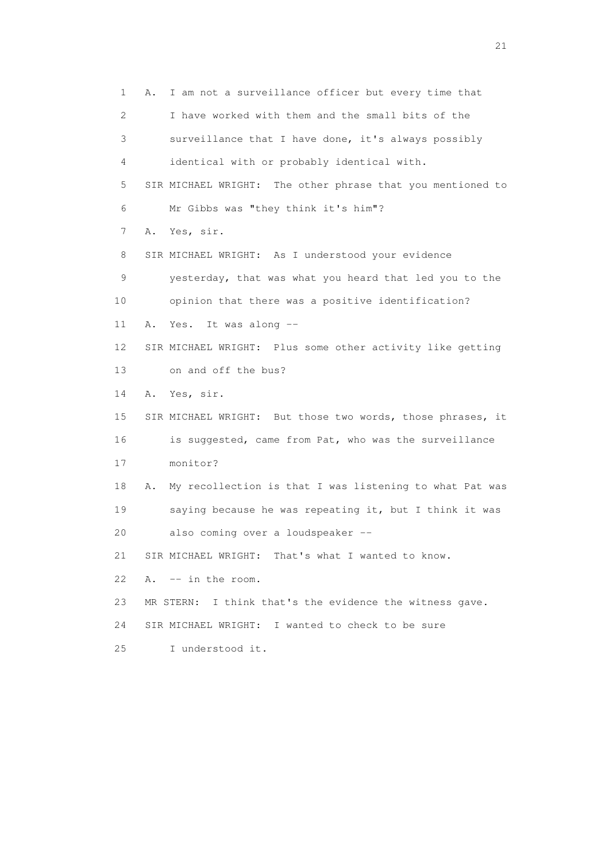1 A. I am not a surveillance officer but every time that 2 I have worked with them and the small bits of the 3 surveillance that I have done, it's always possibly 4 identical with or probably identical with. 5 SIR MICHAEL WRIGHT: The other phrase that you mentioned to 6 Mr Gibbs was "they think it's him"? 7 A. Yes, sir. 8 SIR MICHAEL WRIGHT: As I understood your evidence 9 yesterday, that was what you heard that led you to the 10 opinion that there was a positive identification? 11 A. Yes. It was along -- 12 SIR MICHAEL WRIGHT: Plus some other activity like getting 13 on and off the bus? 14 A. Yes, sir. 15 SIR MICHAEL WRIGHT: But those two words, those phrases, it 16 is suggested, came from Pat, who was the surveillance 17 monitor? 18 A. My recollection is that I was listening to what Pat was 19 saying because he was repeating it, but I think it was 20 also coming over a loudspeaker -- 21 SIR MICHAEL WRIGHT: That's what I wanted to know. 22 A. -- in the room. 23 MR STERN: I think that's the evidence the witness gave. 24 SIR MICHAEL WRIGHT: I wanted to check to be sure 25 I understood it.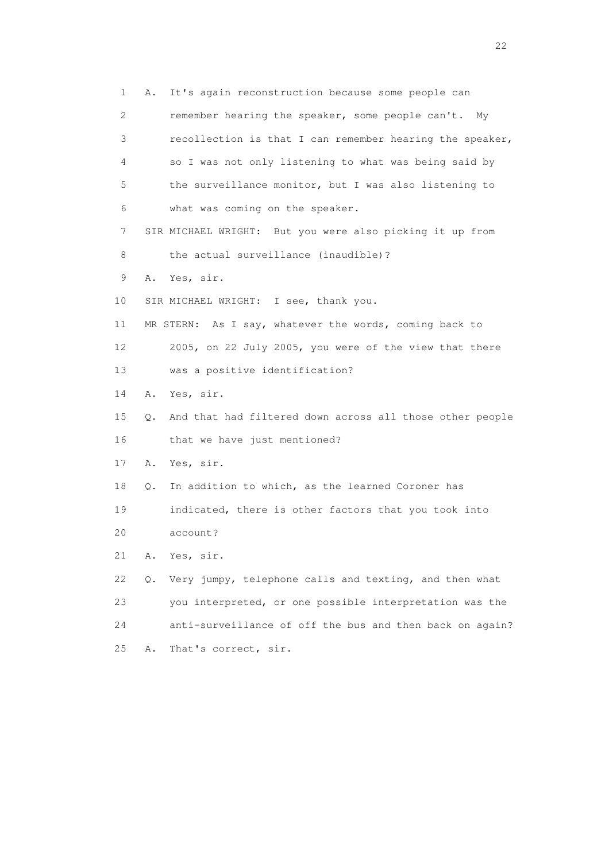1 A. It's again reconstruction because some people can 2 remember hearing the speaker, some people can't. My 3 recollection is that I can remember hearing the speaker, 4 so I was not only listening to what was being said by 5 the surveillance monitor, but I was also listening to 6 what was coming on the speaker. 7 SIR MICHAEL WRIGHT: But you were also picking it up from 8 the actual surveillance (inaudible)? 9 A. Yes, sir. 10 SIR MICHAEL WRIGHT: I see, thank you. 11 MR STERN: As I say, whatever the words, coming back to 12 2005, on 22 July 2005, you were of the view that there 13 was a positive identification? 14 A. Yes, sir. 15 Q. And that had filtered down across all those other people 16 that we have just mentioned? 17 A. Yes, sir. 18 Q. In addition to which, as the learned Coroner has 19 indicated, there is other factors that you took into 20 account? 21 A. Yes, sir. 22 Q. Very jumpy, telephone calls and texting, and then what 23 you interpreted, or one possible interpretation was the 24 anti-surveillance of off the bus and then back on again? 25 A. That's correct, sir.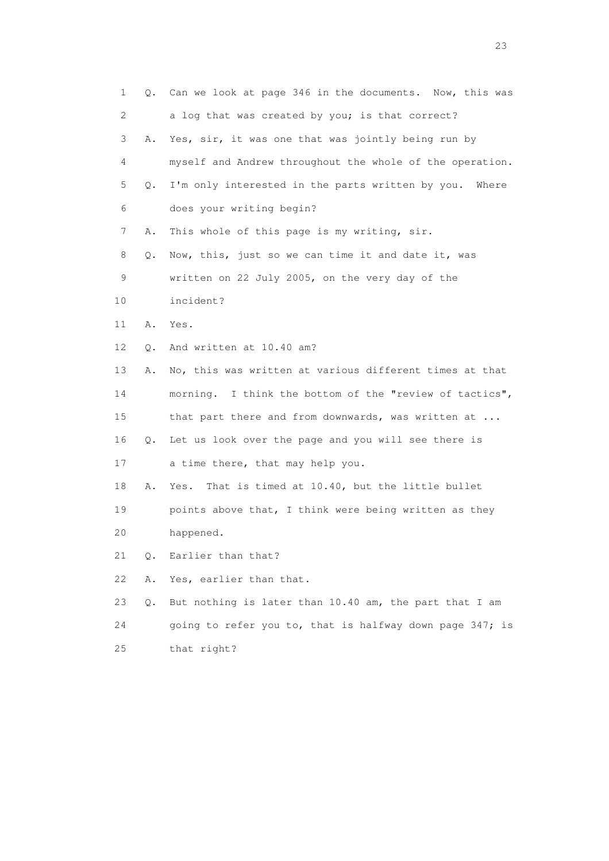| 1  | Q.    | Can we look at page 346 in the documents. Now, this was  |
|----|-------|----------------------------------------------------------|
| 2  |       | a log that was created by you; is that correct?          |
| 3  | Α.    | Yes, sir, it was one that was jointly being run by       |
| 4  |       | myself and Andrew throughout the whole of the operation. |
| 5  | Q.    | I'm only interested in the parts written by you. Where   |
| 6  |       | does your writing begin?                                 |
| 7  | Α.    | This whole of this page is my writing, sir.              |
| 8  | Q.    | Now, this, just so we can time it and date it, was       |
| 9  |       | written on 22 July 2005, on the very day of the          |
| 10 |       | incident?                                                |
| 11 | Α.    | Yes.                                                     |
| 12 | Q.    | And written at 10.40 am?                                 |
| 13 | Α.    | No, this was written at various different times at that  |
| 14 |       | morning. I think the bottom of the "review of tactics",  |
| 15 |       | that part there and from downwards, was written at       |
| 16 |       | Q. Let us look over the page and you will see there is   |
| 17 |       | a time there, that may help you.                         |
| 18 | Α.    | That is timed at 10.40, but the little bullet<br>Yes.    |
| 19 |       | points above that, I think were being written as they    |
| 20 |       | happened.                                                |
| 21 | Q.    | Earlier than that?                                       |
| 22 | Α.    | Yes, earlier than that.                                  |
| 23 | $Q$ . | But nothing is later than 10.40 am, the part that I am   |
| 24 |       | going to refer you to, that is halfway down page 347; is |
| 25 |       | that right?                                              |

23 and 23 and 23 and 23 and 23 and 23 and 23 and 23 and 23 and 23 and 23 and 23 and 23 and 23 and 23 and 23 and 24 and 25 and 25 and 26 and 26 and 26 and 26 and 26 and 26 and 26 and 26 and 26 and 26 and 26 and 26 and 26 an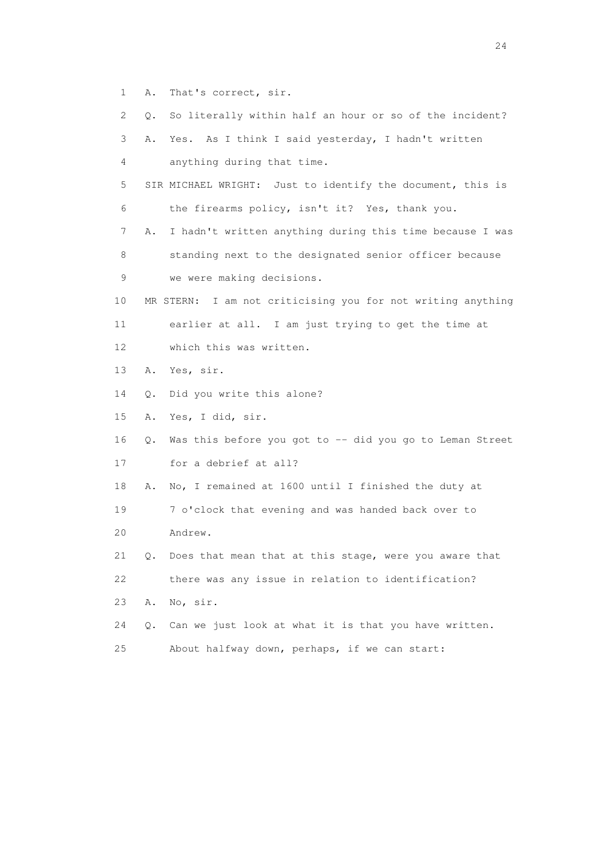1 A. That's correct, sir.

| 2  | So literally within half an hour or so of the incident?<br>Q.  |
|----|----------------------------------------------------------------|
| 3  | Yes. As I think I said yesterday, I hadn't written<br>Α.       |
| 4  | anything during that time.                                     |
| 5  | SIR MICHAEL WRIGHT: Just to identify the document, this is     |
| 6  | the firearms policy, isn't it? Yes, thank you.                 |
|    |                                                                |
| 7  | I hadn't written anything during this time because I was<br>Α. |
| 8  | standing next to the designated senior officer because         |
| 9  | we were making decisions.                                      |
| 10 | MR STERN: I am not criticising you for not writing anything    |
| 11 | earlier at all. I am just trying to get the time at            |
| 12 | which this was written.                                        |
| 13 | Yes, sir.<br>Α.                                                |
| 14 | Did you write this alone?<br>Q.                                |
| 15 | Yes, I did, sir.<br>Α.                                         |
| 16 | Was this before you got to -- did you go to Leman Street<br>Q. |
| 17 | for a debrief at all?                                          |
| 18 | No, I remained at 1600 until I finished the duty at<br>Α.      |
| 19 | 7 o'clock that evening and was handed back over to             |
| 20 | Andrew.                                                        |
| 21 | Does that mean that at this stage, were you aware that<br>Q.   |
| 22 | there was any issue in relation to identification?             |
| 23 | No, sir.<br>Α.                                                 |
| 24 | Can we just look at what it is that you have written.<br>О.    |
| 25 | About halfway down, perhaps, if we can start:                  |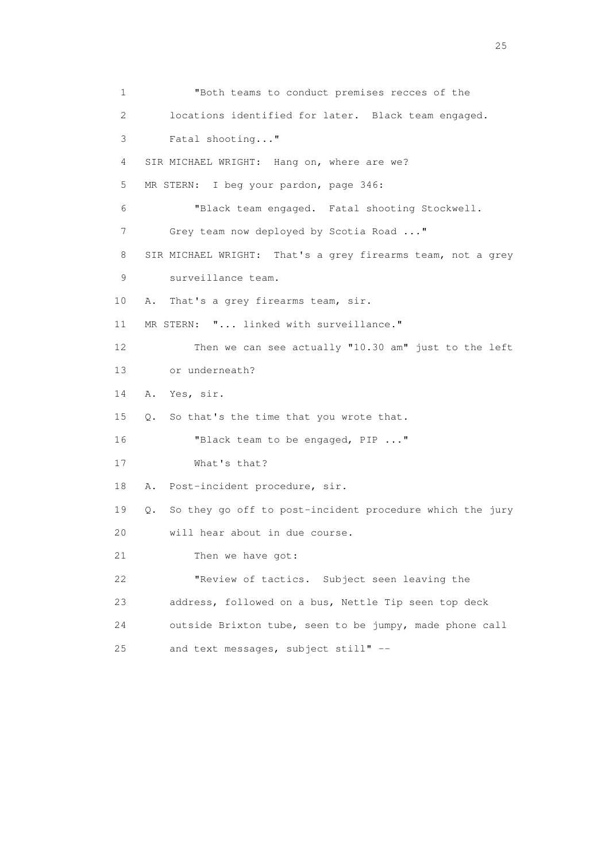1 "Both teams to conduct premises recces of the 2 locations identified for later. Black team engaged. 3 Fatal shooting..." 4 SIR MICHAEL WRIGHT: Hang on, where are we? 5 MR STERN: I beg your pardon, page 346: 6 "Black team engaged. Fatal shooting Stockwell. 7 Grey team now deployed by Scotia Road ..." 8 SIR MICHAEL WRIGHT: That's a grey firearms team, not a grey 9 surveillance team. 10 A. That's a grey firearms team, sir. 11 MR STERN: "... linked with surveillance." 12 Then we can see actually "10.30 am" just to the left 13 or underneath? 14 A. Yes, sir. 15 Q. So that's the time that you wrote that. 16 "Black team to be engaged, PIP ..." 17 What's that? 18 A. Post-incident procedure, sir. 19 Q. So they go off to post-incident procedure which the jury 20 will hear about in due course. 21 Then we have got: 22 "Review of tactics. Subject seen leaving the 23 address, followed on a bus, Nettle Tip seen top deck 24 outside Brixton tube, seen to be jumpy, made phone call 25 and text messages, subject still" --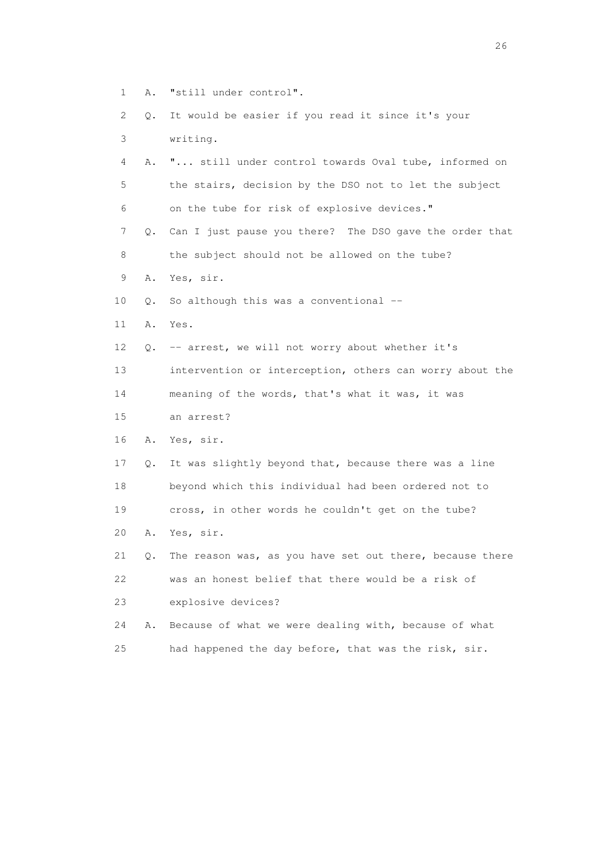- 1 A. "still under control".
- 2 Q. It would be easier if you read it since it's your 3 writing.
- 4 A. "... still under control towards Oval tube, informed on 5 the stairs, decision by the DSO not to let the subject 6 on the tube for risk of explosive devices."
- 7 Q. Can I just pause you there? The DSO gave the order that 8 the subject should not be allowed on the tube?
- 9 A. Yes, sir.
- 10 Q. So although this was a conventional --
- 11 A. Yes.
- 12 Q. -- arrest, we will not worry about whether it's
- 13 intervention or interception, others can worry about the
- 14 meaning of the words, that's what it was, it was
- 15 an arrest?
- 16 A. Yes, sir.
- 17 Q. It was slightly beyond that, because there was a line 18 beyond which this individual had been ordered not to 19 cross, in other words he couldn't get on the tube?
- 20 A. Yes, sir.
- 21 Q. The reason was, as you have set out there, because there 22 was an honest belief that there would be a risk of 23 explosive devices?
- 24 A. Because of what we were dealing with, because of what 25 had happened the day before, that was the risk, sir.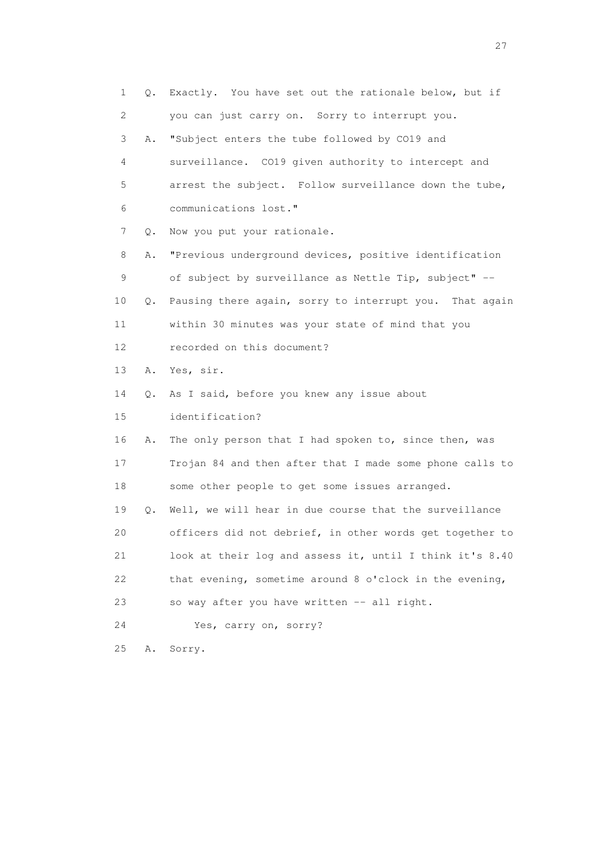1 Q. Exactly. You have set out the rationale below, but if 2 you can just carry on. Sorry to interrupt you. 3 A. "Subject enters the tube followed by CO19 and 4 surveillance. CO19 given authority to intercept and 5 arrest the subject. Follow surveillance down the tube, 6 communications lost." 7 Q. Now you put your rationale. 8 A. "Previous underground devices, positive identification 9 of subject by surveillance as Nettle Tip, subject" -- 10 Q. Pausing there again, sorry to interrupt you. That again 11 within 30 minutes was your state of mind that you 12 recorded on this document? 13 A. Yes, sir. 14 Q. As I said, before you knew any issue about 15 identification? 16 A. The only person that I had spoken to, since then, was 17 Trojan 84 and then after that I made some phone calls to 18 some other people to get some issues arranged. 19 Q. Well, we will hear in due course that the surveillance 20 officers did not debrief, in other words get together to 21 look at their log and assess it, until I think it's 8.40 22 that evening, sometime around 8 o'clock in the evening, 23 so way after you have written -- all right. 24 Yes, carry on, sorry? 25 A. Sorry.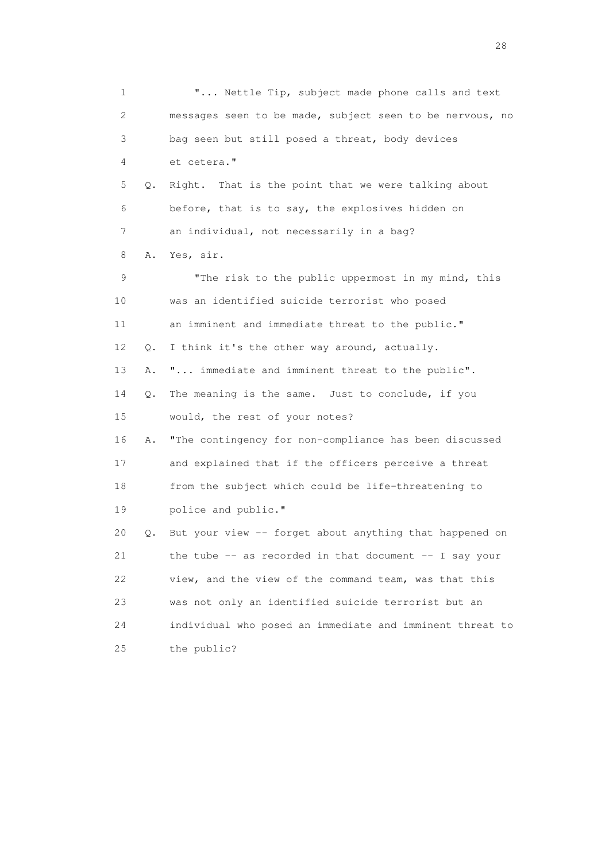1 **"...** Nettle Tip, subject made phone calls and text 2 messages seen to be made, subject seen to be nervous, no 3 bag seen but still posed a threat, body devices 4 et cetera." 5 Q. Right. That is the point that we were talking about 6 before, that is to say, the explosives hidden on 7 an individual, not necessarily in a bag? 8 A. Yes, sir. 9 "The risk to the public uppermost in my mind, this 10 was an identified suicide terrorist who posed 11 an imminent and immediate threat to the public." 12 Q. I think it's the other way around, actually. 13 A. "... immediate and imminent threat to the public". 14 Q. The meaning is the same. Just to conclude, if you 15 would, the rest of your notes? 16 A. "The contingency for non-compliance has been discussed 17 and explained that if the officers perceive a threat 18 from the subject which could be life-threatening to 19 police and public." 20 Q. But your view -- forget about anything that happened on 21 the tube -- as recorded in that document -- I say your 22 view, and the view of the command team, was that this 23 was not only an identified suicide terrorist but an 24 individual who posed an immediate and imminent threat to 25 the public?

28 and 28 and 28 and 28 and 28 and 28 and 28 and 28 and 28 and 28 and 28 and 28 and 28 and 28 and 28 and 28 and 28 and 28 and 28 and 28 and 28 and 28 and 28 and 28 and 28 and 28 and 28 and 28 and 28 and 28 and 28 and 28 an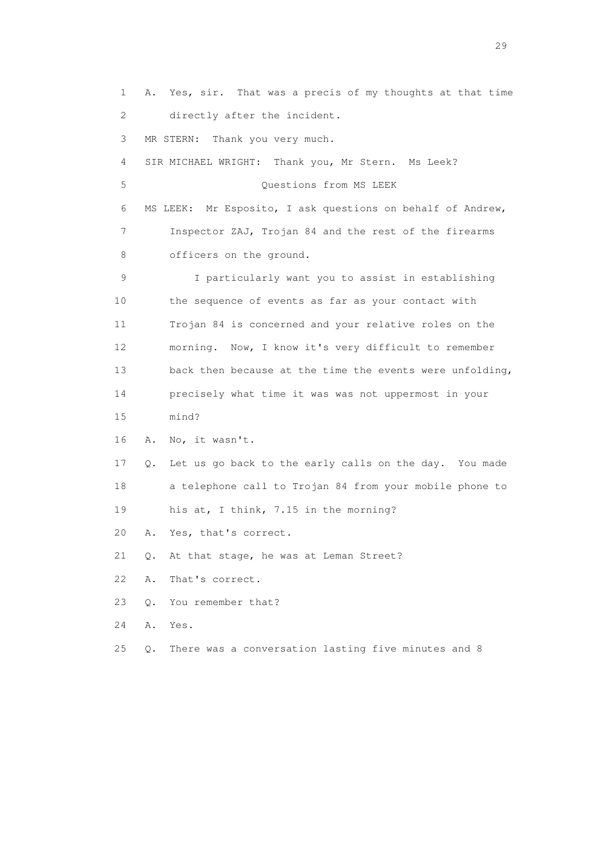1 A. Yes, sir. That was a precis of my thoughts at that time 2 directly after the incident. 3 MR STERN: Thank you very much. 4 SIR MICHAEL WRIGHT: Thank you, Mr Stern. Ms Leek? 5 Questions from MS LEEK 6 MS LEEK: Mr Esposito, I ask questions on behalf of Andrew, 7 Inspector ZAJ, Trojan 84 and the rest of the firearms 8 officers on the ground. 9 I particularly want you to assist in establishing 10 the sequence of events as far as your contact with 11 Trojan 84 is concerned and your relative roles on the 12 morning. Now, I know it's very difficult to remember 13 back then because at the time the events were unfolding, 14 precisely what time it was was not uppermost in your 15 mind? 16 A. No, it wasn't. 17 Q. Let us go back to the early calls on the day. You made 18 a telephone call to Trojan 84 from your mobile phone to 19 his at, I think, 7.15 in the morning? 20 A. Yes, that's correct. 21 Q. At that stage, he was at Leman Street? 22 A. That's correct. 23 Q. You remember that? 24 A. Yes. 25 Q. There was a conversation lasting five minutes and 8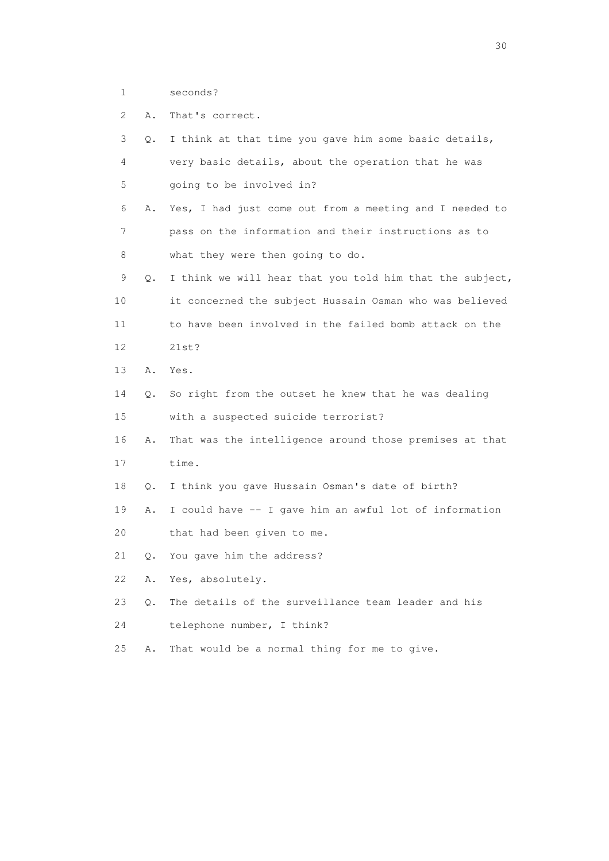1 seconds?

2 A. That's correct.

| 3  | Q. | I think at that time you gave him some basic details,    |
|----|----|----------------------------------------------------------|
| 4  |    | very basic details, about the operation that he was      |
| 5  |    | going to be involved in?                                 |
| 6  | Α. | Yes, I had just come out from a meeting and I needed to  |
| 7  |    | pass on the information and their instructions as to     |
| 8  |    | what they were then going to do.                         |
| 9  | Q. | I think we will hear that you told him that the subject, |
| 10 |    | it concerned the subject Hussain Osman who was believed  |
| 11 |    | to have been involved in the failed bomb attack on the   |
| 12 |    | 21st?                                                    |
| 13 | Α. | Yes.                                                     |
| 14 | Q. | So right from the outset he knew that he was dealing     |
| 15 |    | with a suspected suicide terrorist?                      |
| 16 | Α. | That was the intelligence around those premises at that  |
| 17 |    | time.                                                    |
| 18 | О. | I think you gave Hussain Osman's date of birth?          |
| 19 | Α. | I could have -- I gave him an awful lot of information   |
| 20 |    | that had been given to me.                               |
| 21 | Q. | You gave him the address?                                |
| 22 | Α. | Yes, absolutely.                                         |
| 23 | 0. | The details of the surveillance team leader and his      |
| 24 |    | telephone number, I think?                               |
| 25 | Α. | That would be a normal thing for me to give.             |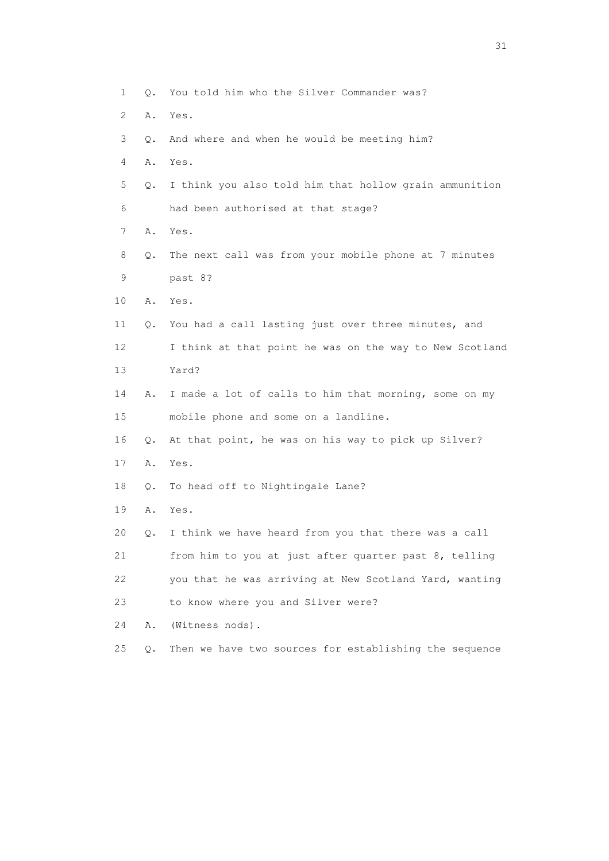| 1  | Q.    | You told him who the Silver Commander was?              |
|----|-------|---------------------------------------------------------|
| 2  | Α.    | Yes.                                                    |
| 3  | О.    | And where and when he would be meeting him?             |
| 4  | Α.    | Yes.                                                    |
| 5  | Q.    | I think you also told him that hollow grain ammunition  |
| 6  |       | had been authorised at that stage?                      |
| 7  | Α.    | Yes.                                                    |
| 8  | Q.    | The next call was from your mobile phone at 7 minutes   |
| 9  |       | past 8?                                                 |
| 10 | Α.    | Yes.                                                    |
| 11 | Q.    | You had a call lasting just over three minutes, and     |
| 12 |       | I think at that point he was on the way to New Scotland |
| 13 |       | Yard?                                                   |
| 14 | Α.    | I made a lot of calls to him that morning, some on my   |
| 15 |       | mobile phone and some on a landline.                    |
| 16 | Q.    | At that point, he was on his way to pick up Silver?     |
| 17 | Α.    | Yes.                                                    |
| 18 | Q.    | To head off to Nightingale Lane?                        |
| 19 | Α.    | Yes.                                                    |
| 20 | Q.    | I think we have heard from you that there was a call    |
| 21 |       | from him to you at just after quarter past 8, telling   |
| 22 |       | you that he was arriving at New Scotland Yard, wanting  |
| 23 |       | to know where you and Silver were?                      |
| 24 | Α.    | (Witness nods).                                         |
| 25 | $Q$ . | Then we have two sources for establishing the sequence  |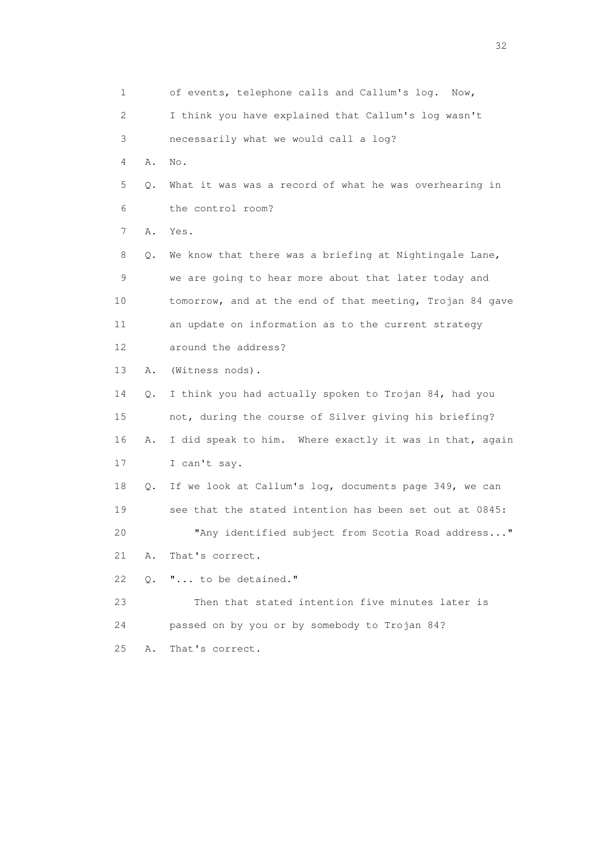1 of events, telephone calls and Callum's log. Now, 2 I think you have explained that Callum's log wasn't 3 necessarily what we would call a log? 4 A. No. 5 Q. What it was was a record of what he was overhearing in 6 the control room? 7 A. Yes. 8 Q. We know that there was a briefing at Nightingale Lane, 9 we are going to hear more about that later today and 10 tomorrow, and at the end of that meeting, Trojan 84 gave 11 an update on information as to the current strategy 12 around the address? 13 A. (Witness nods). 14 Q. I think you had actually spoken to Trojan 84, had you 15 not, during the course of Silver giving his briefing? 16 A. I did speak to him. Where exactly it was in that, again 17 I can't say. 18 Q. If we look at Callum's log, documents page 349, we can 19 see that the stated intention has been set out at 0845: 20 "Any identified subject from Scotia Road address..." 21 A. That's correct. 22 Q. "... to be detained." 23 Then that stated intention five minutes later is 24 passed on by you or by somebody to Trojan 84? 25 A. That's correct.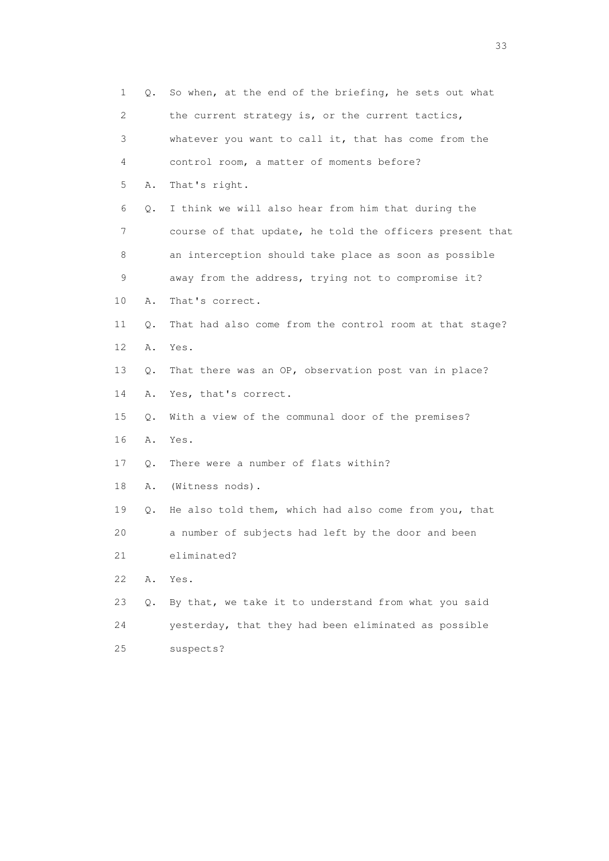| 1               | Q.    | So when, at the end of the briefing, he sets out what    |
|-----------------|-------|----------------------------------------------------------|
| 2               |       | the current strategy is, or the current tactics,         |
| 3               |       | whatever you want to call it, that has come from the     |
| 4               |       | control room, a matter of moments before?                |
| 5               | Α.    | That's right.                                            |
| 6               | Q.    | I think we will also hear from him that during the       |
| 7               |       | course of that update, he told the officers present that |
| 8               |       | an interception should take place as soon as possible    |
| 9               |       | away from the address, trying not to compromise it?      |
| 10              | Α.    | That's correct.                                          |
| 11              | Q.    | That had also come from the control room at that stage?  |
| 12 <sup>°</sup> | Α.    | Yes.                                                     |
| 13              | $Q$ . | That there was an OP, observation post van in place?     |
| 14              | Α.    | Yes, that's correct.                                     |
| 15              | Q.    | With a view of the communal door of the premises?        |
| 16              | Α.    | Yes.                                                     |
| 17              | Q.    | There were a number of flats within?                     |
| 18              | Α.    | (Witness nods).                                          |
| 19              | Q.    | He also told them, which had also come from you, that    |
| 20              |       | a number of subjects had left by the door and been       |
| 21              |       | eliminated?                                              |
| 22              | Α.    | Yes.                                                     |
| 23              | Q.    | By that, we take it to understand from what you said     |
| 24              |       | yesterday, that they had been eliminated as possible     |
| 25              |       | suspects?                                                |

<u>33</u> and the state of the state of the state of the state of the state of the state of the state of the state of the state of the state of the state of the state of the state of the state of the state of the state of the s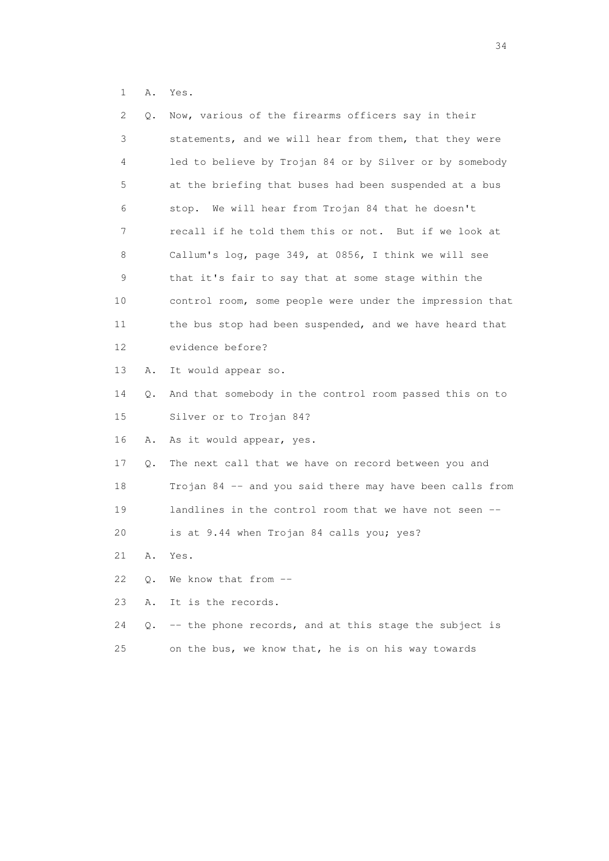1 A. Yes.

| 2  | Q. | Now, various of the firearms officers say in their       |
|----|----|----------------------------------------------------------|
| 3  |    | statements, and we will hear from them, that they were   |
| 4  |    | led to believe by Trojan 84 or by Silver or by somebody  |
| 5  |    | at the briefing that buses had been suspended at a bus   |
| 6  |    | stop. We will hear from Trojan 84 that he doesn't        |
| 7  |    | recall if he told them this or not. But if we look at    |
| 8  |    | Callum's log, page 349, at 0856, I think we will see     |
| 9  |    | that it's fair to say that at some stage within the      |
| 10 |    | control room, some people were under the impression that |
| 11 |    | the bus stop had been suspended, and we have heard that  |
| 12 |    | evidence before?                                         |
| 13 | Α. | It would appear so.                                      |
| 14 | Q. | And that somebody in the control room passed this on to  |
| 15 |    | Silver or to Trojan 84?                                  |
| 16 | Α. | As it would appear, yes.                                 |
| 17 | Q. | The next call that we have on record between you and     |
| 18 |    | Trojan 84 -- and you said there may have been calls from |
| 19 |    | landlines in the control room that we have not seen --   |
| 20 |    | is at 9.44 when Trojan 84 calls you; yes?                |
| 21 | Α. | Yes.                                                     |
| 22 | Q. | We know that from --                                     |
| 23 | Α. | It is the records.                                       |
| 24 | Q. | -- the phone records, and at this stage the subject is   |
| 25 |    | on the bus, we know that, he is on his way towards       |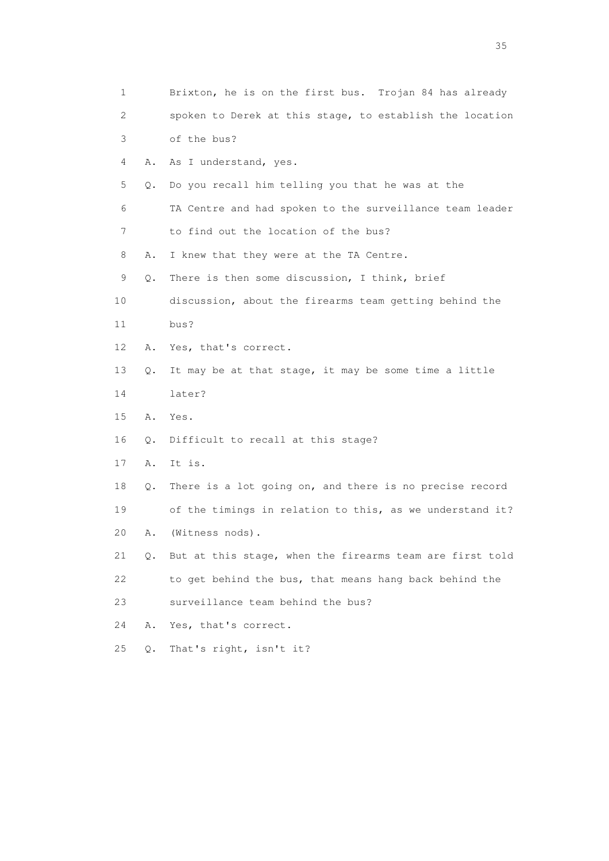| 1  |    | Brixton, he is on the first bus. Trojan 84 has already   |
|----|----|----------------------------------------------------------|
| 2  |    | spoken to Derek at this stage, to establish the location |
| 3  |    | of the bus?                                              |
| 4  | Α. | As I understand, yes.                                    |
| 5  | Q. | Do you recall him telling you that he was at the         |
| 6  |    | TA Centre and had spoken to the surveillance team leader |
| 7  |    | to find out the location of the bus?                     |
| 8  | Α. | I knew that they were at the TA Centre.                  |
| 9  | Q. | There is then some discussion, I think, brief            |
| 10 |    | discussion, about the firearms team getting behind the   |
| 11 |    | bus?                                                     |
| 12 | Α. | Yes, that's correct.                                     |
| 13 | Q. | It may be at that stage, it may be some time a little    |
| 14 |    | later?                                                   |
| 15 | Α. | Yes.                                                     |
| 16 | Q. | Difficult to recall at this stage?                       |
| 17 | Α. | It is.                                                   |
| 18 | Q. | There is a lot going on, and there is no precise record  |
| 19 |    | of the timings in relation to this, as we understand it? |
| 20 | Α. | (Witness nods).                                          |
| 21 | Q. | But at this stage, when the firearms team are first told |
| 22 |    | to get behind the bus, that means hang back behind the   |
| 23 |    | surveillance team behind the bus?                        |
| 24 | Α. | Yes, that's correct.                                     |
| 25 | Q. | That's right, isn't it?                                  |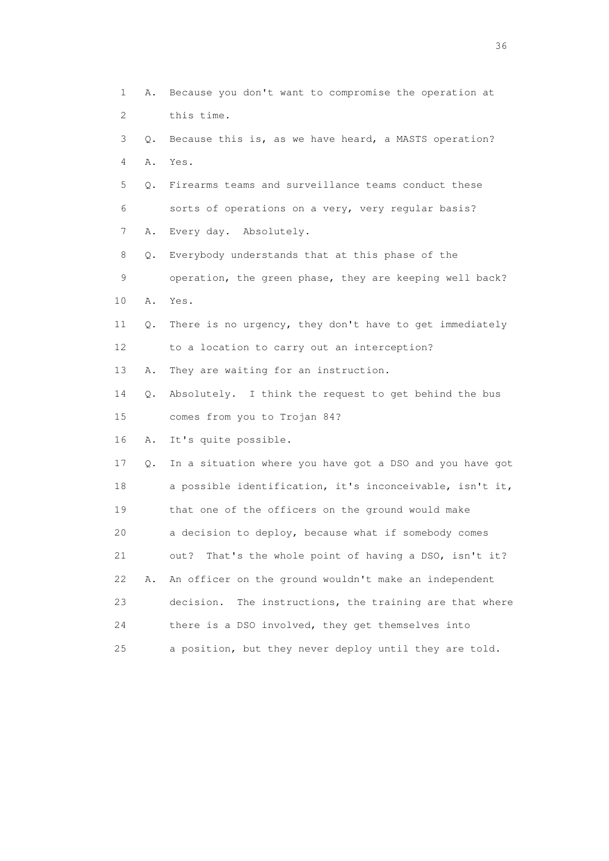| $\mathbf 1$ | Α. | Because you don't want to compromise the operation at      |
|-------------|----|------------------------------------------------------------|
| 2           |    | this time.                                                 |
| 3           | Q. | Because this is, as we have heard, a MASTS operation?      |
| 4           | Α. | Yes.                                                       |
| 5           | Q. | Firearms teams and surveillance teams conduct these        |
| 6           |    | sorts of operations on a very, very regular basis?         |
| 7           | Α. | Every day. Absolutely.                                     |
| 8           | Q. | Everybody understands that at this phase of the            |
| 9           |    | operation, the green phase, they are keeping well back?    |
| 10          | Α. | Yes.                                                       |
| 11          | Q. | There is no urgency, they don't have to get immediately    |
| 12          |    | to a location to carry out an interception?                |
| 13          | Α. | They are waiting for an instruction.                       |
| 14          | Q. | Absolutely. I think the request to get behind the bus      |
| 15          |    | comes from you to Trojan 84?                               |
| 16          | Α. | It's quite possible.                                       |
| 17          | Q. | In a situation where you have got a DSO and you have got   |
| 18          |    | a possible identification, it's inconceivable, isn't it,   |
| 19          |    | that one of the officers on the ground would make          |
| 20          |    | a decision to deploy, because what if somebody comes       |
| 21          |    | That's the whole point of having a DSO, isn't it?<br>out?  |
| 22          | Α. | An officer on the ground wouldn't make an independent      |
| 23          |    | The instructions, the training are that where<br>decision. |
| 24          |    | there is a DSO involved, they get themselves into          |
| 25          |    | a position, but they never deploy until they are told.     |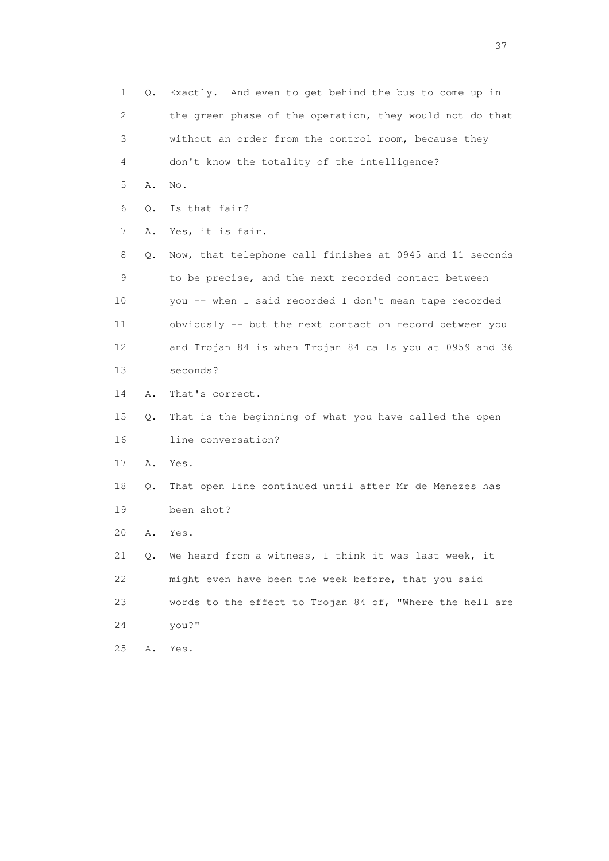1 Q. Exactly. And even to get behind the bus to come up in 2 the green phase of the operation, they would not do that 3 without an order from the control room, because they 4 don't know the totality of the intelligence? 5 A. No. 6 Q. Is that fair? 7 A. Yes, it is fair. 8 Q. Now, that telephone call finishes at 0945 and 11 seconds 9 to be precise, and the next recorded contact between 10 you -- when I said recorded I don't mean tape recorded 11 obviously -- but the next contact on record between you 12 and Trojan 84 is when Trojan 84 calls you at 0959 and 36 13 seconds? 14 A. That's correct. 15 Q. That is the beginning of what you have called the open 16 line conversation? 17 A. Yes. 18 Q. That open line continued until after Mr de Menezes has 19 been shot? 20 A. Yes. 21 Q. We heard from a witness, I think it was last week, it 22 might even have been the week before, that you said 23 words to the effect to Trojan 84 of, "Where the hell are 24 you?" 25 A. Yes.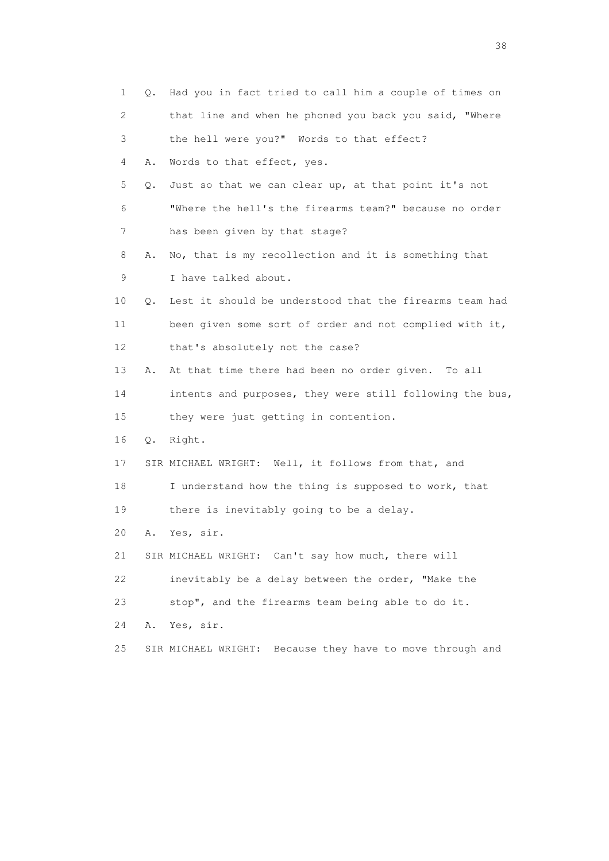| 1  | Q. | Had you in fact tried to call him a couple of times on       |
|----|----|--------------------------------------------------------------|
| 2  |    | that line and when he phoned you back you said, "Where       |
| 3  |    | the hell were you?" Words to that effect?                    |
| 4  | Α. | Words to that effect, yes.                                   |
| 5  | Q. | Just so that we can clear up, at that point it's not         |
| 6  |    | "Where the hell's the firearms team?" because no order       |
| 7  |    | has been given by that stage?                                |
| 8  | Α. | No, that is my recollection and it is something that         |
| 9  |    | I have talked about.                                         |
| 10 | Q. | Lest it should be understood that the firearms team had      |
| 11 |    | been given some sort of order and not complied with it,      |
| 12 |    | that's absolutely not the case?                              |
| 13 | Α. | At that time there had been no order given. To all           |
| 14 |    | intents and purposes, they were still following the bus,     |
| 15 |    | they were just getting in contention.                        |
| 16 |    | Q. Right.                                                    |
| 17 |    | SIR MICHAEL WRIGHT: Well, it follows from that, and          |
| 18 |    | I understand how the thing is supposed to work, that         |
| 19 |    | there is inevitably going to be a delay.                     |
| 20 | Α. | Yes, sir.                                                    |
| 21 |    | SIR MICHAEL WRIGHT: Can't say how much, there will           |
| 22 |    | inevitably be a delay between the order, "Make the           |
| 23 |    | stop", and the firearms team being able to do it.            |
| 24 | Α. | Yes, sir.                                                    |
| 25 |    | Because they have to move through and<br>SIR MICHAEL WRIGHT: |

and the state of the state of the state of the state of the state of the state of the state of the state of the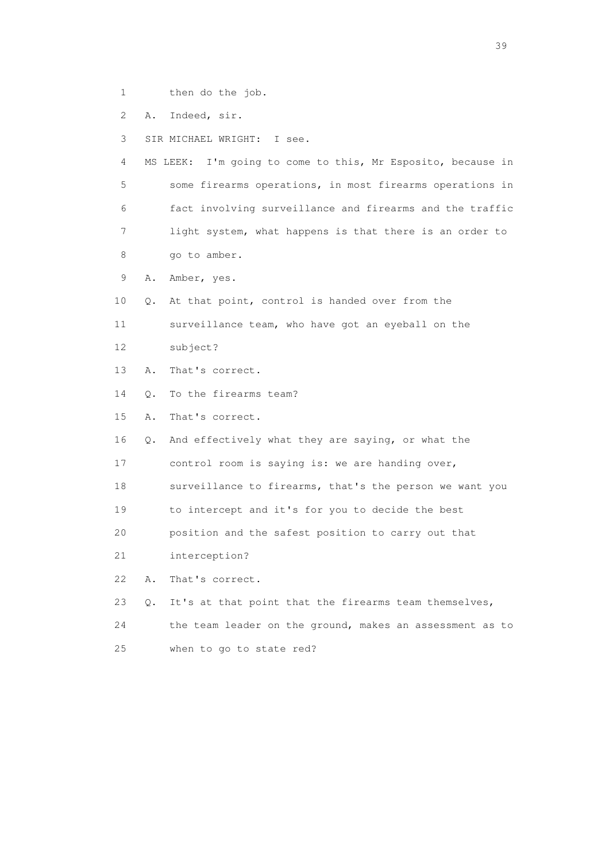- 1 then do the job.
- 2 A. Indeed, sir.
- 3 SIR MICHAEL WRIGHT: I see.

 4 MS LEEK: I'm going to come to this, Mr Esposito, because in 5 some firearms operations, in most firearms operations in 6 fact involving surveillance and firearms and the traffic 7 light system, what happens is that there is an order to 8 go to amber.

- 9 A. Amber, yes.
- 10 Q. At that point, control is handed over from the
- 11 surveillance team, who have got an eyeball on the
- 12 subject?
- 13 A. That's correct.
- 14 Q. To the firearms team?
- 15 A. That's correct.
- 16 Q. And effectively what they are saying, or what the
- 17 control room is saying is: we are handing over,
- 18 surveillance to firearms, that's the person we want you
- 19 to intercept and it's for you to decide the best
- 20 position and the safest position to carry out that
- 21 interception?
- 22 A. That's correct.
- 23 Q. It's at that point that the firearms team themselves,
- 24 the team leader on the ground, makes an assessment as to
- 25 when to go to state red?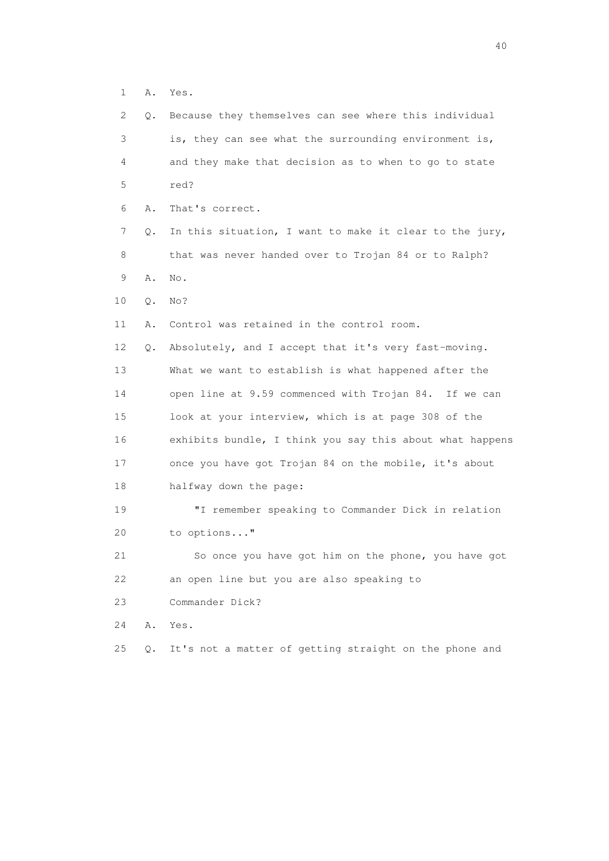1 A. Yes.

| 2  | Q. | Because they themselves can see where this individual    |
|----|----|----------------------------------------------------------|
| 3  |    | is, they can see what the surrounding environment is,    |
| 4  |    | and they make that decision as to when to go to state    |
| 5  |    | red?                                                     |
| 6  | Α. | That's correct.                                          |
| 7  | Q. | In this situation, I want to make it clear to the jury,  |
| 8  |    | that was never handed over to Trojan 84 or to Ralph?     |
| 9  | Α. | No.                                                      |
| 10 | Q. | No?                                                      |
| 11 | Α. | Control was retained in the control room.                |
| 12 | Q. | Absolutely, and I accept that it's very fast-moving.     |
| 13 |    | What we want to establish is what happened after the     |
| 14 |    | open line at 9.59 commenced with Trojan 84. If we can    |
| 15 |    | look at your interview, which is at page 308 of the      |
| 16 |    | exhibits bundle, I think you say this about what happens |
| 17 |    | once you have got Trojan 84 on the mobile, it's about    |
| 18 |    | halfway down the page:                                   |
| 19 |    | "I remember speaking to Commander Dick in relation       |
| 20 |    | to options"                                              |
| 21 |    | So once you have got him on the phone, you have got      |
| 22 |    | an open line but you are also speaking to                |
| 23 |    | Commander Dick?                                          |
| 24 | Α. | Yes.                                                     |
| 25 | Q. | It's not a matter of getting straight on the phone and   |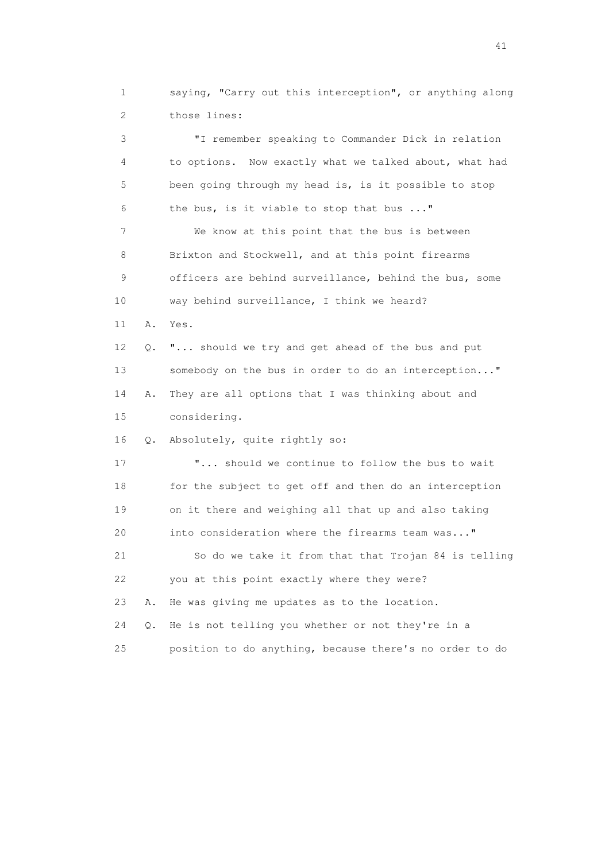1 saying, "Carry out this interception", or anything along 2 those lines:

 3 "I remember speaking to Commander Dick in relation 4 to options. Now exactly what we talked about, what had 5 been going through my head is, is it possible to stop 6 the bus, is it viable to stop that bus ..." 7 We know at this point that the bus is between 8 Brixton and Stockwell, and at this point firearms 9 officers are behind surveillance, behind the bus, some 10 way behind surveillance, I think we heard? 11 A. Yes. 12 Q. "... should we try and get ahead of the bus and put 13 somebody on the bus in order to do an interception..." 14 A. They are all options that I was thinking about and 15 considering. 16 Q. Absolutely, quite rightly so: 17 "... should we continue to follow the bus to wait 18 for the subject to get off and then do an interception 19 on it there and weighing all that up and also taking 20 into consideration where the firearms team was..." 21 So do we take it from that that Trojan 84 is telling 22 you at this point exactly where they were? 23 A. He was giving me updates as to the location. 24 Q. He is not telling you whether or not they're in a 25 position to do anything, because there's no order to do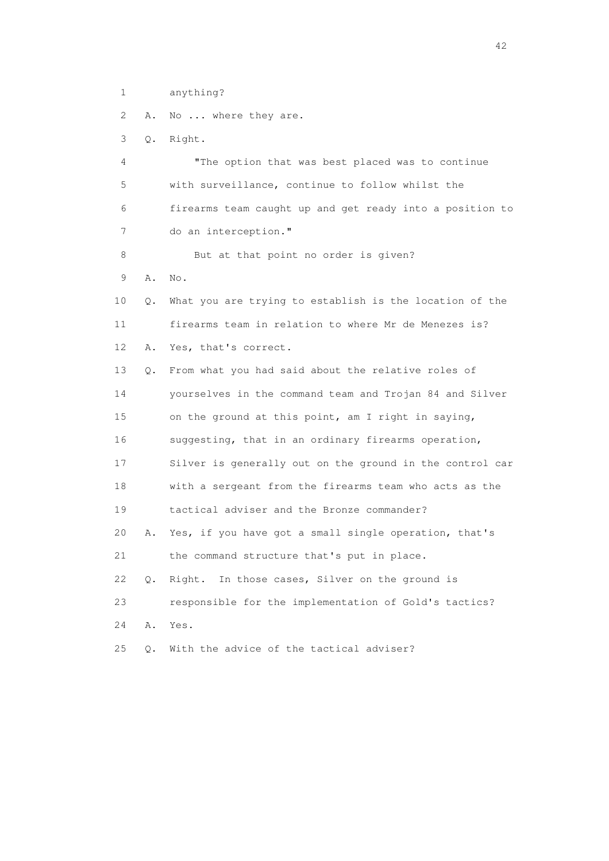1 anything?

2 A. No ... where they are.

3 Q. Right.

 4 "The option that was best placed was to continue 5 with surveillance, continue to follow whilst the 6 firearms team caught up and get ready into a position to 7 do an interception." 8 But at that point no order is given? 9 A. No. 10 Q. What you are trying to establish is the location of the 11 firearms team in relation to where Mr de Menezes is? 12 A. Yes, that's correct. 13 Q. From what you had said about the relative roles of 14 yourselves in the command team and Trojan 84 and Silver 15 on the ground at this point, am I right in saying, 16 suggesting, that in an ordinary firearms operation, 17 Silver is generally out on the ground in the control car 18 with a sergeant from the firearms team who acts as the 19 tactical adviser and the Bronze commander? 20 A. Yes, if you have got a small single operation, that's 21 the command structure that's put in place. 22 Q. Right. In those cases, Silver on the ground is 23 responsible for the implementation of Gold's tactics? 24 A. Yes. 25 Q. With the advice of the tactical adviser?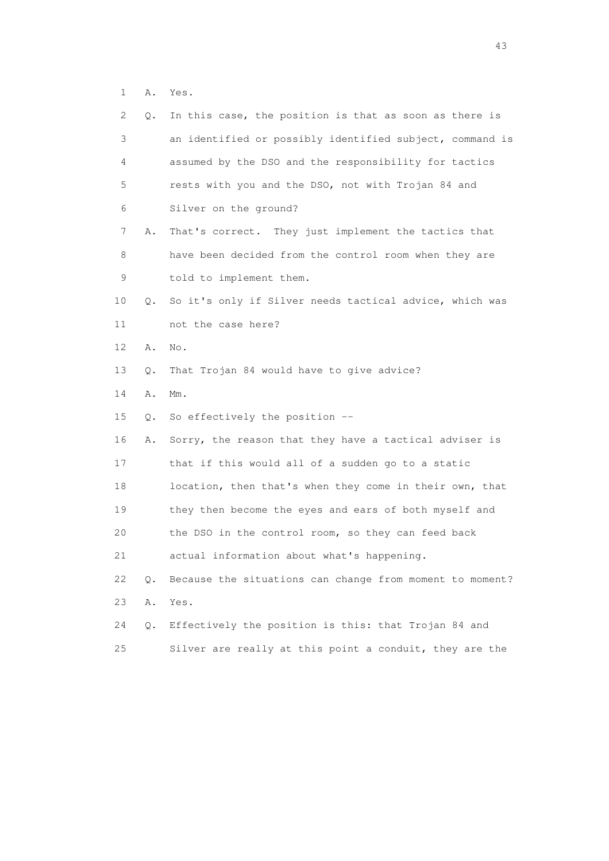1 A. Yes.

| 2. | Q. | In this case, the position is that as soon as there is   |
|----|----|----------------------------------------------------------|
| 3  |    | an identified or possibly identified subject, command is |
| 4  |    | assumed by the DSO and the responsibility for tactics    |
| 5  |    | rests with you and the DSO, not with Trojan 84 and       |
| 6  |    | Silver on the ground?                                    |
| 7  | Α. | That's correct. They just implement the tactics that     |
| 8  |    | have been decided from the control room when they are    |
| 9  |    | told to implement them.                                  |
| 10 | Q. | So it's only if Silver needs tactical advice, which was  |
| 11 |    | not the case here?                                       |
| 12 | Α. | No.                                                      |
| 13 | Q. | That Trojan 84 would have to give advice?                |
| 14 | Α. | $Mm$ .                                                   |
| 15 | Q. | So effectively the position --                           |
| 16 | Α. | Sorry, the reason that they have a tactical adviser is   |
| 17 |    | that if this would all of a sudden go to a static        |
| 18 |    | location, then that's when they come in their own, that  |
| 19 |    | they then become the eyes and ears of both myself and    |
| 20 |    | the DSO in the control room, so they can feed back       |
| 21 |    | actual information about what's happening.               |
| 22 | Q. | Because the situations can change from moment to moment? |
| 23 | Α. | Yes.                                                     |
| 24 | Q. | Effectively the position is this: that Trojan 84 and     |
| 25 |    | Silver are really at this point a conduit, they are the  |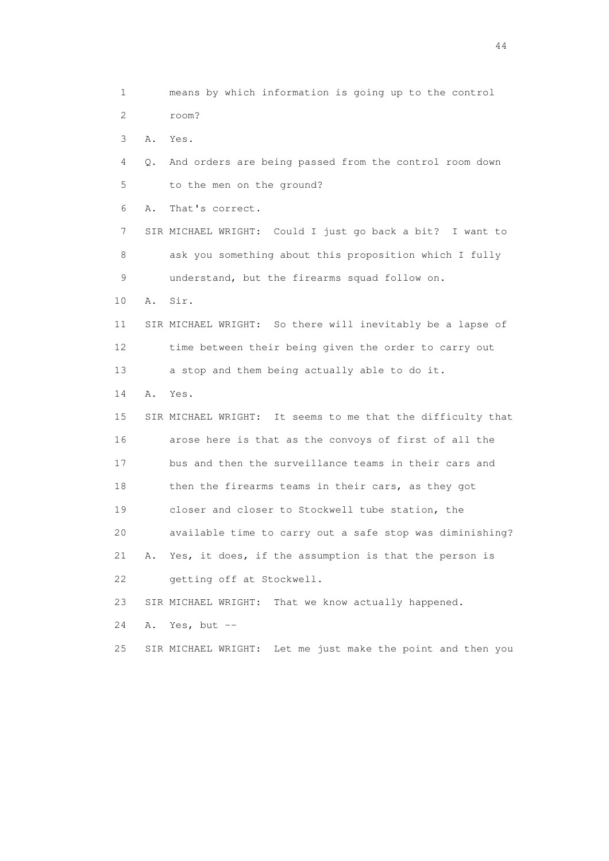1 means by which information is going up to the control 2 room? 3 A. Yes. 4 Q. And orders are being passed from the control room down 5 to the men on the ground? 6 A. That's correct. 7 SIR MICHAEL WRIGHT: Could I just go back a bit? I want to 8 ask you something about this proposition which I fully 9 understand, but the firearms squad follow on. 10 A. Sir. 11 SIR MICHAEL WRIGHT: So there will inevitably be a lapse of 12 time between their being given the order to carry out 13 a stop and them being actually able to do it. 14 A. Yes. 15 SIR MICHAEL WRIGHT: It seems to me that the difficulty that 16 arose here is that as the convoys of first of all the 17 bus and then the surveillance teams in their cars and 18 then the firearms teams in their cars, as they got 19 closer and closer to Stockwell tube station, the 20 available time to carry out a safe stop was diminishing? 21 A. Yes, it does, if the assumption is that the person is 22 getting off at Stockwell. 23 SIR MICHAEL WRIGHT: That we know actually happened. 24 A. Yes, but -- 25 SIR MICHAEL WRIGHT: Let me just make the point and then you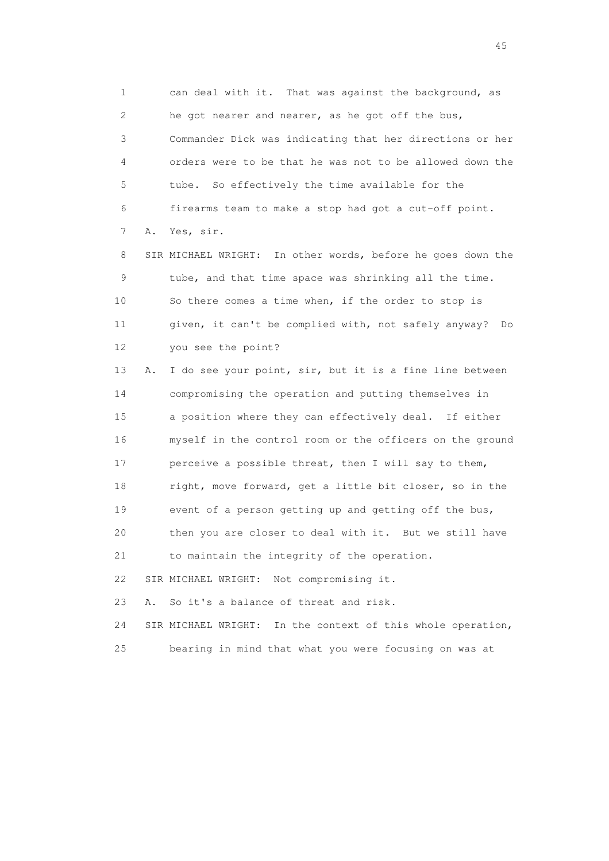1 can deal with it. That was against the background, as 2 he got nearer and nearer, as he got off the bus, 3 Commander Dick was indicating that her directions or her 4 orders were to be that he was not to be allowed down the 5 tube. So effectively the time available for the 6 firearms team to make a stop had got a cut-off point. 7 A. Yes, sir.

 8 SIR MICHAEL WRIGHT: In other words, before he goes down the 9 tube, and that time space was shrinking all the time. 10 So there comes a time when, if the order to stop is 11 given, it can't be complied with, not safely anyway? Do 12 you see the point?

 13 A. I do see your point, sir, but it is a fine line between 14 compromising the operation and putting themselves in 15 a position where they can effectively deal. If either 16 myself in the control room or the officers on the ground 17 perceive a possible threat, then I will say to them, 18 right, move forward, get a little bit closer, so in the 19 event of a person getting up and getting off the bus, 20 then you are closer to deal with it. But we still have 21 to maintain the integrity of the operation. 22 SIR MICHAEL WRIGHT: Not compromising it. 23 A. So it's a balance of threat and risk.

 24 SIR MICHAEL WRIGHT: In the context of this whole operation, 25 bearing in mind that what you were focusing on was at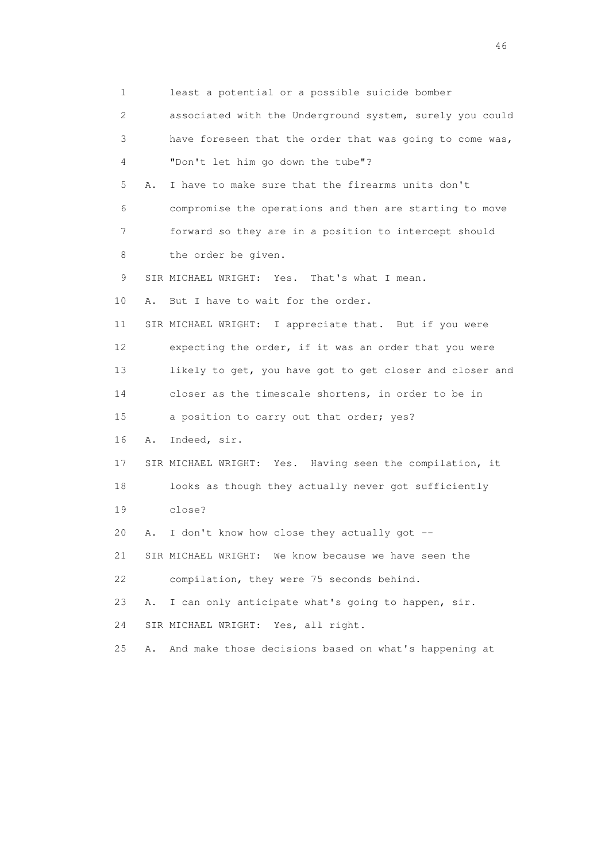1 least a potential or a possible suicide bomber 2 associated with the Underground system, surely you could 3 have foreseen that the order that was going to come was, 4 "Don't let him go down the tube"? 5 A. I have to make sure that the firearms units don't 6 compromise the operations and then are starting to move 7 forward so they are in a position to intercept should 8 the order be given. 9 SIR MICHAEL WRIGHT: Yes. That's what I mean. 10 A. But I have to wait for the order. 11 SIR MICHAEL WRIGHT: I appreciate that. But if you were 12 expecting the order, if it was an order that you were 13 likely to get, you have got to get closer and closer and 14 closer as the timescale shortens, in order to be in 15 a position to carry out that order; yes? 16 A. Indeed, sir. 17 SIR MICHAEL WRIGHT: Yes. Having seen the compilation, it 18 looks as though they actually never got sufficiently 19 close? 20 A. I don't know how close they actually got -- 21 SIR MICHAEL WRIGHT: We know because we have seen the 22 compilation, they were 75 seconds behind. 23 A. I can only anticipate what's going to happen, sir. 24 SIR MICHAEL WRIGHT: Yes, all right. 25 A. And make those decisions based on what's happening at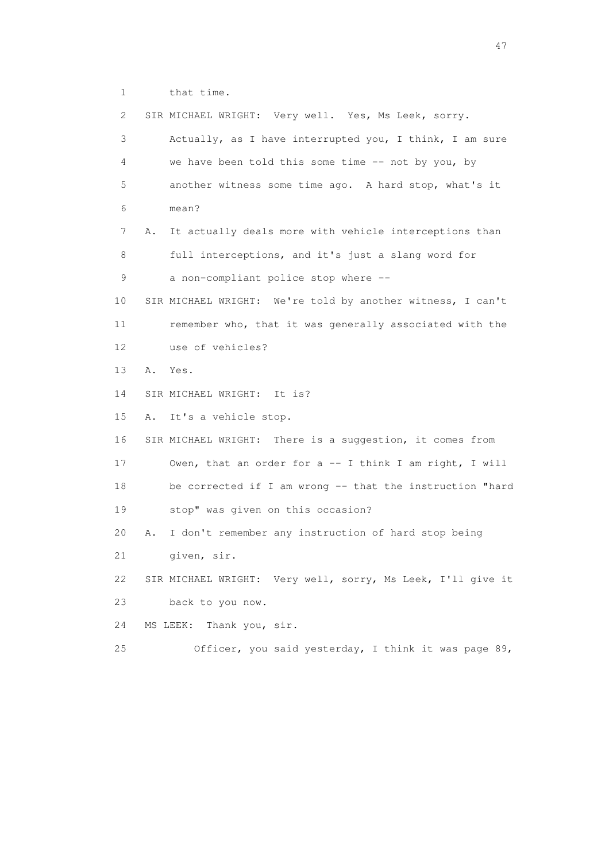1 that time.

 2 SIR MICHAEL WRIGHT: Very well. Yes, Ms Leek, sorry. 3 Actually, as I have interrupted you, I think, I am sure 4 we have been told this some time -- not by you, by 5 another witness some time ago. A hard stop, what's it 6 mean? 7 A. It actually deals more with vehicle interceptions than 8 full interceptions, and it's just a slang word for 9 a non-compliant police stop where -- 10 SIR MICHAEL WRIGHT: We're told by another witness, I can't 11 remember who, that it was generally associated with the 12 use of vehicles? 13 A. Yes. 14 SIR MICHAEL WRIGHT: It is? 15 A. It's a vehicle stop. 16 SIR MICHAEL WRIGHT: There is a suggestion, it comes from 17 Owen, that an order for a -- I think I am right, I will 18 be corrected if I am wrong -- that the instruction "hard 19 stop" was given on this occasion? 20 A. I don't remember any instruction of hard stop being 21 given, sir. 22 SIR MICHAEL WRIGHT: Very well, sorry, Ms Leek, I'll give it 23 back to you now. 24 MS LEEK: Thank you, sir. 25 Officer, you said yesterday, I think it was page 89,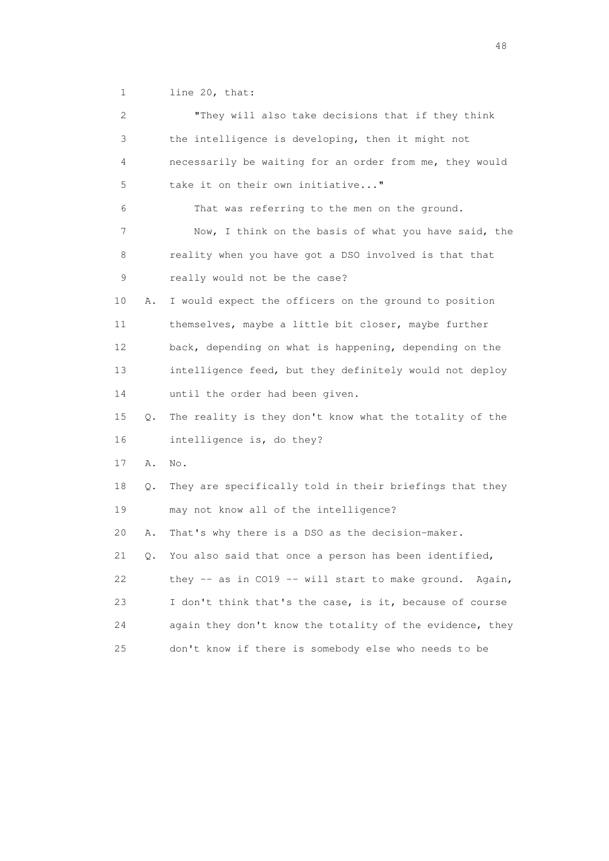1 line 20, that:

| 2  |    | "They will also take decisions that if they think          |
|----|----|------------------------------------------------------------|
| 3  |    | the intelligence is developing, then it might not          |
| 4  |    | necessarily be waiting for an order from me, they would    |
| 5  |    | take it on their own initiative"                           |
| 6  |    | That was referring to the men on the ground.               |
| 7  |    | Now, I think on the basis of what you have said, the       |
| 8  |    | reality when you have got a DSO involved is that that      |
| 9  |    | really would not be the case?                              |
| 10 | Α. | I would expect the officers on the ground to position      |
| 11 |    | themselves, maybe a little bit closer, maybe further       |
| 12 |    | back, depending on what is happening, depending on the     |
| 13 |    | intelligence feed, but they definitely would not deploy    |
| 14 |    | until the order had been given.                            |
| 15 | Q. | The reality is they don't know what the totality of the    |
| 16 |    | intelligence is, do they?                                  |
| 17 | Α. | No.                                                        |
| 18 | Q. | They are specifically told in their briefings that they    |
| 19 |    | may not know all of the intelligence?                      |
| 20 | Α. | That's why there is a DSO as the decision-maker.           |
| 21 | Q. | You also said that once a person has been identified,      |
| 22 |    | they -- as in CO19 -- will start to make ground.<br>Again, |
| 23 |    | I don't think that's the case, is it, because of course    |
| 24 |    | again they don't know the totality of the evidence, they   |
| 25 |    | don't know if there is somebody else who needs to be       |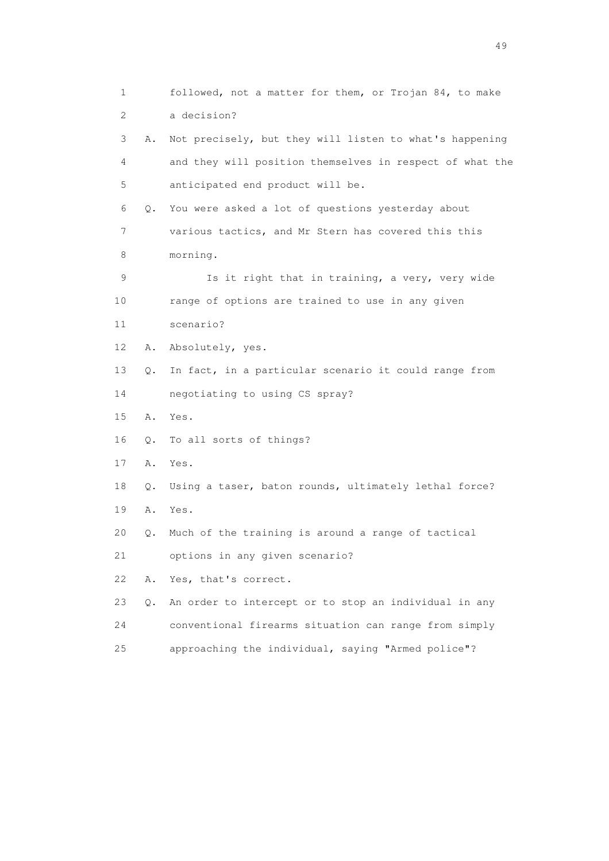1 followed, not a matter for them, or Trojan 84, to make 2 a decision? 3 A. Not precisely, but they will listen to what's happening 4 and they will position themselves in respect of what the 5 anticipated end product will be. 6 Q. You were asked a lot of questions yesterday about 7 various tactics, and Mr Stern has covered this this 8 morning. 9 Is it right that in training, a very, very wide 10 range of options are trained to use in any given 11 scenario? 12 A. Absolutely, yes. 13 Q. In fact, in a particular scenario it could range from 14 negotiating to using CS spray? 15 A. Yes. 16 Q. To all sorts of things? 17 A. Yes. 18 Q. Using a taser, baton rounds, ultimately lethal force? 19 A. Yes. 20 Q. Much of the training is around a range of tactical 21 options in any given scenario? 22 A. Yes, that's correct. 23 Q. An order to intercept or to stop an individual in any 24 conventional firearms situation can range from simply 25 approaching the individual, saying "Armed police"?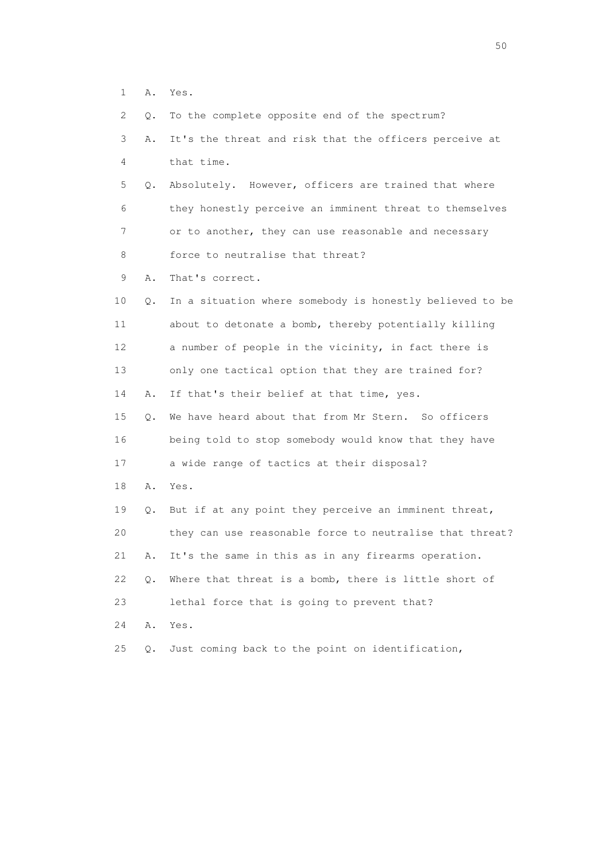1 A. Yes.

2 Q. To the complete opposite end of the spectrum?

| 2               | Q.    | To the complete opposite end of the spectrum?            |
|-----------------|-------|----------------------------------------------------------|
| 3               | Α.    | It's the threat and risk that the officers perceive at   |
| $\overline{4}$  |       | that time.                                               |
| 5               | Q.    | Absolutely. However, officers are trained that where     |
| 6               |       | they honestly perceive an imminent threat to themselves  |
| 7               |       | or to another, they can use reasonable and necessary     |
| 8               |       | force to neutralise that threat?                         |
| 9               | Α.    | That's correct.                                          |
| 10              | $Q$ . | In a situation where somebody is honestly believed to be |
| 11              |       | about to detonate a bomb, thereby potentially killing    |
| 12 <sup>°</sup> |       | a number of people in the vicinity, in fact there is     |
| 13              |       | only one tactical option that they are trained for?      |
| 14              | Α.    | If that's their belief at that time, yes.                |
| 15              | Q.    | We have heard about that from Mr Stern. So officers      |
| 16              |       | being told to stop somebody would know that they have    |
| 17              |       | a wide range of tactics at their disposal?               |
| 18              | Α.    | Yes.                                                     |
| 19              | Q.    | But if at any point they perceive an imminent threat,    |
| 20              |       | they can use reasonable force to neutralise that threat? |
| 21              | Α.    | It's the same in this as in any firearms operation.      |
| 22              | Q.    | Where that threat is a bomb, there is little short of    |
| 23              |       | lethal force that is going to prevent that?              |
| 24              | Α.    | Yes.                                                     |
| 25              | Q.    | Just coming back to the point on identification,         |
|                 |       |                                                          |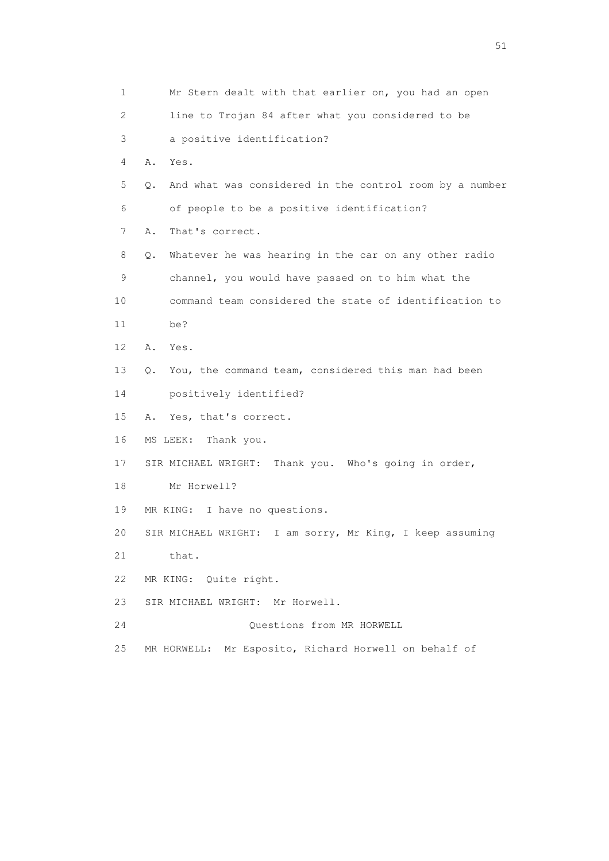1 Mr Stern dealt with that earlier on, you had an open 2 line to Trojan 84 after what you considered to be 3 a positive identification? 4 A. Yes. 5 Q. And what was considered in the control room by a number 6 of people to be a positive identification? 7 A. That's correct. 8 Q. Whatever he was hearing in the car on any other radio 9 channel, you would have passed on to him what the 10 command team considered the state of identification to 11 be? 12 A. Yes. 13 Q. You, the command team, considered this man had been 14 positively identified? 15 A. Yes, that's correct. 16 MS LEEK: Thank you. 17 SIR MICHAEL WRIGHT: Thank you. Who's going in order, 18 Mr Horwell? 19 MR KING: I have no questions. 20 SIR MICHAEL WRIGHT: I am sorry, Mr King, I keep assuming 21 that. 22 MR KING: Quite right. 23 SIR MICHAEL WRIGHT: Mr Horwell. 24 Questions from MR HORWELL 25 MR HORWELL: Mr Esposito, Richard Horwell on behalf of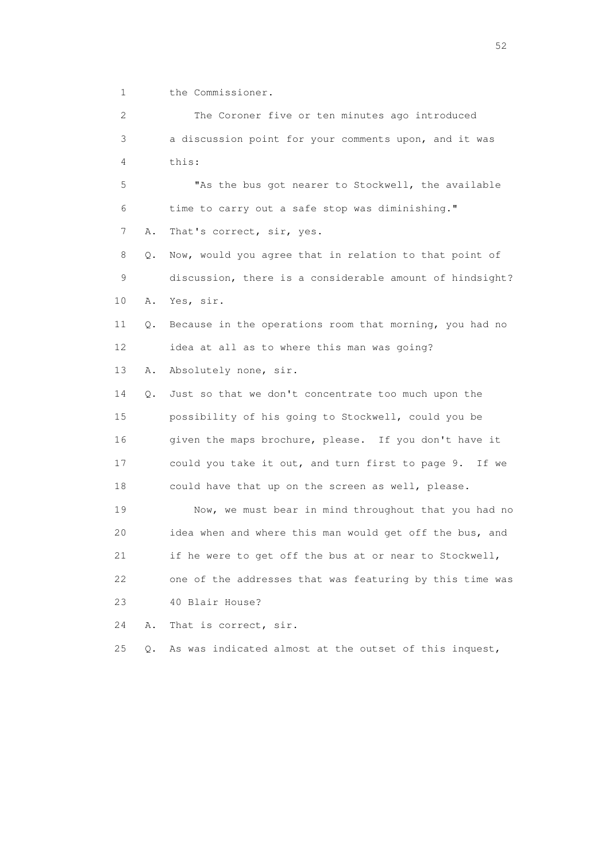1 the Commissioner.

 2 The Coroner five or ten minutes ago introduced 3 a discussion point for your comments upon, and it was 4 this:

 5 "As the bus got nearer to Stockwell, the available 6 time to carry out a safe stop was diminishing." 7 A. That's correct, sir, yes.

 8 Q. Now, would you agree that in relation to that point of 9 discussion, there is a considerable amount of hindsight? 10 A. Yes, sir.

 11 Q. Because in the operations room that morning, you had no 12 idea at all as to where this man was going?

13 A. Absolutely none, sir.

 14 Q. Just so that we don't concentrate too much upon the 15 possibility of his going to Stockwell, could you be 16 given the maps brochure, please. If you don't have it 17 could you take it out, and turn first to page 9. If we 18 could have that up on the screen as well, please.

 19 Now, we must bear in mind throughout that you had no 20 idea when and where this man would get off the bus, and 21 if he were to get off the bus at or near to Stockwell, 22 one of the addresses that was featuring by this time was 23 40 Blair House?

24 A. That is correct, sir.

25 Q. As was indicated almost at the outset of this inquest,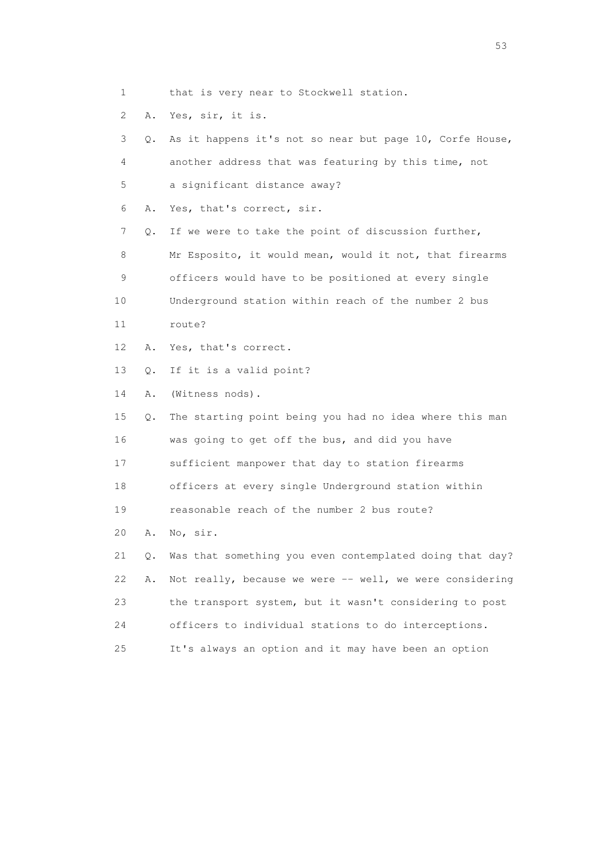1 that is very near to Stockwell station.

2 A. Yes, sir, it is.

 3 Q. As it happens it's not so near but page 10, Corfe House, 4 another address that was featuring by this time, not 5 a significant distance away? 6 A. Yes, that's correct, sir. 7 Q. If we were to take the point of discussion further, 8 Mr Esposito, it would mean, would it not, that firearms 9 officers would have to be positioned at every single 10 Underground station within reach of the number 2 bus 11 route? 12 A. Yes, that's correct. 13 Q. If it is a valid point? 14 A. (Witness nods). 15 Q. The starting point being you had no idea where this man 16 was going to get off the bus, and did you have 17 sufficient manpower that day to station firearms 18 officers at every single Underground station within 19 reasonable reach of the number 2 bus route? 20 A. No, sir. 21 Q. Was that something you even contemplated doing that day? 22 A. Not really, because we were -- well, we were considering 23 the transport system, but it wasn't considering to post 24 officers to individual stations to do interceptions. 25 It's always an option and it may have been an option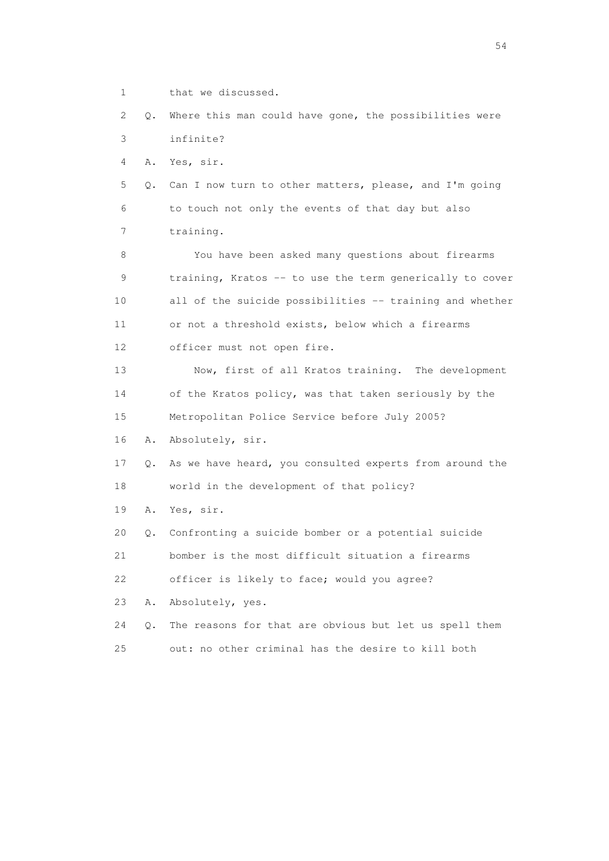1 that we discussed.

 2 Q. Where this man could have gone, the possibilities were 3 infinite?

4 A. Yes, sir.

 5 Q. Can I now turn to other matters, please, and I'm going 6 to touch not only the events of that day but also 7 training.

 8 You have been asked many questions about firearms 9 training, Kratos -- to use the term generically to cover 10 all of the suicide possibilities -- training and whether 11 or not a threshold exists, below which a firearms 12 officer must not open fire.

 13 Now, first of all Kratos training. The development 14 of the Kratos policy, was that taken seriously by the 15 Metropolitan Police Service before July 2005?

16 A. Absolutely, sir.

 17 Q. As we have heard, you consulted experts from around the 18 world in the development of that policy?

19 A. Yes, sir.

20 Q. Confronting a suicide bomber or a potential suicide

21 bomber is the most difficult situation a firearms

22 officer is likely to face; would you agree?

23 A. Absolutely, yes.

 24 Q. The reasons for that are obvious but let us spell them 25 out: no other criminal has the desire to kill both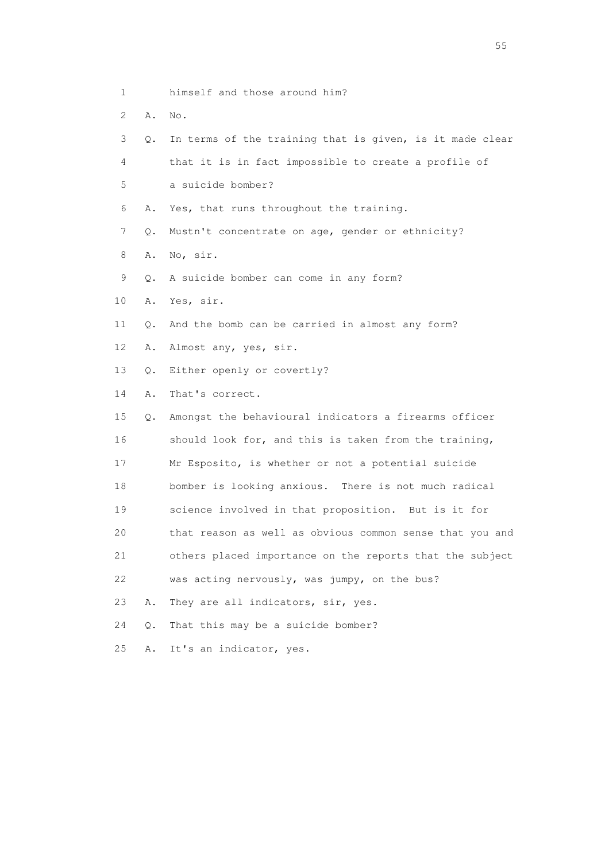- 1 himself and those around him?
- 2 A. No.
- 
- 3 Q. In terms of the training that is given, is it made clear
- 4 that it is in fact impossible to create a profile of
- 5 a suicide bomber?
- 6 A. Yes, that runs throughout the training.
- 7 Q. Mustn't concentrate on age, gender or ethnicity?
- 8 A. No, sir.
- 9 Q. A suicide bomber can come in any form?
- 10 A. Yes, sir.
- 11 Q. And the bomb can be carried in almost any form?
- 12 A. Almost any, yes, sir.
- 13 Q. Either openly or covertly?
- 14 A. That's correct.
- 15 Q. Amongst the behavioural indicators a firearms officer 16 should look for, and this is taken from the training, 17 Mr Esposito, is whether or not a potential suicide 18 bomber is looking anxious. There is not much radical 19 science involved in that proposition. But is it for 20 that reason as well as obvious common sense that you and 21 others placed importance on the reports that the subject 22 was acting nervously, was jumpy, on the bus? 23 A. They are all indicators, sir, yes. 24 Q. That this may be a suicide bomber?
- 25 A. It's an indicator, yes.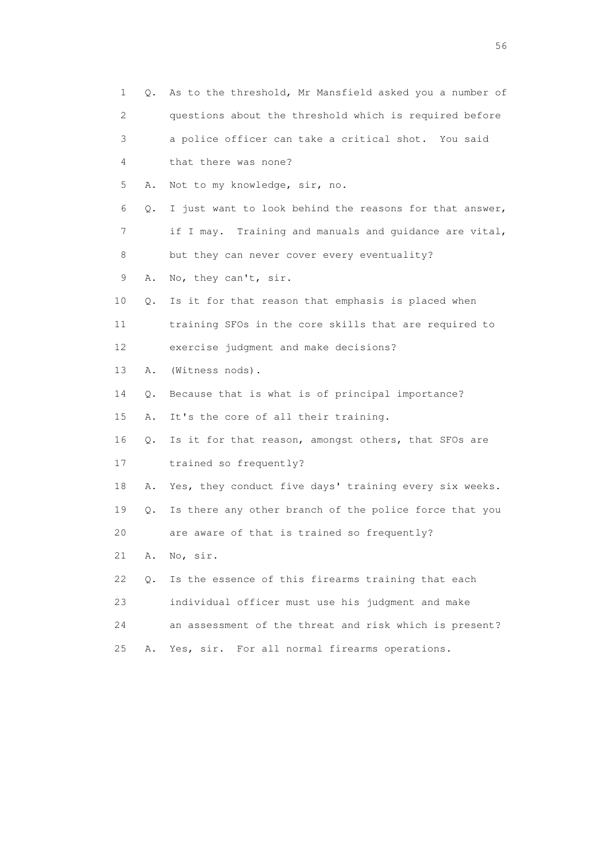| 1  | Q. | As to the threshold, Mr Mansfield asked you a number of |
|----|----|---------------------------------------------------------|
| 2  |    | questions about the threshold which is required before  |
| 3  |    | a police officer can take a critical shot. You said     |
| 4  |    | that there was none?                                    |
| 5  | Α. | Not to my knowledge, sir, no.                           |
| 6  | Q. | I just want to look behind the reasons for that answer, |
| 7  |    | if I may. Training and manuals and guidance are vital,  |
| 8  |    | but they can never cover every eventuality?             |
| 9  | Α. | No, they can't, sir.                                    |
| 10 | Q. | Is it for that reason that emphasis is placed when      |
| 11 |    | training SFOs in the core skills that are required to   |
| 12 |    | exercise judgment and make decisions?                   |
| 13 | Α. | (Witness nods).                                         |
| 14 | Q. | Because that is what is of principal importance?        |
| 15 | Α. | It's the core of all their training.                    |
| 16 | Q. | Is it for that reason, amongst others, that SFOs are    |
| 17 |    | trained so frequently?                                  |
| 18 | Α. | Yes, they conduct five days' training every six weeks.  |
| 19 | Q. | Is there any other branch of the police force that you  |
| 20 |    | are aware of that is trained so frequently?             |
| 21 | Α. | No, sir.                                                |
| 22 | Q. | Is the essence of this firearms training that each      |
| 23 |    | individual officer must use his judgment and make       |
| 24 |    | an assessment of the threat and risk which is present?  |
| 25 | Α. | Yes, sir. For all normal firearms operations.           |

 $56<sup>o</sup>$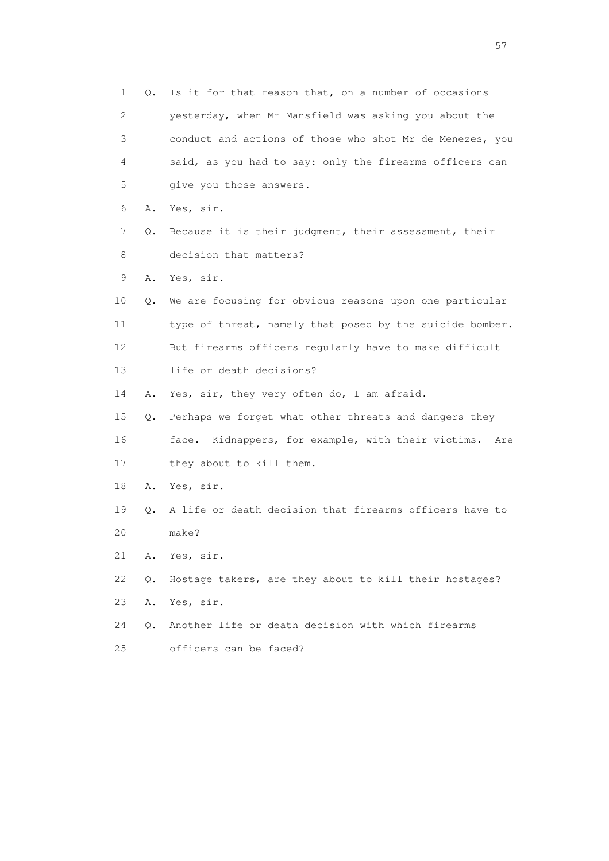1 Q. Is it for that reason that, on a number of occasions 2 yesterday, when Mr Mansfield was asking you about the 3 conduct and actions of those who shot Mr de Menezes, you 4 said, as you had to say: only the firearms officers can 5 give you those answers. 6 A. Yes, sir. 7 Q. Because it is their judgment, their assessment, their 8 decision that matters? 9 A. Yes, sir. 10 Q. We are focusing for obvious reasons upon one particular 11 type of threat, namely that posed by the suicide bomber. 12 But firearms officers regularly have to make difficult 13 life or death decisions? 14 A. Yes, sir, they very often do, I am afraid. 15 Q. Perhaps we forget what other threats and dangers they 16 face. Kidnappers, for example, with their victims. Are 17 they about to kill them. 18 A. Yes, sir. 19 Q. A life or death decision that firearms officers have to 20 make? 21 A. Yes, sir. 22 Q. Hostage takers, are they about to kill their hostages? 23 A. Yes, sir. 24 Q. Another life or death decision with which firearms 25 officers can be faced?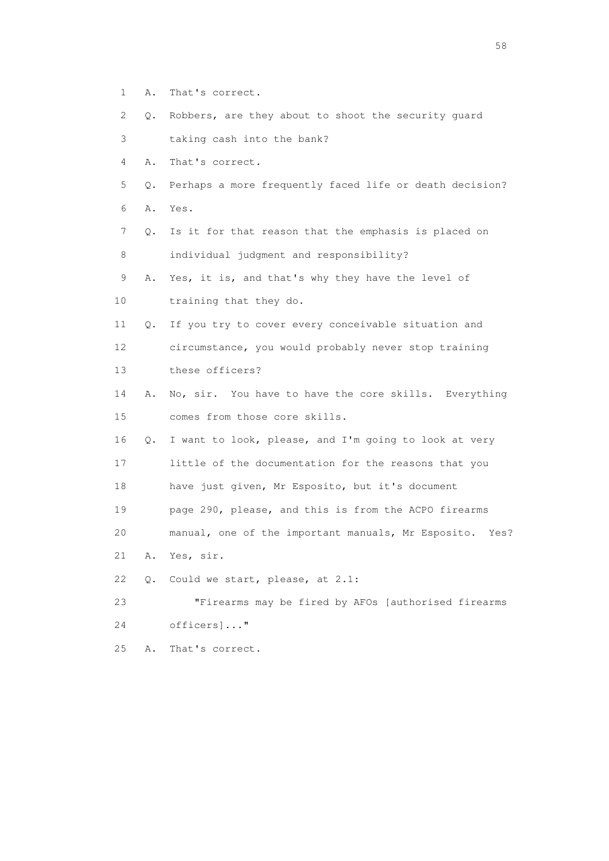- 1 A. That's correct.
- 2 Q. Robbers, are they about to shoot the security guard
- 3 taking cash into the bank?
- 4 A. That's correct.
- 5 Q. Perhaps a more frequently faced life or death decision?
- 6 A. Yes.
- 7 Q. Is it for that reason that the emphasis is placed on 8 individual judgment and responsibility?
- 9 A. Yes, it is, and that's why they have the level of
- 10 training that they do.
- 11 Q. If you try to cover every conceivable situation and 12 circumstance, you would probably never stop training 13 these officers?
- 14 A. No, sir. You have to have the core skills. Everything 15 comes from those core skills.
- 16 Q. I want to look, please, and I'm going to look at very 17 little of the documentation for the reasons that you
- 18 have just given, Mr Esposito, but it's document
- 19 page 290, please, and this is from the ACPO firearms
- 20 manual, one of the important manuals, Mr Esposito. Yes?
- 21 A. Yes, sir.
- 22 Q. Could we start, please, at 2.1:
- 23 "Firearms may be fired by AFOs [authorised firearms
- 24 officers]..."
- 25 A. That's correct.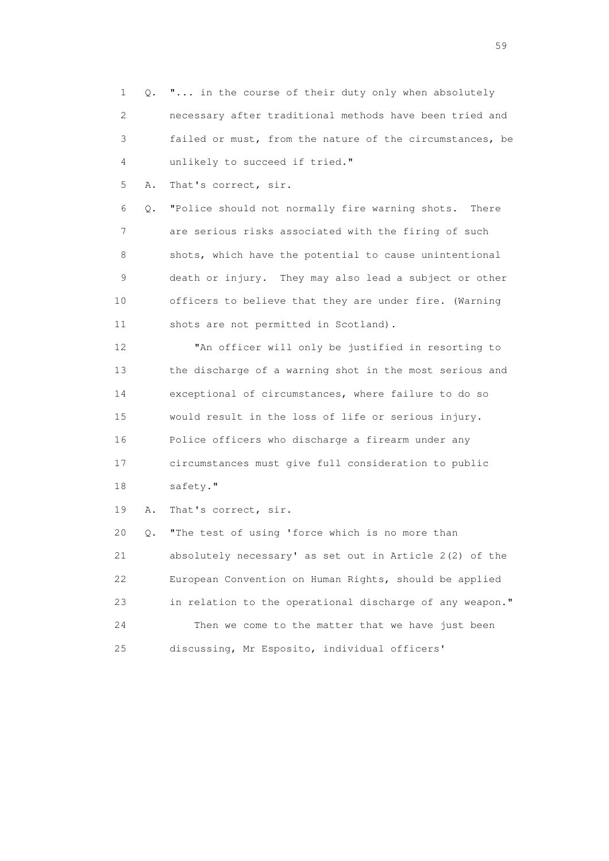1 Q. "... in the course of their duty only when absolutely 2 necessary after traditional methods have been tried and 3 failed or must, from the nature of the circumstances, be 4 unlikely to succeed if tried."

5 A. That's correct, sir.

 6 Q. "Police should not normally fire warning shots. There 7 are serious risks associated with the firing of such 8 shots, which have the potential to cause unintentional 9 death or injury. They may also lead a subject or other 10 officers to believe that they are under fire. (Warning 11 shots are not permitted in Scotland).

 12 "An officer will only be justified in resorting to 13 the discharge of a warning shot in the most serious and 14 exceptional of circumstances, where failure to do so 15 would result in the loss of life or serious injury. 16 Police officers who discharge a firearm under any 17 circumstances must give full consideration to public 18 safety."

19 A. That's correct, sir.

 20 Q. "The test of using 'force which is no more than 21 absolutely necessary' as set out in Article 2(2) of the 22 European Convention on Human Rights, should be applied 23 in relation to the operational discharge of any weapon." 24 Then we come to the matter that we have just been 25 discussing, Mr Esposito, individual officers'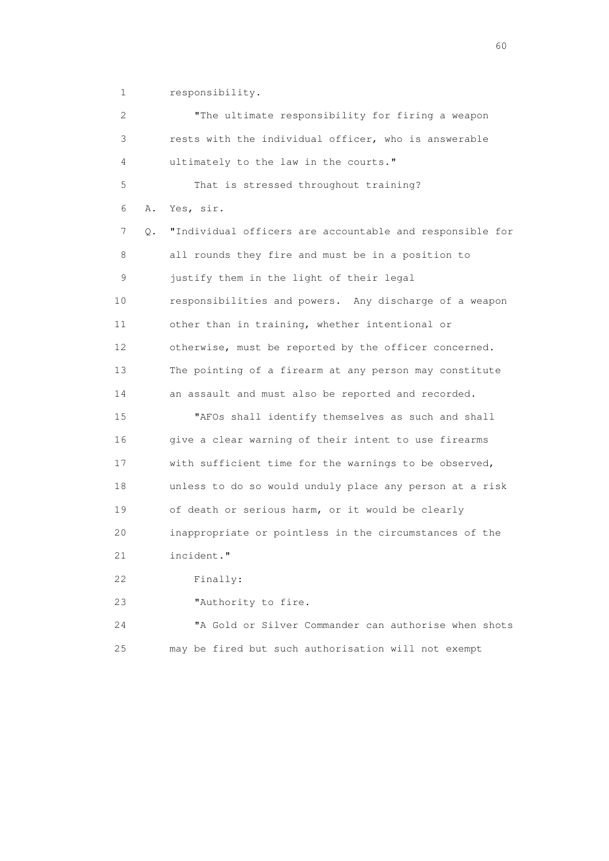1 responsibility.

 2 "The ultimate responsibility for firing a weapon 3 rests with the individual officer, who is answerable 4 ultimately to the law in the courts." 5 That is stressed throughout training? 6 A. Yes, sir. 7 Q. "Individual officers are accountable and responsible for 8 all rounds they fire and must be in a position to 9 justify them in the light of their legal 10 responsibilities and powers. Any discharge of a weapon 11 other than in training, whether intentional or 12 otherwise, must be reported by the officer concerned. 13 The pointing of a firearm at any person may constitute 14 an assault and must also be reported and recorded. 15 "AFOs shall identify themselves as such and shall 16 give a clear warning of their intent to use firearms 17 with sufficient time for the warnings to be observed, 18 unless to do so would unduly place any person at a risk 19 of death or serious harm, or it would be clearly 20 inappropriate or pointless in the circumstances of the 21 incident." 22 Finally: 23 "Authority to fire. 24 "A Gold or Silver Commander can authorise when shots 25 may be fired but such authorisation will not exempt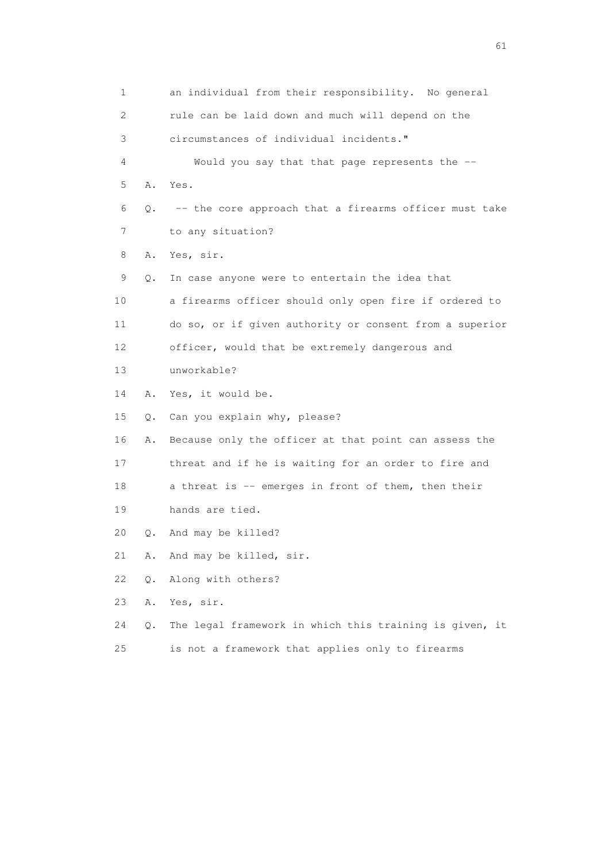1 an individual from their responsibility. No general 2 rule can be laid down and much will depend on the 3 circumstances of individual incidents." 4 Would you say that that page represents the -- 5 A. Yes. 6 Q. -- the core approach that a firearms officer must take 7 to any situation? 8 A. Yes, sir. 9 Q. In case anyone were to entertain the idea that 10 a firearms officer should only open fire if ordered to 11 do so, or if given authority or consent from a superior 12 officer, would that be extremely dangerous and 13 unworkable? 14 A. Yes, it would be. 15 Q. Can you explain why, please? 16 A. Because only the officer at that point can assess the 17 threat and if he is waiting for an order to fire and 18 a threat is -- emerges in front of them, then their 19 hands are tied. 20 Q. And may be killed? 21 A. And may be killed, sir. 22 Q. Along with others? 23 A. Yes, sir. 24 Q. The legal framework in which this training is given, it

25 is not a framework that applies only to firearms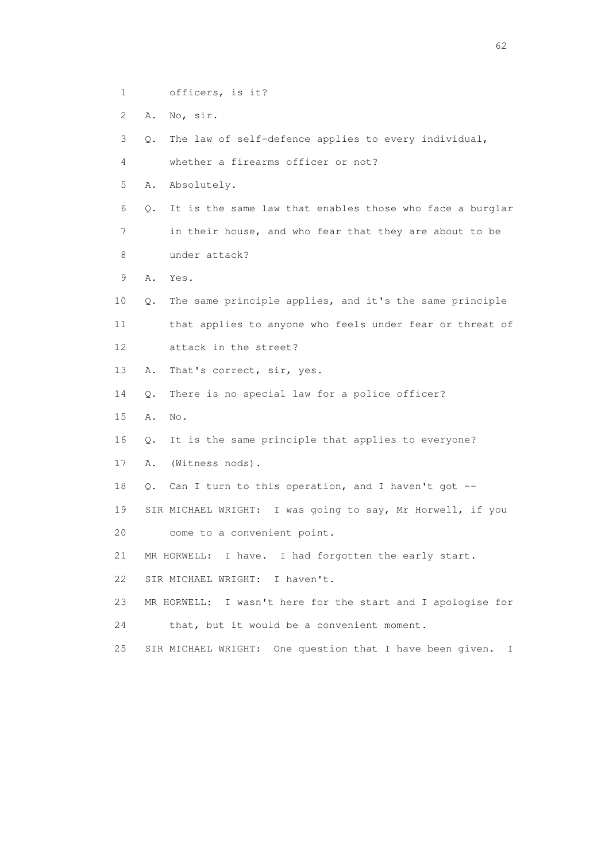- 1 officers, is it?
- 2 A. No, sir.

3 Q. The law of self-defence applies to every individual,

- 4 whether a firearms officer or not?
- 5 A. Absolutely.
- 6 Q. It is the same law that enables those who face a burglar 7 in their house, and who fear that they are about to be 8 under attack?
- 9 A. Yes.
- 10 Q. The same principle applies, and it's the same principle 11 that applies to anyone who feels under fear or threat of 12 attack in the street?
- 13 A. That's correct, sir, yes.
- 14 Q. There is no special law for a police officer?
- 15 A. No.
- 16 Q. It is the same principle that applies to everyone?
- 17 A. (Witness nods).
- 18 Q. Can I turn to this operation, and I haven't got --
- 19 SIR MICHAEL WRIGHT: I was going to say, Mr Horwell, if you
- 20 come to a convenient point.
- 21 MR HORWELL: I have. I had forgotten the early start.
- 22 SIR MICHAEL WRIGHT: I haven't.
- 23 MR HORWELL: I wasn't here for the start and I apologise for 24 that, but it would be a convenient moment.
- 25 SIR MICHAEL WRIGHT: One question that I have been given. I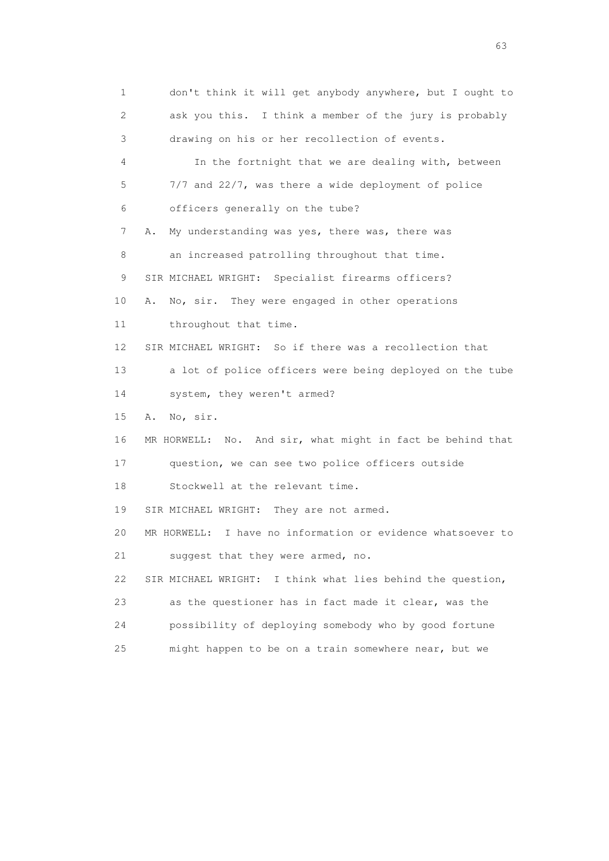1 don't think it will get anybody anywhere, but I ought to 2 ask you this. I think a member of the jury is probably 3 drawing on his or her recollection of events. 4 In the fortnight that we are dealing with, between 5 7/7 and 22/7, was there a wide deployment of police 6 officers generally on the tube? 7 A. My understanding was yes, there was, there was 8 an increased patrolling throughout that time. 9 SIR MICHAEL WRIGHT: Specialist firearms officers? 10 A. No, sir. They were engaged in other operations 11 throughout that time. 12 SIR MICHAEL WRIGHT: So if there was a recollection that 13 a lot of police officers were being deployed on the tube 14 system, they weren't armed? 15 A. No, sir. 16 MR HORWELL: No. And sir, what might in fact be behind that 17 question, we can see two police officers outside 18 Stockwell at the relevant time. 19 SIR MICHAEL WRIGHT: They are not armed. 20 MR HORWELL: I have no information or evidence whatsoever to 21 suggest that they were armed, no. 22 SIR MICHAEL WRIGHT: I think what lies behind the question, 23 as the questioner has in fact made it clear, was the 24 possibility of deploying somebody who by good fortune 25 might happen to be on a train somewhere near, but we

experience of the contract of the contract of the contract of the contract of the contract of the contract of the contract of the contract of the contract of the contract of the contract of the contract of the contract of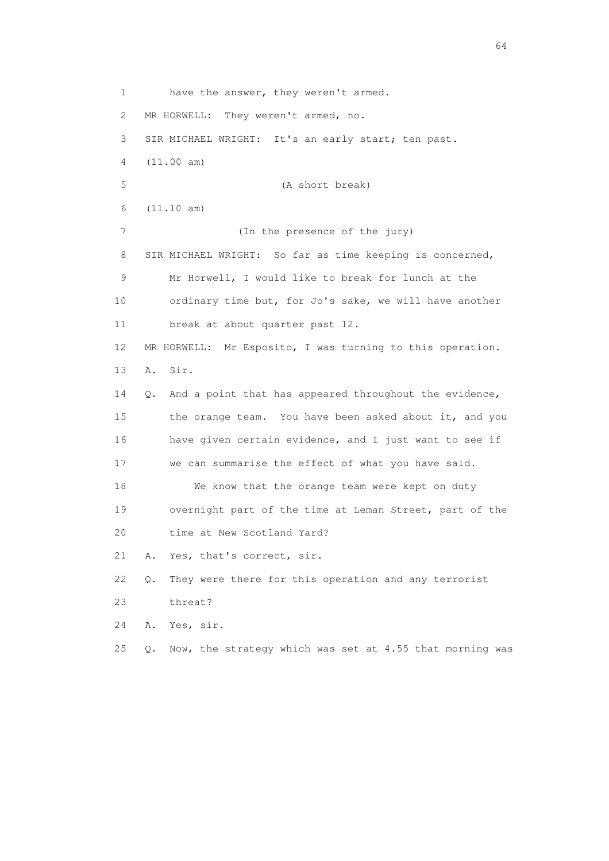1 have the answer, they weren't armed. 2 MR HORWELL: They weren't armed, no. 3 SIR MICHAEL WRIGHT: It's an early start; ten past. 4 (11.00 am) 5 (A short break) 6 (11.10 am) 7 (In the presence of the jury) 8 SIR MICHAEL WRIGHT: So far as time keeping is concerned, 9 Mr Horwell, I would like to break for lunch at the 10 ordinary time but, for Jo's sake, we will have another 11 break at about quarter past 12. 12 MR HORWELL: Mr Esposito, I was turning to this operation. 13 A. Sir. 14 Q. And a point that has appeared throughout the evidence, 15 the orange team. You have been asked about it, and you 16 have given certain evidence, and I just want to see if 17 we can summarise the effect of what you have said. 18 We know that the orange team were kept on duty 19 overnight part of the time at Leman Street, part of the 20 time at New Scotland Yard? 21 A. Yes, that's correct, sir. 22 Q. They were there for this operation and any terrorist 23 threat? 24 A. Yes, sir. 25 Q. Now, the strategy which was set at 4.55 that morning was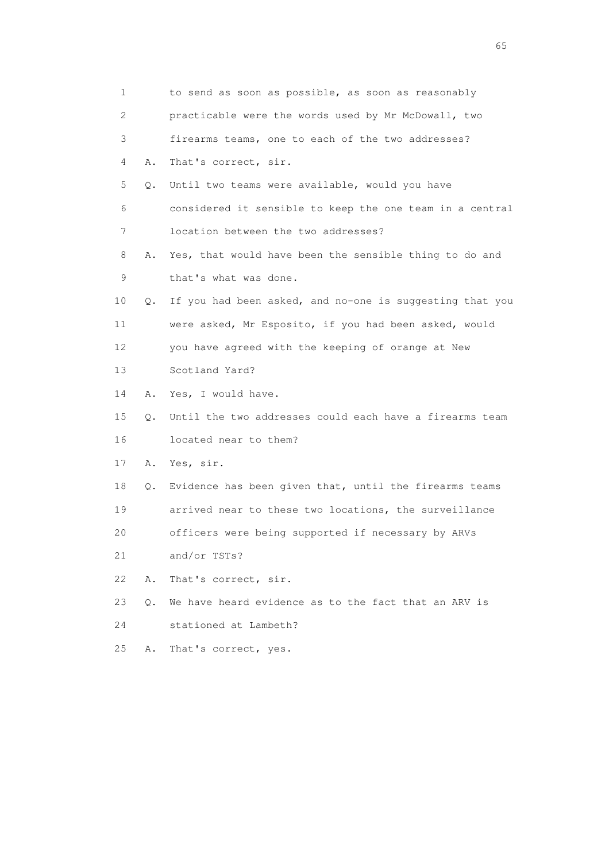| 1  |    | to send as soon as possible, as soon as reasonably       |
|----|----|----------------------------------------------------------|
| 2  |    | practicable were the words used by Mr McDowall, two      |
| 3  |    | firearms teams, one to each of the two addresses?        |
| 4  | Α. | That's correct, sir.                                     |
| 5  | Q. | Until two teams were available, would you have           |
| 6  |    | considered it sensible to keep the one team in a central |
| 7  |    | location between the two addresses?                      |
| 8  | Α. | Yes, that would have been the sensible thing to do and   |
| 9  |    | that's what was done.                                    |
| 10 | Q. | If you had been asked, and no-one is suggesting that you |
| 11 |    | were asked, Mr Esposito, if you had been asked, would    |
| 12 |    | you have agreed with the keeping of orange at New        |
| 13 |    | Scotland Yard?                                           |
| 14 | Α. | Yes, I would have.                                       |
| 15 | Q. | Until the two addresses could each have a firearms team  |
| 16 |    | located near to them?                                    |
| 17 | Α. | Yes, sir.                                                |
| 18 | Q. | Evidence has been given that, until the firearms teams   |
| 19 |    | arrived near to these two locations, the surveillance    |
| 20 |    | officers were being supported if necessary by ARVs       |
| 21 |    | and/or TSTs?                                             |
| 22 | Α. | That's correct, sir.                                     |
| 23 | О. | We have heard evidence as to the fact that an ARV is     |
| 24 |    | stationed at Lambeth?                                    |
| 25 | Α. | That's correct, yes.                                     |

 $\sim$  65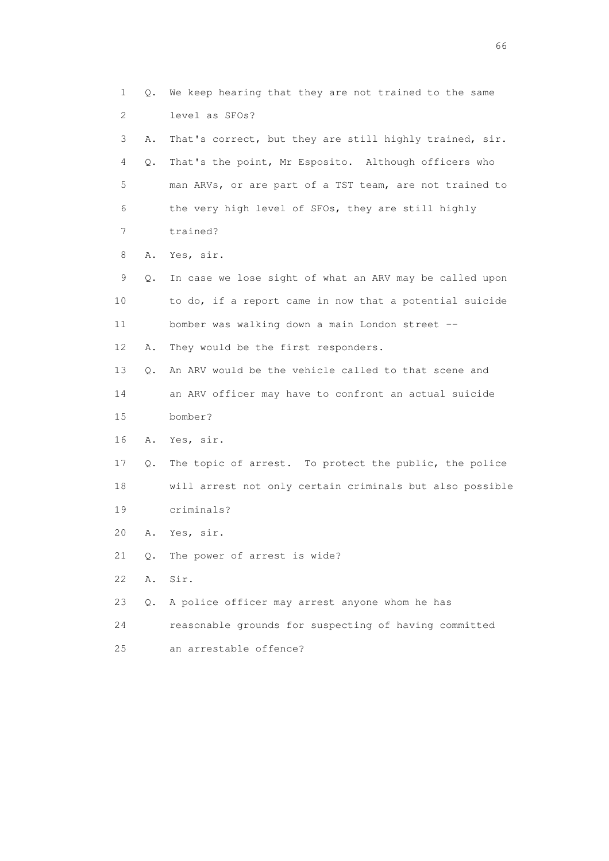1 Q. We keep hearing that they are not trained to the same 2 level as SFOs? 3 A. That's correct, but they are still highly trained, sir. 4 Q. That's the point, Mr Esposito. Although officers who 5 man ARVs, or are part of a TST team, are not trained to 6 the very high level of SFOs, they are still highly 7 trained? 8 A. Yes, sir. 9 Q. In case we lose sight of what an ARV may be called upon 10 to do, if a report came in now that a potential suicide 11 bomber was walking down a main London street -- 12 A. They would be the first responders. 13 Q. An ARV would be the vehicle called to that scene and 14 an ARV officer may have to confront an actual suicide 15 bomber? 16 A. Yes, sir. 17 Q. The topic of arrest. To protect the public, the police 18 will arrest not only certain criminals but also possible 19 criminals? 20 A. Yes, sir. 21 Q. The power of arrest is wide? 22 A. Sir. 23 Q. A police officer may arrest anyone whom he has 24 reasonable grounds for suspecting of having committed 25 an arrestable offence?

 $\sim$  66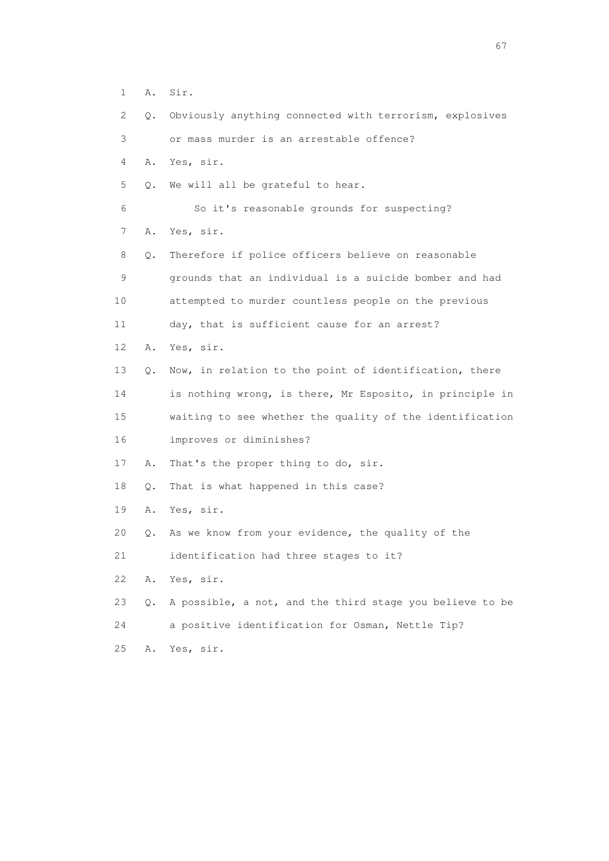- 1 A. Sir.
- 2 Q. Obviously anything connected with terrorism, explosives
- 3 or mass murder is an arrestable offence?
- 4 A. Yes, sir.
- 5 Q. We will all be grateful to hear.
- 6 So it's reasonable grounds for suspecting?
- 7 A. Yes, sir.
- 8 Q. Therefore if police officers believe on reasonable 9 grounds that an individual is a suicide bomber and had 10 attempted to murder countless people on the previous 11 day, that is sufficient cause for an arrest? 12 A. Yes, sir. 13 Q. Now, in relation to the point of identification, there 14 is nothing wrong, is there, Mr Esposito, in principle in
- 15 waiting to see whether the quality of the identification 16 improves or diminishes?
- 17 A. That's the proper thing to do, sir.
- 18 Q. That is what happened in this case?
- 19 A. Yes, sir.
- 20 Q. As we know from your evidence, the quality of the
- 21 identification had three stages to it?
- 22 A. Yes, sir.
- 23 Q. A possible, a not, and the third stage you believe to be
- 24 a positive identification for Osman, Nettle Tip?
- 25 A. Yes, sir.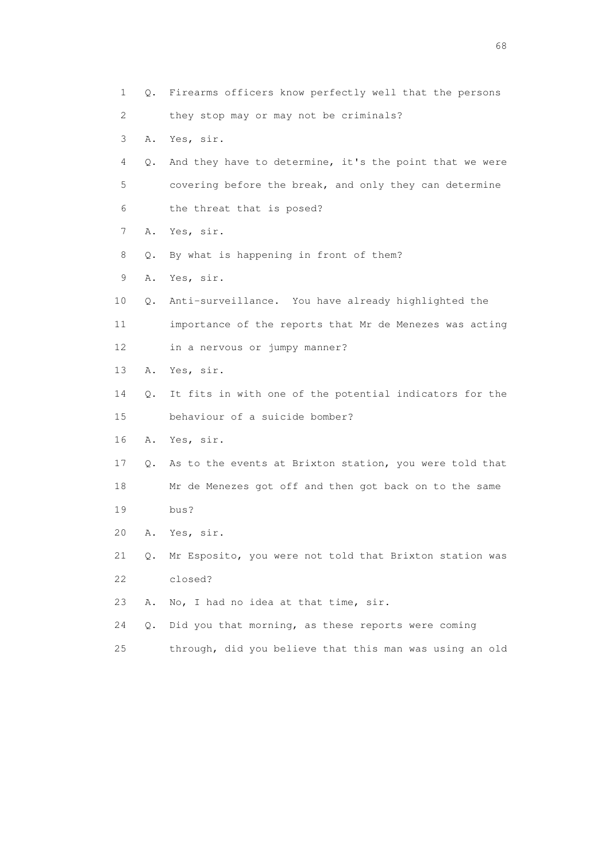1 Q. Firearms officers know perfectly well that the persons 2 they stop may or may not be criminals? 3 A. Yes, sir. 4 Q. And they have to determine, it's the point that we were 5 covering before the break, and only they can determine 6 the threat that is posed? 7 A. Yes, sir. 8 Q. By what is happening in front of them? 9 A. Yes, sir. 10 Q. Anti-surveillance. You have already highlighted the 11 importance of the reports that Mr de Menezes was acting 12 in a nervous or jumpy manner? 13 A. Yes, sir. 14 Q. It fits in with one of the potential indicators for the 15 behaviour of a suicide bomber? 16 A. Yes, sir. 17 Q. As to the events at Brixton station, you were told that 18 Mr de Menezes got off and then got back on to the same 19 bus? 20 A. Yes, sir. 21 Q. Mr Esposito, you were not told that Brixton station was 22 closed? 23 A. No, I had no idea at that time, sir. 24 Q. Did you that morning, as these reports were coming

25 through, did you believe that this man was using an old

entration of the contract of the contract of the contract of the contract of the contract of the contract of the contract of the contract of the contract of the contract of the contract of the contract of the contract of t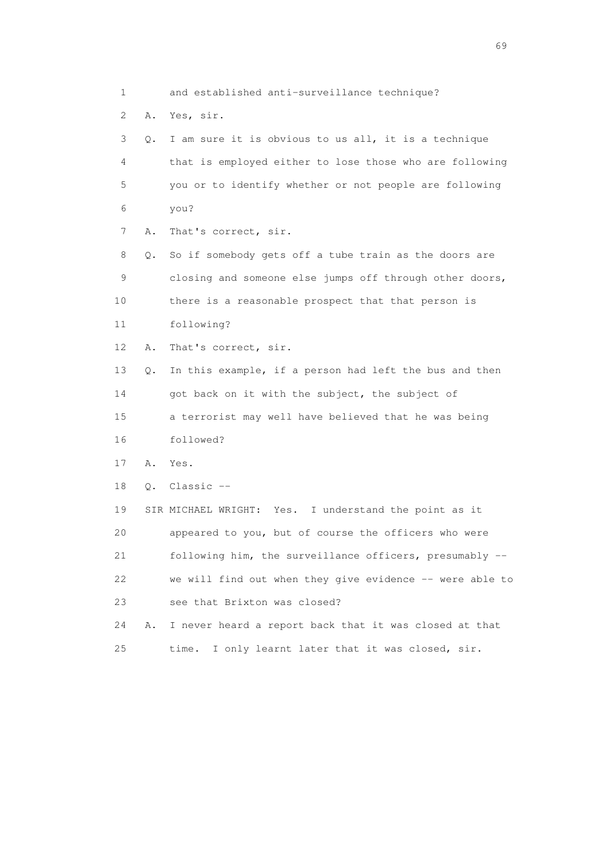1 and established anti-surveillance technique? 2 A. Yes, sir. 3 Q. I am sure it is obvious to us all, it is a technique 4 that is employed either to lose those who are following 5 you or to identify whether or not people are following 6 you? 7 A. That's correct, sir. 8 Q. So if somebody gets off a tube train as the doors are 9 closing and someone else jumps off through other doors, 10 there is a reasonable prospect that that person is 11 following? 12 A. That's correct, sir. 13 Q. In this example, if a person had left the bus and then 14 got back on it with the subject, the subject of 15 a terrorist may well have believed that he was being 16 followed? 17 A. Yes. 18 Q. Classic -- 19 SIR MICHAEL WRIGHT: Yes. I understand the point as it 20 appeared to you, but of course the officers who were 21 following him, the surveillance officers, presumably -- 22 we will find out when they give evidence -- were able to 23 see that Brixton was closed? 24 A. I never heard a report back that it was closed at that

25 time. I only learnt later that it was closed, sir.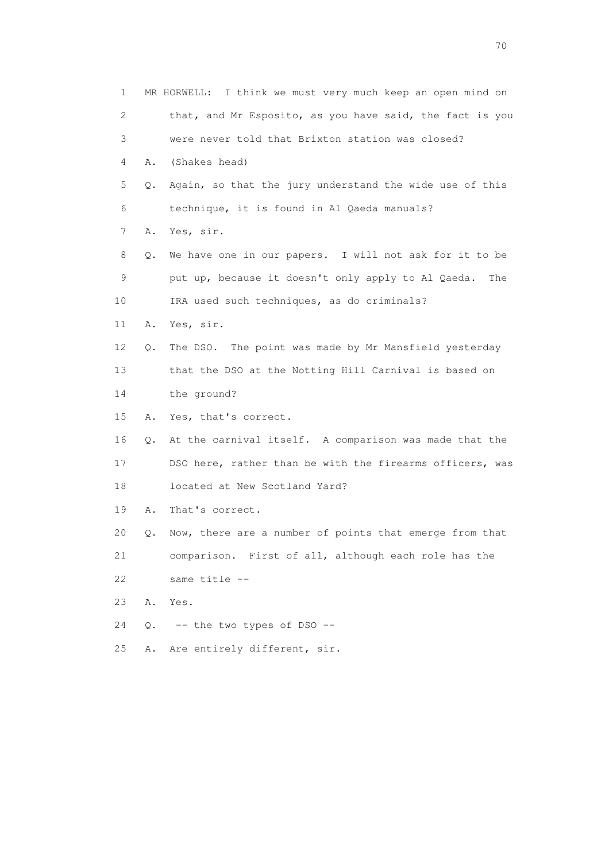| $\mathbf 1$ |    | MR HORWELL: I think we must very much keep an open mind on |
|-------------|----|------------------------------------------------------------|
| 2           |    | that, and Mr Esposito, as you have said, the fact is you   |
| 3           |    | were never told that Brixton station was closed?           |
| 4           | Α. | (Shakes head)                                              |
| 5           | Q. | Again, so that the jury understand the wide use of this    |
| 6           |    | technique, it is found in Al Qaeda manuals?                |
| 7           | Α. | Yes, sir.                                                  |
| 8           | Q. | We have one in our papers. I will not ask for it to be     |
| 9           |    | put up, because it doesn't only apply to Al Qaeda.<br>The  |
| 10          |    | IRA used such techniques, as do criminals?                 |
| 11          | Α. | Yes, sir.                                                  |
| 12          | Q. | The DSO. The point was made by Mr Mansfield yesterday      |
| 13          |    | that the DSO at the Notting Hill Carnival is based on      |
| 14          |    | the ground?                                                |
| 15          |    | A. Yes, that's correct.                                    |
| 16          | Q. | At the carnival itself. A comparison was made that the     |
| 17          |    | DSO here, rather than be with the firearms officers, was   |
| 18          |    | located at New Scotland Yard?                              |
| 19          | Α. | That's correct.                                            |
| 20          | Q. | Now, there are a number of points that emerge from that    |
| 21          |    | comparison. First of all, although each role has the       |
| 22          |    | same title --                                              |
| 23          | Α. | Yes.                                                       |
| 24          | Q. | -- the two types of DSO --                                 |
| 25          | Α. | Are entirely different, sir.                               |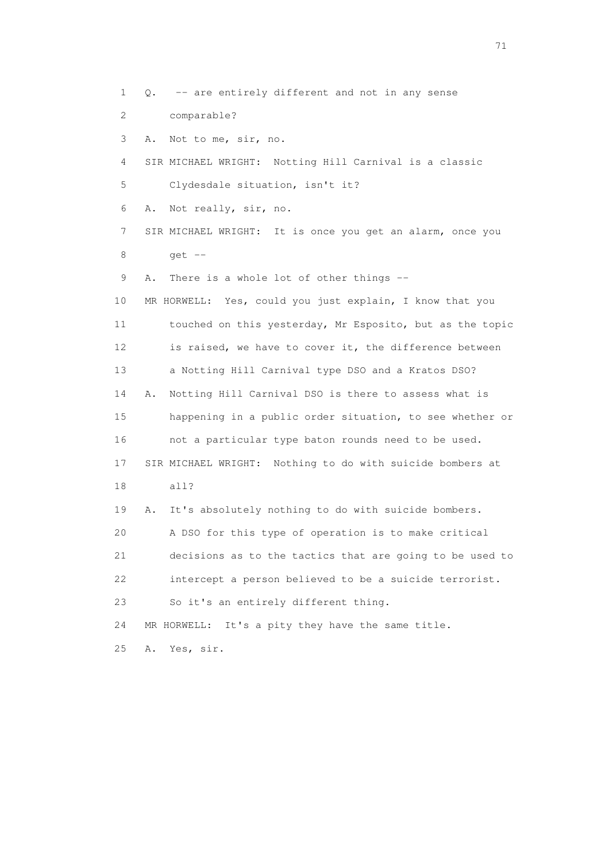1 Q. -- are entirely different and not in any sense 2 comparable? 3 A. Not to me, sir, no. 4 SIR MICHAEL WRIGHT: Notting Hill Carnival is a classic 5 Clydesdale situation, isn't it? 6 A. Not really, sir, no. 7 SIR MICHAEL WRIGHT: It is once you get an alarm, once you 8 get -- 9 A. There is a whole lot of other things -- 10 MR HORWELL: Yes, could you just explain, I know that you 11 touched on this yesterday, Mr Esposito, but as the topic 12 is raised, we have to cover it, the difference between 13 a Notting Hill Carnival type DSO and a Kratos DSO? 14 A. Notting Hill Carnival DSO is there to assess what is 15 happening in a public order situation, to see whether or 16 not a particular type baton rounds need to be used. 17 SIR MICHAEL WRIGHT: Nothing to do with suicide bombers at 18 all? 19 A. It's absolutely nothing to do with suicide bombers. 20 A DSO for this type of operation is to make critical 21 decisions as to the tactics that are going to be used to 22 intercept a person believed to be a suicide terrorist. 23 So it's an entirely different thing. 24 MR HORWELL: It's a pity they have the same title. 25 A. Yes, sir.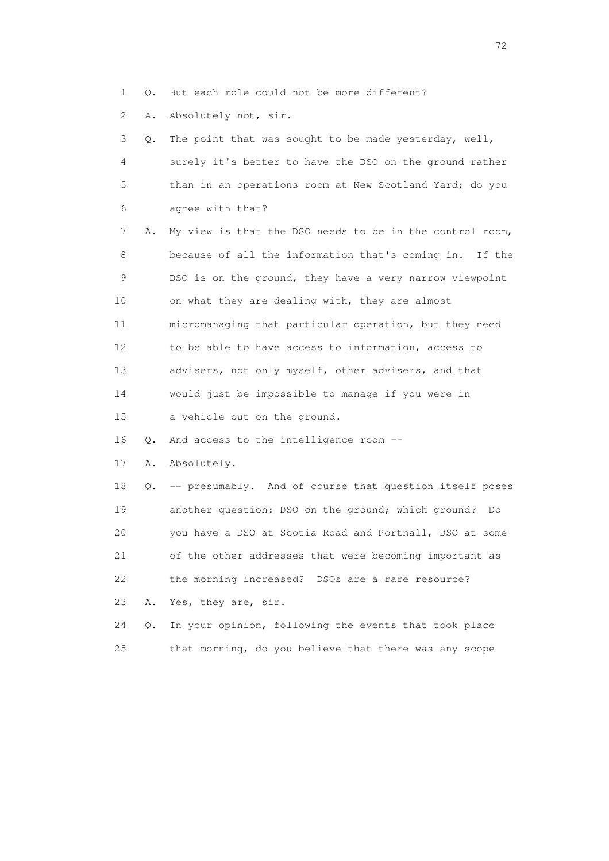1 Q. But each role could not be more different?

2 A. Absolutely not, sir.

| 3               | Q. | The point that was sought to be made yesterday, well,    |
|-----------------|----|----------------------------------------------------------|
| 4               |    | surely it's better to have the DSO on the ground rather  |
| 5               |    | than in an operations room at New Scotland Yard; do you  |
| 6               |    | agree with that?                                         |
| 7               | Α. | My view is that the DSO needs to be in the control room, |
| 8               |    | because of all the information that's coming in. If the  |
| 9               |    | DSO is on the ground, they have a very narrow viewpoint  |
| 10              |    | on what they are dealing with, they are almost           |
| 11              |    | micromanaging that particular operation, but they need   |
| 12 <sup>°</sup> |    | to be able to have access to information, access to      |
| 13              |    | advisers, not only myself, other advisers, and that      |
| 14              |    | would just be impossible to manage if you were in        |
| 15              |    | a vehicle out on the ground.                             |
| 16              | Q. | And access to the intelligence room --                   |
| 17              | Α. | Absolutely.                                              |
| 18              | Q. | -- presumably. And of course that question itself poses  |
| 19              |    | another question: DSO on the ground; which ground? Do    |
| 20              |    | you have a DSO at Scotia Road and Portnall, DSO at some  |
| 21              |    | of the other addresses that were becoming important as   |
| 22              |    | the morning increased? DSOs are a rare resource?         |
| 23              | Α. | Yes, they are, sir.                                      |
| 24              | О. | In your opinion, following the events that took place    |
| 25              |    | that morning, do you believe that there was any scope    |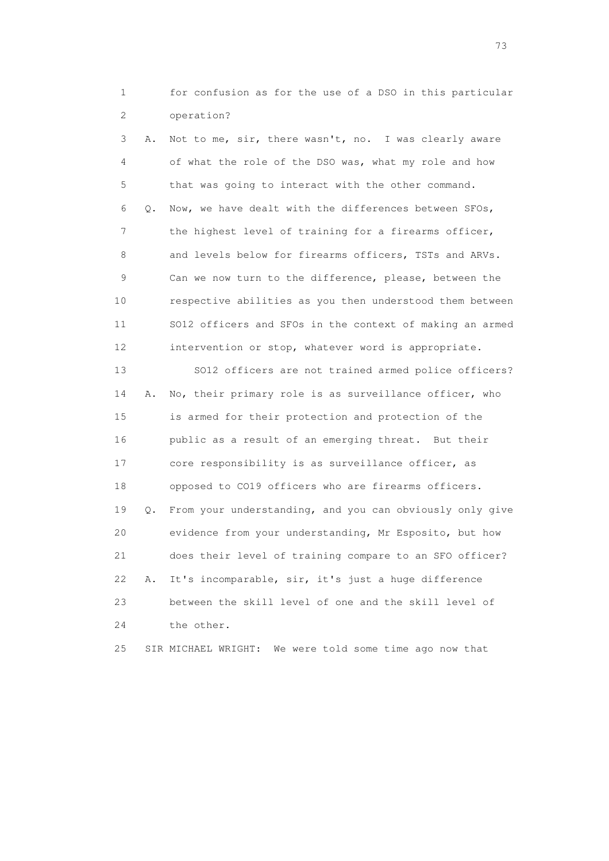1 for confusion as for the use of a DSO in this particular 2 operation?

 3 A. Not to me, sir, there wasn't, no. I was clearly aware 4 of what the role of the DSO was, what my role and how 5 that was going to interact with the other command. 6 Q. Now, we have dealt with the differences between SFOs, 7 the highest level of training for a firearms officer, 8 and levels below for firearms officers, TSTs and ARVs. 9 Can we now turn to the difference, please, between the 10 respective abilities as you then understood them between 11 SO12 officers and SFOs in the context of making an armed 12 intervention or stop, whatever word is appropriate. 13 SO12 officers are not trained armed police officers? 14 A. No, their primary role is as surveillance officer, who 15 is armed for their protection and protection of the 16 public as a result of an emerging threat. But their 17 core responsibility is as surveillance officer, as 18 opposed to CO19 officers who are firearms officers. 19 Q. From your understanding, and you can obviously only give 20 evidence from your understanding, Mr Esposito, but how 21 does their level of training compare to an SFO officer? 22 A. It's incomparable, sir, it's just a huge difference 23 between the skill level of one and the skill level of 24 the other.

25 SIR MICHAEL WRIGHT: We were told some time ago now that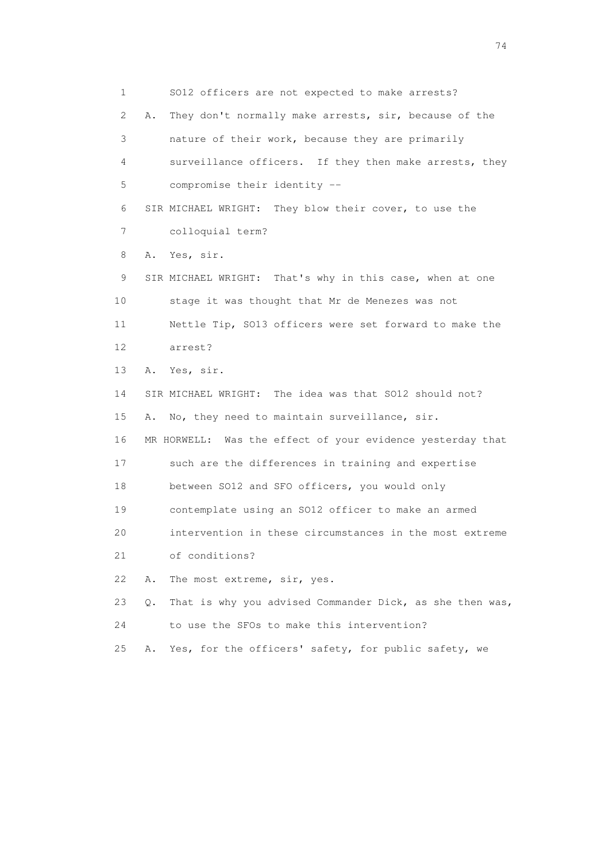1 SO12 officers are not expected to make arrests? 2 A. They don't normally make arrests, sir, because of the 3 nature of their work, because they are primarily 4 surveillance officers. If they then make arrests, they 5 compromise their identity -- 6 SIR MICHAEL WRIGHT: They blow their cover, to use the 7 colloquial term? 8 A. Yes, sir. 9 SIR MICHAEL WRIGHT: That's why in this case, when at one 10 stage it was thought that Mr de Menezes was not 11 Nettle Tip, SO13 officers were set forward to make the 12 arrest? 13 A. Yes, sir. 14 SIR MICHAEL WRIGHT: The idea was that SO12 should not? 15 A. No, they need to maintain surveillance, sir. 16 MR HORWELL: Was the effect of your evidence yesterday that 17 such are the differences in training and expertise 18 between SO12 and SFO officers, you would only 19 contemplate using an SO12 officer to make an armed 20 intervention in these circumstances in the most extreme 21 of conditions? 22 A. The most extreme, sir, yes. 23 Q. That is why you advised Commander Dick, as she then was, 24 to use the SFOs to make this intervention? 25 A. Yes, for the officers' safety, for public safety, we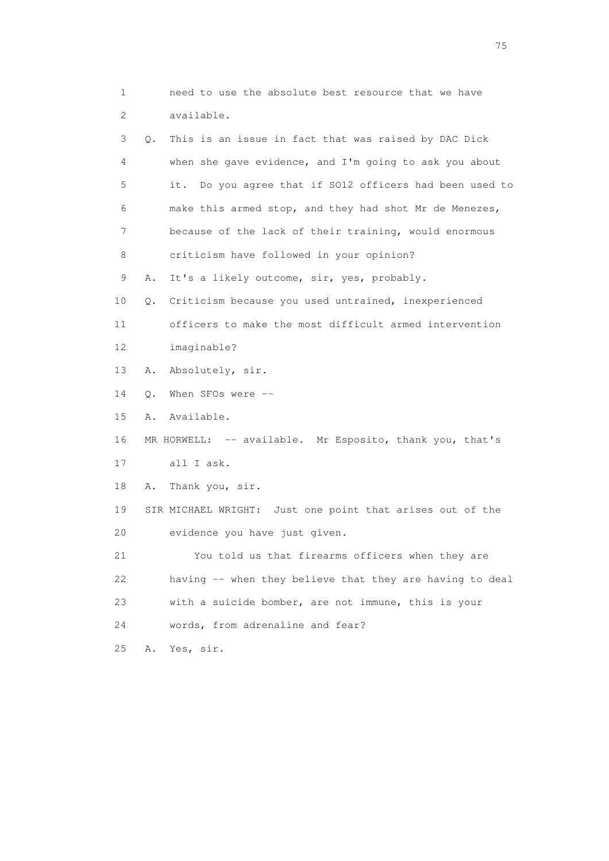1 need to use the absolute best resource that we have 2 available. 3 Q. This is an issue in fact that was raised by DAC Dick 4 when she gave evidence, and I'm going to ask you about 5 it. Do you agree that if SO12 officers had been used to 6 make this armed stop, and they had shot Mr de Menezes, 7 because of the lack of their training, would enormous 8 criticism have followed in your opinion? 9 A. It's a likely outcome, sir, yes, probably. 10 Q. Criticism because you used untrained, inexperienced 11 officers to make the most difficult armed intervention 12 imaginable? 13 A. Absolutely, sir. 14 Q. When SFOs were -- 15 A. Available. 16 MR HORWELL: -- available. Mr Esposito, thank you, that's 17 all I ask. 18 A. Thank you, sir. 19 SIR MICHAEL WRIGHT: Just one point that arises out of the 20 evidence you have just given. 21 You told us that firearms officers when they are 22 having -- when they believe that they are having to deal 23 with a suicide bomber, are not immune, this is your 24 words, from adrenaline and fear? 25 A. Yes, sir.

na matsay na katalog as na kasang na mga 175 may 2008. Ang isang isang nagsang nagsang nagsang nagsang nagsang<br>Tagapang nagsang nagsang nagsang nagsang nagsang nagsang nagsang nagsang nagsang nagsang nagsang nagsang nagsa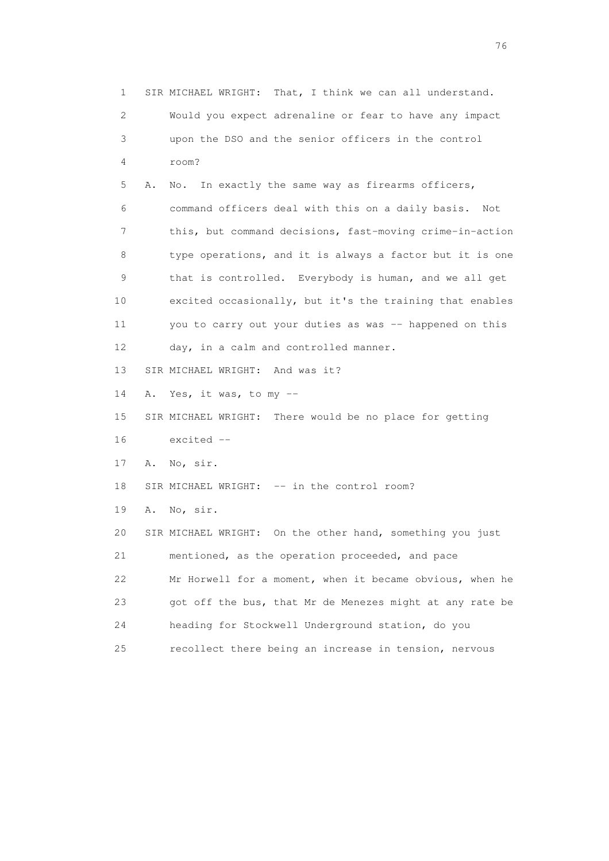1 SIR MICHAEL WRIGHT: That, I think we can all understand. 2 Would you expect adrenaline or fear to have any impact 3 upon the DSO and the senior officers in the control 4 room? 5 A. No. In exactly the same way as firearms officers, 6 command officers deal with this on a daily basis. Not 7 this, but command decisions, fast-moving crime-in-action 8 type operations, and it is always a factor but it is one 9 that is controlled. Everybody is human, and we all get 10 excited occasionally, but it's the training that enables 11 you to carry out your duties as was -- happened on this 12 day, in a calm and controlled manner. 13 SIR MICHAEL WRIGHT: And was it? 14 A. Yes, it was, to my -- 15 SIR MICHAEL WRIGHT: There would be no place for getting 16 excited -- 17 A. No, sir. 18 SIR MICHAEL WRIGHT: -- in the control room? 19 A. No, sir. 20 SIR MICHAEL WRIGHT: On the other hand, something you just 21 mentioned, as the operation proceeded, and pace 22 Mr Horwell for a moment, when it became obvious, when he 23 got off the bus, that Mr de Menezes might at any rate be 24 heading for Stockwell Underground station, do you 25 recollect there being an increase in tension, nervous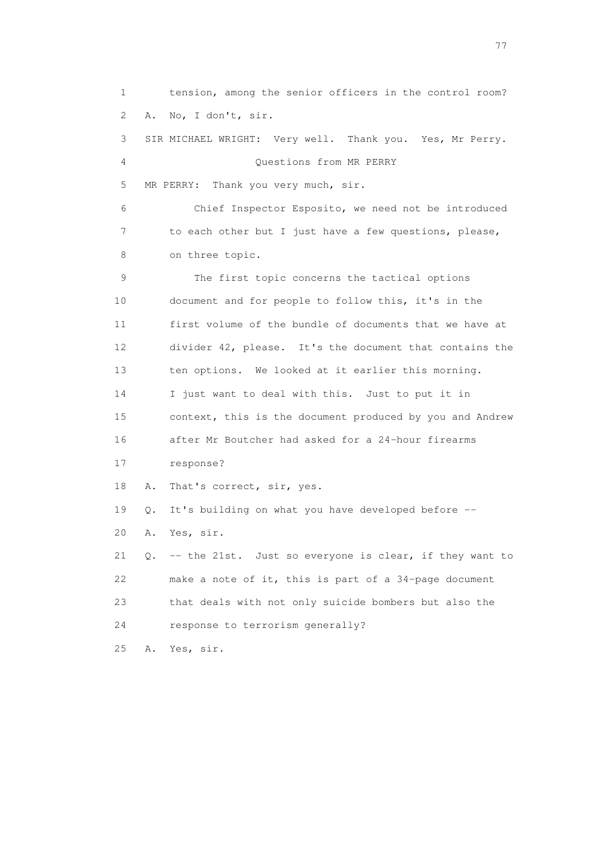1 tension, among the senior officers in the control room? 2 A. No, I don't, sir. 3 SIR MICHAEL WRIGHT: Very well. Thank you. Yes, Mr Perry. 4 Questions from MR PERRY 5 MR PERRY: Thank you very much, sir. 6 Chief Inspector Esposito, we need not be introduced 7 to each other but I just have a few questions, please, 8 on three topic. 9 The first topic concerns the tactical options 10 document and for people to follow this, it's in the 11 first volume of the bundle of documents that we have at 12 divider 42, please. It's the document that contains the 13 ten options. We looked at it earlier this morning. 14 I just want to deal with this. Just to put it in 15 context, this is the document produced by you and Andrew 16 after Mr Boutcher had asked for a 24-hour firearms 17 response? 18 A. That's correct, sir, yes. 19 Q. It's building on what you have developed before -- 20 A. Yes, sir. 21 Q. -- the 21st. Just so everyone is clear, if they want to 22 make a note of it, this is part of a 34-page document 23 that deals with not only suicide bombers but also the 24 response to terrorism generally? 25 A. Yes, sir.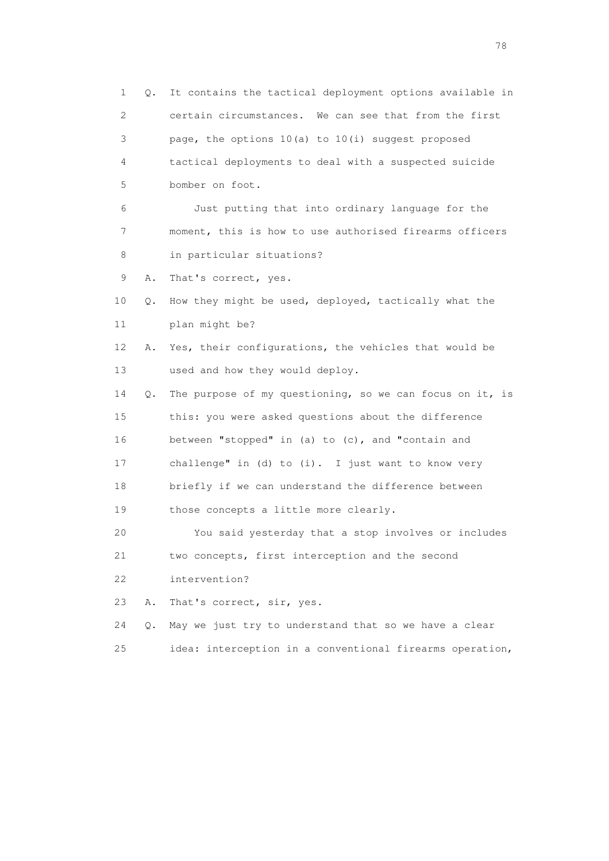1 Q. It contains the tactical deployment options available in 2 certain circumstances. We can see that from the first 3 page, the options 10(a) to 10(i) suggest proposed 4 tactical deployments to deal with a suspected suicide 5 bomber on foot. 6 Just putting that into ordinary language for the 7 moment, this is how to use authorised firearms officers 8 in particular situations? 9 A. That's correct, yes. 10 Q. How they might be used, deployed, tactically what the 11 plan might be? 12 A. Yes, their configurations, the vehicles that would be 13 used and how they would deploy. 14 Q. The purpose of my questioning, so we can focus on it, is 15 this: you were asked questions about the difference 16 between "stopped" in (a) to (c), and "contain and 17 challenge" in (d) to (i). I just want to know very 18 briefly if we can understand the difference between 19 those concepts a little more clearly. 20 You said yesterday that a stop involves or includes 21 two concepts, first interception and the second 22 intervention? 23 A. That's correct, sir, yes. 24 Q. May we just try to understand that so we have a clear 25 idea: interception in a conventional firearms operation,

na na matsayang mga kasang mga kalendaryon ng mga kasang mga kasang mga kasang mga kasang mga kasang mga kasan<br>Mga kasang mga kasang mga kasang mga kasang mga kasang mga kasang mga kasang mga kasang mga kasang mga kasang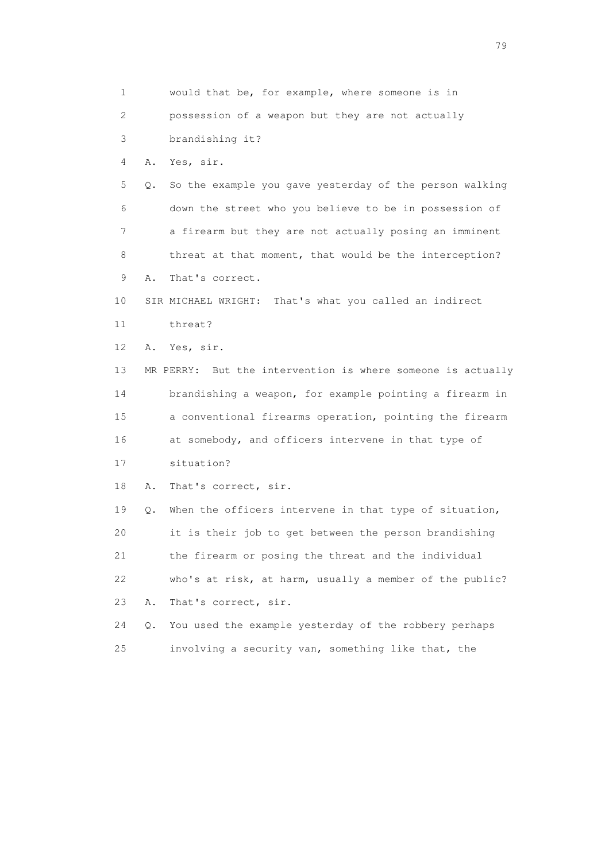1 would that be, for example, where someone is in 2 possession of a weapon but they are not actually 3 brandishing it? 4 A. Yes, sir. 5 Q. So the example you gave yesterday of the person walking 6 down the street who you believe to be in possession of 7 a firearm but they are not actually posing an imminent 8 threat at that moment, that would be the interception? 9 A. That's correct. 10 SIR MICHAEL WRIGHT: That's what you called an indirect 11 threat? 12 A. Yes, sir. 13 MR PERRY: But the intervention is where someone is actually 14 brandishing a weapon, for example pointing a firearm in 15 a conventional firearms operation, pointing the firearm 16 at somebody, and officers intervene in that type of 17 situation? 18 A. That's correct, sir. 19 Q. When the officers intervene in that type of situation, 20 it is their job to get between the person brandishing 21 the firearm or posing the threat and the individual 22 who's at risk, at harm, usually a member of the public? 23 A. That's correct, sir. 24 Q. You used the example yesterday of the robbery perhaps 25 involving a security van, something like that, the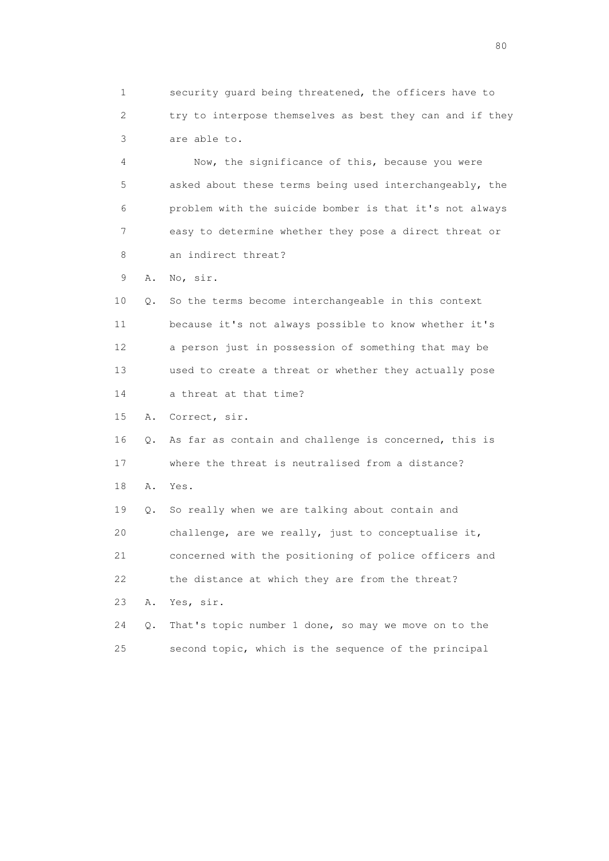1 security guard being threatened, the officers have to 2 try to interpose themselves as best they can and if they 3 are able to.

 4 Now, the significance of this, because you were 5 asked about these terms being used interchangeably, the 6 problem with the suicide bomber is that it's not always 7 easy to determine whether they pose a direct threat or 8 an indirect threat?

9 A. No, sir.

 10 Q. So the terms become interchangeable in this context 11 because it's not always possible to know whether it's 12 a person just in possession of something that may be 13 used to create a threat or whether they actually pose 14 a threat at that time?

15 A. Correct, sir.

 16 Q. As far as contain and challenge is concerned, this is 17 where the threat is neutralised from a distance? 18 A. Yes. 19 Q. So really when we are talking about contain and 20 challenge, are we really, just to conceptualise it,

 21 concerned with the positioning of police officers and 22 the distance at which they are from the threat?

23 A. Yes, sir.

 24 Q. That's topic number 1 done, so may we move on to the 25 second topic, which is the sequence of the principal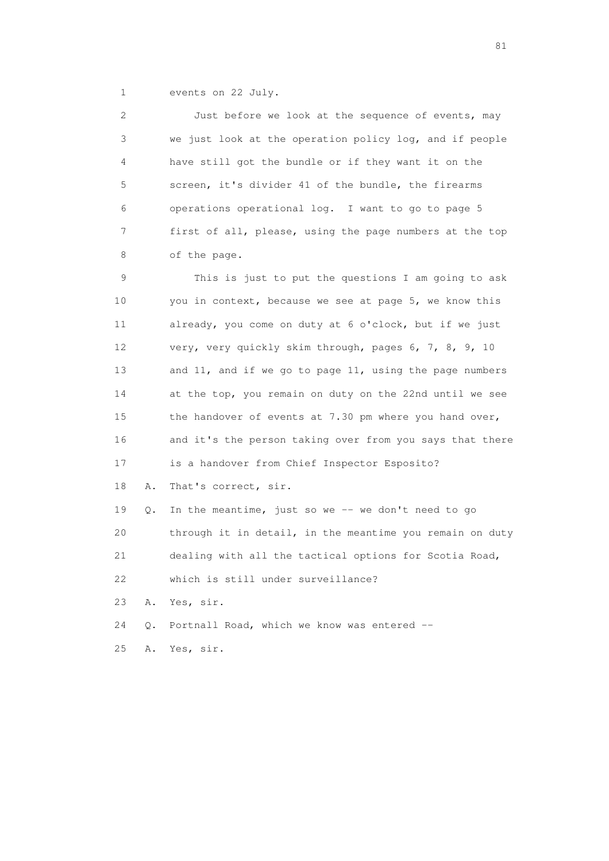1 events on 22 July.

 2 Just before we look at the sequence of events, may 3 we just look at the operation policy log, and if people 4 have still got the bundle or if they want it on the 5 screen, it's divider 41 of the bundle, the firearms 6 operations operational log. I want to go to page 5 7 first of all, please, using the page numbers at the top 8 of the page. 9 This is just to put the questions I am going to ask 10 you in context, because we see at page 5, we know this 11 already, you come on duty at 6 o'clock, but if we just 12 very, very quickly skim through, pages 6, 7, 8, 9, 10 13 and 11, and if we go to page 11, using the page numbers 14 at the top, you remain on duty on the 22nd until we see 15 the handover of events at 7.30 pm where you hand over, 16 and it's the person taking over from you says that there

17 is a handover from Chief Inspector Esposito?

18 A. That's correct, sir.

19 Q. In the meantime, just so we -- we don't need to go 20 through it in detail, in the meantime you remain on duty 21 dealing with all the tactical options for Scotia Road, 22 which is still under surveillance? 23 A. Yes, sir.

24 Q. Portnall Road, which we know was entered --

25 A. Yes, sir.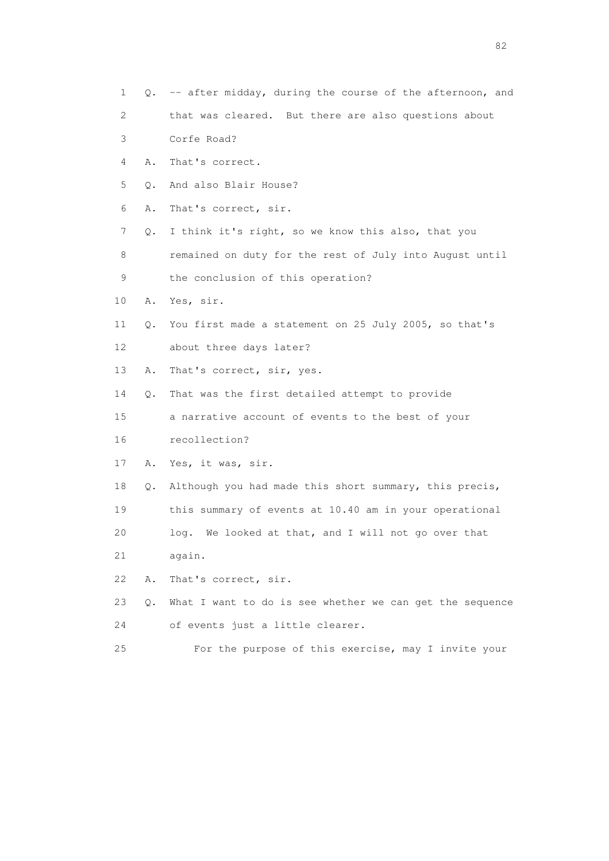- 1 Q. -- after midday, during the course of the afternoon, and
- 2 that was cleared. But there are also questions about
- 3 Corfe Road?
- 4 A. That's correct.
- 5 Q. And also Blair House?
- 6 A. That's correct, sir.
- 7 Q. I think it's right, so we know this also, that you
- 8 remained on duty for the rest of July into August until
- 9 the conclusion of this operation?
- 10 A. Yes, sir.
- 11 Q. You first made a statement on 25 July 2005, so that's 12 about three days later?
- 13 A. That's correct, sir, yes.
- 14 Q. That was the first detailed attempt to provide

 15 a narrative account of events to the best of your 16 recollection?

- 17 A. Yes, it was, sir.
- 18 Q. Although you had made this short summary, this precis, 19 this summary of events at 10.40 am in your operational
- 20 log. We looked at that, and I will not go over that
- 21 again.
- 22 A. That's correct, sir.
- 23 Q. What I want to do is see whether we can get the sequence 24 of events just a little clearer.
- 25 For the purpose of this exercise, may I invite your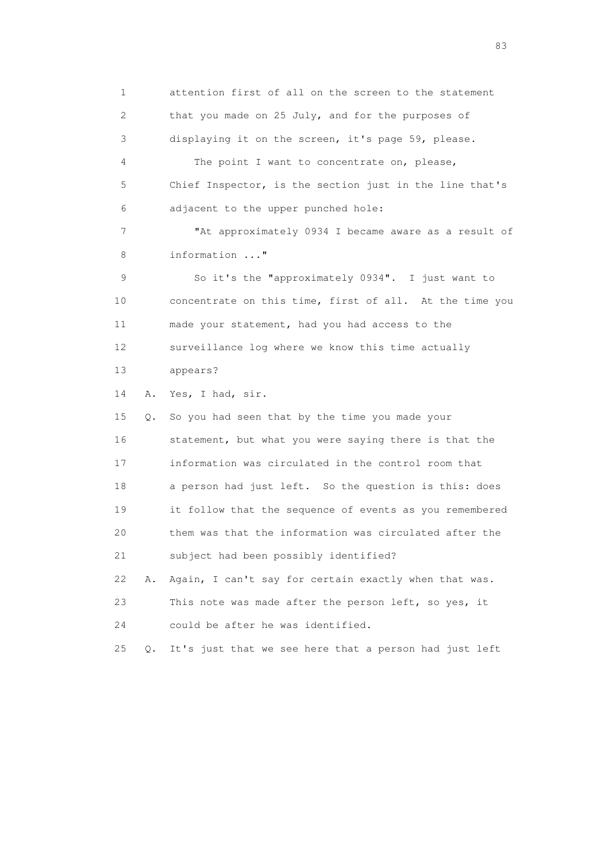1 attention first of all on the screen to the statement 2 that you made on 25 July, and for the purposes of 3 displaying it on the screen, it's page 59, please. 4 The point I want to concentrate on, please, 5 Chief Inspector, is the section just in the line that's 6 adjacent to the upper punched hole: 7 "At approximately 0934 I became aware as a result of 8 information ..." 9 So it's the "approximately 0934". I just want to 10 concentrate on this time, first of all. At the time you 11 made your statement, had you had access to the 12 surveillance log where we know this time actually 13 appears? 14 A. Yes, I had, sir. 15 Q. So you had seen that by the time you made your 16 statement, but what you were saying there is that the 17 information was circulated in the control room that 18 a person had just left. So the question is this: does 19 it follow that the sequence of events as you remembered 20 them was that the information was circulated after the 21 subject had been possibly identified? 22 A. Again, I can't say for certain exactly when that was. 23 This note was made after the person left, so yes, it 24 could be after he was identified. 25 Q. It's just that we see here that a person had just left

experience of the contract of the contract of the contract of the contract of the contract of the contract of the contract of the contract of the contract of the contract of the contract of the contract of the contract of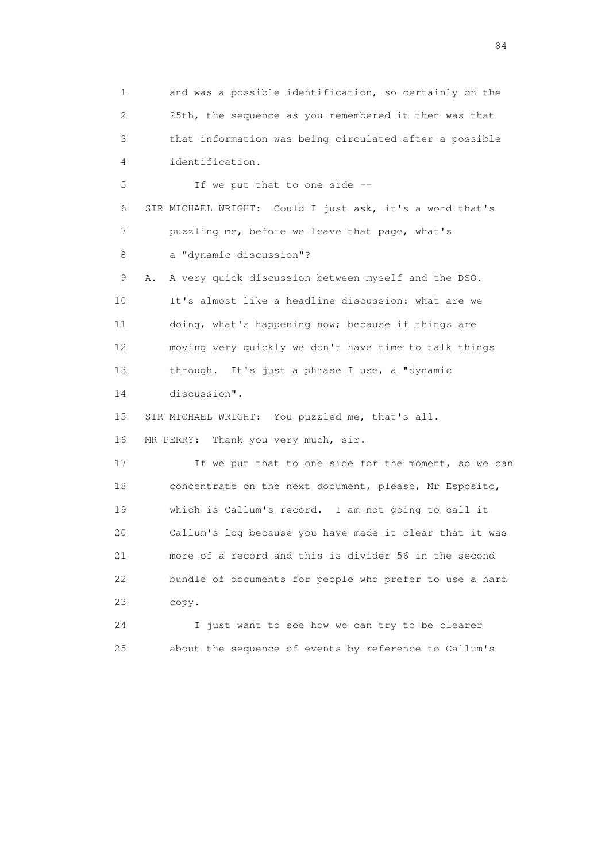1 and was a possible identification, so certainly on the 2 25th, the sequence as you remembered it then was that 3 that information was being circulated after a possible 4 identification. 5 If we put that to one side -- 6 SIR MICHAEL WRIGHT: Could I just ask, it's a word that's 7 puzzling me, before we leave that page, what's 8 a "dynamic discussion"? 9 A. A very quick discussion between myself and the DSO. 10 It's almost like a headline discussion: what are we 11 doing, what's happening now; because if things are 12 moving very quickly we don't have time to talk things 13 through. It's just a phrase I use, a "dynamic 14 discussion". 15 SIR MICHAEL WRIGHT: You puzzled me, that's all. 16 MR PERRY: Thank you very much, sir. 17 If we put that to one side for the moment, so we can 18 concentrate on the next document, please, Mr Esposito, 19 which is Callum's record. I am not going to call it 20 Callum's log because you have made it clear that it was 21 more of a record and this is divider 56 in the second 22 bundle of documents for people who prefer to use a hard 23 copy. 24 I just want to see how we can try to be clearer 25 about the sequence of events by reference to Callum's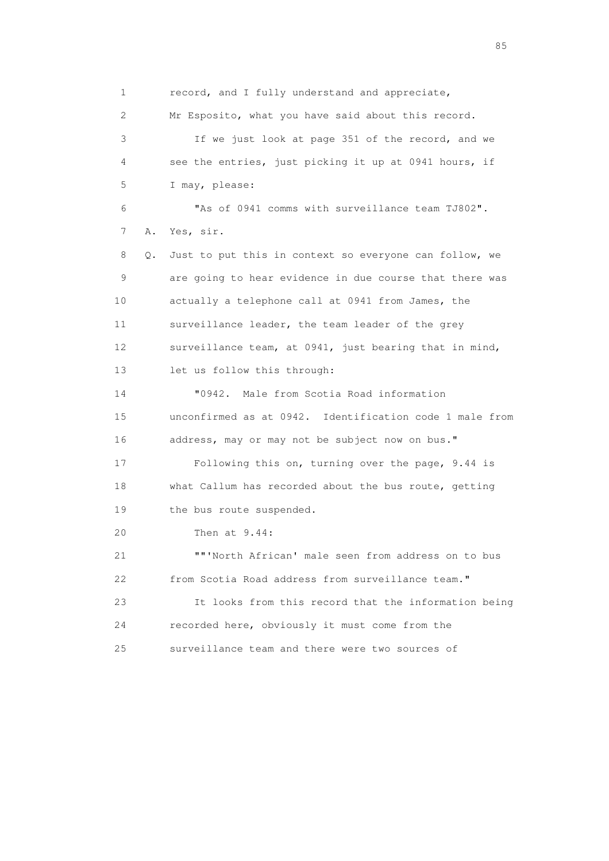1 record, and I fully understand and appreciate, 2 Mr Esposito, what you have said about this record. 3 If we just look at page 351 of the record, and we 4 see the entries, just picking it up at 0941 hours, if 5 I may, please: 6 "As of 0941 comms with surveillance team TJ802". 7 A. Yes, sir. 8 Q. Just to put this in context so everyone can follow, we 9 are going to hear evidence in due course that there was 10 actually a telephone call at 0941 from James, the 11 surveillance leader, the team leader of the grey 12 surveillance team, at 0941, just bearing that in mind, 13 let us follow this through: 14 "0942. Male from Scotia Road information 15 unconfirmed as at 0942. Identification code 1 male from 16 address, may or may not be subject now on bus." 17 Following this on, turning over the page, 9.44 is 18 what Callum has recorded about the bus route, getting 19 the bus route suspended. 20 Then at 9.44: 21 ""'North African' male seen from address on to bus 22 from Scotia Road address from surveillance team." 23 It looks from this record that the information being 24 recorded here, obviously it must come from the 25 surveillance team and there were two sources of

experience of the contract of the contract of the contract of the contract of the contract of the contract of the contract of the contract of the contract of the contract of the contract of the contract of the contract of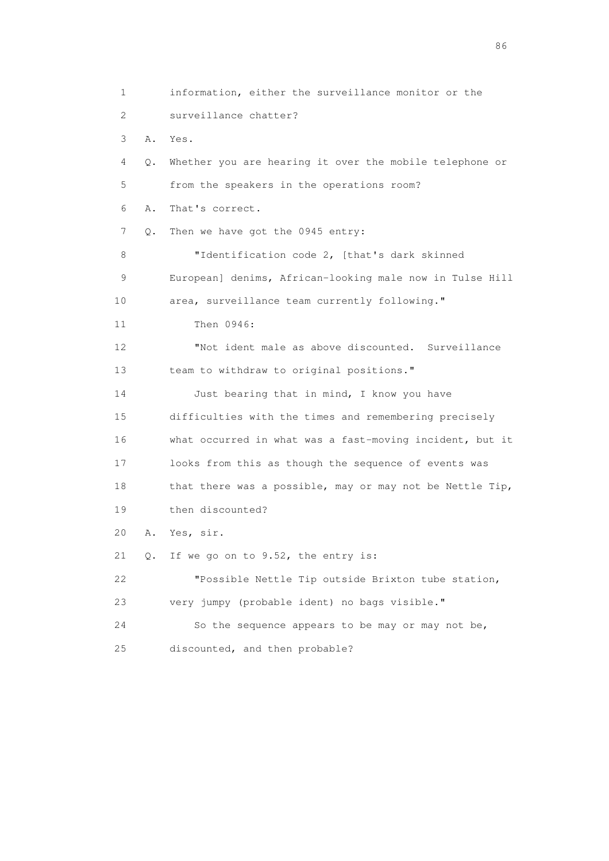1 information, either the surveillance monitor or the 2 surveillance chatter? 3 A. Yes. 4 Q. Whether you are hearing it over the mobile telephone or 5 from the speakers in the operations room? 6 A. That's correct. 7 Q. Then we have got the 0945 entry: 8 "Identification code 2, [that's dark skinned 9 European] denims, African-looking male now in Tulse Hill 10 area, surveillance team currently following." 11 Then 0946: 12 "Not ident male as above discounted. Surveillance 13 team to withdraw to original positions." 14 Just bearing that in mind, I know you have 15 difficulties with the times and remembering precisely 16 what occurred in what was a fast-moving incident, but it 17 looks from this as though the sequence of events was 18 that there was a possible, may or may not be Nettle Tip, 19 then discounted? 20 A. Yes, sir. 21 Q. If we go on to 9.52, the entry is: 22 "Possible Nettle Tip outside Brixton tube station, 23 very jumpy (probable ident) no bags visible." 24 So the sequence appears to be may or may not be, 25 discounted, and then probable?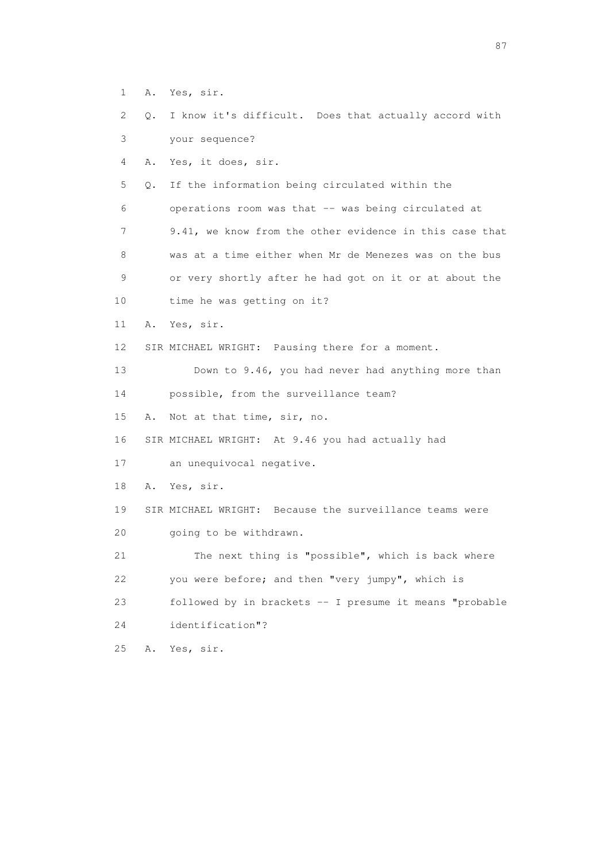- 1 A. Yes, sir.
- 2 Q. I know it's difficult. Does that actually accord with 3 your sequence?
- 4 A. Yes, it does, sir.

 5 Q. If the information being circulated within the 6 operations room was that -- was being circulated at 7 9.41, we know from the other evidence in this case that 8 was at a time either when Mr de Menezes was on the bus 9 or very shortly after he had got on it or at about the

- 10 time he was getting on it?
- 11 A. Yes, sir.
- 12 SIR MICHAEL WRIGHT: Pausing there for a moment.

 13 Down to 9.46, you had never had anything more than 14 possible, from the surveillance team?

15 A. Not at that time, sir, no.

16 SIR MICHAEL WRIGHT: At 9.46 you had actually had

17 an unequivocal negative.

18 A. Yes, sir.

19 SIR MICHAEL WRIGHT: Because the surveillance teams were

20 going to be withdrawn.

 21 The next thing is "possible", which is back where 22 you were before; and then "very jumpy", which is 23 followed by in brackets -- I presume it means "probable

24 identification"?

25 A. Yes, sir.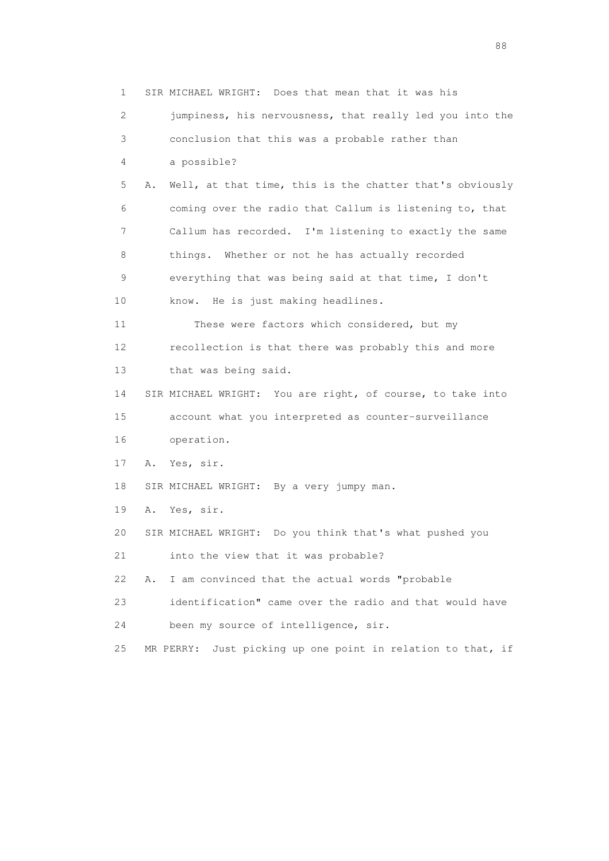1 SIR MICHAEL WRIGHT: Does that mean that it was his 2 jumpiness, his nervousness, that really led you into the 3 conclusion that this was a probable rather than 4 a possible? 5 A. Well, at that time, this is the chatter that's obviously 6 coming over the radio that Callum is listening to, that 7 Callum has recorded. I'm listening to exactly the same 8 things. Whether or not he has actually recorded 9 everything that was being said at that time, I don't 10 know. He is just making headlines. 11 These were factors which considered, but my 12 recollection is that there was probably this and more 13 that was being said. 14 SIR MICHAEL WRIGHT: You are right, of course, to take into 15 account what you interpreted as counter-surveillance 16 operation. 17 A. Yes, sir. 18 SIR MICHAEL WRIGHT: By a very jumpy man. 19 A. Yes, sir. 20 SIR MICHAEL WRIGHT: Do you think that's what pushed you 21 into the view that it was probable? 22 A. I am convinced that the actual words "probable 23 identification" came over the radio and that would have 24 been my source of intelligence, sir. 25 MR PERRY: Just picking up one point in relation to that, if

en de la construction de la construction de la construction de la construction de la construction de la constr<br>1880 : le construction de la construction de la construction de la construction de la construction de la const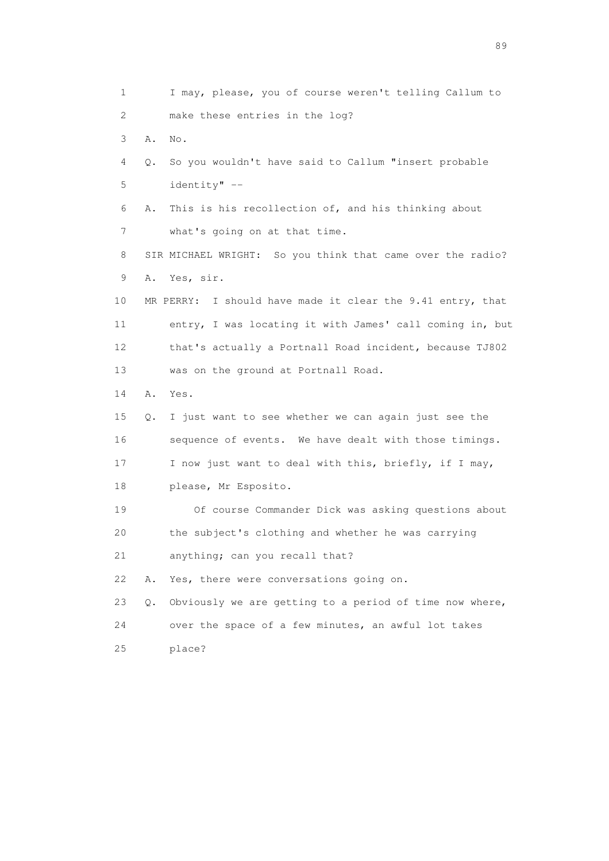1 I may, please, you of course weren't telling Callum to 2 make these entries in the log? 3 A. No. 4 Q. So you wouldn't have said to Callum "insert probable 5 identity" -- 6 A. This is his recollection of, and his thinking about 7 what's going on at that time. 8 SIR MICHAEL WRIGHT: So you think that came over the radio? 9 A. Yes, sir. 10 MR PERRY: I should have made it clear the 9.41 entry, that 11 entry, I was locating it with James' call coming in, but 12 that's actually a Portnall Road incident, because TJ802 13 was on the ground at Portnall Road. 14 A. Yes. 15 Q. I just want to see whether we can again just see the 16 sequence of events. We have dealt with those timings. 17 I now just want to deal with this, briefly, if I may, 18 please, Mr Esposito. 19 Of course Commander Dick was asking questions about 20 the subject's clothing and whether he was carrying 21 anything; can you recall that? 22 A. Yes, there were conversations going on. 23 Q. Obviously we are getting to a period of time now where, 24 over the space of a few minutes, an awful lot takes 25 place?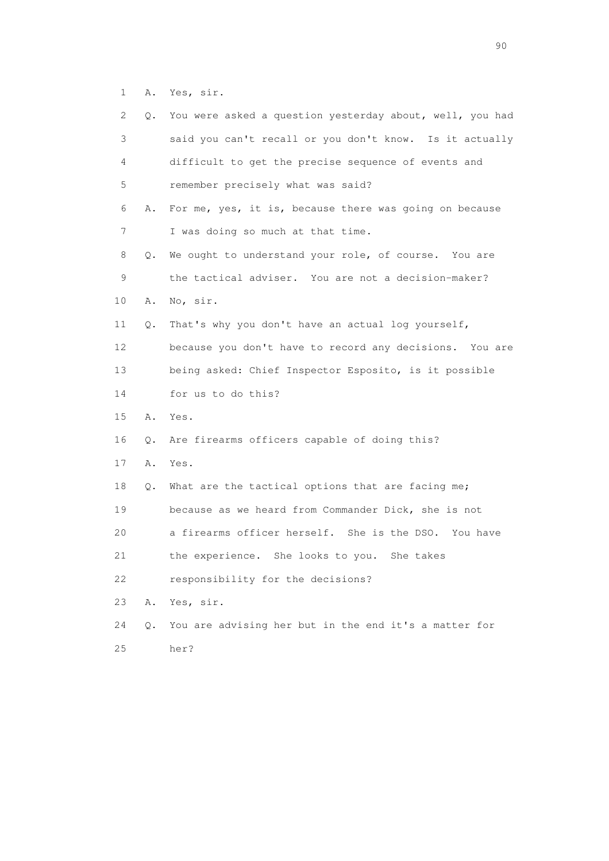1 A. Yes, sir.

| 2               | Q. | You were asked a question yesterday about, well, you had |
|-----------------|----|----------------------------------------------------------|
| 3               |    | said you can't recall or you don't know. Is it actually  |
| 4               |    | difficult to get the precise sequence of events and      |
| 5               |    | remember precisely what was said?                        |
| 6               | Α. | For me, yes, it is, because there was going on because   |
| 7               |    | I was doing so much at that time.                        |
| 8               | Q. | We ought to understand your role, of course. You are     |
| 9               |    | the tactical adviser. You are not a decision-maker?      |
| 10              | Α. | No, sir.                                                 |
| 11              | Q. | That's why you don't have an actual log yourself,        |
| 12 <sup>°</sup> |    | because you don't have to record any decisions. You are  |
| 13              |    | being asked: Chief Inspector Esposito, is it possible    |
| 14              |    | for us to do this?                                       |
| 15              | Α. | Yes.                                                     |
| 16              | Q. | Are firearms officers capable of doing this?             |
| 17              | Α. | Yes.                                                     |
| 18              | Q. | What are the tactical options that are facing me;        |
| 19              |    | because as we heard from Commander Dick, she is not      |
| 20              |    | a firearms officer herself. She is the DSO. You have     |
| 21              |    | the experience. She looks to you.<br>She takes           |
| 22              |    | responsibility for the decisions?                        |
| 23              | Α. | Yes, sir.                                                |
| 24              | Q. | You are advising her but in the end it's a matter for    |
| 25              |    | her?                                                     |

entral de la construction de la construction de la construction de la construction de la construction de la co<br>1900 : le construction de la construction de la construction de la construction de la construction de la const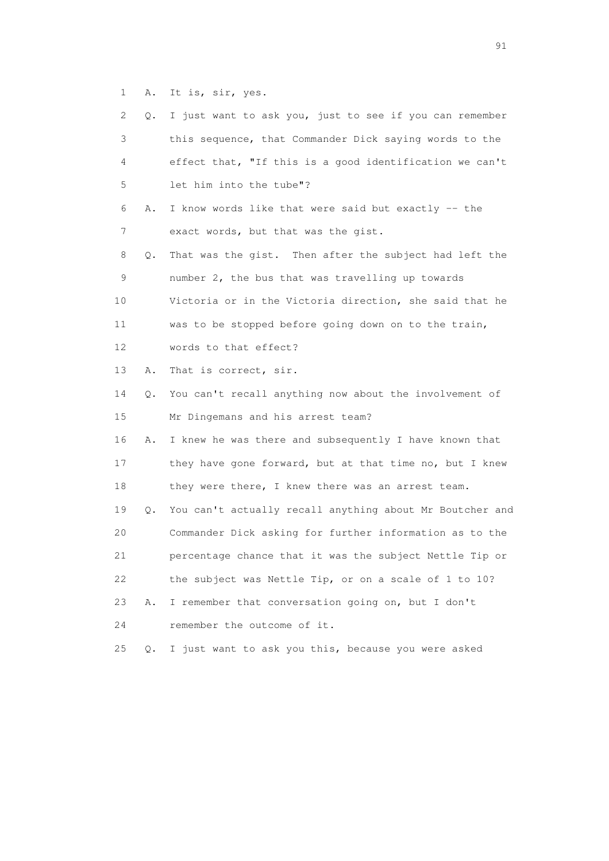1 A. It is, sir, yes.

| 2  | Q.            | I just want to ask you, just to see if you can remember  |
|----|---------------|----------------------------------------------------------|
| 3  |               | this sequence, that Commander Dick saying words to the   |
| 4  |               | effect that, "If this is a good identification we can't  |
| 5  |               | let him into the tube"?                                  |
| 6  | Α.            | I know words like that were said but exactly -- the      |
| 7  |               | exact words, but that was the gist.                      |
| 8  | Q.            | That was the gist. Then after the subject had left the   |
| 9  |               | number 2, the bus that was travelling up towards         |
| 10 |               | Victoria or in the Victoria direction, she said that he  |
| 11 |               | was to be stopped before going down on to the train,     |
| 12 |               | words to that effect?                                    |
| 13 | Α.            | That is correct, sir.                                    |
| 14 | Q.            | You can't recall anything now about the involvement of   |
| 15 |               | Mr Dingemans and his arrest team?                        |
| 16 | Α.            | I knew he was there and subsequently I have known that   |
| 17 |               | they have gone forward, but at that time no, but I knew  |
| 18 |               | they were there, I knew there was an arrest team.        |
| 19 | Q.            | You can't actually recall anything about Mr Boutcher and |
| 20 |               | Commander Dick asking for further information as to the  |
| 21 |               | percentage chance that it was the subject Nettle Tip or  |
| 22 |               | the subject was Nettle Tip, or on a scale of 1 to 10?    |
| 23 | Α.            | I remember that conversation going on, but I don't       |
| 24 |               | remember the outcome of it.                              |
| 25 | $Q_{\bullet}$ | I just want to ask you this, because you were asked      |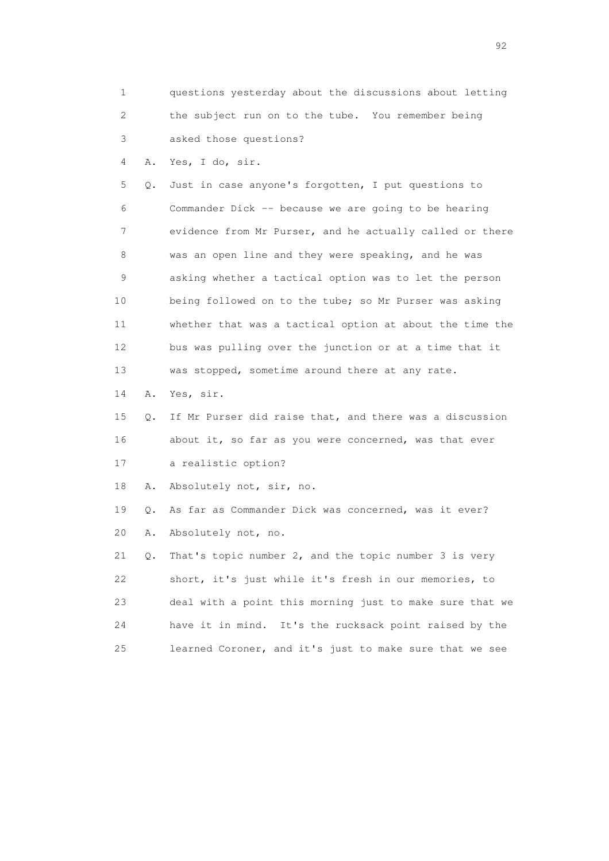1 questions yesterday about the discussions about letting 2 the subject run on to the tube. You remember being 3 asked those questions?

4 A. Yes, I do, sir.

 5 Q. Just in case anyone's forgotten, I put questions to 6 Commander Dick -- because we are going to be hearing 7 evidence from Mr Purser, and he actually called or there 8 was an open line and they were speaking, and he was 9 asking whether a tactical option was to let the person 10 being followed on to the tube; so Mr Purser was asking 11 whether that was a tactical option at about the time the 12 bus was pulling over the junction or at a time that it 13 was stopped, sometime around there at any rate.

14 A. Yes, sir.

 15 Q. If Mr Purser did raise that, and there was a discussion 16 about it, so far as you were concerned, was that ever 17 a realistic option?

18 A. Absolutely not, sir, no.

 19 Q. As far as Commander Dick was concerned, was it ever? 20 A. Absolutely not, no.

 21 Q. That's topic number 2, and the topic number 3 is very 22 short, it's just while it's fresh in our memories, to 23 deal with a point this morning just to make sure that we 24 have it in mind. It's the rucksack point raised by the 25 learned Coroner, and it's just to make sure that we see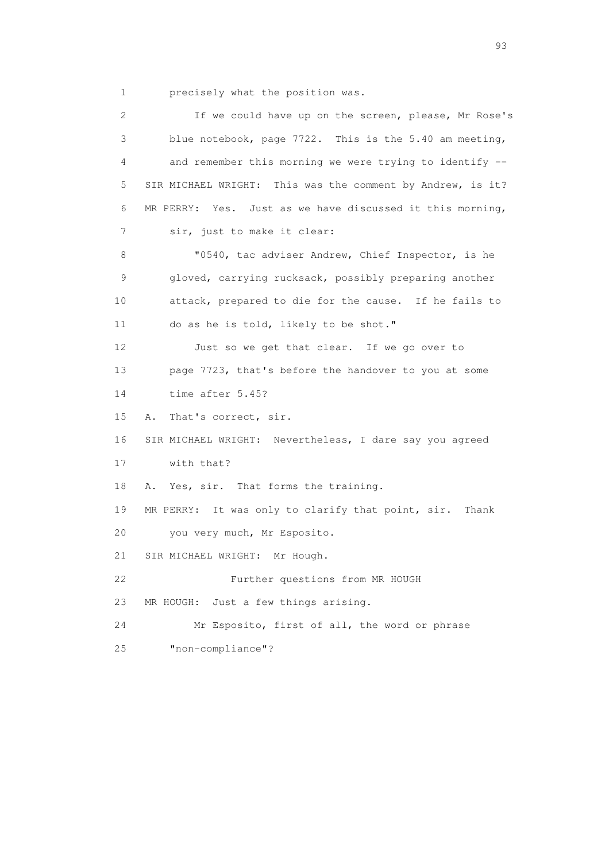1 precisely what the position was.

 2 If we could have up on the screen, please, Mr Rose's 3 blue notebook, page 7722. This is the 5.40 am meeting, 4 and remember this morning we were trying to identify -- 5 SIR MICHAEL WRIGHT: This was the comment by Andrew, is it? 6 MR PERRY: Yes. Just as we have discussed it this morning, 7 sir, just to make it clear: 8 "0540, tac adviser Andrew, Chief Inspector, is he 9 gloved, carrying rucksack, possibly preparing another 10 attack, prepared to die for the cause. If he fails to 11 do as he is told, likely to be shot." 12 Just so we get that clear. If we go over to 13 page 7723, that's before the handover to you at some 14 time after 5.45? 15 A. That's correct, sir. 16 SIR MICHAEL WRIGHT: Nevertheless, I dare say you agreed 17 with that? 18 A. Yes, sir. That forms the training. 19 MR PERRY: It was only to clarify that point, sir. Thank 20 you very much, Mr Esposito. 21 SIR MICHAEL WRIGHT: Mr Hough. 22 Further questions from MR HOUGH 23 MR HOUGH: Just a few things arising. 24 Mr Esposito, first of all, the word or phrase 25 "non-compliance"?

experience of the contract of the contract of the contract of the contract of the contract of the contract of the contract of the contract of the contract of the contract of the contract of the contract of the contract of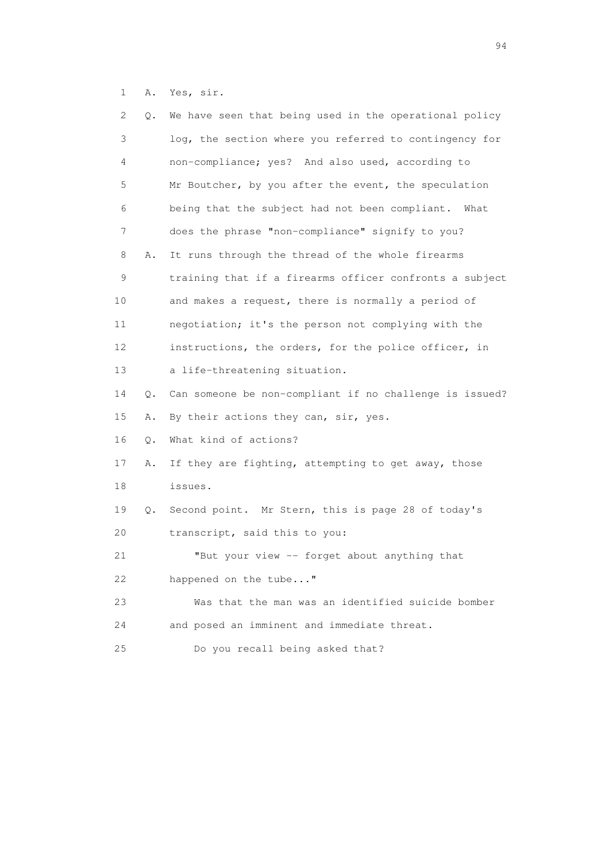1 A. Yes, sir.

| 2  | Q. | We have seen that being used in the operational policy  |
|----|----|---------------------------------------------------------|
| 3  |    | log, the section where you referred to contingency for  |
| 4  |    | non-compliance; yes? And also used, according to        |
| 5  |    | Mr Boutcher, by you after the event, the speculation    |
| 6  |    | being that the subject had not been compliant. What     |
| 7  |    | does the phrase "non-compliance" signify to you?        |
| 8  | Α. | It runs through the thread of the whole firearms        |
| 9  |    | training that if a firearms officer confronts a subject |
| 10 |    | and makes a request, there is normally a period of      |
| 11 |    | negotiation; it's the person not complying with the     |
| 12 |    | instructions, the orders, for the police officer, in    |
| 13 |    | a life-threatening situation.                           |
| 14 | Q. | Can someone be non-compliant if no challenge is issued? |
| 15 | Α. | By their actions they can, sir, yes.                    |
| 16 | Q. | What kind of actions?                                   |
| 17 | Α. | If they are fighting, attempting to get away, those     |
| 18 |    | issues.                                                 |
| 19 | Q. | Second point. Mr Stern, this is page 28 of today's      |
| 20 |    | transcript, said this to you:                           |
| 21 |    | "But your view -- forget about anything that            |
| 22 |    | happened on the tube"                                   |
| 23 |    | Was that the man was an identified suicide bomber       |
| 24 |    | and posed an imminent and immediate threat.             |
| 25 |    | Do you recall being asked that?                         |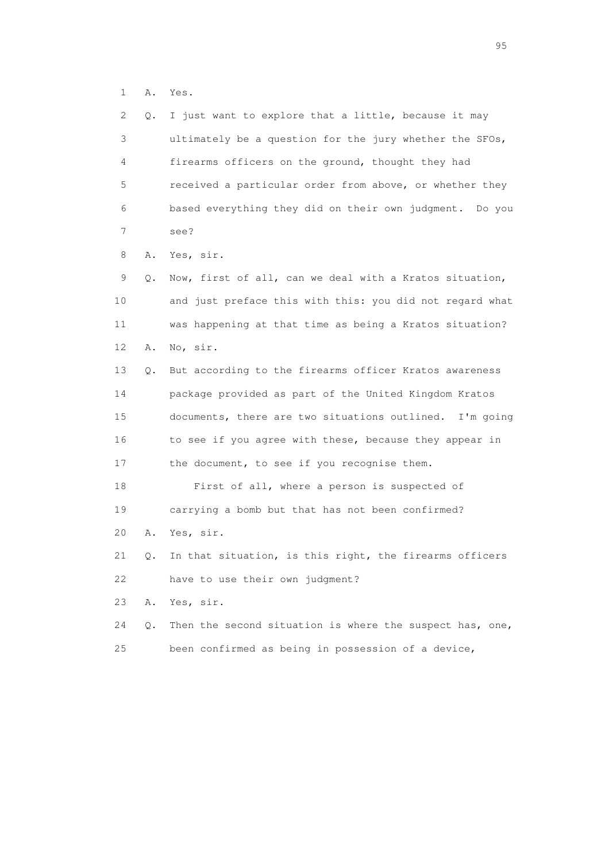1 A. Yes.

| 2  | $\circ$ . | I just want to explore that a little, because it may     |
|----|-----------|----------------------------------------------------------|
| 3  |           | ultimately be a question for the jury whether the SFOs,  |
| 4  |           | firearms officers on the ground, thought they had        |
| 5  |           | received a particular order from above, or whether they  |
| 6  |           | based everything they did on their own judgment. Do you  |
| 7  |           | see?                                                     |
| 8  | Α.        | Yes, sir.                                                |
| 9  | Q.        | Now, first of all, can we deal with a Kratos situation,  |
| 10 |           | and just preface this with this: you did not regard what |
| 11 |           | was happening at that time as being a Kratos situation?  |
| 12 | Α.        | No, sir.                                                 |
| 13 | Q.        | But according to the firearms officer Kratos awareness   |
| 14 |           | package provided as part of the United Kingdom Kratos    |
| 15 |           | documents, there are two situations outlined. I'm going  |
| 16 |           | to see if you agree with these, because they appear in   |
| 17 |           | the document, to see if you recognise them.              |
| 18 |           | First of all, where a person is suspected of             |
| 19 |           | carrying a bomb but that has not been confirmed?         |
| 20 | Α.        | Yes, sir.                                                |
| 21 | Q.        | In that situation, is this right, the firearms officers  |
| 22 |           | have to use their own judgment?                          |
| 23 | Α.        | Yes, sir.                                                |
| 24 | Q.        | Then the second situation is where the suspect has, one, |
| 25 |           | been confirmed as being in possession of a device,       |

experience of the contract of the contract of the contract of the contract of the contract of the contract of the contract of the contract of the contract of the contract of the contract of the contract of the contract of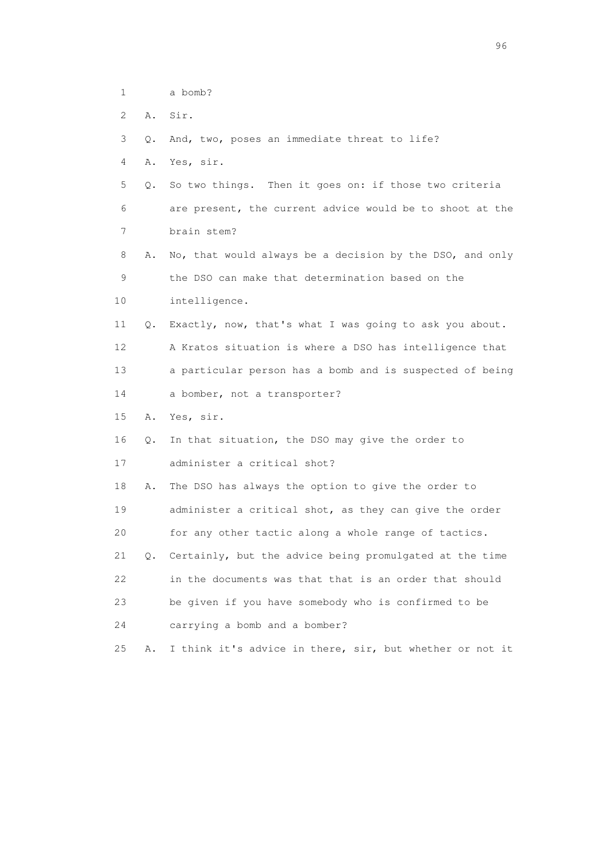| a bomb? |
|---------|
|         |

2 A. Sir.

3 Q. And, two, poses an immediate threat to life?

4 A. Yes, sir.

 5 Q. So two things. Then it goes on: if those two criteria 6 are present, the current advice would be to shoot at the 7 brain stem?

 8 A. No, that would always be a decision by the DSO, and only 9 the DSO can make that determination based on the 10 intelligence.

 11 Q. Exactly, now, that's what I was going to ask you about. 12 A Kratos situation is where a DSO has intelligence that 13 a particular person has a bomb and is suspected of being

14 a bomber, not a transporter?

15 A. Yes, sir.

16 Q. In that situation, the DSO may give the order to

17 administer a critical shot?

 18 A. The DSO has always the option to give the order to 19 administer a critical shot, as they can give the order 20 for any other tactic along a whole range of tactics.

 21 Q. Certainly, but the advice being promulgated at the time 22 in the documents was that that is an order that should 23 be given if you have somebody who is confirmed to be

24 carrying a bomb and a bomber?

25 A. I think it's advice in there, sir, but whether or not it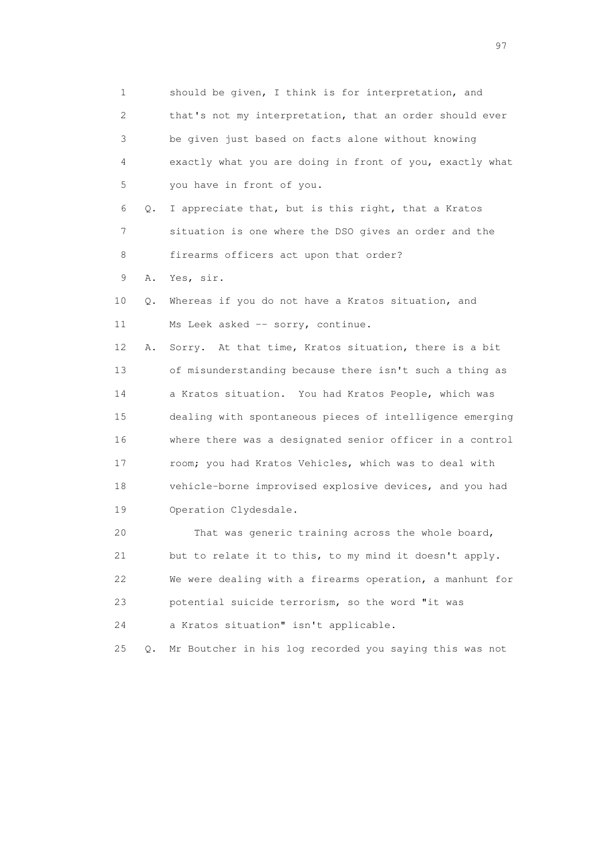1 should be given, I think is for interpretation, and 2 that's not my interpretation, that an order should ever 3 be given just based on facts alone without knowing 4 exactly what you are doing in front of you, exactly what 5 you have in front of you. 6 Q. I appreciate that, but is this right, that a Kratos 7 situation is one where the DSO gives an order and the 8 firearms officers act upon that order? 9 A. Yes, sir. 10 Q. Whereas if you do not have a Kratos situation, and 11 Ms Leek asked -- sorry, continue. 12 A. Sorry. At that time, Kratos situation, there is a bit 13 of misunderstanding because there isn't such a thing as 14 a Kratos situation. You had Kratos People, which was 15 dealing with spontaneous pieces of intelligence emerging 16 where there was a designated senior officer in a control 17 room; you had Kratos Vehicles, which was to deal with 18 vehicle-borne improvised explosive devices, and you had 19 Operation Clydesdale. 20 That was generic training across the whole board, 21 but to relate it to this, to my mind it doesn't apply. 22 We were dealing with a firearms operation, a manhunt for 23 potential suicide terrorism, so the word "it was 24 a Kratos situation" isn't applicable. 25 Q. Mr Boutcher in his log recorded you saying this was not

experience of the contract of the contract of the contract of the contract of the contract of the contract of the contract of the contract of the contract of the contract of the contract of the contract of the contract of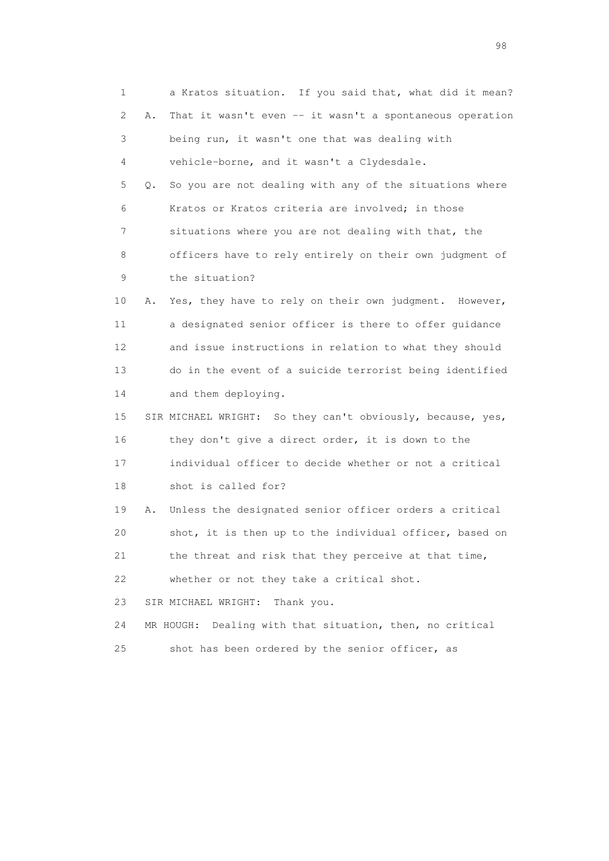1 a Kratos situation. If you said that, what did it mean? 2 A. That it wasn't even -- it wasn't a spontaneous operation 3 being run, it wasn't one that was dealing with 4 vehicle-borne, and it wasn't a Clydesdale. 5 Q. So you are not dealing with any of the situations where 6 Kratos or Kratos criteria are involved; in those 7 situations where you are not dealing with that, the 8 officers have to rely entirely on their own judgment of 9 the situation? 10 A. Yes, they have to rely on their own judgment. However, 11 a designated senior officer is there to offer guidance 12 and issue instructions in relation to what they should 13 do in the event of a suicide terrorist being identified 14 and them deploying. 15 SIR MICHAEL WRIGHT: So they can't obviously, because, yes, 16 they don't give a direct order, it is down to the 17 individual officer to decide whether or not a critical 18 shot is called for? 19 A. Unless the designated senior officer orders a critical 20 shot, it is then up to the individual officer, based on 21 the threat and risk that they perceive at that time, 22 whether or not they take a critical shot. 23 SIR MICHAEL WRIGHT: Thank you. 24 MR HOUGH: Dealing with that situation, then, no critical 25 shot has been ordered by the senior officer, as

en 1988 en 1989 en 1989 en 1989 en 1989 en 1989 en 1989 en 1989 en 1989 en 1989 en 1989 en 1989 en 1989 en 19<br>De grote en 1989 en 1989 en 1989 en 1989 en 1989 en 1989 en 1989 en 1989 en 1989 en 1989 en 1989 en 1989 en 19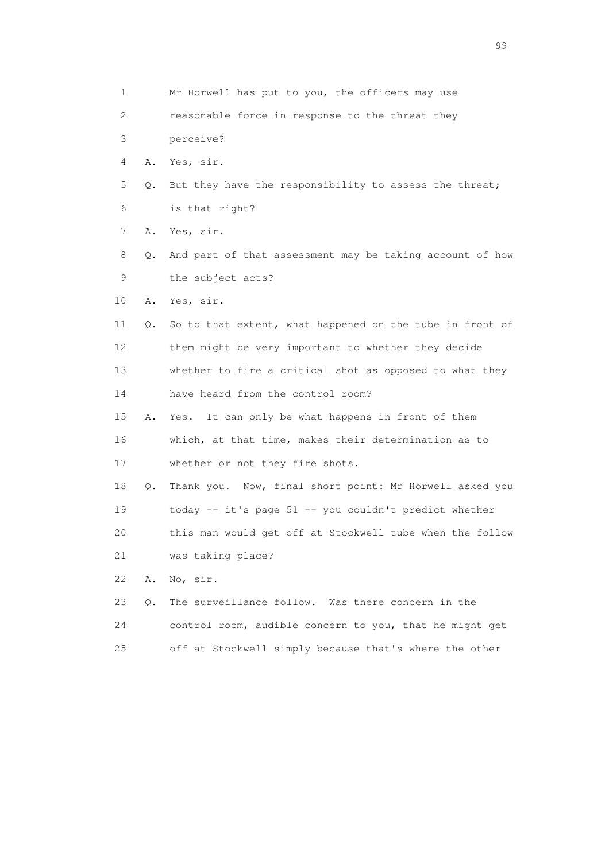| 1  |    | Mr Horwell has put to you, the officers may use          |
|----|----|----------------------------------------------------------|
| 2  |    | reasonable force in response to the threat they          |
| 3  |    | perceive?                                                |
| 4  | Α. | Yes, sir.                                                |
| 5  | Q. | But they have the responsibility to assess the threat;   |
| 6  |    | is that right?                                           |
| 7  | Α. | Yes, sir.                                                |
| 8  | Q. | And part of that assessment may be taking account of how |
| 9  |    | the subject acts?                                        |
| 10 | Α. | Yes, sir.                                                |
| 11 | Q. | So to that extent, what happened on the tube in front of |
| 12 |    | them might be very important to whether they decide      |
| 13 |    | whether to fire a critical shot as opposed to what they  |
| 14 |    | have heard from the control room?                        |
| 15 | Α. | It can only be what happens in front of them<br>Yes.     |
| 16 |    | which, at that time, makes their determination as to     |
| 17 |    | whether or not they fire shots.                          |
| 18 | Q. | Thank you. Now, final short point: Mr Horwell asked you  |
| 19 |    | today -- it's page 51 -- you couldn't predict whether    |
| 20 |    | this man would get off at Stockwell tube when the follow |
| 21 |    | was taking place?                                        |
| 22 | Α. | No, sir.                                                 |
| 23 | Q. | The surveillance follow. Was there concern in the        |
| 24 |    | control room, audible concern to you, that he might get  |
| 25 |    | off at Stockwell simply because that's where the other   |

en de la construction de la construction de la construction de la construction de la construction de la constr<br>1990 : la construction de la construction de la construction de la construction de la construction de la const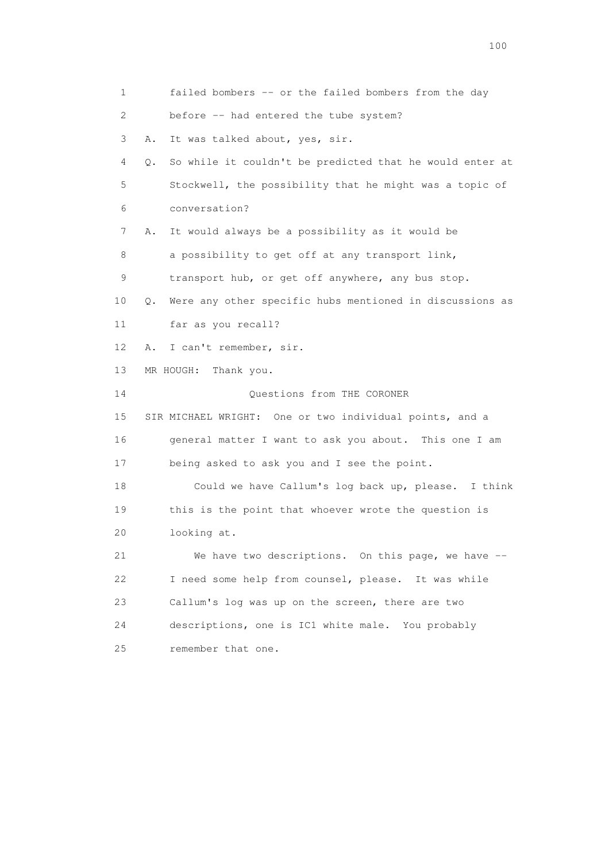1 failed bombers -- or the failed bombers from the day 2 before -- had entered the tube system? 3 A. It was talked about, yes, sir. 4 Q. So while it couldn't be predicted that he would enter at 5 Stockwell, the possibility that he might was a topic of 6 conversation? 7 A. It would always be a possibility as it would be 8 a possibility to get off at any transport link, 9 transport hub, or get off anywhere, any bus stop. 10 Q. Were any other specific hubs mentioned in discussions as 11 far as you recall? 12 A. I can't remember, sir. 13 MR HOUGH: Thank you. 14 Questions from THE CORONER 15 SIR MICHAEL WRIGHT: One or two individual points, and a 16 general matter I want to ask you about. This one I am 17 being asked to ask you and I see the point. 18 Could we have Callum's log back up, please. I think 19 this is the point that whoever wrote the question is 20 looking at. 21 We have two descriptions. On this page, we have -- 22 I need some help from counsel, please. It was while 23 Callum's log was up on the screen, there are two 24 descriptions, one is IC1 white male. You probably 25 remember that one.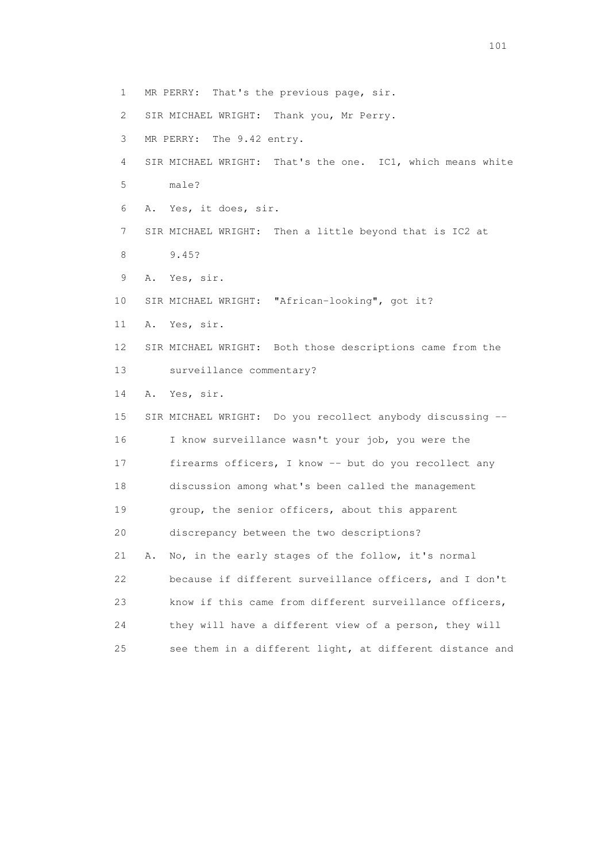1 MR PERRY: That's the previous page, sir. 2 SIR MICHAEL WRIGHT: Thank you, Mr Perry. 3 MR PERRY: The 9.42 entry. 4 SIR MICHAEL WRIGHT: That's the one. IC1, which means white 5 male? 6 A. Yes, it does, sir. 7 SIR MICHAEL WRIGHT: Then a little beyond that is IC2 at 8 9.45? 9 A. Yes, sir. 10 SIR MICHAEL WRIGHT: "African-looking", got it? 11 A. Yes, sir. 12 SIR MICHAEL WRIGHT: Both those descriptions came from the 13 surveillance commentary? 14 A. Yes, sir. 15 SIR MICHAEL WRIGHT: Do you recollect anybody discussing -- 16 I know surveillance wasn't your job, you were the 17 firearms officers, I know -- but do you recollect any 18 discussion among what's been called the management 19 group, the senior officers, about this apparent 20 discrepancy between the two descriptions? 21 A. No, in the early stages of the follow, it's normal 22 because if different surveillance officers, and I don't 23 know if this came from different surveillance officers, 24 they will have a different view of a person, they will 25 see them in a different light, at different distance and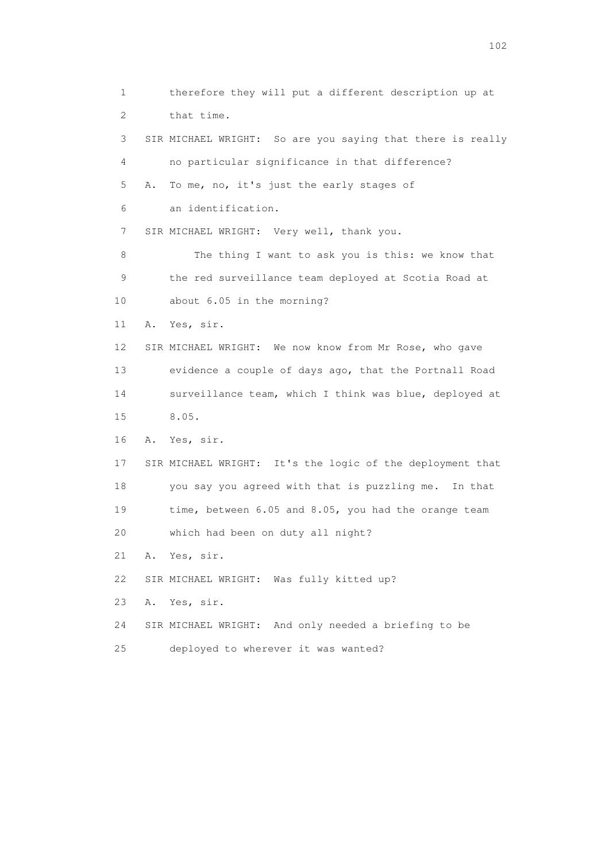1 therefore they will put a different description up at 2 that time. 3 SIR MICHAEL WRIGHT: So are you saying that there is really 4 no particular significance in that difference? 5 A. To me, no, it's just the early stages of 6 an identification. 7 SIR MICHAEL WRIGHT: Very well, thank you. 8 The thing I want to ask you is this: we know that 9 the red surveillance team deployed at Scotia Road at 10 about 6.05 in the morning? 11 A. Yes, sir. 12 SIR MICHAEL WRIGHT: We now know from Mr Rose, who gave 13 evidence a couple of days ago, that the Portnall Road 14 surveillance team, which I think was blue, deployed at 15 8.05. 16 A. Yes, sir. 17 SIR MICHAEL WRIGHT: It's the logic of the deployment that 18 you say you agreed with that is puzzling me. In that 19 time, between 6.05 and 8.05, you had the orange team 20 which had been on duty all night? 21 A. Yes, sir. 22 SIR MICHAEL WRIGHT: Was fully kitted up? 23 A. Yes, sir. 24 SIR MICHAEL WRIGHT: And only needed a briefing to be 25 deployed to wherever it was wanted?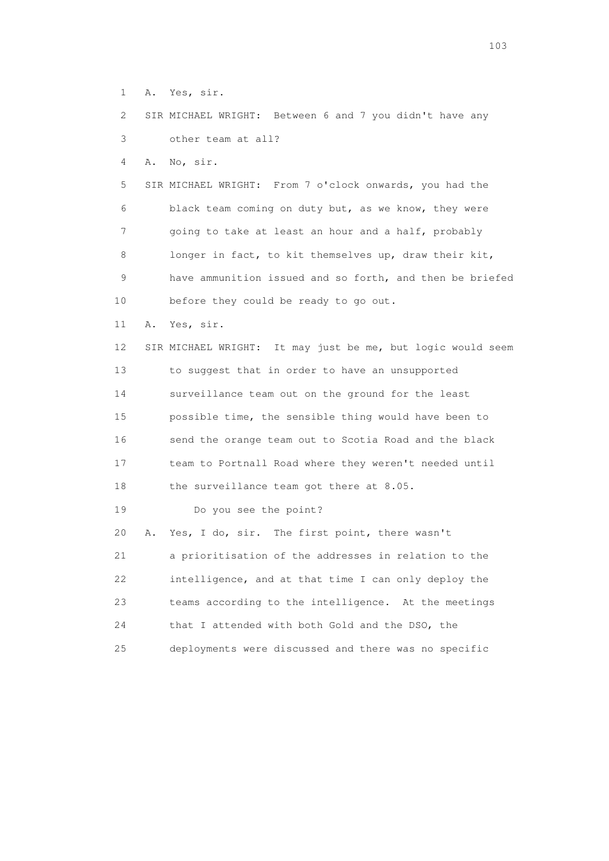1 A. Yes, sir.

 2 SIR MICHAEL WRIGHT: Between 6 and 7 you didn't have any 3 other team at all?

4 A. No, sir.

 5 SIR MICHAEL WRIGHT: From 7 o'clock onwards, you had the 6 black team coming on duty but, as we know, they were 7 going to take at least an hour and a half, probably 8 longer in fact, to kit themselves up, draw their kit, 9 have ammunition issued and so forth, and then be briefed 10 before they could be ready to go out.

11 A. Yes, sir.

 12 SIR MICHAEL WRIGHT: It may just be me, but logic would seem 13 to suggest that in order to have an unsupported 14 surveillance team out on the ground for the least 15 possible time, the sensible thing would have been to 16 send the orange team out to Scotia Road and the black 17 team to Portnall Road where they weren't needed until 18 the surveillance team got there at 8.05.

19 Do you see the point?

 20 A. Yes, I do, sir. The first point, there wasn't 21 a prioritisation of the addresses in relation to the 22 intelligence, and at that time I can only deploy the 23 teams according to the intelligence. At the meetings 24 that I attended with both Gold and the DSO, the 25 deployments were discussed and there was no specific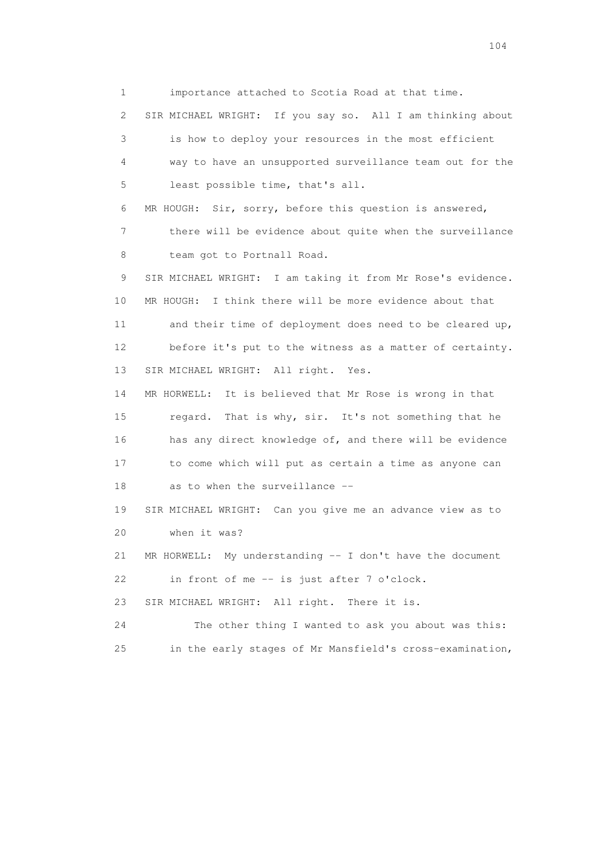1 importance attached to Scotia Road at that time. 2 SIR MICHAEL WRIGHT: If you say so. All I am thinking about 3 is how to deploy your resources in the most efficient 4 way to have an unsupported surveillance team out for the 5 least possible time, that's all. 6 MR HOUGH: Sir, sorry, before this question is answered, 7 there will be evidence about quite when the surveillance 8 team got to Portnall Road. 9 SIR MICHAEL WRIGHT: I am taking it from Mr Rose's evidence. 10 MR HOUGH: I think there will be more evidence about that 11 and their time of deployment does need to be cleared up, 12 before it's put to the witness as a matter of certainty. 13 SIR MICHAEL WRIGHT: All right. Yes. 14 MR HORWELL: It is believed that Mr Rose is wrong in that 15 regard. That is why, sir. It's not something that he 16 has any direct knowledge of, and there will be evidence 17 to come which will put as certain a time as anyone can 18 as to when the surveillance -- 19 SIR MICHAEL WRIGHT: Can you give me an advance view as to 20 when it was? 21 MR HORWELL: My understanding -- I don't have the document 22 in front of me -- is just after 7 o'clock. 23 SIR MICHAEL WRIGHT: All right. There it is.

 24 The other thing I wanted to ask you about was this: 25 in the early stages of Mr Mansfield's cross-examination,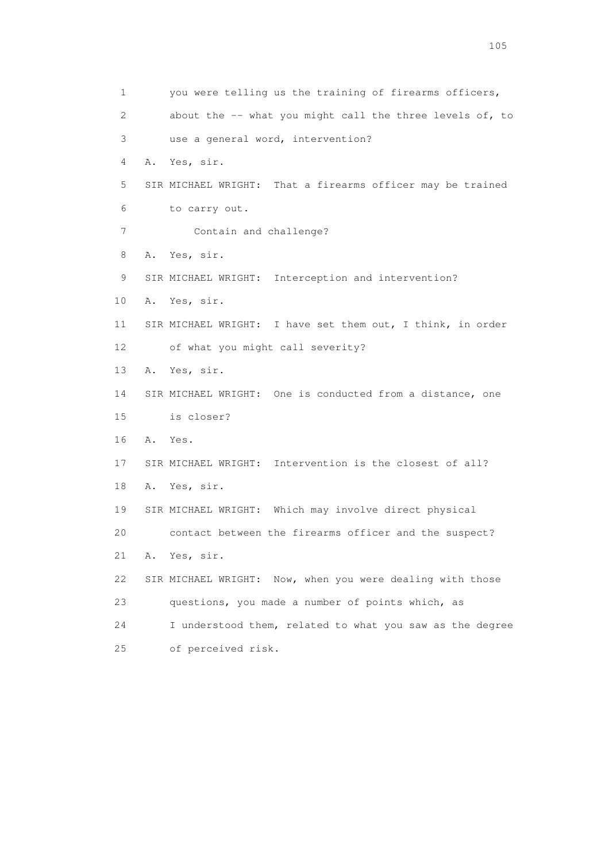1 you were telling us the training of firearms officers, 2 about the -- what you might call the three levels of, to 3 use a general word, intervention? 4 A. Yes, sir. 5 SIR MICHAEL WRIGHT: That a firearms officer may be trained 6 to carry out. 7 Contain and challenge? 8 A. Yes, sir. 9 SIR MICHAEL WRIGHT: Interception and intervention? 10 A. Yes, sir. 11 SIR MICHAEL WRIGHT: I have set them out, I think, in order 12 of what you might call severity? 13 A. Yes, sir. 14 SIR MICHAEL WRIGHT: One is conducted from a distance, one 15 is closer? 16 A. Yes. 17 SIR MICHAEL WRIGHT: Intervention is the closest of all? 18 A. Yes, sir. 19 SIR MICHAEL WRIGHT: Which may involve direct physical 20 contact between the firearms officer and the suspect? 21 A. Yes, sir. 22 SIR MICHAEL WRIGHT: Now, when you were dealing with those 23 questions, you made a number of points which, as 24 I understood them, related to what you saw as the degree 25 of perceived risk.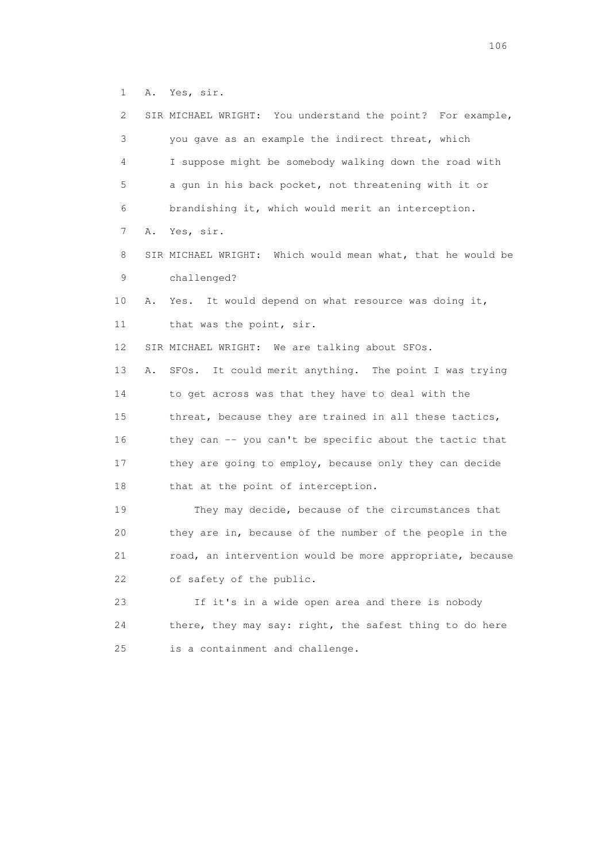1 A. Yes, sir.

| 2  |    | SIR MICHAEL WRIGHT: You understand the point? For example,  |
|----|----|-------------------------------------------------------------|
| 3  |    | you gave as an example the indirect threat, which           |
| 4  |    | I suppose might be somebody walking down the road with      |
| 5  |    | a gun in his back pocket, not threatening with it or        |
| 6  |    | brandishing it, which would merit an interception.          |
| 7  | Α. | Yes, sir.                                                   |
| 8  |    | SIR MICHAEL WRIGHT: Which would mean what, that he would be |
| 9  |    | challenged?                                                 |
| 10 | Α. | It would depend on what resource was doing it,<br>Yes.      |
| 11 |    | that was the point, sir.                                    |
| 12 |    | SIR MICHAEL WRIGHT: We are talking about SFOs.              |
| 13 | Α. | It could merit anything. The point I was trying<br>SFOs.    |
| 14 |    | to get across was that they have to deal with the           |
| 15 |    | threat, because they are trained in all these tactics,      |
| 16 |    | they can -- you can't be specific about the tactic that     |
| 17 |    | they are going to employ, because only they can decide      |
| 18 |    | that at the point of interception.                          |
| 19 |    | They may decide, because of the circumstances that          |
| 20 |    | they are in, because of the number of the people in the     |
| 21 |    | road, an intervention would be more appropriate, because    |
| 22 |    | of safety of the public.                                    |
| 23 |    | If it's in a wide open area and there is nobody             |
| 24 |    | there, they may say: right, the safest thing to do here     |
| 25 |    | is a containment and challenge.                             |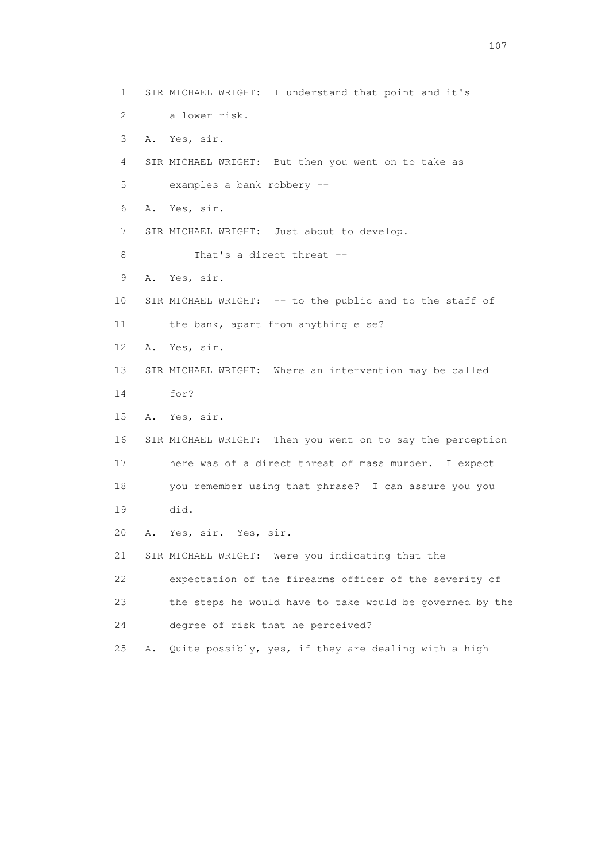1 SIR MICHAEL WRIGHT: I understand that point and it's 2 a lower risk. 3 A. Yes, sir. 4 SIR MICHAEL WRIGHT: But then you went on to take as 5 examples a bank robbery -- 6 A. Yes, sir. 7 SIR MICHAEL WRIGHT: Just about to develop. 8 That's a direct threat -- 9 A. Yes, sir. 10 SIR MICHAEL WRIGHT: -- to the public and to the staff of 11 the bank, apart from anything else? 12 A. Yes, sir. 13 SIR MICHAEL WRIGHT: Where an intervention may be called 14 for? 15 A. Yes, sir. 16 SIR MICHAEL WRIGHT: Then you went on to say the perception 17 here was of a direct threat of mass murder. I expect 18 you remember using that phrase? I can assure you you 19 did. 20 A. Yes, sir. Yes, sir. 21 SIR MICHAEL WRIGHT: Were you indicating that the 22 expectation of the firearms officer of the severity of 23 the steps he would have to take would be governed by the 24 degree of risk that he perceived? 25 A. Quite possibly, yes, if they are dealing with a high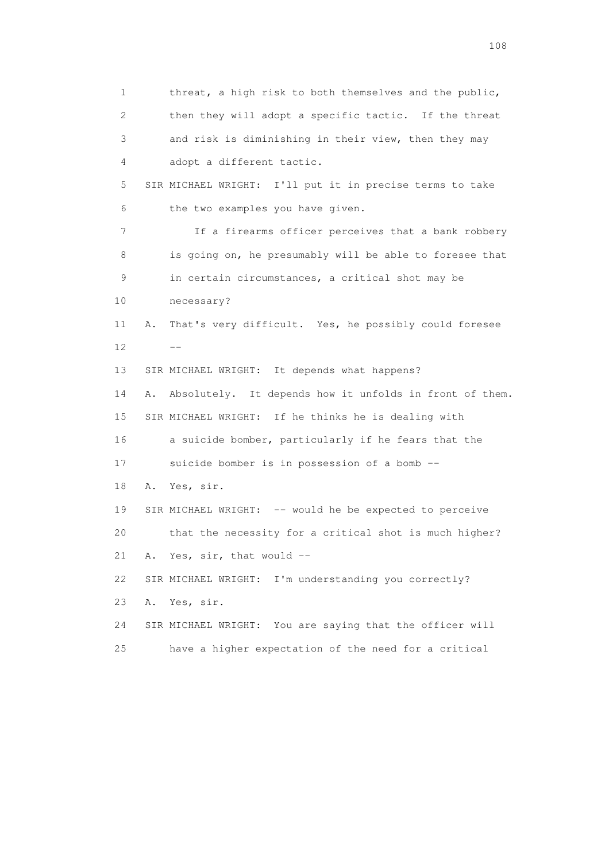1 threat, a high risk to both themselves and the public, 2 then they will adopt a specific tactic. If the threat 3 and risk is diminishing in their view, then they may 4 adopt a different tactic. 5 SIR MICHAEL WRIGHT: I'll put it in precise terms to take 6 the two examples you have given. 7 If a firearms officer perceives that a bank robbery 8 is going on, he presumably will be able to foresee that 9 in certain circumstances, a critical shot may be 10 necessary? 11 A. That's very difficult. Yes, he possibly could foresee  $12$   $-$  13 SIR MICHAEL WRIGHT: It depends what happens? 14 A. Absolutely. It depends how it unfolds in front of them. 15 SIR MICHAEL WRIGHT: If he thinks he is dealing with 16 a suicide bomber, particularly if he fears that the 17 suicide bomber is in possession of a bomb -- 18 A. Yes, sir. 19 SIR MICHAEL WRIGHT: -- would he be expected to perceive 20 that the necessity for a critical shot is much higher? 21 A. Yes, sir, that would -- 22 SIR MICHAEL WRIGHT: I'm understanding you correctly? 23 A. Yes, sir. 24 SIR MICHAEL WRIGHT: You are saying that the officer will 25 have a higher expectation of the need for a critical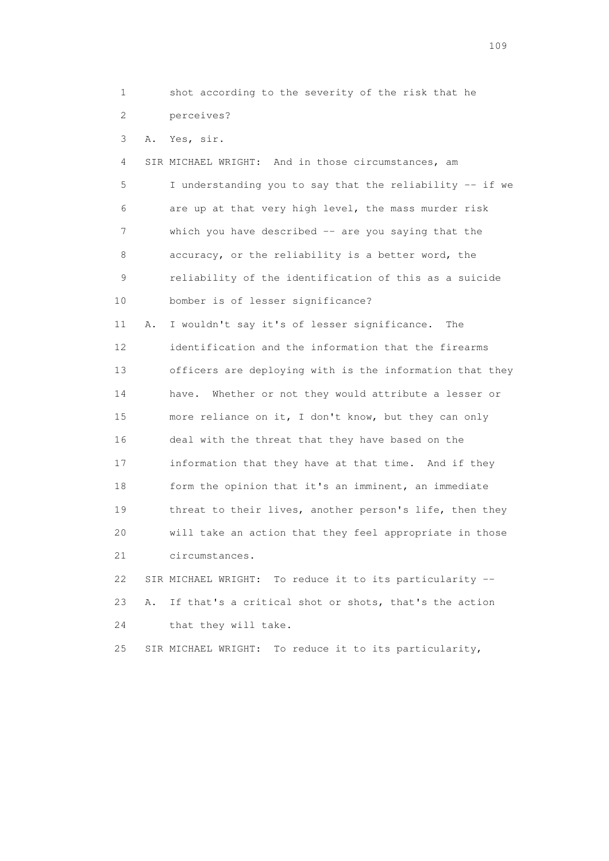1 shot according to the severity of the risk that he 2 perceives?

3 A. Yes, sir.

 4 SIR MICHAEL WRIGHT: And in those circumstances, am 5 I understanding you to say that the reliability -- if we 6 are up at that very high level, the mass murder risk 7 which you have described -- are you saying that the 8 accuracy, or the reliability is a better word, the 9 reliability of the identification of this as a suicide 10 bomber is of lesser significance? 11 A. I wouldn't say it's of lesser significance. The 12 identification and the information that the firearms 13 officers are deploying with is the information that they 14 have. Whether or not they would attribute a lesser or 15 more reliance on it, I don't know, but they can only 16 deal with the threat that they have based on the 17 information that they have at that time. And if they 18 form the opinion that it's an imminent, an immediate 19 threat to their lives, another person's life, then they 20 will take an action that they feel appropriate in those 21 circumstances. 22 SIR MICHAEL WRIGHT: To reduce it to its particularity --

 23 A. If that's a critical shot or shots, that's the action 24 that they will take.

25 SIR MICHAEL WRIGHT: To reduce it to its particularity,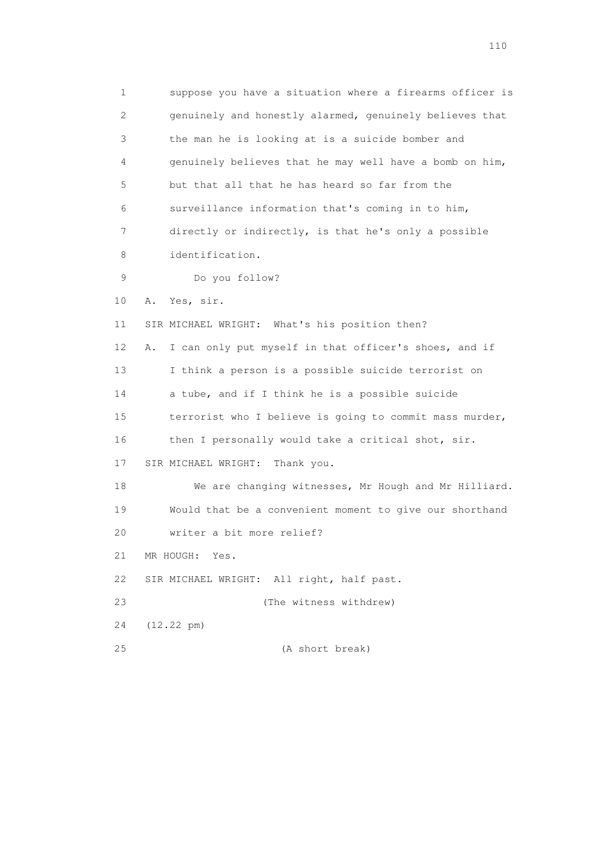1 suppose you have a situation where a firearms officer is 2 genuinely and honestly alarmed, genuinely believes that 3 the man he is looking at is a suicide bomber and 4 genuinely believes that he may well have a bomb on him, 5 but that all that he has heard so far from the 6 surveillance information that's coming in to him, 7 directly or indirectly, is that he's only a possible 8 identification. 9 Do you follow? 10 A. Yes, sir. 11 SIR MICHAEL WRIGHT: What's his position then? 12 A. I can only put myself in that officer's shoes, and if 13 I think a person is a possible suicide terrorist on 14 a tube, and if I think he is a possible suicide 15 terrorist who I believe is going to commit mass murder, 16 then I personally would take a critical shot, sir. 17 SIR MICHAEL WRIGHT: Thank you. 18 We are changing witnesses, Mr Hough and Mr Hilliard. 19 Would that be a convenient moment to give our shorthand 20 writer a bit more relief? 21 MR HOUGH: Yes. 22 SIR MICHAEL WRIGHT: All right, half past. 23 (The witness withdrew) 24 (12.22 pm) 25 (A short break)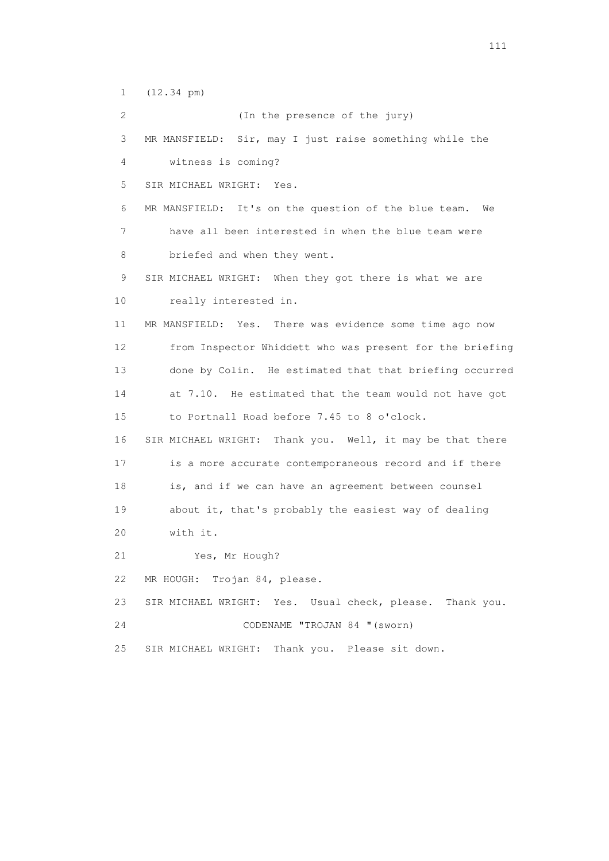1 (12.34 pm)

 2 (In the presence of the jury) 3 MR MANSFIELD: Sir, may I just raise something while the 4 witness is coming? 5 SIR MICHAEL WRIGHT: Yes. 6 MR MANSFIELD: It's on the question of the blue team. We 7 have all been interested in when the blue team were 8 briefed and when they went. 9 SIR MICHAEL WRIGHT: When they got there is what we are 10 really interested in. 11 MR MANSFIELD: Yes. There was evidence some time ago now 12 from Inspector Whiddett who was present for the briefing 13 done by Colin. He estimated that that briefing occurred 14 at 7.10. He estimated that the team would not have got 15 to Portnall Road before 7.45 to 8 o'clock. 16 SIR MICHAEL WRIGHT: Thank you. Well, it may be that there 17 is a more accurate contemporaneous record and if there 18 is, and if we can have an agreement between counsel 19 about it, that's probably the easiest way of dealing 20 with it. 21 Yes, Mr Hough? 22 MR HOUGH: Trojan 84, please. 23 SIR MICHAEL WRIGHT: Yes. Usual check, please. Thank you. 24 CODENAME "TROJAN 84 "(sworn) 25 SIR MICHAEL WRIGHT: Thank you. Please sit down.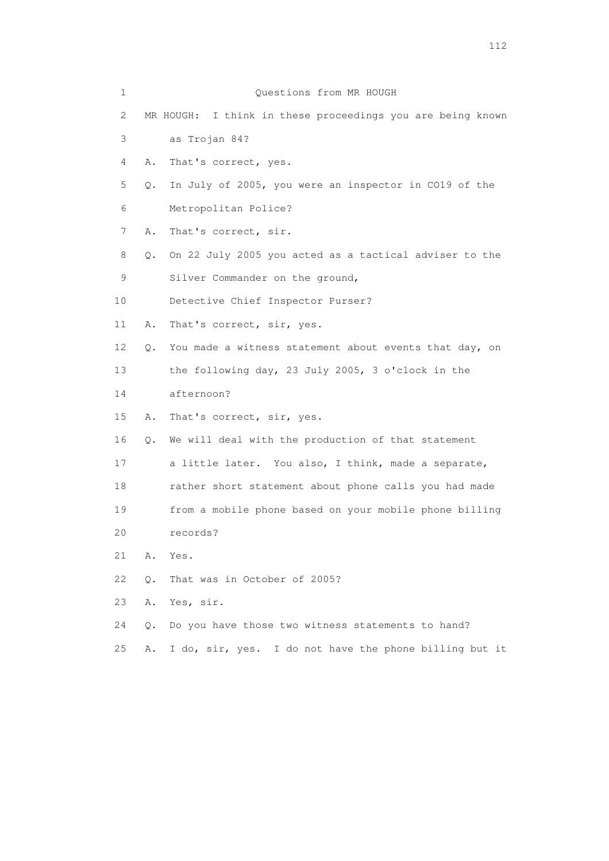| 1  |               | Questions from MR HOUGH                                    |
|----|---------------|------------------------------------------------------------|
| 2  |               | MR HOUGH: I think in these proceedings you are being known |
| 3  |               | as Trojan 84?                                              |
| 4  | Α.            | That's correct, yes.                                       |
| 5  | $Q_{\bullet}$ | In July of 2005, you were an inspector in CO19 of the      |
| 6  |               | Metropolitan Police?                                       |
| 7  | Α.            | That's correct, sir.                                       |
| 8  | Q.            | On 22 July 2005 you acted as a tactical adviser to the     |
| 9  |               | Silver Commander on the ground,                            |
| 10 |               | Detective Chief Inspector Purser?                          |
| 11 | Α.            | That's correct, sir, yes.                                  |
| 12 | О.            | You made a witness statement about events that day, on     |
| 13 |               | the following day, 23 July 2005, 3 o'clock in the          |
| 14 |               | afternoon?                                                 |
| 15 | Α.            | That's correct, sir, yes.                                  |
| 16 | Q.            | We will deal with the production of that statement         |
| 17 |               | a little later. You also, I think, made a separate,        |
| 18 |               | rather short statement about phone calls you had made      |
| 19 |               | from a mobile phone based on your mobile phone billing     |
| 20 |               | records?                                                   |
| 21 | Α.            | Yes.                                                       |
| 22 | О.            | That was in October of 2005?                               |
| 23 | Α.            | Yes, sir.                                                  |
| 24 | О.            | Do you have those two witness statements to hand?          |
|    |               |                                                            |

25 A. I do, sir, yes. I do not have the phone billing but it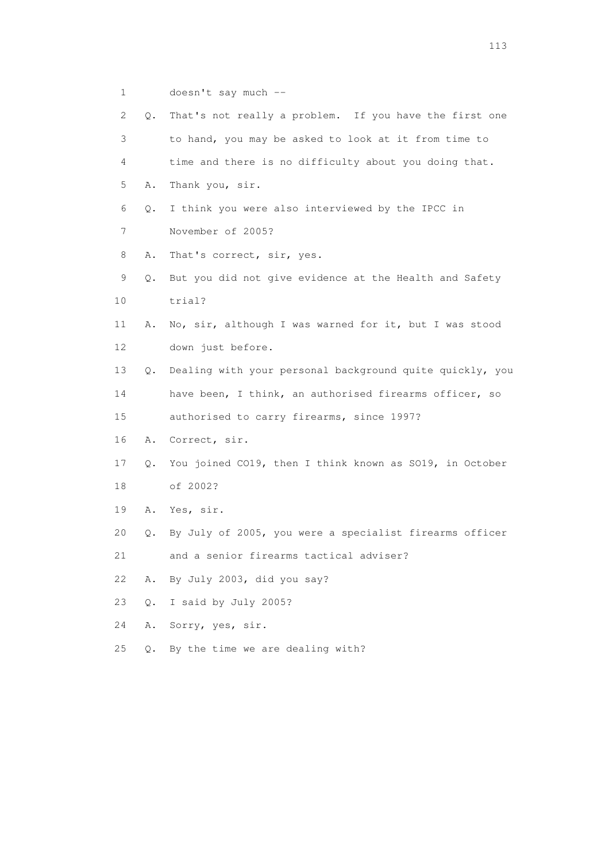1 doesn't say much --

| $\mathbf{2}^{\mathsf{I}}$ | Q. | That's not really a problem. If you have the first one   |
|---------------------------|----|----------------------------------------------------------|
| 3                         |    | to hand, you may be asked to look at it from time to     |
| $\overline{4}$            |    | time and there is no difficulty about you doing that.    |
| 5                         | Α. | Thank you, sir.                                          |
| 6                         | Q. | I think you were also interviewed by the IPCC in         |
| 7                         |    | November of 2005?                                        |
| 8                         | Α. | That's correct, sir, yes.                                |
| 9                         | Q. | But you did not give evidence at the Health and Safety   |
| 10                        |    | trial?                                                   |
| 11                        | Α. | No, sir, although I was warned for it, but I was stood   |
| 12                        |    | down just before.                                        |
| 13                        | 0. | Dealing with your personal background quite quickly, you |
| 14                        |    | have been, I think, an authorised firearms officer, so   |
| 15                        |    | authorised to carry firearms, since 1997?                |
| 16                        | Α. | Correct, sir.                                            |
| 17                        | Q. | You joined CO19, then I think known as SO19, in October  |
| 18                        |    | of 2002?                                                 |
| 19                        | Α. | Yes, sir.                                                |
| 20                        | Q. | By July of 2005, you were a specialist firearms officer  |
| 21                        |    | and a senior firearms tactical adviser?                  |
| 22                        | Α. | By July 2003, did you say?                               |
| 23                        | Q. | I said by July 2005?                                     |
| 24                        | Α. | Sorry, yes, sir.                                         |

25 Q. By the time we are dealing with?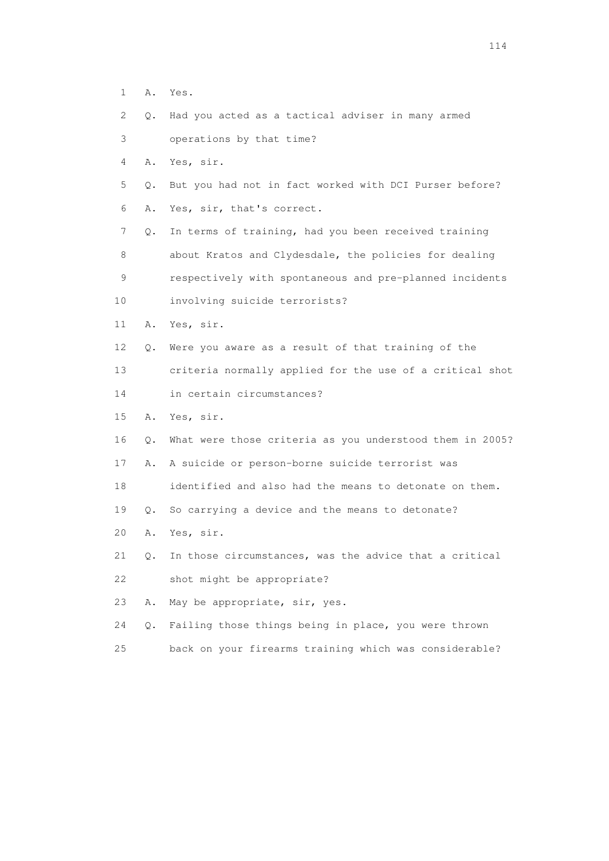- 1 A. Yes.
- 2 Q. Had you acted as a tactical adviser in many armed
- 3 operations by that time?
- 4 A. Yes, sir.
- 5 Q. But you had not in fact worked with DCI Purser before?
- 6 A. Yes, sir, that's correct.

 7 Q. In terms of training, had you been received training 8 about Kratos and Clydesdale, the policies for dealing 9 respectively with spontaneous and pre-planned incidents

- 10 involving suicide terrorists?
- 11 A. Yes, sir.
- 12 Q. Were you aware as a result of that training of the
- 13 criteria normally applied for the use of a critical shot
- 14 in certain circumstances?
- 15 A. Yes, sir.
- 16 Q. What were those criteria as you understood them in 2005?
- 17 A. A suicide or person-borne suicide terrorist was
- 18 identified and also had the means to detonate on them.
- 19 Q. So carrying a device and the means to detonate?
- 20 A. Yes, sir.
- 21 Q. In those circumstances, was the advice that a critical 22 shot might be appropriate?
- 23 A. May be appropriate, sir, yes.
- 24 Q. Failing those things being in place, you were thrown
- 25 back on your firearms training which was considerable?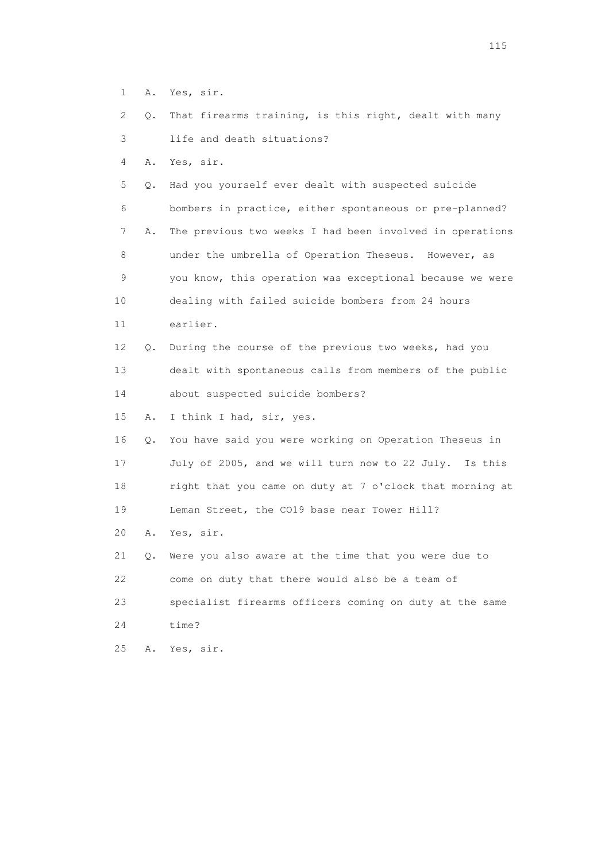- 1 A. Yes, sir.
- 2 Q. That firearms training, is this right, dealt with many 3 life and death situations?
- 4 A. Yes, sir.

 5 Q. Had you yourself ever dealt with suspected suicide 6 bombers in practice, either spontaneous or pre-planned? 7 A. The previous two weeks I had been involved in operations 8 under the umbrella of Operation Theseus. However, as 9 you know, this operation was exceptional because we were 10 dealing with failed suicide bombers from 24 hours 11 earlier. 12 Q. During the course of the previous two weeks, had you

 13 dealt with spontaneous calls from members of the public 14 about suspected suicide bombers?

15 A. I think I had, sir, yes.

 16 Q. You have said you were working on Operation Theseus in 17 July of 2005, and we will turn now to 22 July. Is this 18 right that you came on duty at 7 o'clock that morning at 19 Leman Street, the CO19 base near Tower Hill?

20 A. Yes, sir.

 21 Q. Were you also aware at the time that you were due to 22 come on duty that there would also be a team of 23 specialist firearms officers coming on duty at the same 24 time?

25 A. Yes, sir.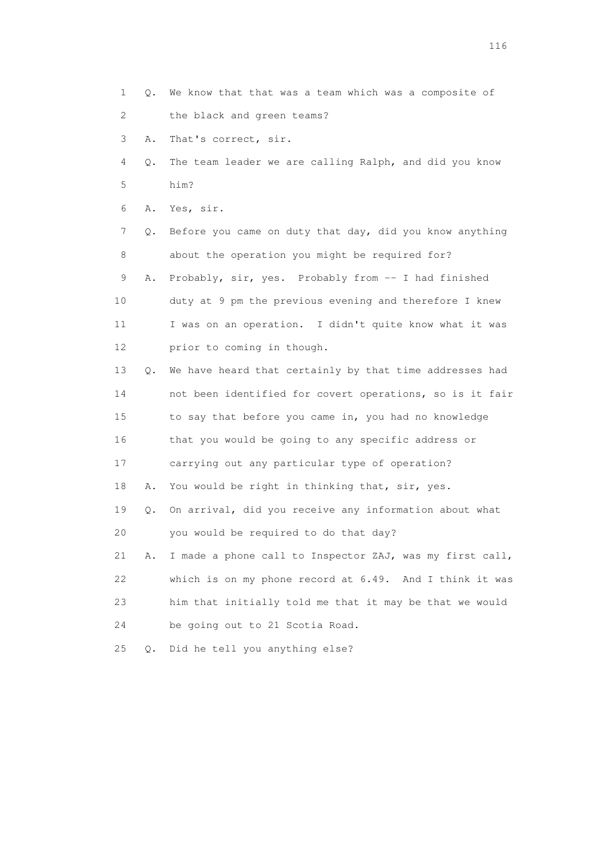- 1 Q. We know that that was a team which was a composite of 2 the black and green teams?
- 3 A. That's correct, sir.
- 4 Q. The team leader we are calling Ralph, and did you know 5 him?
- 6 A. Yes, sir.

 7 Q. Before you came on duty that day, did you know anything 8 about the operation you might be required for?

9 A. Probably, sir, yes. Probably from -- I had finished 10 duty at 9 pm the previous evening and therefore I knew 11 I was on an operation. I didn't quite know what it was 12 prior to coming in though.

 13 Q. We have heard that certainly by that time addresses had 14 not been identified for covert operations, so is it fair 15 to say that before you came in, you had no knowledge 16 that you would be going to any specific address or 17 carrying out any particular type of operation? 18 A. You would be right in thinking that, sir, yes. 19 Q. On arrival, did you receive any information about what

20 you would be required to do that day?

 21 A. I made a phone call to Inspector ZAJ, was my first call, 22 which is on my phone record at 6.49. And I think it was 23 him that initially told me that it may be that we would 24 be going out to 21 Scotia Road.

25 Q. Did he tell you anything else?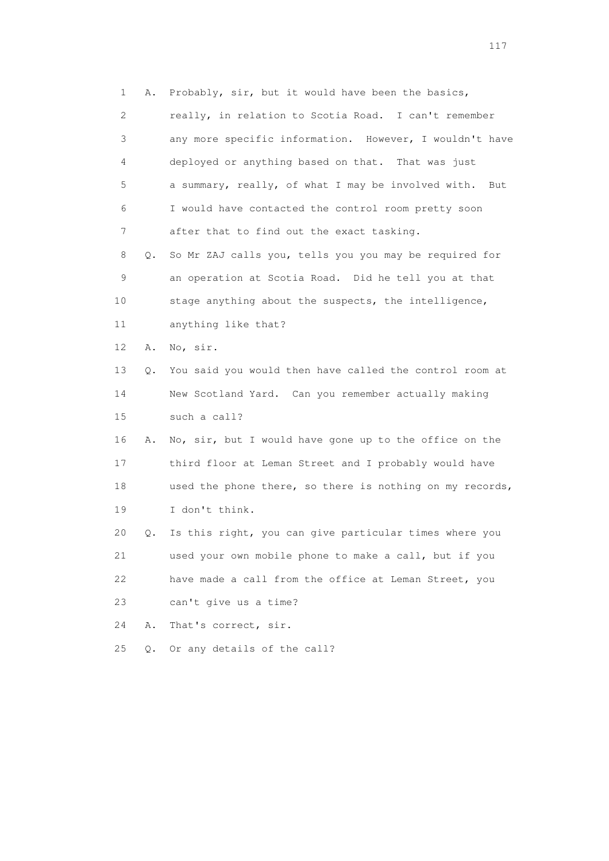1 A. Probably, sir, but it would have been the basics, 2 really, in relation to Scotia Road. I can't remember 3 any more specific information. However, I wouldn't have 4 deployed or anything based on that. That was just 5 a summary, really, of what I may be involved with. But 6 I would have contacted the control room pretty soon 7 after that to find out the exact tasking. 8 Q. So Mr ZAJ calls you, tells you you may be required for 9 an operation at Scotia Road. Did he tell you at that 10 stage anything about the suspects, the intelligence, 11 anything like that? 12 A. No, sir. 13 Q. You said you would then have called the control room at 14 New Scotland Yard. Can you remember actually making 15 such a call? 16 A. No, sir, but I would have gone up to the office on the 17 third floor at Leman Street and I probably would have 18 used the phone there, so there is nothing on my records, 19 I don't think. 20 Q. Is this right, you can give particular times where you 21 used your own mobile phone to make a call, but if you 22 have made a call from the office at Leman Street, you 23 can't give us a time? 24 A. That's correct, sir. 25 Q. Or any details of the call?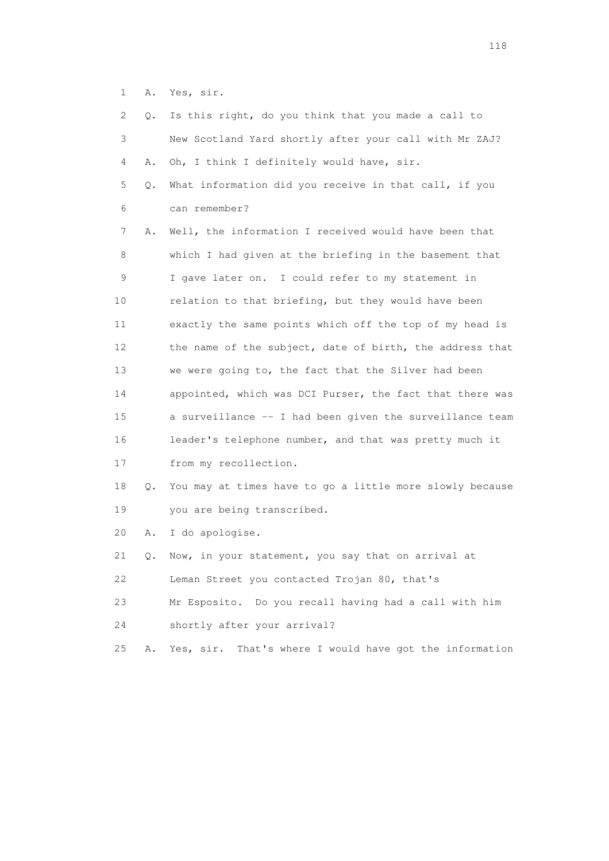1 A. Yes, sir.

| 2. | Q. | Is this right, do you think that you made a call to        |
|----|----|------------------------------------------------------------|
| 3  |    | New Scotland Yard shortly after your call with Mr ZAJ?     |
| 4  | Α. | Oh, I think I definitely would have, sir.                  |
| 5  | Q. | What information did you receive in that call, if you      |
| 6  |    | can remember?                                              |
| 7  | Α. | Well, the information I received would have been that      |
| 8  |    | which I had given at the briefing in the basement that     |
| 9  |    | I gave later on. I could refer to my statement in          |
| 10 |    | relation to that briefing, but they would have been        |
| 11 |    | exactly the same points which off the top of my head is    |
| 12 |    | the name of the subject, date of birth, the address that   |
| 13 |    | we were going to, the fact that the Silver had been        |
| 14 |    | appointed, which was DCI Purser, the fact that there was   |
| 15 |    | a surveillance -- I had been given the surveillance team   |
| 16 |    | leader's telephone number, and that was pretty much it     |
| 17 |    | from my recollection.                                      |
| 18 | Q. | You may at times have to go a little more slowly because   |
| 19 |    | you are being transcribed.                                 |
| 20 | Α. | I do apologise.                                            |
| 21 | Q. | Now, in your statement, you say that on arrival at         |
| 22 |    | Leman Street you contacted Trojan 80, that's               |
| 23 |    | Mr Esposito.<br>Do you recall having had a call with him   |
| 24 |    | shortly after your arrival?                                |
| 25 | Α. | That's where I would have got the information<br>Yes, sir. |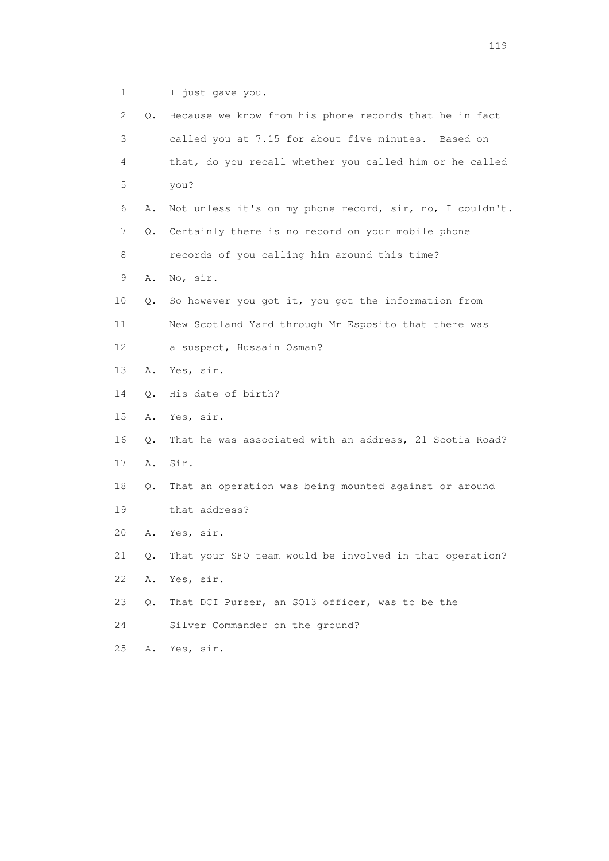1 I just gave you.

| 2  | Q.    | Because we know from his phone records that he in fact   |
|----|-------|----------------------------------------------------------|
| 3  |       | called you at 7.15 for about five minutes. Based on      |
| 4  |       | that, do you recall whether you called him or he called  |
| 5  |       | you?                                                     |
| 6  | Α.    | Not unless it's on my phone record, sir, no, I couldn't. |
| 7  | О.    | Certainly there is no record on your mobile phone        |
| 8  |       | records of you calling him around this time?             |
| 9  | Α.    | No, sir.                                                 |
| 10 | Q.    | So however you got it, you got the information from      |
| 11 |       | New Scotland Yard through Mr Esposito that there was     |
| 12 |       | a suspect, Hussain Osman?                                |
| 13 | Α.    | Yes, sir.                                                |
| 14 | Q.    | His date of birth?                                       |
| 15 | Α.    | Yes, sir.                                                |
| 16 | О.    | That he was associated with an address, 21 Scotia Road?  |
| 17 | Α.    | Sir.                                                     |
| 18 | Q.    | That an operation was being mounted against or around    |
| 19 |       | that address?                                            |
| 20 | Α.    | Yes, sir.                                                |
| 21 | Q.    | That your SFO team would be involved in that operation?  |
| 22 | Α.    | Yes, sir.                                                |
| 23 | $Q$ . | That DCI Purser, an SO13 officer, was to be the          |
| 24 |       | Silver Commander on the ground?                          |
| 25 | Α.    | Yes, sir.                                                |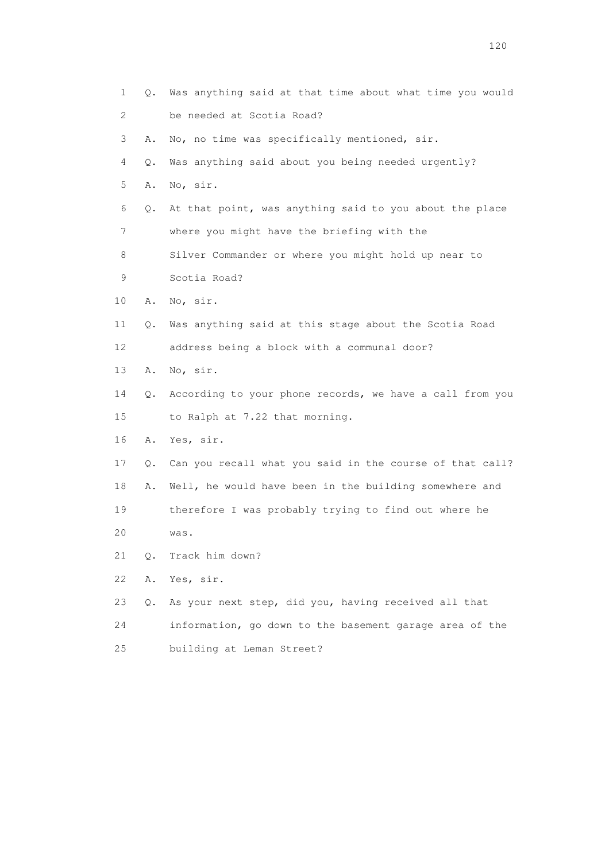1 Q. Was anything said at that time about what time you would 2 be needed at Scotia Road? 3 A. No, no time was specifically mentioned, sir. 4 Q. Was anything said about you being needed urgently? 5 A. No, sir. 6 Q. At that point, was anything said to you about the place 7 where you might have the briefing with the 8 Silver Commander or where you might hold up near to 9 Scotia Road? 10 A. No, sir. 11 Q. Was anything said at this stage about the Scotia Road 12 address being a block with a communal door? 13 A. No, sir. 14 Q. According to your phone records, we have a call from you 15 to Ralph at 7.22 that morning. 16 A. Yes, sir. 17 Q. Can you recall what you said in the course of that call? 18 A. Well, he would have been in the building somewhere and 19 therefore I was probably trying to find out where he 20 was. 21 Q. Track him down? 22 A. Yes, sir. 23 Q. As your next step, did you, having received all that 24 information, go down to the basement garage area of the 25 building at Leman Street?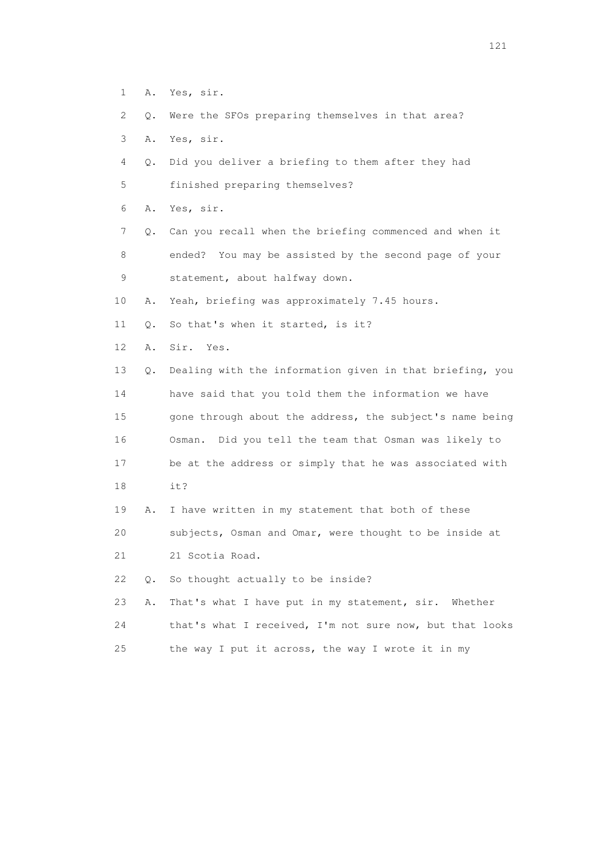- 1 A. Yes, sir.
- 2 Q. Were the SFOs preparing themselves in that area?
- 3 A. Yes, sir.
- 4 Q. Did you deliver a briefing to them after they had
- 5 finished preparing themselves?
- 6 A. Yes, sir.
- 7 Q. Can you recall when the briefing commenced and when it 8 ended? You may be assisted by the second page of your 9 statement, about halfway down.
- 10 A. Yeah, briefing was approximately 7.45 hours.
- 11 Q. So that's when it started, is it?
- 12 A. Sir. Yes.
- 13 Q. Dealing with the information given in that briefing, you 14 have said that you told them the information we have 15 gone through about the address, the subject's name being 16 Osman. Did you tell the team that Osman was likely to 17 be at the address or simply that he was associated with 18 it?
- 19 A. I have written in my statement that both of these 20 subjects, Osman and Omar, were thought to be inside at
- 21 21 Scotia Road.
- 22 Q. So thought actually to be inside?
- 23 A. That's what I have put in my statement, sir. Whether 24 that's what I received, I'm not sure now, but that looks 25 the way I put it across, the way I wrote it in my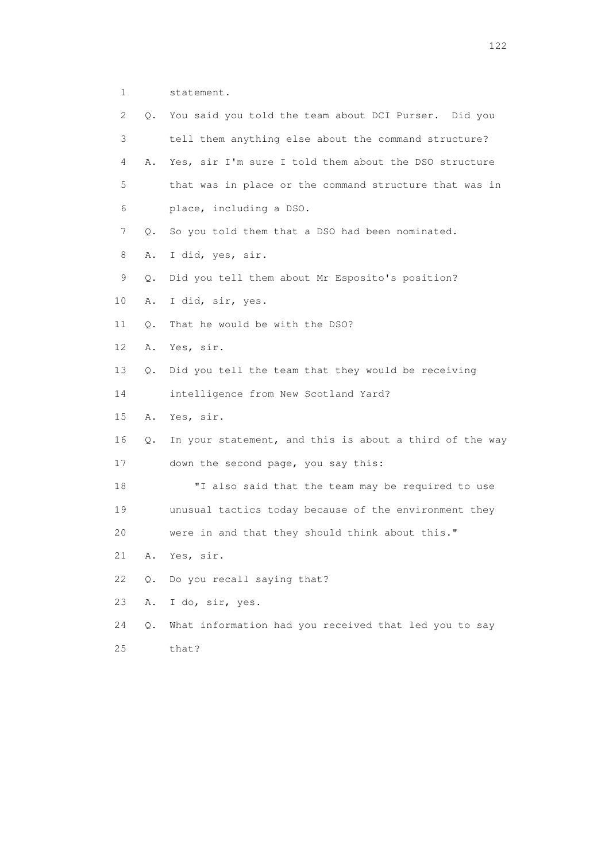1 statement.

| 2  | Q.        | You said you told the team about DCI Purser. Did you    |
|----|-----------|---------------------------------------------------------|
| 3  |           | tell them anything else about the command structure?    |
| 4  | Α.        | Yes, sir I'm sure I told them about the DSO structure   |
| 5  |           | that was in place or the command structure that was in  |
| 6  |           | place, including a DSO.                                 |
| 7  | Q.        | So you told them that a DSO had been nominated.         |
| 8  | Α.        | I did, yes, sir.                                        |
| 9  | Q.        | Did you tell them about Mr Esposito's position?         |
| 10 | Α.        | I did, sir, yes.                                        |
| 11 | Q.        | That he would be with the DSO?                          |
| 12 | Α.        | Yes, sir.                                               |
| 13 | Q.        | Did you tell the team that they would be receiving      |
| 14 |           | intelligence from New Scotland Yard?                    |
| 15 | Α.        | Yes, sir.                                               |
| 16 | Q.        | In your statement, and this is about a third of the way |
| 17 |           | down the second page, you say this:                     |
| 18 |           | "I also said that the team may be required to use       |
| 19 |           | unusual tactics today because of the environment they   |
| 20 |           | were in and that they should think about this."         |
| 21 | Α.        | Yes, sir.                                               |
| 22 | $\circ$ . | Do you recall saying that?                              |
| 23 | Α.        | I do, sir, yes.                                         |
| 24 | Q.        | What information had you received that led you to say   |
| 25 |           | that?                                                   |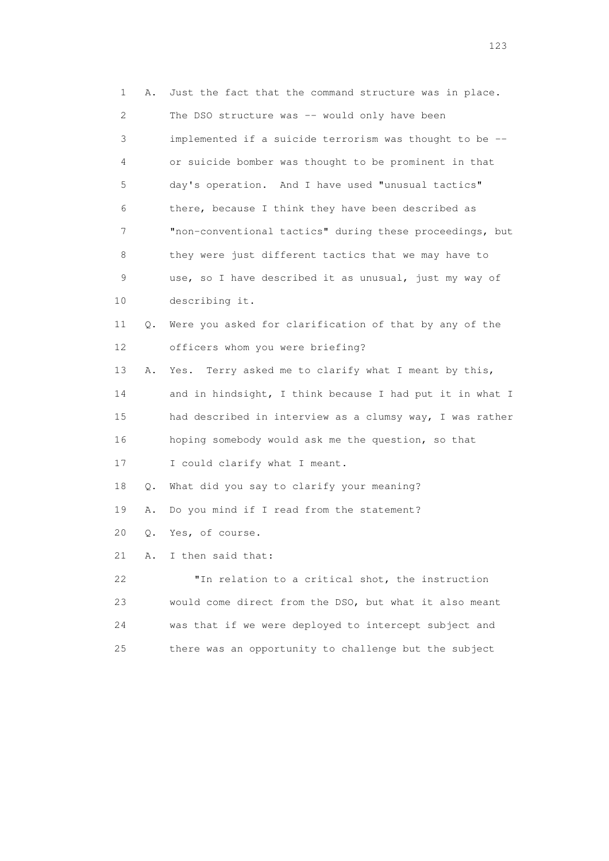| 1                     | Α. | Just the fact that the command structure was in place.   |
|-----------------------|----|----------------------------------------------------------|
| $\mathbf{2}^{\prime}$ |    | The DSO structure was -- would only have been            |
| 3                     |    | implemented if a suicide terrorism was thought to be --  |
| 4                     |    | or suicide bomber was thought to be prominent in that    |
| 5                     |    | day's operation. And I have used "unusual tactics"       |
| 6                     |    | there, because I think they have been described as       |
| 7                     |    | "non-conventional tactics" during these proceedings, but |
| 8                     |    | they were just different tactics that we may have to     |
| 9                     |    | use, so I have described it as unusual, just my way of   |
| 10                    |    | describing it.                                           |
| 11                    | Q. | Were you asked for clarification of that by any of the   |
| 12                    |    | officers whom you were briefing?                         |
| 13                    | Α. | Terry asked me to clarify what I meant by this,<br>Yes.  |
| 14                    |    | and in hindsight, I think because I had put it in what I |
| 15                    |    | had described in interview as a clumsy way, I was rather |
| 16                    |    | hoping somebody would ask me the question, so that       |
| 17                    |    | I could clarify what I meant.                            |
| 18                    | Q. | What did you say to clarify your meaning?                |
| 19                    | Α. | Do you mind if I read from the statement?                |
| 20                    | Q. | Yes, of course.                                          |
| 21                    | Α. | I then said that:                                        |
| 22                    |    | "In relation to a critical shot, the instruction         |
| 23                    |    | would come direct from the DSO, but what it also meant   |
| 24                    |    | was that if we were deployed to intercept subject and    |
| 25                    |    | there was an opportunity to challenge but the subject    |
|                       |    |                                                          |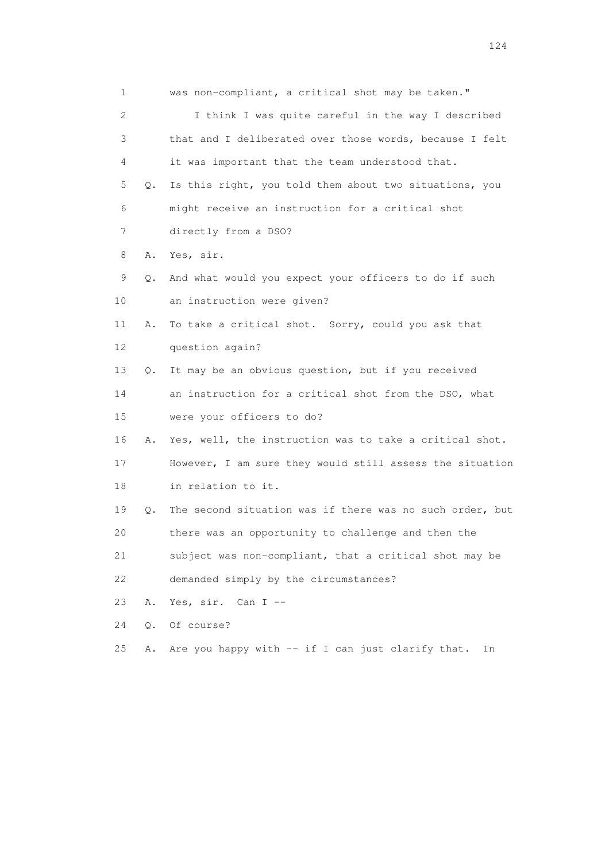1 was non-compliant, a critical shot may be taken." 2 I think I was quite careful in the way I described 3 that and I deliberated over those words, because I felt 4 it was important that the team understood that. 5 Q. Is this right, you told them about two situations, you 6 might receive an instruction for a critical shot 7 directly from a DSO? 8 A. Yes, sir. 9 Q. And what would you expect your officers to do if such 10 an instruction were given? 11 A. To take a critical shot. Sorry, could you ask that 12 question again? 13 Q. It may be an obvious question, but if you received 14 an instruction for a critical shot from the DSO, what 15 were your officers to do? 16 A. Yes, well, the instruction was to take a critical shot. 17 However, I am sure they would still assess the situation 18 in relation to it. 19 Q. The second situation was if there was no such order, but 20 there was an opportunity to challenge and then the 21 subject was non-compliant, that a critical shot may be 22 demanded simply by the circumstances? 23 A. Yes, sir. Can I -- 24 Q. Of course? 25 A. Are you happy with -- if I can just clarify that. In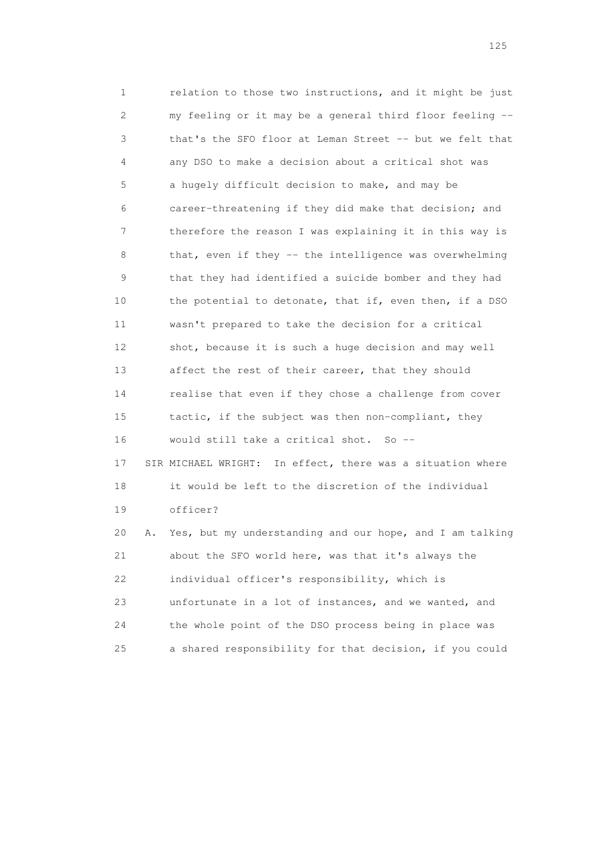1 relation to those two instructions, and it might be just 2 my feeling or it may be a general third floor feeling -- 3 that's the SFO floor at Leman Street -- but we felt that 4 any DSO to make a decision about a critical shot was 5 a hugely difficult decision to make, and may be 6 career-threatening if they did make that decision; and 7 therefore the reason I was explaining it in this way is 8 that, even if they -- the intelligence was overwhelming 9 that they had identified a suicide bomber and they had 10 the potential to detonate, that if, even then, if a DSO 11 wasn't prepared to take the decision for a critical 12 shot, because it is such a huge decision and may well 13 affect the rest of their career, that they should 14 realise that even if they chose a challenge from cover 15 tactic, if the subject was then non-compliant, they 16 would still take a critical shot. So -- 17 SIR MICHAEL WRIGHT: In effect, there was a situation where 18 it would be left to the discretion of the individual 19 officer? 20 A. Yes, but my understanding and our hope, and I am talking 21 about the SFO world here, was that it's always the 22 individual officer's responsibility, which is 23 unfortunate in a lot of instances, and we wanted, and 24 the whole point of the DSO process being in place was

25 a shared responsibility for that decision, if you could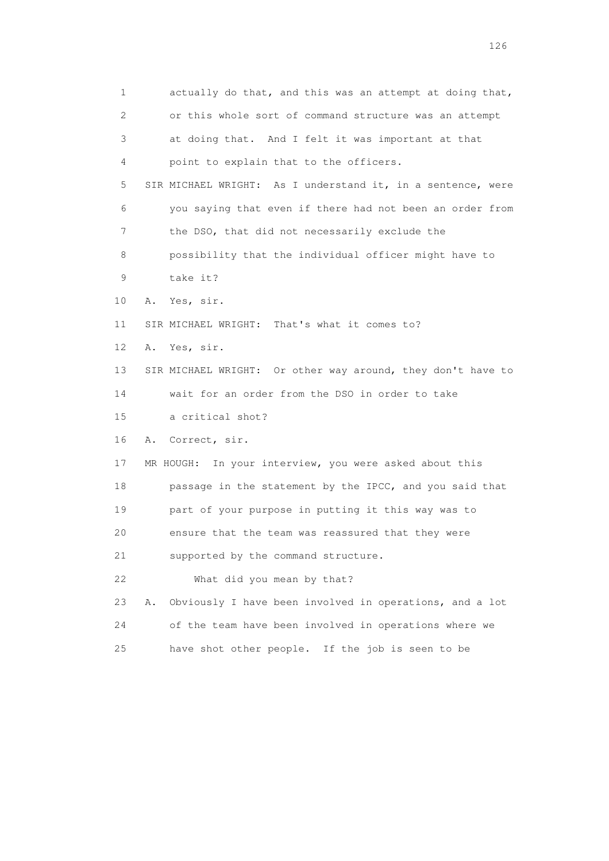1 actually do that, and this was an attempt at doing that, 2 or this whole sort of command structure was an attempt 3 at doing that. And I felt it was important at that 4 point to explain that to the officers. 5 SIR MICHAEL WRIGHT: As I understand it, in a sentence, were 6 you saying that even if there had not been an order from 7 the DSO, that did not necessarily exclude the 8 possibility that the individual officer might have to 9 take it? 10 A. Yes, sir. 11 SIR MICHAEL WRIGHT: That's what it comes to? 12 A. Yes, sir. 13 SIR MICHAEL WRIGHT: Or other way around, they don't have to 14 wait for an order from the DSO in order to take 15 a critical shot? 16 A. Correct, sir. 17 MR HOUGH: In your interview, you were asked about this 18 passage in the statement by the IPCC, and you said that 19 part of your purpose in putting it this way was to 20 ensure that the team was reassured that they were 21 supported by the command structure. 22 What did you mean by that? 23 A. Obviously I have been involved in operations, and a lot 24 of the team have been involved in operations where we 25 have shot other people. If the job is seen to be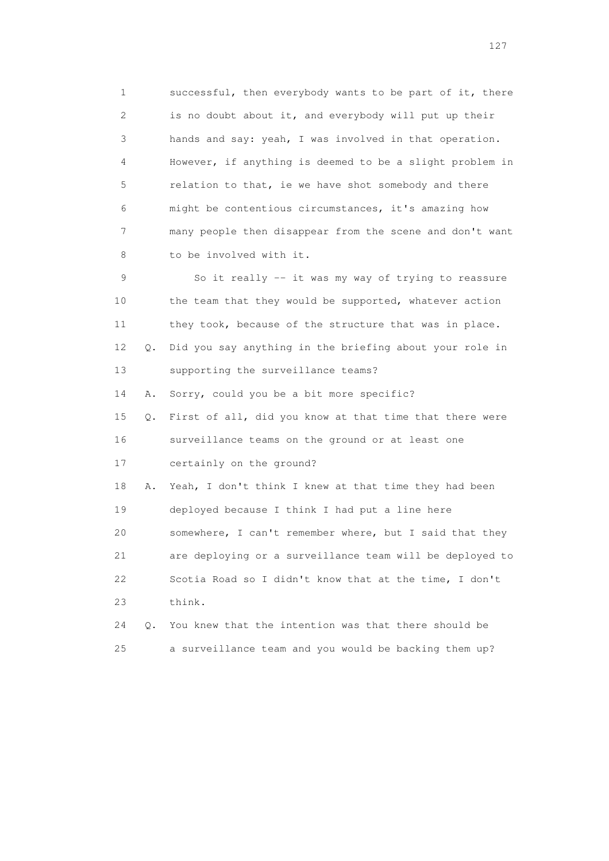1 successful, then everybody wants to be part of it, there 2 is no doubt about it, and everybody will put up their 3 hands and say: yeah, I was involved in that operation. 4 However, if anything is deemed to be a slight problem in 5 relation to that, ie we have shot somebody and there 6 might be contentious circumstances, it's amazing how 7 many people then disappear from the scene and don't want 8 to be involved with it.

 9 So it really -- it was my way of trying to reassure 10 the team that they would be supported, whatever action 11 they took, because of the structure that was in place. 12 Q. Did you say anything in the briefing about your role in 13 supporting the surveillance teams?

14 A. Sorry, could you be a bit more specific?

 15 Q. First of all, did you know at that time that there were 16 surveillance teams on the ground or at least one 17 certainly on the ground?

 18 A. Yeah, I don't think I knew at that time they had been 19 deployed because I think I had put a line here 20 somewhere, I can't remember where, but I said that they 21 are deploying or a surveillance team will be deployed to 22 Scotia Road so I didn't know that at the time, I don't 23 think.

 24 Q. You knew that the intention was that there should be 25 a surveillance team and you would be backing them up?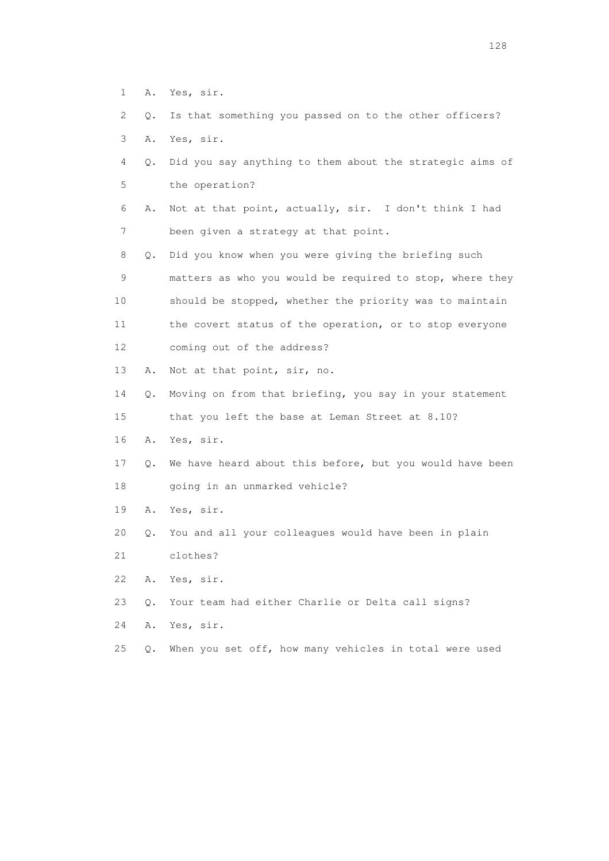- 1 A. Yes, sir.
- 2 Q. Is that something you passed on to the other officers?
- 3 A. Yes, sir.
- 4 Q. Did you say anything to them about the strategic aims of 5 the operation?
- 6 A. Not at that point, actually, sir. I don't think I had 7 been given a strategy at that point.
- 8 Q. Did you know when you were giving the briefing such 9 matters as who you would be required to stop, where they 10 should be stopped, whether the priority was to maintain 11 the covert status of the operation, or to stop everyone 12 coming out of the address?
- 13 A. Not at that point, sir, no.
- 14 Q. Moving on from that briefing, you say in your statement
- 15 that you left the base at Leman Street at 8.10?
- 16 A. Yes, sir.
- 17 Q. We have heard about this before, but you would have been 18 going in an unmarked vehicle?
- 19 A. Yes, sir.
- 20 Q. You and all your colleagues would have been in plain
- 21 clothes?
- 22 A. Yes, sir.
- 23 Q. Your team had either Charlie or Delta call signs?
- 24 A. Yes, sir.
- 25 Q. When you set off, how many vehicles in total were used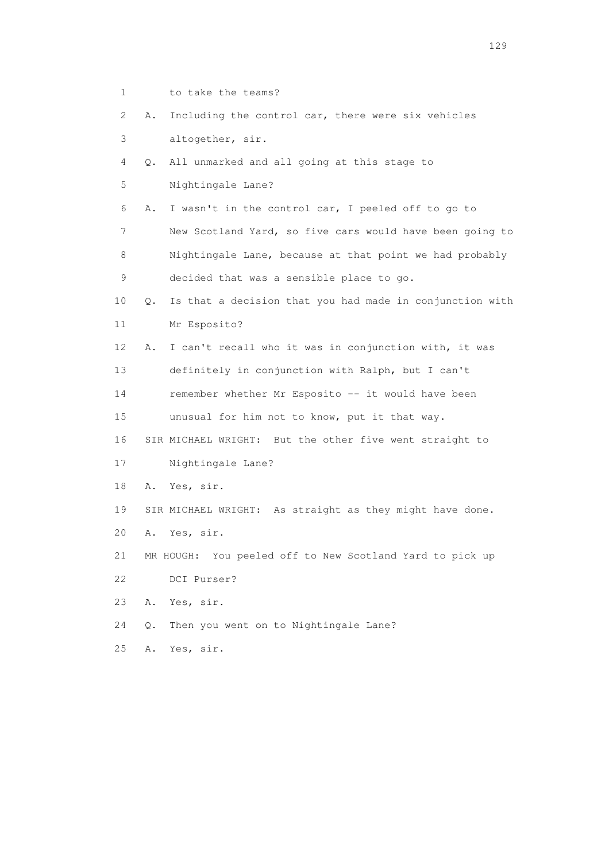2 A. Including the control car, there were six vehicles 3 altogether, sir. 4 Q. All unmarked and all going at this stage to 5 Nightingale Lane? 6 A. I wasn't in the control car, I peeled off to go to 7 New Scotland Yard, so five cars would have been going to 8 Nightingale Lane, because at that point we had probably 9 decided that was a sensible place to go. 10 Q. Is that a decision that you had made in conjunction with 11 Mr Esposito? 12 A. I can't recall who it was in conjunction with, it was 13 definitely in conjunction with Ralph, but I can't 14 remember whether Mr Esposito -- it would have been 15 unusual for him not to know, put it that way. 16 SIR MICHAEL WRIGHT: But the other five went straight to 17 Nightingale Lane? 18 A. Yes, sir. 19 SIR MICHAEL WRIGHT: As straight as they might have done. 20 A. Yes, sir. 21 MR HOUGH: You peeled off to New Scotland Yard to pick up 22 DCI Purser? 23 A. Yes, sir. 24 Q. Then you went on to Nightingale Lane? 25 A. Yes, sir.

1 to take the teams?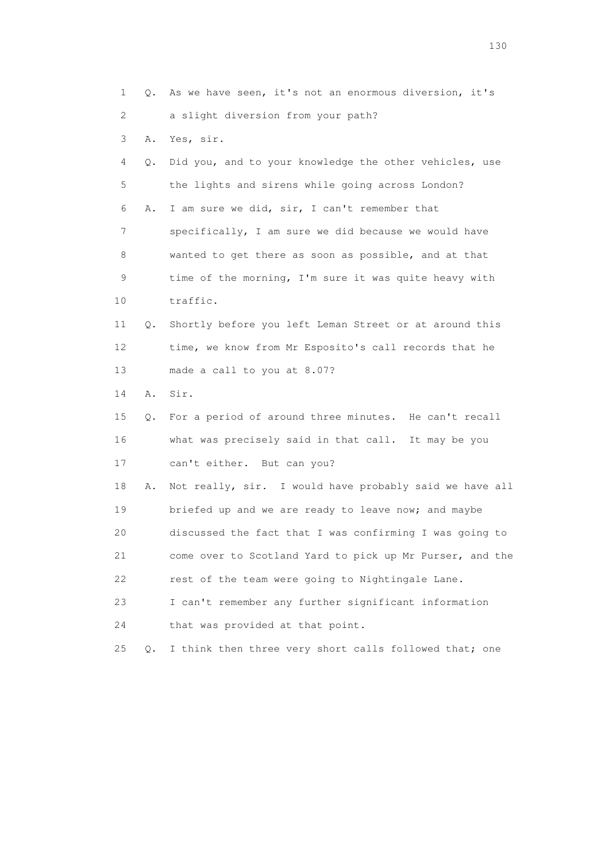1 Q. As we have seen, it's not an enormous diversion, it's 2 a slight diversion from your path? 3 A. Yes, sir. 4 Q. Did you, and to your knowledge the other vehicles, use 5 the lights and sirens while going across London? 6 A. I am sure we did, sir, I can't remember that 7 specifically, I am sure we did because we would have 8 wanted to get there as soon as possible, and at that 9 time of the morning, I'm sure it was quite heavy with 10 traffic. 11 Q. Shortly before you left Leman Street or at around this 12 time, we know from Mr Esposito's call records that he 13 made a call to you at 8.07? 14 A. Sir. 15 Q. For a period of around three minutes. He can't recall 16 what was precisely said in that call. It may be you 17 can't either. But can you? 18 A. Not really, sir. I would have probably said we have all 19 briefed up and we are ready to leave now; and maybe 20 discussed the fact that I was confirming I was going to 21 come over to Scotland Yard to pick up Mr Purser, and the 22 rest of the team were going to Nightingale Lane. 23 I can't remember any further significant information 24 that was provided at that point. 25 Q. I think then three very short calls followed that; one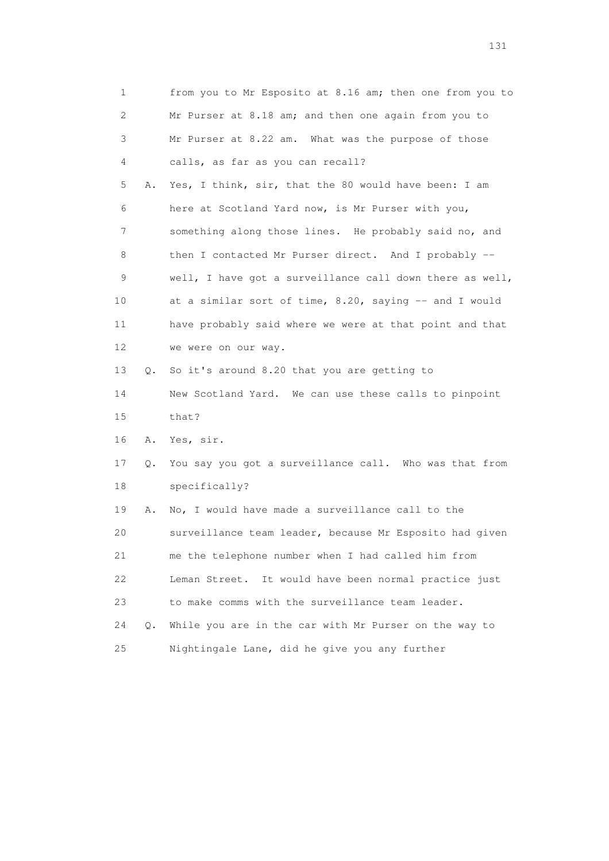| 1           |    | from you to Mr Esposito at 8.16 am; then one from you to |
|-------------|----|----------------------------------------------------------|
| 2           |    | Mr Purser at 8.18 am; and then one again from you to     |
| 3           |    | Mr Purser at 8.22 am. What was the purpose of those      |
| 4           |    | calls, as far as you can recall?                         |
| 5           | Α. | Yes, I think, sir, that the 80 would have been: I am     |
| 6           |    | here at Scotland Yard now, is Mr Purser with you,        |
| 7           |    | something along those lines. He probably said no, and    |
| 8           |    | then I contacted Mr Purser direct. And I probably --     |
| $\mathsf 9$ |    | well, I have got a surveillance call down there as well, |
| 10          |    | at a similar sort of time, 8.20, saying -- and I would   |
| 11          |    | have probably said where we were at that point and that  |
| 12          |    | we were on our way.                                      |
| 13          | Q. | So it's around 8.20 that you are getting to              |
| 14          |    | New Scotland Yard. We can use these calls to pinpoint    |
| 15          |    | that?                                                    |
| 16          | Α. | Yes, sir.                                                |
| 17          | Q. | You say you got a surveillance call. Who was that from   |
| 18          |    | specifically?                                            |
| 19          | Α. | No, I would have made a surveillance call to the         |
| 20          |    | surveillance team leader, because Mr Esposito had given  |
| 21          |    | me the telephone number when I had called him from       |
| 22          |    | Leman Street. It would have been normal practice just    |
| 23          |    | to make comms with the surveillance team leader.         |
| 24          | Q. | While you are in the car with Mr Purser on the way to    |
| 25          |    | Nightingale Lane, did he give you any further            |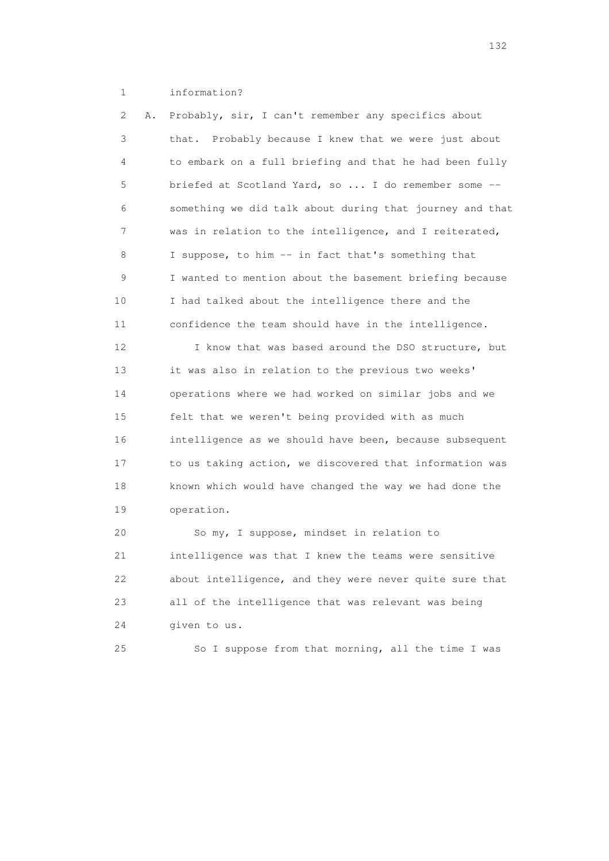## 1 information?

 2 A. Probably, sir, I can't remember any specifics about 3 that. Probably because I knew that we were just about 4 to embark on a full briefing and that he had been fully 5 briefed at Scotland Yard, so ... I do remember some -- 6 something we did talk about during that journey and that 7 was in relation to the intelligence, and I reiterated, 8 I suppose, to him -- in fact that's something that 9 I wanted to mention about the basement briefing because 10 I had talked about the intelligence there and the 11 confidence the team should have in the intelligence.

12 I know that was based around the DSO structure, but 13 it was also in relation to the previous two weeks' 14 operations where we had worked on similar jobs and we 15 felt that we weren't being provided with as much 16 intelligence as we should have been, because subsequent 17 to us taking action, we discovered that information was 18 known which would have changed the way we had done the 19 operation.

 20 So my, I suppose, mindset in relation to 21 intelligence was that I knew the teams were sensitive 22 about intelligence, and they were never quite sure that 23 all of the intelligence that was relevant was being 24 given to us.

25 So I suppose from that morning, all the time I was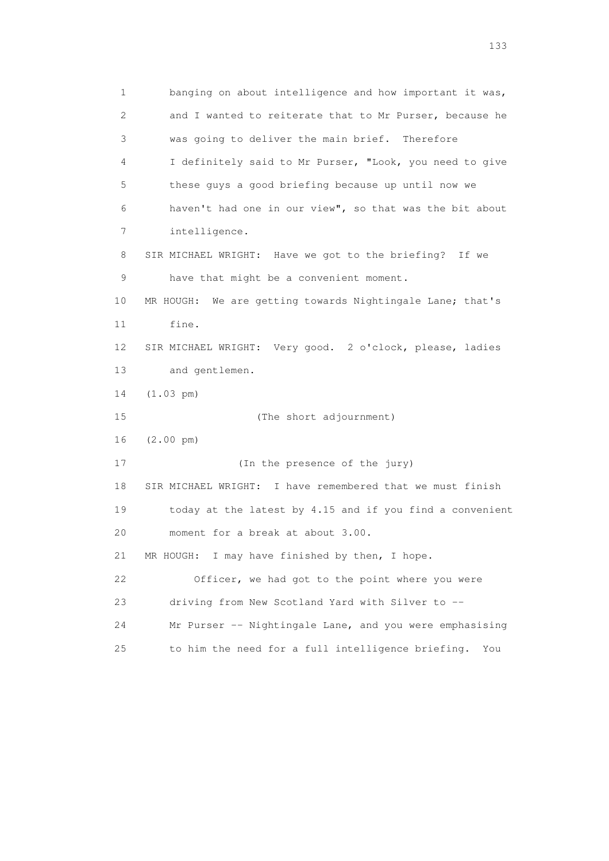1 banging on about intelligence and how important it was, 2 and I wanted to reiterate that to Mr Purser, because he 3 was going to deliver the main brief. Therefore 4 I definitely said to Mr Purser, "Look, you need to give 5 these guys a good briefing because up until now we 6 haven't had one in our view", so that was the bit about 7 intelligence. 8 SIR MICHAEL WRIGHT: Have we got to the briefing? If we 9 have that might be a convenient moment. 10 MR HOUGH: We are getting towards Nightingale Lane; that's 11 fine. 12 SIR MICHAEL WRIGHT: Very good. 2 o'clock, please, ladies 13 and gentlemen. 14 (1.03 pm) 15 (The short adjournment) 16 (2.00 pm) 17 (In the presence of the jury) 18 SIR MICHAEL WRIGHT: I have remembered that we must finish 19 today at the latest by 4.15 and if you find a convenient 20 moment for a break at about 3.00. 21 MR HOUGH: I may have finished by then, I hope. 22 Officer, we had got to the point where you were 23 driving from New Scotland Yard with Silver to -- 24 Mr Purser -- Nightingale Lane, and you were emphasising 25 to him the need for a full intelligence briefing. You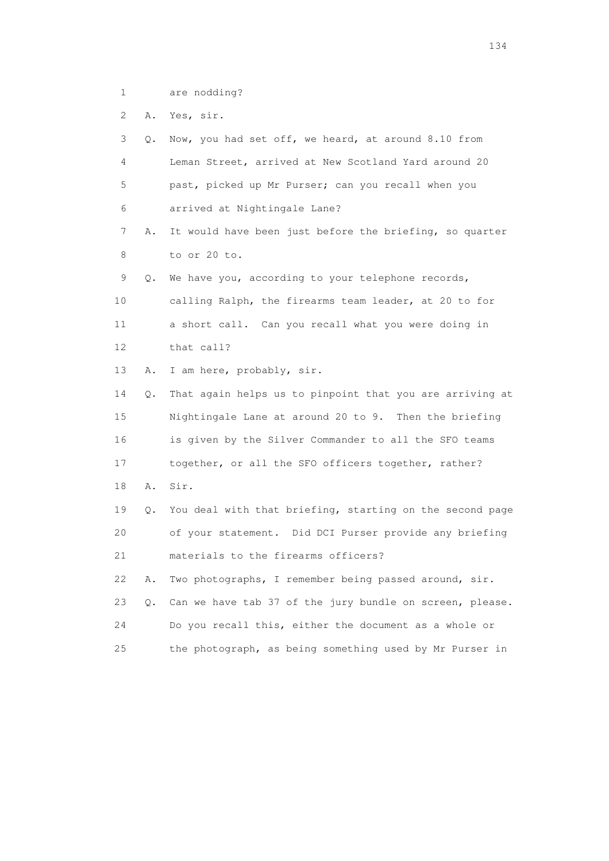1 are nodding?

2 A. Yes, sir.

 3 Q. Now, you had set off, we heard, at around 8.10 from 4 Leman Street, arrived at New Scotland Yard around 20 5 past, picked up Mr Purser; can you recall when you 6 arrived at Nightingale Lane? 7 A. It would have been just before the briefing, so quarter 8 to or 20 to. 9 Q. We have you, according to your telephone records, 10 calling Ralph, the firearms team leader, at 20 to for 11 a short call. Can you recall what you were doing in 12 that call? 13 A. I am here, probably, sir. 14 Q. That again helps us to pinpoint that you are arriving at 15 Nightingale Lane at around 20 to 9. Then the briefing 16 is given by the Silver Commander to all the SFO teams 17 together, or all the SFO officers together, rather? 18 A. Sir. 19 Q. You deal with that briefing, starting on the second page 20 of your statement. Did DCI Purser provide any briefing 21 materials to the firearms officers? 22 A. Two photographs, I remember being passed around, sir. 23 Q. Can we have tab 37 of the jury bundle on screen, please. 24 Do you recall this, either the document as a whole or 25 the photograph, as being something used by Mr Purser in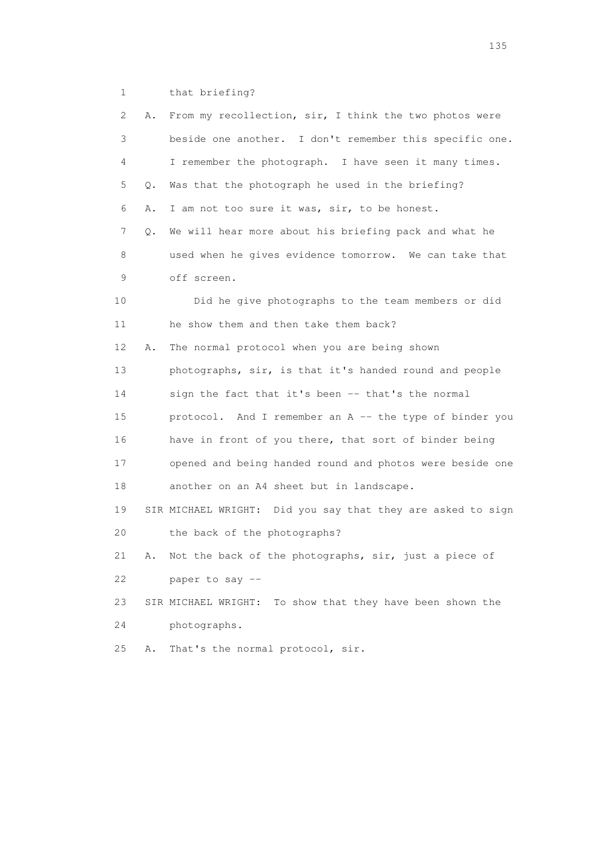1 that briefing?

| 2  | Α. | From my recollection, sir, I think the two photos were      |
|----|----|-------------------------------------------------------------|
| 3  |    | beside one another. I don't remember this specific one.     |
| 4  |    | I remember the photograph. I have seen it many times.       |
| 5  | Q. | Was that the photograph he used in the briefing?            |
| 6  | Α. | I am not too sure it was, sir, to be honest.                |
| 7  | Q. | We will hear more about his briefing pack and what he       |
| 8  |    | used when he gives evidence tomorrow. We can take that      |
| 9  |    | off screen.                                                 |
| 10 |    | Did he give photographs to the team members or did          |
| 11 |    | he show them and then take them back?                       |
| 12 | Α. | The normal protocol when you are being shown                |
| 13 |    | photographs, sir, is that it's handed round and people      |
| 14 |    | sign the fact that it's been -- that's the normal           |
| 15 |    | protocol. And I remember an A -- the type of binder you     |
| 16 |    | have in front of you there, that sort of binder being       |
| 17 |    | opened and being handed round and photos were beside one    |
| 18 |    | another on an A4 sheet but in landscape.                    |
| 19 |    | SIR MICHAEL WRIGHT: Did you say that they are asked to sign |
| 20 |    | the back of the photographs?                                |
| 21 | Α. | Not the back of the photographs, sir, just a piece of       |
| 22 |    | paper to say --                                             |
| 23 |    | SIR MICHAEL WRIGHT: To show that they have been shown the   |
| 24 |    | photographs.                                                |
| 25 | Α. | That's the normal protocol, sir.                            |
|    |    |                                                             |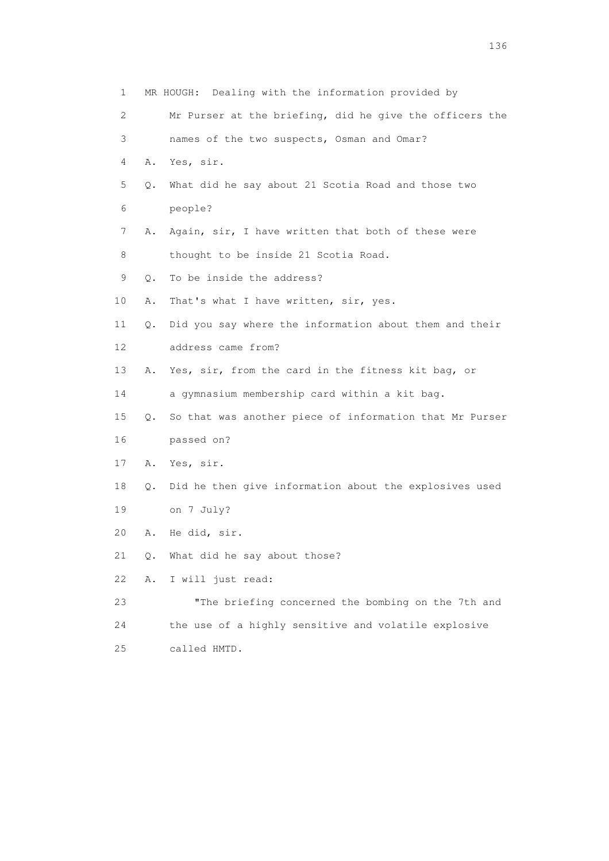| $\mathbf{1}$ |    | MR HOUGH: Dealing with the information provided by      |
|--------------|----|---------------------------------------------------------|
| 2            |    | Mr Purser at the briefing, did he give the officers the |
| 3            |    | names of the two suspects, Osman and Omar?              |
| 4            | Α. | Yes, sir.                                               |
| 5            | Q. | What did he say about 21 Scotia Road and those two      |
| 6            |    | people?                                                 |
| 7            | Α. | Again, sir, I have written that both of these were      |
| 8            |    | thought to be inside 21 Scotia Road.                    |
| 9            | Q. | To be inside the address?                               |
| 10           | Α. | That's what I have written, sir, yes.                   |
| 11           | Q. | Did you say where the information about them and their  |
| 12           |    | address came from?                                      |
| 13           | Α. | Yes, sir, from the card in the fitness kit bag, or      |
| 14           |    | a gymnasium membership card within a kit bag.           |
| 15           | Q. | So that was another piece of information that Mr Purser |
| 16           |    | passed on?                                              |
| 17           | Α. | Yes, sir.                                               |
| 18           | 0. | Did he then give information about the explosives used  |
| 19           |    | on 7 July?                                              |
| 20           | Α. | He did, sir.                                            |
| 21           | Q. | What did he say about those?                            |
| 22           | Α. | I will just read:                                       |
| 23           |    | "The briefing concerned the bombing on the 7th and      |
| 24           |    | the use of a highly sensitive and volatile explosive    |
|              |    |                                                         |

25 called HMTD.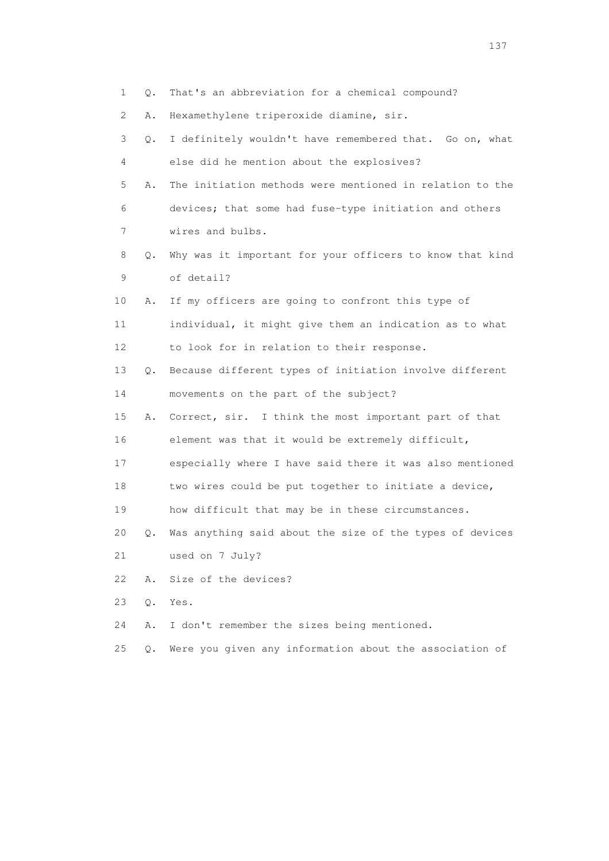| 1  | Q.    | That's an abbreviation for a chemical compound?          |
|----|-------|----------------------------------------------------------|
| 2  | Α.    | Hexamethylene triperoxide diamine, sir.                  |
| 3  | Q.    | I definitely wouldn't have remembered that. Go on, what  |
| 4  |       | else did he mention about the explosives?                |
| 5  | Α.    | The initiation methods were mentioned in relation to the |
| 6  |       | devices; that some had fuse-type initiation and others   |
| 7  |       | wires and bulbs.                                         |
| 8  | Q.    | Why was it important for your officers to know that kind |
| 9  |       | of detail?                                               |
| 10 | Α.    | If my officers are going to confront this type of        |
| 11 |       | individual, it might give them an indication as to what  |
| 12 |       | to look for in relation to their response.               |
| 13 | Q.    | Because different types of initiation involve different  |
| 14 |       | movements on the part of the subject?                    |
| 15 | Α.    | Correct, sir. I think the most important part of that    |
| 16 |       | element was that it would be extremely difficult,        |
| 17 |       | especially where I have said there it was also mentioned |
| 18 |       | two wires could be put together to initiate a device,    |
| 19 |       | how difficult that may be in these circumstances.        |
| 20 | Q.    | Was anything said about the size of the types of devices |
| 21 |       | used on 7 July?                                          |
| 22 | Α.    | Size of the devices?                                     |
| 23 | $Q$ . | Yes.                                                     |
| 24 | Α.    | I don't remember the sizes being mentioned.              |
| 25 | 0.    | Were you given any information about the association of  |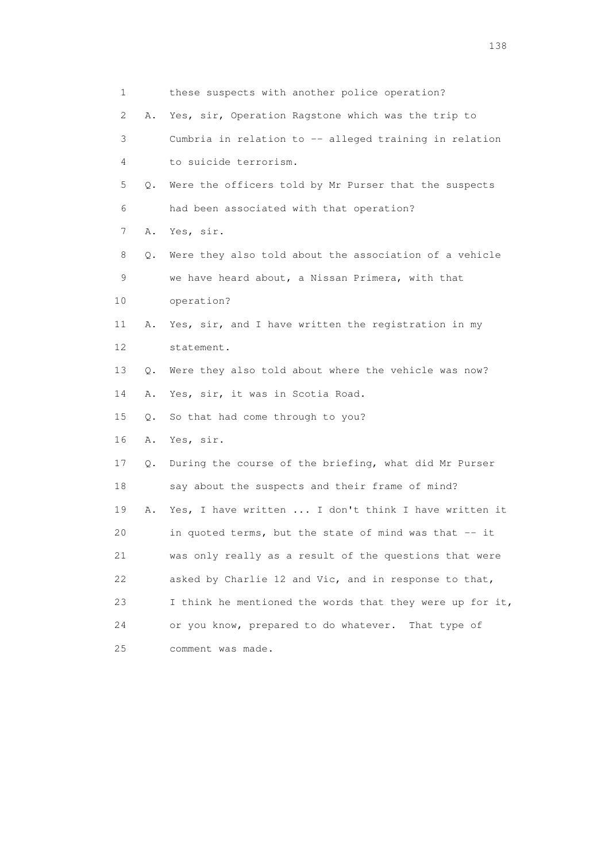| 1  |           | these suspects with another police operation?            |
|----|-----------|----------------------------------------------------------|
| 2  | Α.        | Yes, sir, Operation Ragstone which was the trip to       |
| 3  |           | Cumbria in relation to -- alleged training in relation   |
| 4  |           | to suicide terrorism.                                    |
| 5  | Q.        | Were the officers told by Mr Purser that the suspects    |
| 6  |           | had been associated with that operation?                 |
| 7  | Α.        | Yes, sir.                                                |
| 8  | Q.        | Were they also told about the association of a vehicle   |
| 9  |           | we have heard about, a Nissan Primera, with that         |
| 10 |           | operation?                                               |
| 11 | Α.        | Yes, sir, and I have written the registration in my      |
| 12 |           | statement.                                               |
| 13 | $\circ$ . | Were they also told about where the vehicle was now?     |
| 14 | Α.        | Yes, sir, it was in Scotia Road.                         |
| 15 | Q.        | So that had come through to you?                         |
| 16 | Α.        | Yes, sir.                                                |
| 17 | Q.        | During the course of the briefing, what did Mr Purser    |
| 18 |           | say about the suspects and their frame of mind?          |
| 19 | Α.        | Yes, I have written  I don't think I have written it     |
| 20 |           | in quoted terms, but the state of mind was that -- it    |
| 21 |           | was only really as a result of the questions that were   |
| 22 |           | asked by Charlie 12 and Vic, and in response to that,    |
| 23 |           | I think he mentioned the words that they were up for it, |
| 24 |           | or you know, prepared to do whatever.<br>That type of    |
| 25 |           | comment was made.                                        |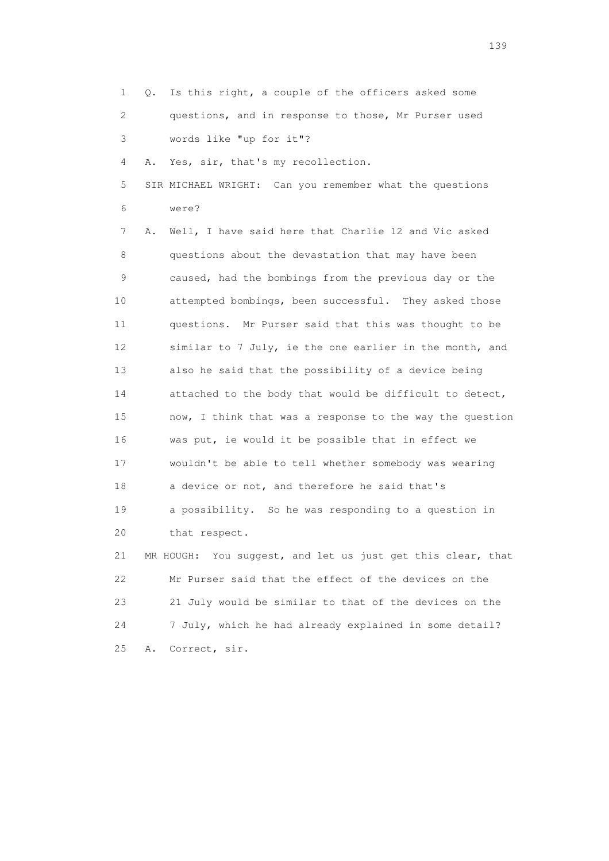- 1 Q. Is this right, a couple of the officers asked some 2 questions, and in response to those, Mr Purser used
- 3 words like "up for it"?

4 A. Yes, sir, that's my recollection.

 5 SIR MICHAEL WRIGHT: Can you remember what the questions 6 were?

 7 A. Well, I have said here that Charlie 12 and Vic asked 8 questions about the devastation that may have been 9 caused, had the bombings from the previous day or the 10 attempted bombings, been successful. They asked those 11 questions. Mr Purser said that this was thought to be 12 similar to 7 July, ie the one earlier in the month, and 13 also he said that the possibility of a device being 14 attached to the body that would be difficult to detect, 15 now, I think that was a response to the way the question 16 was put, ie would it be possible that in effect we 17 wouldn't be able to tell whether somebody was wearing 18 a device or not, and therefore he said that's 19 a possibility. So he was responding to a question in 20 that respect. 21 MR HOUGH: You suggest, and let us just get this clear, that 22 Mr Purser said that the effect of the devices on the 23 21 July would be similar to that of the devices on the 24 7 July, which he had already explained in some detail?

25 A. Correct, sir.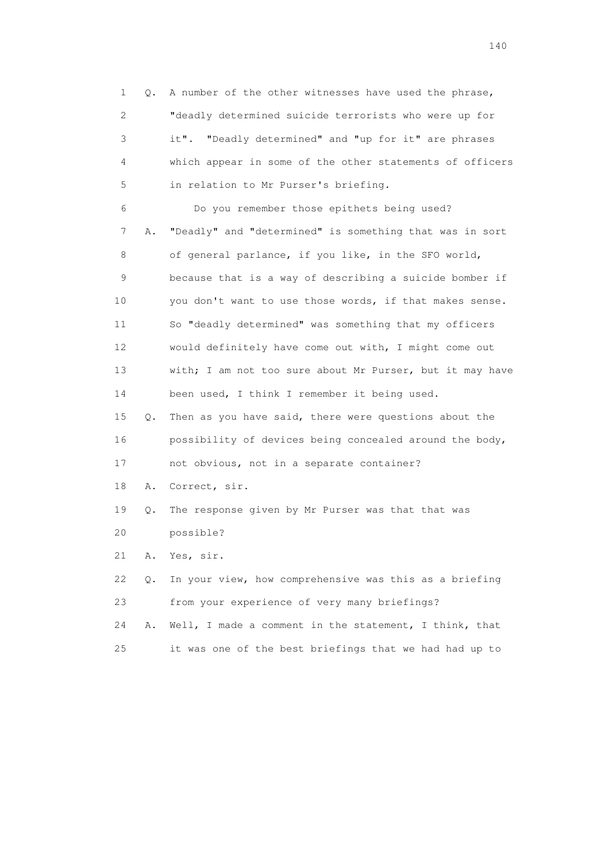1 Q. A number of the other witnesses have used the phrase, 2 "deadly determined suicide terrorists who were up for 3 it". "Deadly determined" and "up for it" are phrases 4 which appear in some of the other statements of officers 5 in relation to Mr Purser's briefing. 6 Do you remember those epithets being used? 7 A. "Deadly" and "determined" is something that was in sort 8 of general parlance, if you like, in the SFO world, 9 because that is a way of describing a suicide bomber if 10 you don't want to use those words, if that makes sense. 11 So "deadly determined" was something that my officers 12 would definitely have come out with, I might come out 13 with; I am not too sure about Mr Purser, but it may have 14 been used, I think I remember it being used. 15 Q. Then as you have said, there were questions about the 16 possibility of devices being concealed around the body, 17 not obvious, not in a separate container? 18 A. Correct, sir. 19 Q. The response given by Mr Purser was that that was 20 possible? 21 A. Yes, sir. 22 Q. In your view, how comprehensive was this as a briefing 23 from your experience of very many briefings? 24 A. Well, I made a comment in the statement, I think, that

25 it was one of the best briefings that we had had up to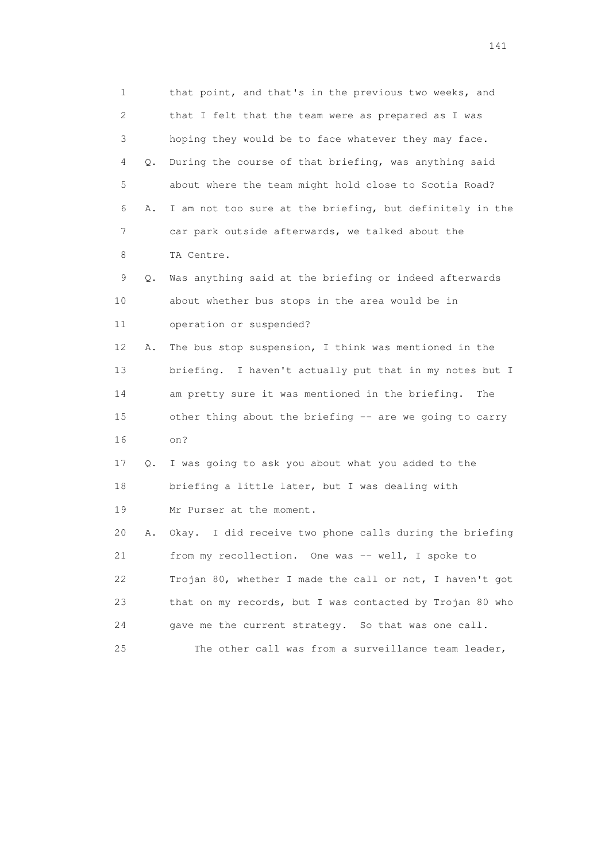1 that point, and that's in the previous two weeks, and 2 that I felt that the team were as prepared as I was 3 hoping they would be to face whatever they may face. 4 Q. During the course of that briefing, was anything said 5 about where the team might hold close to Scotia Road? 6 A. I am not too sure at the briefing, but definitely in the 7 car park outside afterwards, we talked about the 8 TA Centre. 9 Q. Was anything said at the briefing or indeed afterwards 10 about whether bus stops in the area would be in 11 operation or suspended? 12 A. The bus stop suspension, I think was mentioned in the 13 briefing. I haven't actually put that in my notes but I 14 am pretty sure it was mentioned in the briefing. The 15 other thing about the briefing -- are we going to carry 16 on? 17 Q. I was going to ask you about what you added to the 18 briefing a little later, but I was dealing with 19 Mr Purser at the moment. 20 A. Okay. I did receive two phone calls during the briefing 21 from my recollection. One was -- well, I spoke to 22 Trojan 80, whether I made the call or not, I haven't got 23 that on my records, but I was contacted by Trojan 80 who 24 gave me the current strategy. So that was one call. 25 The other call was from a surveillance team leader,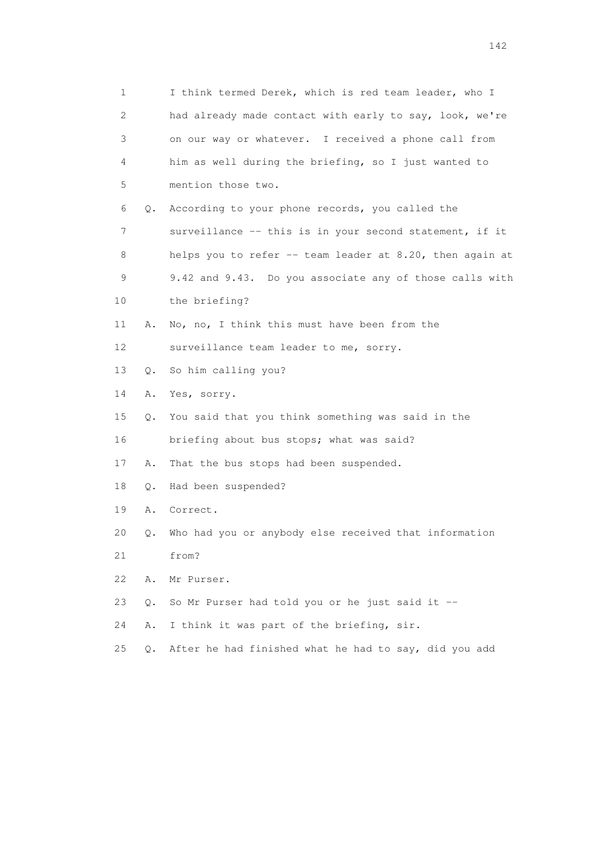| 1  |           | I think termed Derek, which is red team leader, who I    |
|----|-----------|----------------------------------------------------------|
| 2  |           | had already made contact with early to say, look, we're  |
| 3  |           | on our way or whatever. I received a phone call from     |
| 4  |           | him as well during the briefing, so I just wanted to     |
| 5  |           | mention those two.                                       |
| 6  | Q.        | According to your phone records, you called the          |
| 7  |           | surveillance -- this is in your second statement, if it  |
| 8  |           | helps you to refer -- team leader at 8.20, then again at |
| 9  |           | 9.42 and 9.43. Do you associate any of those calls with  |
| 10 |           | the briefing?                                            |
| 11 | Α.        | No, no, I think this must have been from the             |
| 12 |           | surveillance team leader to me, sorry.                   |
| 13 | $\circ$ . | So him calling you?                                      |
| 14 | Α.        | Yes, sorry.                                              |
| 15 | $\circ$ . | You said that you think something was said in the        |
| 16 |           | briefing about bus stops; what was said?                 |
| 17 | Α.        | That the bus stops had been suspended.                   |
| 18 | Q.        | Had been suspended?                                      |
| 19 | Α.        | Correct.                                                 |
| 20 | Q.        | Who had you or anybody else received that information    |
| 21 |           | from?                                                    |
| 22 | Α.        | Mr Purser.                                               |
| 23 | Q.        | So Mr Purser had told you or he just said it --          |
| 24 | Α.        | I think it was part of the briefing, sir.                |
| 25 | О.        | After he had finished what he had to say, did you add    |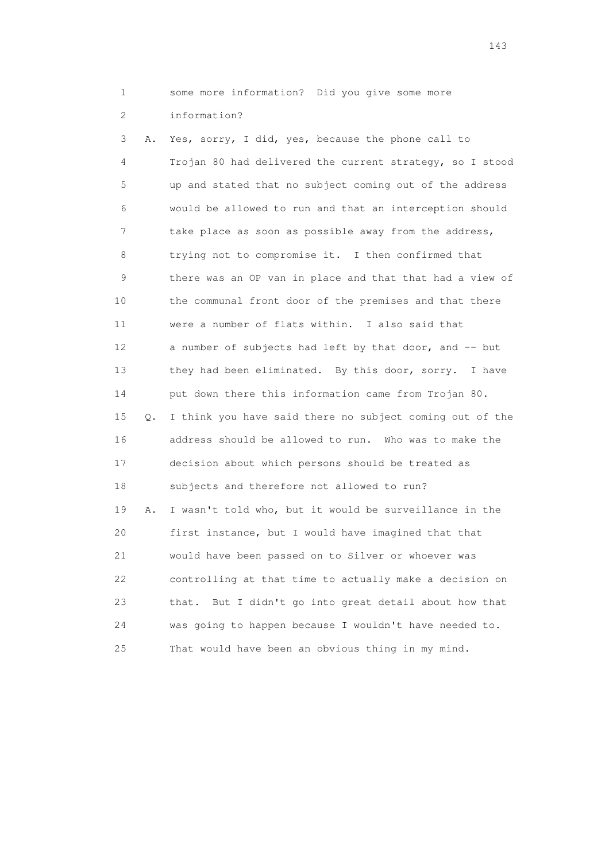1 some more information? Did you give some more

2 information?

 3 A. Yes, sorry, I did, yes, because the phone call to 4 Trojan 80 had delivered the current strategy, so I stood 5 up and stated that no subject coming out of the address 6 would be allowed to run and that an interception should 7 take place as soon as possible away from the address, 8 trying not to compromise it. I then confirmed that 9 there was an OP van in place and that that had a view of 10 the communal front door of the premises and that there 11 were a number of flats within. I also said that 12 a number of subjects had left by that door, and -- but 13 they had been eliminated. By this door, sorry. I have 14 put down there this information came from Trojan 80. 15 Q. I think you have said there no subject coming out of the 16 address should be allowed to run. Who was to make the 17 decision about which persons should be treated as 18 subjects and therefore not allowed to run? 19 A. I wasn't told who, but it would be surveillance in the 20 first instance, but I would have imagined that that 21 would have been passed on to Silver or whoever was 22 controlling at that time to actually make a decision on 23 that. But I didn't go into great detail about how that 24 was going to happen because I wouldn't have needed to. 25 That would have been an obvious thing in my mind.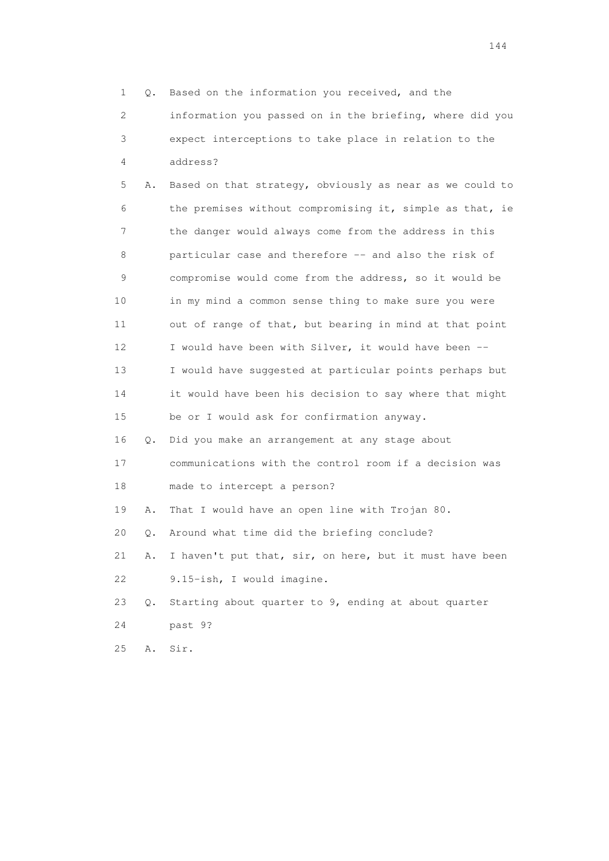|                 | 1                         | Based on the information you received, and the<br>Q.     |
|-----------------|---------------------------|----------------------------------------------------------|
|                 | $\mathbf{2}^{\mathsf{I}}$ | information you passed on in the briefing, where did you |
|                 | 3                         | expect interceptions to take place in relation to the    |
|                 | 4                         | address?                                                 |
|                 | 5<br>Α.                   | Based on that strategy, obviously as near as we could to |
|                 | 6                         | the premises without compromising it, simple as that, ie |
|                 | 7                         | the danger would always come from the address in this    |
|                 | 8                         | particular case and therefore -- and also the risk of    |
|                 | 9                         | compromise would come from the address, so it would be   |
| 10              |                           | in my mind a common sense thing to make sure you were    |
| 11              |                           | out of range of that, but bearing in mind at that point  |
| 12 <sup>°</sup> |                           | I would have been with Silver, it would have been --     |
| 13              |                           | I would have suggested at particular points perhaps but  |
| 14              |                           | it would have been his decision to say where that might  |
| 15              |                           | be or I would ask for confirmation anyway.               |
| 16              | Q.                        | Did you make an arrangement at any stage about           |
| 17              |                           | communications with the control room if a decision was   |
| 18              |                           | made to intercept a person?                              |
| 19              | Α.                        | That I would have an open line with Trojan 80.           |
| 20              | Q.                        | Around what time did the briefing conclude?              |
| 21              | Α.                        | I haven't put that, sir, on here, but it must have been  |
| 22              |                           | 9.15-ish, I would imagine.                               |
| 23              | Q.                        | Starting about quarter to 9, ending at about quarter     |
| 24              |                           | past 9?                                                  |
| 25              | Α.                        | Sir.                                                     |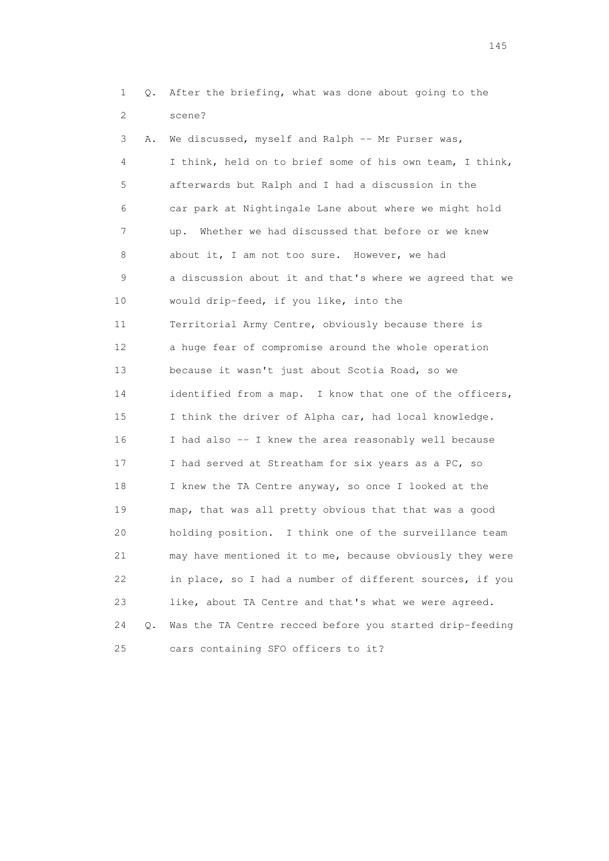1 Q. After the briefing, what was done about going to the 2 scene?

 3 A. We discussed, myself and Ralph -- Mr Purser was, 4 I think, held on to brief some of his own team, I think, 5 afterwards but Ralph and I had a discussion in the 6 car park at Nightingale Lane about where we might hold 7 up. Whether we had discussed that before or we knew 8 about it, I am not too sure. However, we had 9 a discussion about it and that's where we agreed that we 10 would drip-feed, if you like, into the 11 Territorial Army Centre, obviously because there is 12 a huge fear of compromise around the whole operation 13 because it wasn't just about Scotia Road, so we 14 identified from a map. I know that one of the officers, 15 I think the driver of Alpha car, had local knowledge. 16 I had also -- I knew the area reasonably well because 17 I had served at Streatham for six years as a PC, so 18 I knew the TA Centre anyway, so once I looked at the 19 map, that was all pretty obvious that that was a good 20 holding position. I think one of the surveillance team 21 may have mentioned it to me, because obviously they were 22 in place, so I had a number of different sources, if you 23 like, about TA Centre and that's what we were agreed. 24 Q. Was the TA Centre recced before you started drip-feeding 25 cars containing SFO officers to it?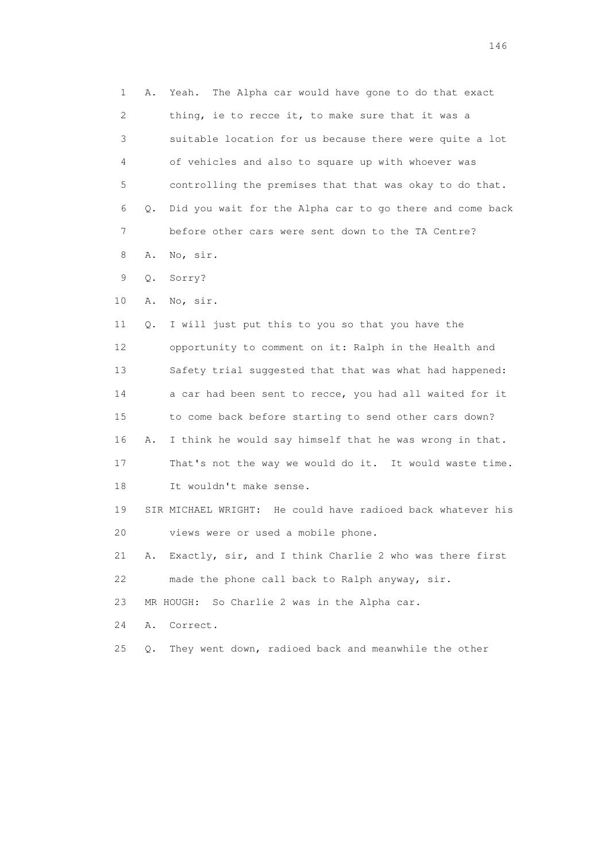1 A. Yeah. The Alpha car would have gone to do that exact 2 thing, ie to recce it, to make sure that it was a 3 suitable location for us because there were quite a lot 4 of vehicles and also to square up with whoever was 5 controlling the premises that that was okay to do that. 6 Q. Did you wait for the Alpha car to go there and come back 7 before other cars were sent down to the TA Centre? 8 A. No, sir. 9 Q. Sorry? 10 A. No, sir. 11 Q. I will just put this to you so that you have the 12 opportunity to comment on it: Ralph in the Health and 13 Safety trial suggested that that was what had happened: 14 a car had been sent to recce, you had all waited for it 15 to come back before starting to send other cars down? 16 A. I think he would say himself that he was wrong in that. 17 That's not the way we would do it. It would waste time. 18 It wouldn't make sense. 19 SIR MICHAEL WRIGHT: He could have radioed back whatever his 20 views were or used a mobile phone. 21 A. Exactly, sir, and I think Charlie 2 who was there first 22 made the phone call back to Ralph anyway, sir. 23 MR HOUGH: So Charlie 2 was in the Alpha car. 24 A. Correct. 25 Q. They went down, radioed back and meanwhile the other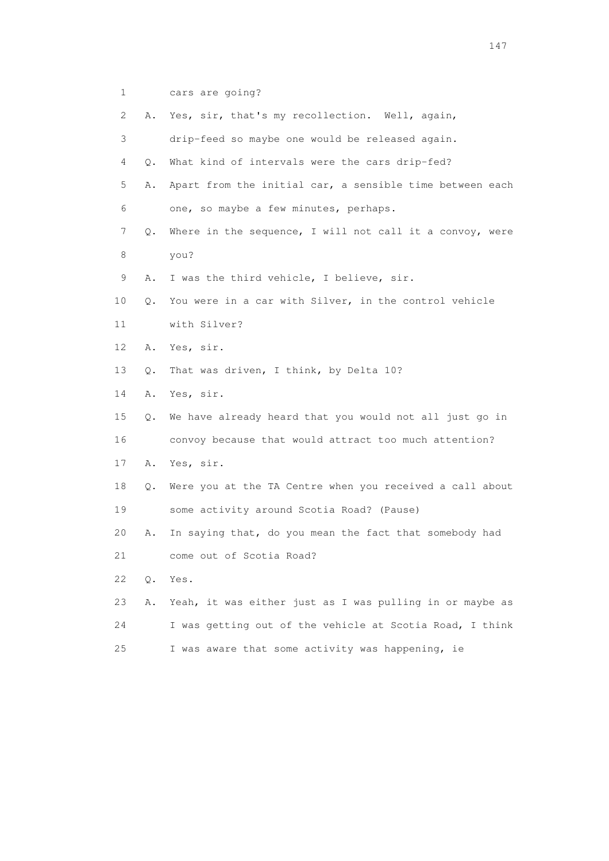1 cars are going?

| $\mathbf{2}^{\mathsf{I}}$ | Α.    | Yes, sir, that's my recollection. Well, again,           |
|---------------------------|-------|----------------------------------------------------------|
| 3                         |       | drip-feed so maybe one would be released again.          |
| 4                         | О.    | What kind of intervals were the cars drip-fed?           |
| 5                         | Α.    | Apart from the initial car, a sensible time between each |
| 6                         |       | one, so maybe a few minutes, perhaps.                    |
| 7                         | Q.    | Where in the sequence, I will not call it a convoy, were |
| 8                         |       | you?                                                     |
| 9                         | Α.    | I was the third vehicle, I believe, sir.                 |
| 10                        | Q.    | You were in a car with Silver, in the control vehicle    |
| 11                        |       | with Silver?                                             |
| 12                        | Α.    | Yes, sir.                                                |
| 13                        | Q.    | That was driven, I think, by Delta 10?                   |
| 14                        | Α.    | Yes, sir.                                                |
| 15                        | Q.    | We have already heard that you would not all just go in  |
| 16                        |       | convoy because that would attract too much attention?    |
| 17                        | Α.    | Yes, sir.                                                |
| 18                        | Q.    | Were you at the TA Centre when you received a call about |
| 19                        |       | some activity around Scotia Road? (Pause)                |
| 20                        | Α.    | In saying that, do you mean the fact that somebody had   |
| 21                        |       | come out of Scotia Road?                                 |
| 22                        | $Q$ . | Yes.                                                     |
| 23                        | Α.    | Yeah, it was either just as I was pulling in or maybe as |
| 24                        |       | I was getting out of the vehicle at Scotia Road, I think |
| 25                        |       | I was aware that some activity was happening, ie         |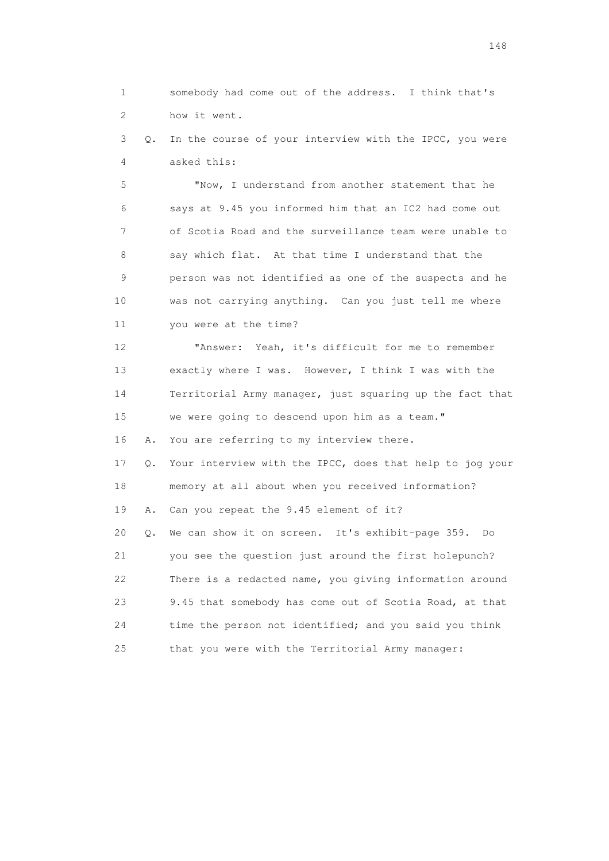1 somebody had come out of the address. I think that's 2 how it went.

 3 Q. In the course of your interview with the IPCC, you were 4 asked this:

 5 "Now, I understand from another statement that he 6 says at 9.45 you informed him that an IC2 had come out 7 of Scotia Road and the surveillance team were unable to 8 say which flat. At that time I understand that the 9 person was not identified as one of the suspects and he 10 was not carrying anything. Can you just tell me where 11 you were at the time?

 12 "Answer: Yeah, it's difficult for me to remember 13 exactly where I was. However, I think I was with the 14 Territorial Army manager, just squaring up the fact that 15 we were going to descend upon him as a team."

16 A. You are referring to my interview there.

 17 Q. Your interview with the IPCC, does that help to jog your 18 memory at all about when you received information? 19 A. Can you repeat the 9.45 element of it? 20 Q. We can show it on screen. It's exhibit-page 359. Do 21 you see the question just around the first holepunch? 22 There is a redacted name, you giving information around 23 9.45 that somebody has come out of Scotia Road, at that 24 time the person not identified; and you said you think 25 that you were with the Territorial Army manager: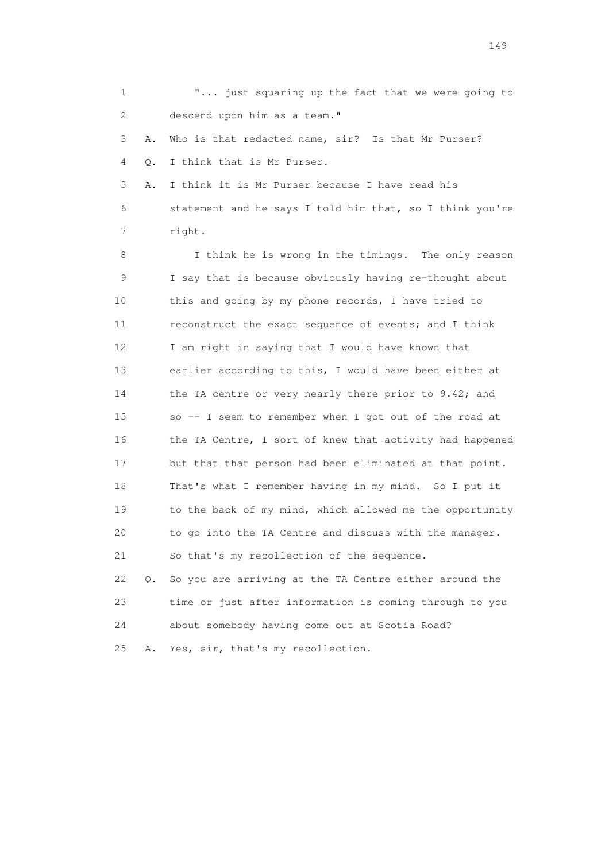1 **"...** just squaring up the fact that we were going to 2 descend upon him as a team." 3 A. Who is that redacted name, sir? Is that Mr Purser? 4 Q. I think that is Mr Purser. 5 A. I think it is Mr Purser because I have read his 6 statement and he says I told him that, so I think you're 7 right. 8 I think he is wrong in the timings. The only reason 9 I say that is because obviously having re-thought about 10 this and going by my phone records, I have tried to 11 reconstruct the exact sequence of events; and I think 12 I am right in saying that I would have known that 13 earlier according to this, I would have been either at 14 the TA centre or very nearly there prior to 9.42; and 15 so -- I seem to remember when I got out of the road at 16 the TA Centre, I sort of knew that activity had happened 17 but that that person had been eliminated at that point. 18 That's what I remember having in my mind. So I put it 19 to the back of my mind, which allowed me the opportunity 20 to go into the TA Centre and discuss with the manager. 21 So that's my recollection of the sequence. 22 Q. So you are arriving at the TA Centre either around the 23 time or just after information is coming through to you 24 about somebody having come out at Scotia Road? 25 A. Yes, sir, that's my recollection.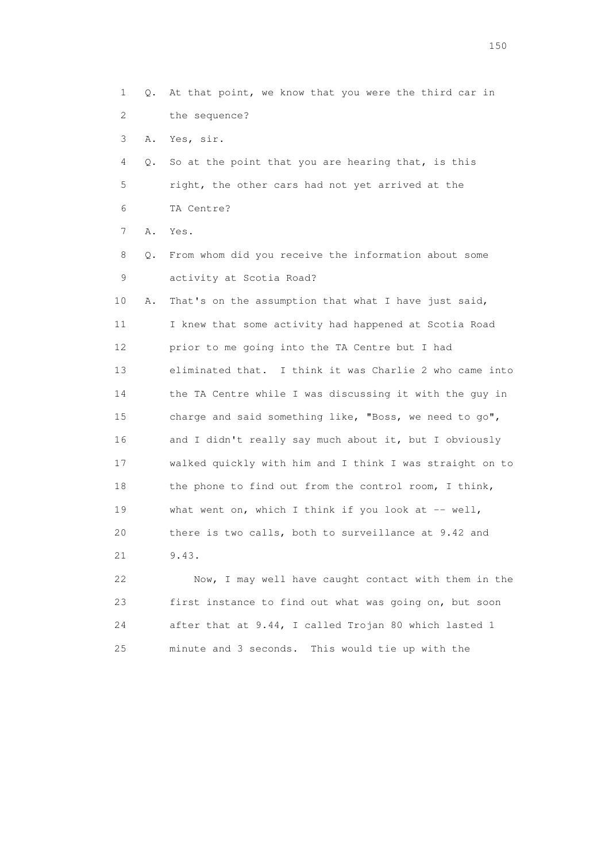1 Q. At that point, we know that you were the third car in 2 the sequence? 3 A. Yes, sir. 4 Q. So at the point that you are hearing that, is this 5 right, the other cars had not yet arrived at the 6 TA Centre? 7 A. Yes. 8 Q. From whom did you receive the information about some 9 activity at Scotia Road? 10 A. That's on the assumption that what I have just said, 11 I knew that some activity had happened at Scotia Road 12 prior to me going into the TA Centre but I had 13 eliminated that. I think it was Charlie 2 who came into 14 the TA Centre while I was discussing it with the guy in 15 charge and said something like, "Boss, we need to go", 16 and I didn't really say much about it, but I obviously 17 walked quickly with him and I think I was straight on to 18 the phone to find out from the control room, I think, 19 what went on, which I think if you look at -- well, 20 there is two calls, both to surveillance at 9.42 and 21 9.43. 22 Now, I may well have caught contact with them in the

 23 first instance to find out what was going on, but soon 24 after that at 9.44, I called Trojan 80 which lasted 1 25 minute and 3 seconds. This would tie up with the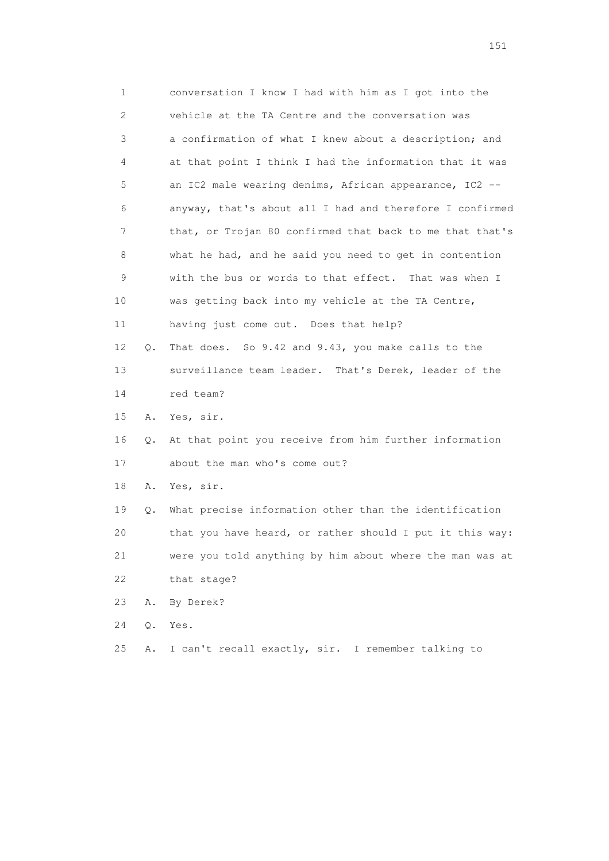| 1  |    | conversation I know I had with him as I got into the     |
|----|----|----------------------------------------------------------|
| 2  |    | vehicle at the TA Centre and the conversation was        |
| 3  |    | a confirmation of what I knew about a description; and   |
| 4  |    | at that point I think I had the information that it was  |
| 5  |    | an IC2 male wearing denims, African appearance, IC2 --   |
| 6  |    | anyway, that's about all I had and therefore I confirmed |
| 7  |    | that, or Trojan 80 confirmed that back to me that that's |
| 8  |    | what he had, and he said you need to get in contention   |
| 9  |    | with the bus or words to that effect. That was when I    |
| 10 |    | was getting back into my vehicle at the TA Centre,       |
| 11 |    | having just come out. Does that help?                    |
| 12 | Q. | That does. So 9.42 and 9.43, you make calls to the       |
| 13 |    | surveillance team leader. That's Derek, leader of the    |
| 14 |    | red team?                                                |
| 15 | Α. | Yes, sir.                                                |
| 16 | Q. | At that point you receive from him further information   |
| 17 |    | about the man who's come out?                            |
| 18 | Α. | Yes, sir.                                                |
| 19 | Q. | What precise information other than the identification   |
| 20 |    | that you have heard, or rather should I put it this way: |
| 21 |    | were you told anything by him about where the man was at |
| 22 |    | that stage?                                              |
| 23 | Α. | By Derek?                                                |
| 24 | Q. | Yes.                                                     |
| 25 | Α. | I can't recall exactly, sir. I remember talking to       |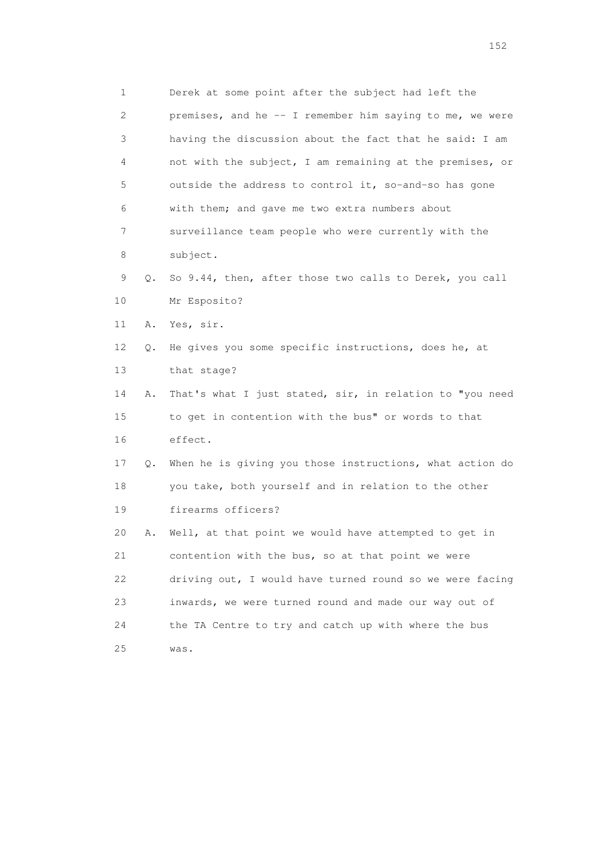1 Derek at some point after the subject had left the 2 premises, and he -- I remember him saying to me, we were 3 having the discussion about the fact that he said: I am 4 not with the subject, I am remaining at the premises, or 5 outside the address to control it, so-and-so has gone 6 with them; and gave me two extra numbers about 7 surveillance team people who were currently with the 8 subject. 9 Q. So 9.44, then, after those two calls to Derek, you call 10 Mr Esposito? 11 A. Yes, sir. 12 Q. He gives you some specific instructions, does he, at 13 that stage? 14 A. That's what I just stated, sir, in relation to "you need 15 to get in contention with the bus" or words to that 16 effect. 17 Q. When he is giving you those instructions, what action do 18 you take, both yourself and in relation to the other 19 firearms officers? 20 A. Well, at that point we would have attempted to get in 21 contention with the bus, so at that point we were 22 driving out, I would have turned round so we were facing 23 inwards, we were turned round and made our way out of 24 the TA Centre to try and catch up with where the bus 25 was.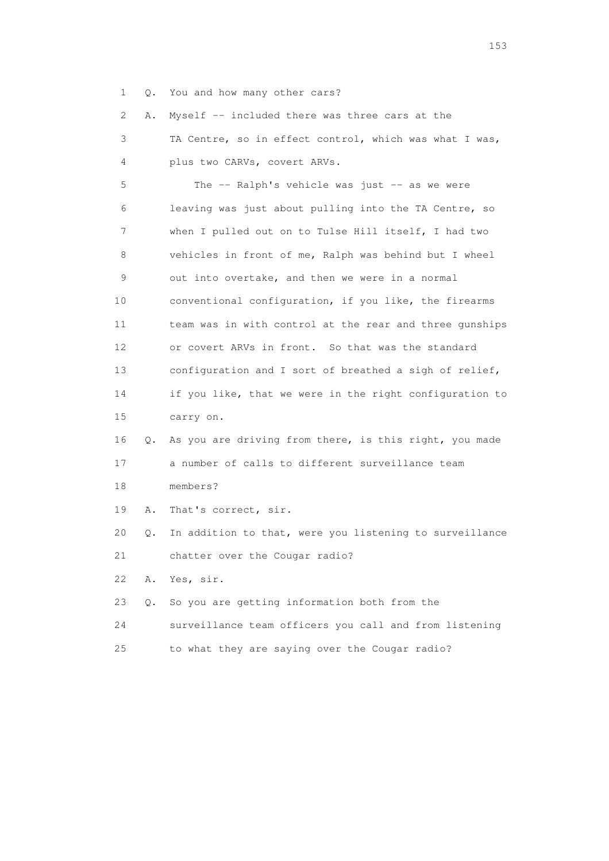1 Q. You and how many other cars?

2 A. Myself -- included there was three cars at the

 3 TA Centre, so in effect control, which was what I was, 4 plus two CARVs, covert ARVs.

 5 The -- Ralph's vehicle was just -- as we were 6 leaving was just about pulling into the TA Centre, so 7 when I pulled out on to Tulse Hill itself, I had two 8 vehicles in front of me, Ralph was behind but I wheel 9 out into overtake, and then we were in a normal 10 conventional configuration, if you like, the firearms 11 team was in with control at the rear and three gunships 12 or covert ARVs in front. So that was the standard 13 configuration and I sort of breathed a sigh of relief, 14 if you like, that we were in the right configuration to 15 carry on. 16 Q. As you are driving from there, is this right, you made 17 a number of calls to different surveillance team 18 members? 19 A. That's correct, sir. 20 Q. In addition to that, were you listening to surveillance 21 chatter over the Cougar radio?

22 A. Yes, sir.

- 23 Q. So you are getting information both from the
- 24 surveillance team officers you call and from listening
- 25 to what they are saying over the Cougar radio?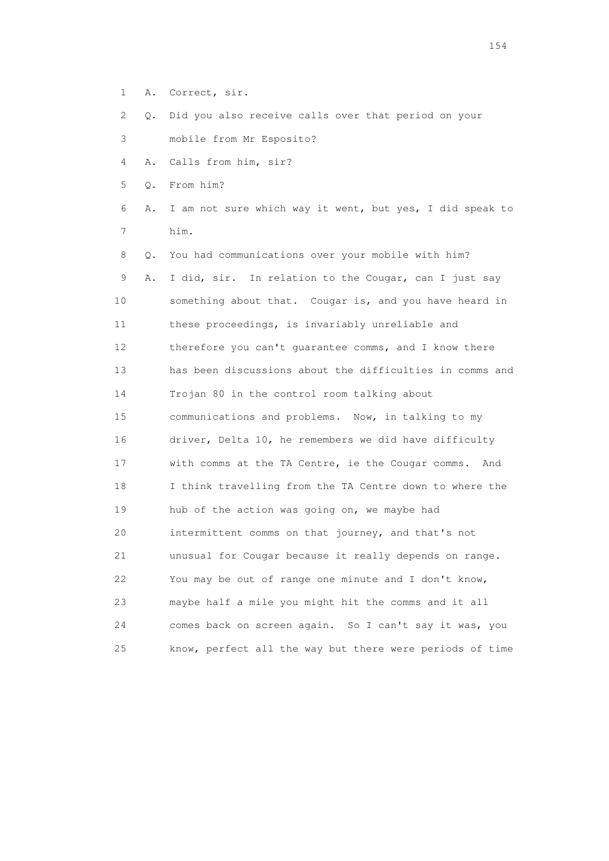- 1 A. Correct, sir.
- 2 Q. Did you also receive calls over that period on your
- 3 mobile from Mr Esposito?
- 4 A. Calls from him, sir?
- 5 Q. From him?
- 6 A. I am not sure which way it went, but yes, I did speak to 7 him.
- 8 Q. You had communications over your mobile with him? 9 A. I did, sir. In relation to the Cougar, can I just say 10 something about that. Cougar is, and you have heard in 11 these proceedings, is invariably unreliable and 12 therefore you can't quarantee comms, and I know there 13 has been discussions about the difficulties in comms and 14 Trojan 80 in the control room talking about 15 communications and problems. Now, in talking to my 16 driver, Delta 10, he remembers we did have difficulty 17 with comms at the TA Centre, ie the Cougar comms. And 18 I think travelling from the TA Centre down to where the 19 hub of the action was going on, we maybe had 20 intermittent comms on that journey, and that's not 21 unusual for Cougar because it really depends on range. 22 You may be out of range one minute and I don't know, 23 maybe half a mile you might hit the comms and it all 24 comes back on screen again. So I can't say it was, you 25 know, perfect all the way but there were periods of time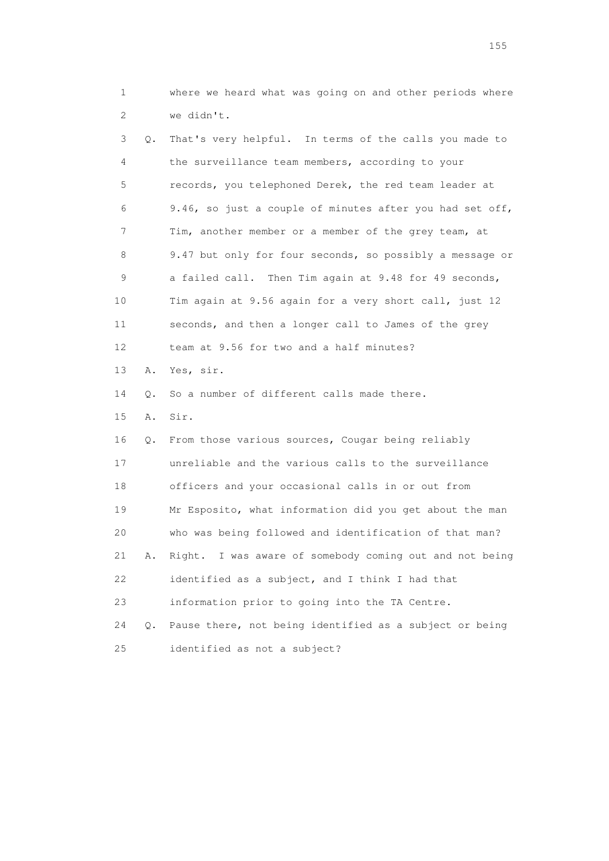1 where we heard what was going on and other periods where 2 we didn't.

 3 Q. That's very helpful. In terms of the calls you made to 4 the surveillance team members, according to your 5 records, you telephoned Derek, the red team leader at 6 9.46, so just a couple of minutes after you had set off, 7 Tim, another member or a member of the grey team, at 8 9.47 but only for four seconds, so possibly a message or 9 a failed call. Then Tim again at 9.48 for 49 seconds, 10 Tim again at 9.56 again for a very short call, just 12 11 seconds, and then a longer call to James of the grey 12 team at 9.56 for two and a half minutes? 13 A. Yes, sir. 14 Q. So a number of different calls made there. 15 A. Sir. 16 Q. From those various sources, Cougar being reliably 17 unreliable and the various calls to the surveillance 18 officers and your occasional calls in or out from 19 Mr Esposito, what information did you get about the man 20 who was being followed and identification of that man? 21 A. Right. I was aware of somebody coming out and not being 22 identified as a subject, and I think I had that 23 information prior to going into the TA Centre. 24 Q. Pause there, not being identified as a subject or being 25 identified as not a subject?

n 155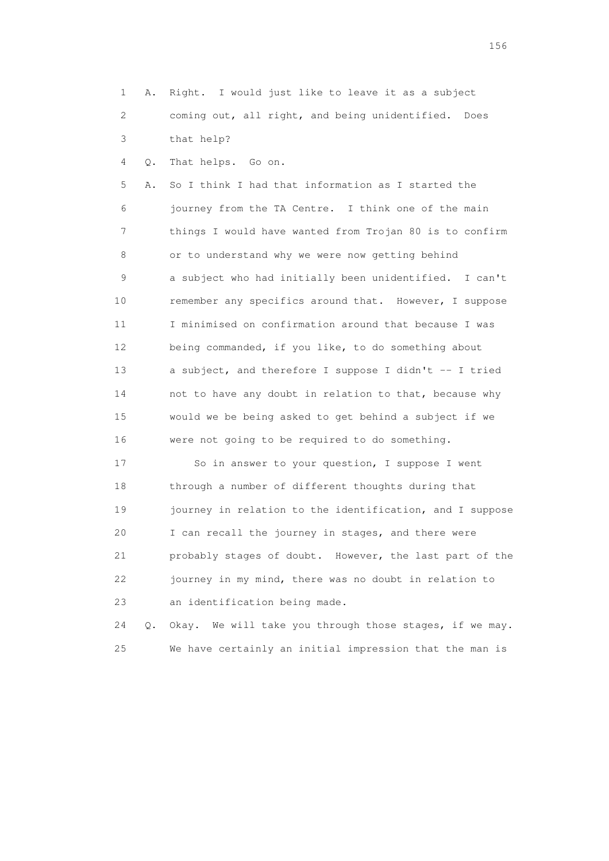1 A. Right. I would just like to leave it as a subject 2 coming out, all right, and being unidentified. Does 3 that help?

4 Q. That helps. Go on.

 5 A. So I think I had that information as I started the 6 journey from the TA Centre. I think one of the main 7 things I would have wanted from Trojan 80 is to confirm 8 or to understand why we were now getting behind 9 a subject who had initially been unidentified. I can't 10 remember any specifics around that. However, I suppose 11 I minimised on confirmation around that because I was 12 being commanded, if you like, to do something about 13 a subject, and therefore I suppose I didn't -- I tried 14 not to have any doubt in relation to that, because why 15 would we be being asked to get behind a subject if we 16 were not going to be required to do something.

 17 So in answer to your question, I suppose I went 18 through a number of different thoughts during that 19 journey in relation to the identification, and I suppose 20 I can recall the journey in stages, and there were 21 probably stages of doubt. However, the last part of the 22 journey in my mind, there was no doubt in relation to 23 an identification being made.

 24 Q. Okay. We will take you through those stages, if we may. 25 We have certainly an initial impression that the man is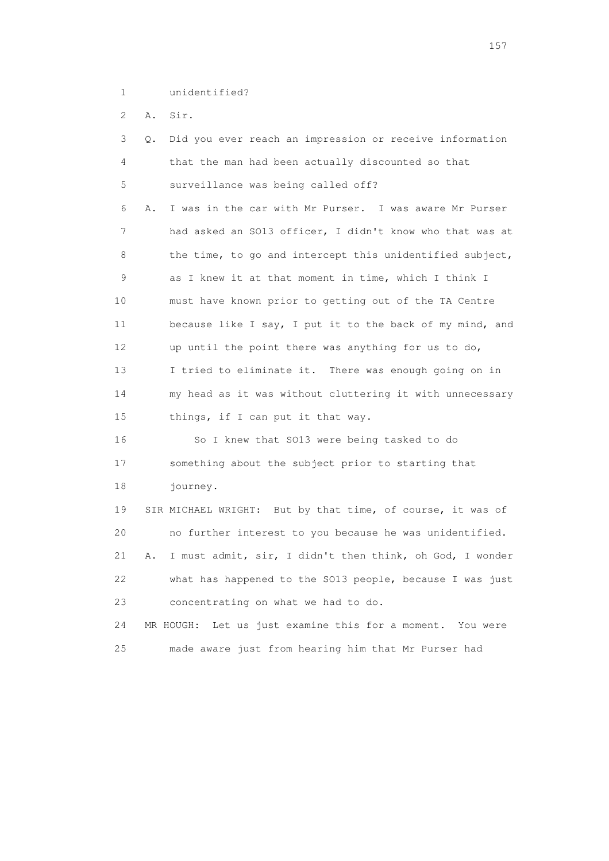1 unidentified?

2 A. Sir.

| 3               | Did you ever reach an impression or receive information<br>Q.  |
|-----------------|----------------------------------------------------------------|
| 4               | that the man had been actually discounted so that              |
| 5               | surveillance was being called off?                             |
| 6               | I was in the car with Mr Purser. I was aware Mr Purser<br>Α.   |
| 7               | had asked an SO13 officer, I didn't know who that was at       |
| 8               | the time, to go and intercept this unidentified subject,       |
| 9               | as I knew it at that moment in time, which I think I           |
| 10              | must have known prior to getting out of the TA Centre          |
| 11              | because like I say, I put it to the back of my mind, and       |
| 12 <sup>°</sup> | up until the point there was anything for us to do,            |
| 13              | I tried to eliminate it. There was enough going on in          |
| 14              | my head as it was without cluttering it with unnecessary       |
| 15              | things, if I can put it that way.                              |
| 16              | So I knew that SO13 were being tasked to do                    |
| 17              | something about the subject prior to starting that             |
| 18              | journey.                                                       |
| 19              | SIR MICHAEL WRIGHT: But by that time, of course, it was of     |
| 20              | no further interest to you because he was unidentified.        |
| 21              | I must admit, sir, I didn't then think, oh God, I wonder<br>Α. |
| 22              | what has happened to the SO13 people, because I was just       |
| 23              | concentrating on what we had to do.                            |
| 24              | Let us just examine this for a moment. You were<br>MR HOUGH:   |
| 25              | made aware just from hearing him that Mr Purser had            |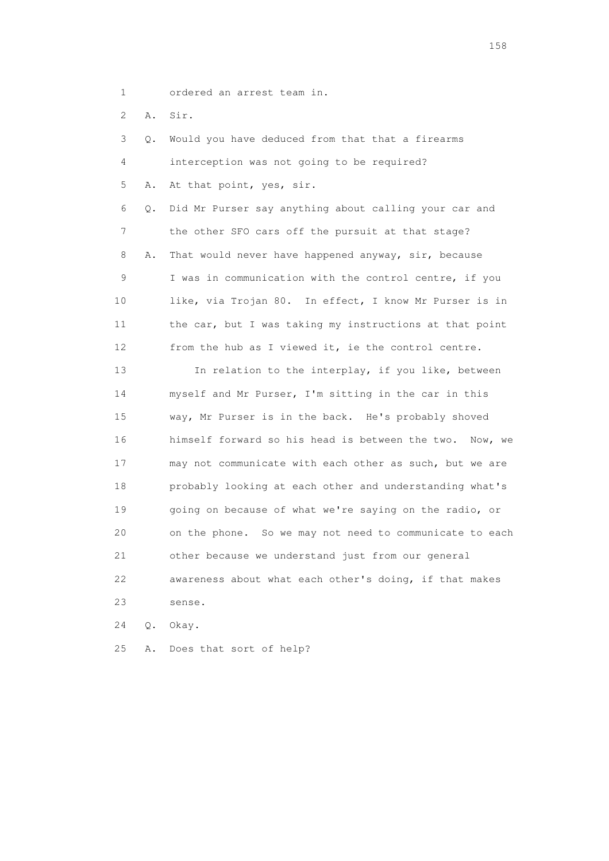- 1 ordered an arrest team in.
- 2 A. Sir.

| 3  | Q. | Would you have deduced from that that a firearms        |
|----|----|---------------------------------------------------------|
| 4  |    | interception was not going to be required?              |
| 5  | Α. | At that point, yes, sir.                                |
| 6  | Q. | Did Mr Purser say anything about calling your car and   |
| 7  |    | the other SFO cars off the pursuit at that stage?       |
| 8  | Α. | That would never have happened anyway, sir, because     |
| 9  |    | I was in communication with the control centre, if you  |
| 10 |    | like, via Trojan 80. In effect, I know Mr Purser is in  |
| 11 |    | the car, but I was taking my instructions at that point |
| 12 |    | from the hub as I viewed it, ie the control centre.     |
| 13 |    | In relation to the interplay, if you like, between      |
| 14 |    | myself and Mr Purser, I'm sitting in the car in this    |
| 15 |    | way, Mr Purser is in the back. He's probably shoved     |
| 16 |    | himself forward so his head is between the two. Now, we |
| 17 |    | may not communicate with each other as such, but we are |
| 18 |    | probably looking at each other and understanding what's |
| 19 |    | going on because of what we're saying on the radio, or  |
| 20 |    | on the phone. So we may not need to communicate to each |
| 21 |    | other because we understand just from our general       |
| 22 |    | awareness about what each other's doing, if that makes  |
| 23 |    | sense.                                                  |
|    |    |                                                         |

24 Q. Okay.

25 A. Does that sort of help?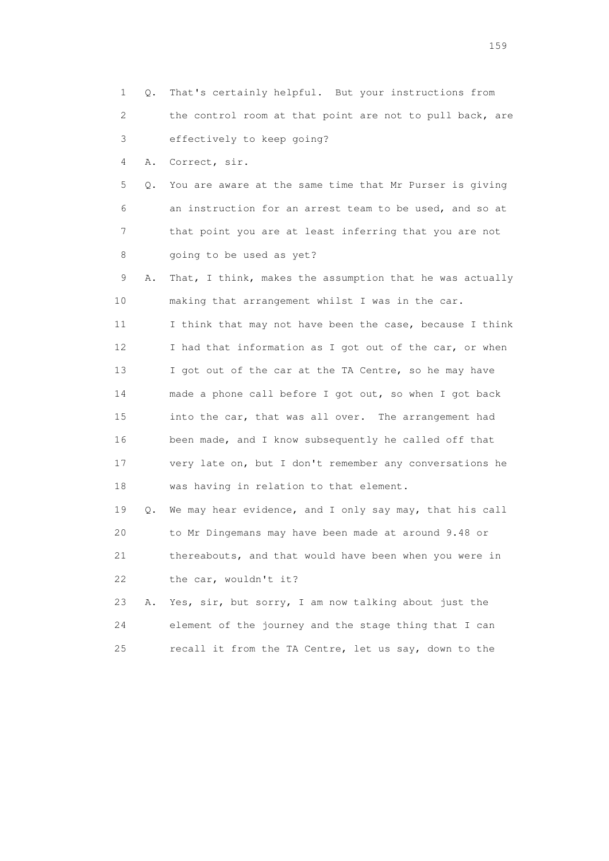- 1 Q. That's certainly helpful. But your instructions from 2 the control room at that point are not to pull back, are 3 effectively to keep going? 4 A. Correct, sir. 5 Q. You are aware at the same time that Mr Purser is giving 6 an instruction for an arrest team to be used, and so at 7 that point you are at least inferring that you are not 8 going to be used as yet? 9 A. That, I think, makes the assumption that he was actually 10 making that arrangement whilst I was in the car. 11 I think that may not have been the case, because I think 12 I had that information as I got out of the car, or when 13 I got out of the car at the TA Centre, so he may have 14 made a phone call before I got out, so when I got back 15 into the car, that was all over. The arrangement had 16 been made, and I know subsequently he called off that 17 very late on, but I don't remember any conversations he 18 was having in relation to that element. 19 Q. We may hear evidence, and I only say may, that his call 20 to Mr Dingemans may have been made at around 9.48 or 21 thereabouts, and that would have been when you were in 22 the car, wouldn't it?
- 23 A. Yes, sir, but sorry, I am now talking about just the 24 element of the journey and the stage thing that I can 25 recall it from the TA Centre, let us say, down to the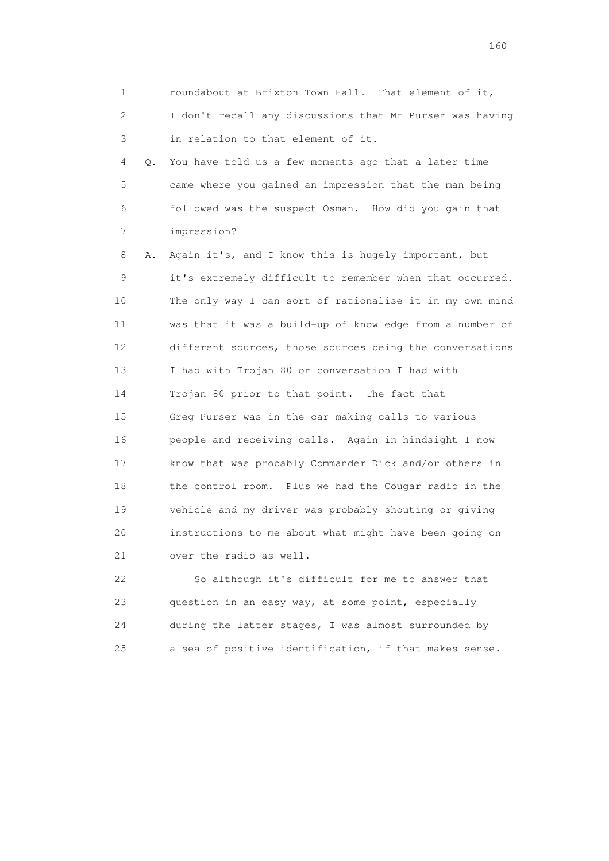1 roundabout at Brixton Town Hall. That element of it, 2 I don't recall any discussions that Mr Purser was having 3 in relation to that element of it.

 4 Q. You have told us a few moments ago that a later time 5 came where you gained an impression that the man being 6 followed was the suspect Osman. How did you gain that 7 impression?

 8 A. Again it's, and I know this is hugely important, but 9 it's extremely difficult to remember when that occurred. 10 The only way I can sort of rationalise it in my own mind 11 was that it was a build-up of knowledge from a number of 12 different sources, those sources being the conversations 13 I had with Trojan 80 or conversation I had with 14 Trojan 80 prior to that point. The fact that 15 Greg Purser was in the car making calls to various 16 people and receiving calls. Again in hindsight I now 17 know that was probably Commander Dick and/or others in 18 the control room. Plus we had the Cougar radio in the 19 vehicle and my driver was probably shouting or giving 20 instructions to me about what might have been going on 21 over the radio as well.

 22 So although it's difficult for me to answer that 23 question in an easy way, at some point, especially 24 during the latter stages, I was almost surrounded by 25 a sea of positive identification, if that makes sense.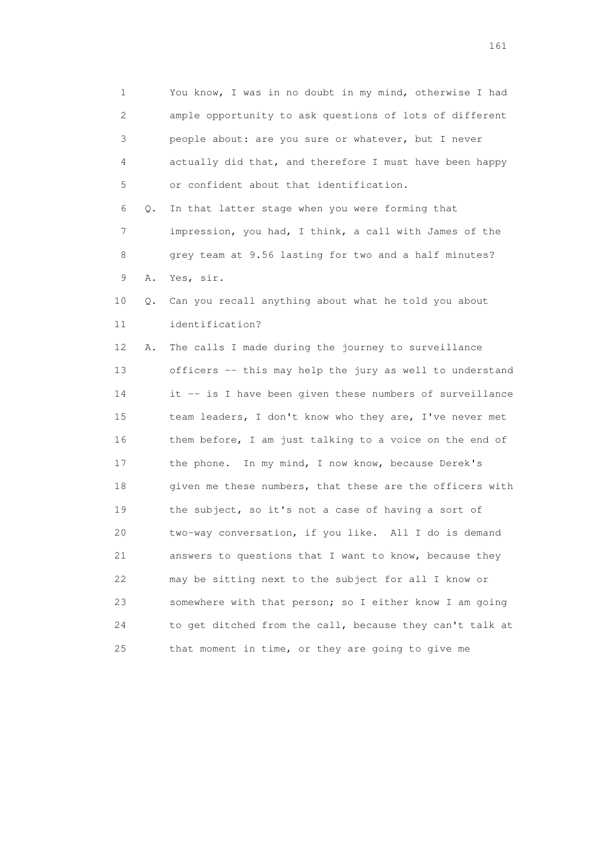1 You know, I was in no doubt in my mind, otherwise I had 2 ample opportunity to ask questions of lots of different 3 people about: are you sure or whatever, but I never 4 actually did that, and therefore I must have been happy 5 or confident about that identification. 6 Q. In that latter stage when you were forming that 7 impression, you had, I think, a call with James of the 8 grey team at 9.56 lasting for two and a half minutes? 9 A. Yes, sir. 10 Q. Can you recall anything about what he told you about 11 identification? 12 A. The calls I made during the journey to surveillance 13 officers -- this may help the jury as well to understand 14 it -- is I have been given these numbers of surveillance 15 team leaders, I don't know who they are, I've never met 16 them before, I am just talking to a voice on the end of 17 the phone. In my mind, I now know, because Derek's 18 given me these numbers, that these are the officers with 19 the subject, so it's not a case of having a sort of 20 two-way conversation, if you like. All I do is demand 21 answers to questions that I want to know, because they 22 may be sitting next to the subject for all I know or 23 somewhere with that person; so I either know I am going 24 to get ditched from the call, because they can't talk at 25 that moment in time, or they are going to give me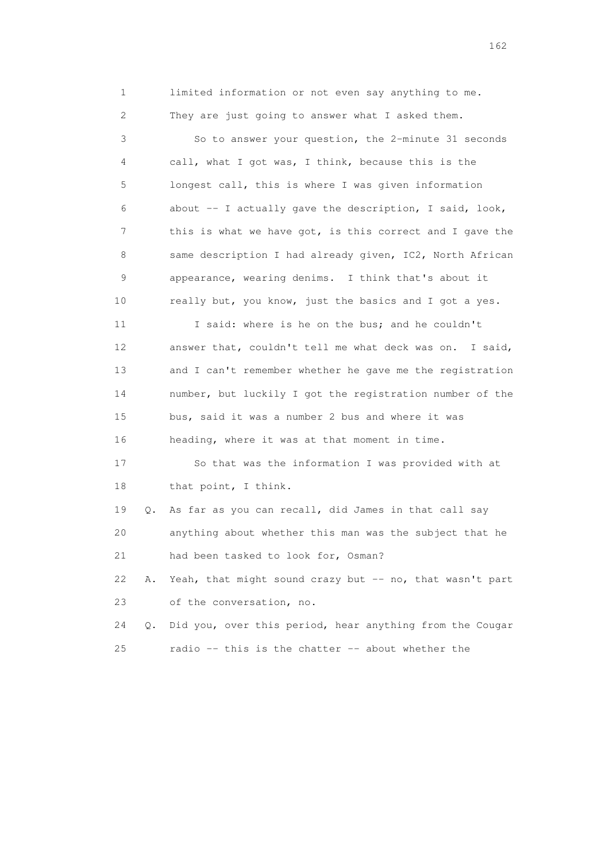1 limited information or not even say anything to me. 2 They are just going to answer what I asked them.

 3 So to answer your question, the 2-minute 31 seconds 4 call, what I got was, I think, because this is the 5 longest call, this is where I was given information 6 about -- I actually gave the description, I said, look, 7 this is what we have got, is this correct and I gave the 8 same description I had already given, IC2, North African 9 appearance, wearing denims. I think that's about it 10 really but, you know, just the basics and I got a yes.

11 I said: where is he on the bus; and he couldn't 12 answer that, couldn't tell me what deck was on. I said, 13 and I can't remember whether he gave me the registration 14 number, but luckily I got the registration number of the 15 bus, said it was a number 2 bus and where it was 16 heading, where it was at that moment in time.

 17 So that was the information I was provided with at 18 that point, I think.

 19 Q. As far as you can recall, did James in that call say 20 anything about whether this man was the subject that he 21 had been tasked to look for, Osman?

22 A. Yeah, that might sound crazy but -- no, that wasn't part 23 of the conversation, no.

 24 Q. Did you, over this period, hear anything from the Cougar 25 radio -- this is the chatter -- about whether the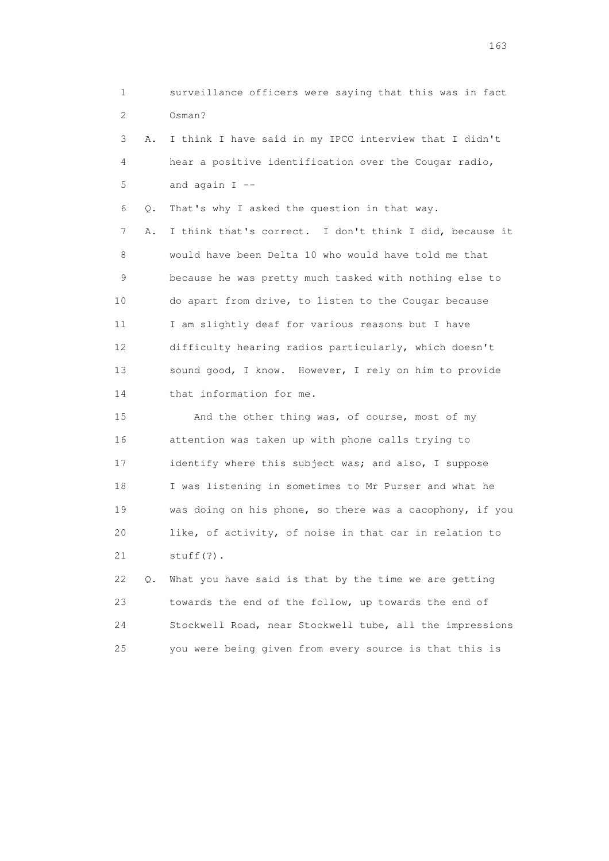1 surveillance officers were saying that this was in fact 2 Osman? 3 A. I think I have said in my IPCC interview that I didn't 4 hear a positive identification over the Cougar radio,

 $5$  and again  $I$  --

6 Q. That's why I asked the question in that way.

 7 A. I think that's correct. I don't think I did, because it 8 would have been Delta 10 who would have told me that 9 because he was pretty much tasked with nothing else to 10 do apart from drive, to listen to the Cougar because 11 I am slightly deaf for various reasons but I have 12 difficulty hearing radios particularly, which doesn't 13 sound good, I know. However, I rely on him to provide 14 that information for me.

 15 And the other thing was, of course, most of my 16 attention was taken up with phone calls trying to 17 identify where this subject was; and also, I suppose 18 I was listening in sometimes to Mr Purser and what he 19 was doing on his phone, so there was a cacophony, if you 20 like, of activity, of noise in that car in relation to 21 stuff(?).

 22 Q. What you have said is that by the time we are getting 23 towards the end of the follow, up towards the end of 24 Stockwell Road, near Stockwell tube, all the impressions 25 you were being given from every source is that this is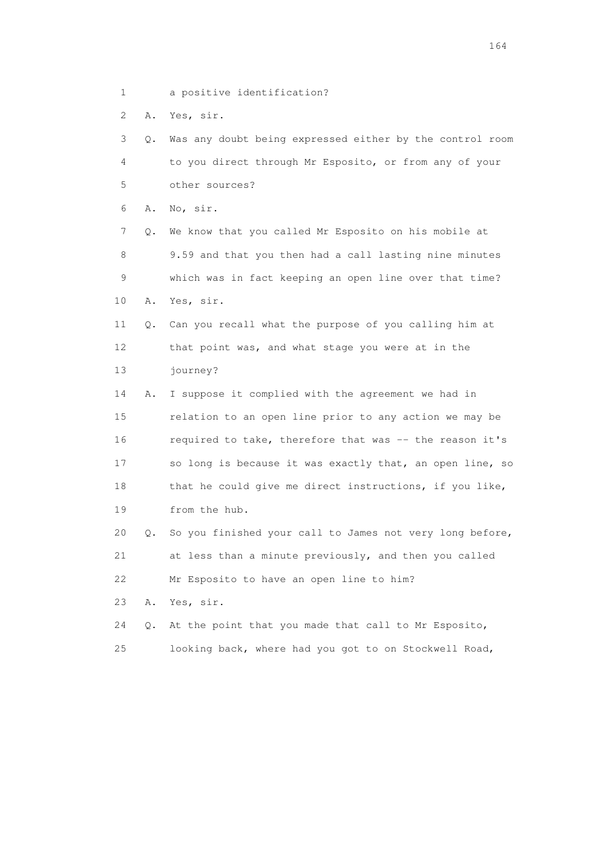1 a positive identification?

2 A. Yes, sir.

 3 Q. Was any doubt being expressed either by the control room 4 to you direct through Mr Esposito, or from any of your 5 other sources? 6 A. No, sir. 7 Q. We know that you called Mr Esposito on his mobile at 8 9.59 and that you then had a call lasting nine minutes 9 which was in fact keeping an open line over that time? 10 A. Yes, sir. 11 Q. Can you recall what the purpose of you calling him at 12 that point was, and what stage you were at in the 13 journey? 14 A. I suppose it complied with the agreement we had in 15 relation to an open line prior to any action we may be 16 required to take, therefore that was -- the reason it's 17 so long is because it was exactly that, an open line, so 18 that he could give me direct instructions, if you like, 19 from the hub. 20 Q. So you finished your call to James not very long before, 21 at less than a minute previously, and then you called 22 Mr Esposito to have an open line to him? 23 A. Yes, sir. 24 Q. At the point that you made that call to Mr Esposito, 25 looking back, where had you got to on Stockwell Road,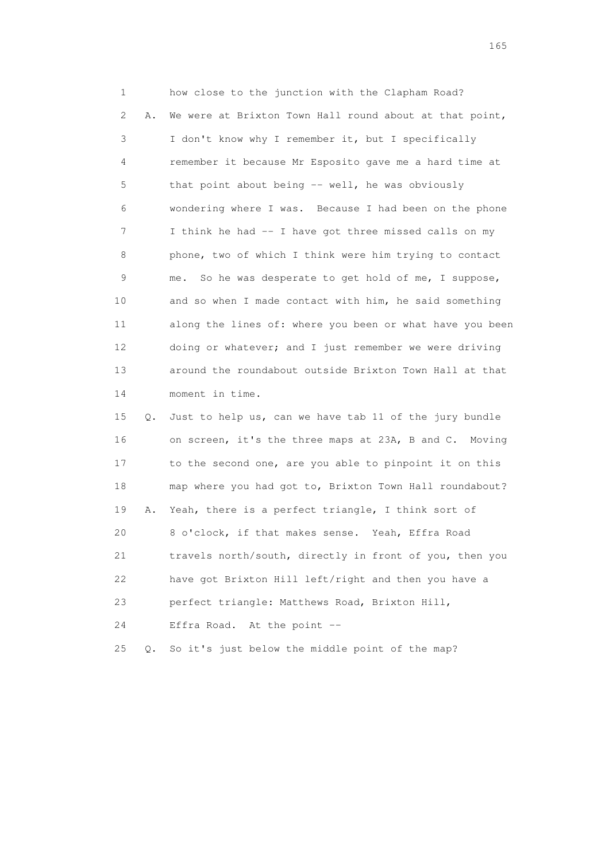1 how close to the junction with the Clapham Road? 2 A. We were at Brixton Town Hall round about at that point, 3 I don't know why I remember it, but I specifically 4 remember it because Mr Esposito gave me a hard time at 5 that point about being -- well, he was obviously 6 wondering where I was. Because I had been on the phone 7 I think he had -- I have got three missed calls on my 8 phone, two of which I think were him trying to contact 9 me. So he was desperate to get hold of me, I suppose, 10 and so when I made contact with him, he said something 11 along the lines of: where you been or what have you been 12 doing or whatever; and I just remember we were driving 13 around the roundabout outside Brixton Town Hall at that 14 moment in time.

 15 Q. Just to help us, can we have tab 11 of the jury bundle 16 on screen, it's the three maps at 23A, B and C. Moving 17 to the second one, are you able to pinpoint it on this 18 map where you had got to, Brixton Town Hall roundabout? 19 A. Yeah, there is a perfect triangle, I think sort of 20 8 o'clock, if that makes sense. Yeah, Effra Road 21 travels north/south, directly in front of you, then you 22 have got Brixton Hill left/right and then you have a 23 perfect triangle: Matthews Road, Brixton Hill, 24 Effra Road. At the point -- 25 Q. So it's just below the middle point of the map?

<u>165</u>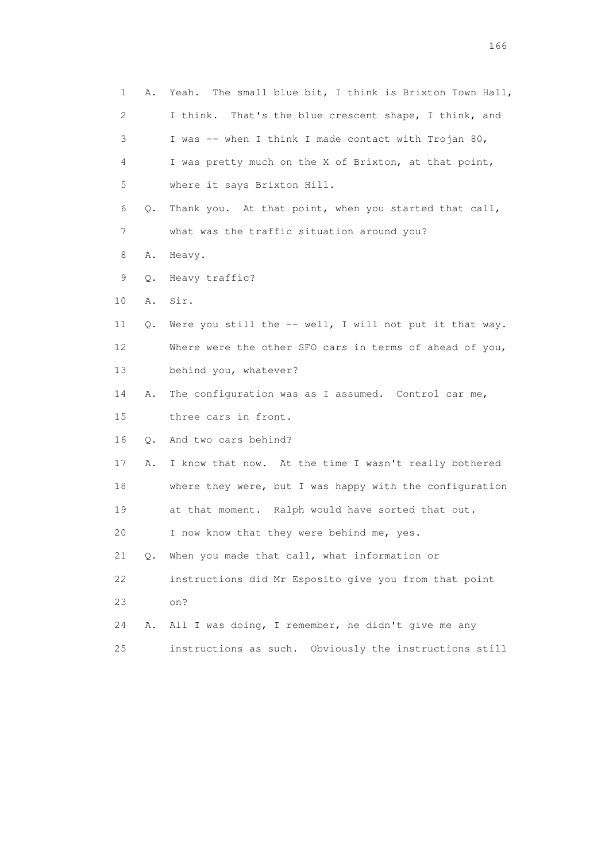| 1  | Α. | Yeah. The small blue bit, I think is Brixton Town Hall,  |
|----|----|----------------------------------------------------------|
| 2  |    | I think.<br>That's the blue crescent shape, I think, and |
| 3  |    | I was -- when I think I made contact with Trojan 80,     |
| 4  |    | I was pretty much on the X of Brixton, at that point,    |
| 5  |    | where it says Brixton Hill.                              |
| 6  | Q. | Thank you. At that point, when you started that call,    |
| 7  |    | what was the traffic situation around you?               |
| 8  | Α. | Heavy.                                                   |
| 9  | Q. | Heavy traffic?                                           |
| 10 | Α. | Sir.                                                     |
| 11 | Q. | Were you still the -- well, I will not put it that way.  |
| 12 |    | Where were the other SFO cars in terms of ahead of you,  |
| 13 |    | behind you, whatever?                                    |
| 14 | Α. | The configuration was as I assumed. Control car me,      |
| 15 |    | three cars in front.                                     |
| 16 | Q. | And two cars behind?                                     |
| 17 | Α. | I know that now. At the time I wasn't really bothered    |
| 18 |    | where they were, but I was happy with the configuration  |
| 19 |    | at that moment. Ralph would have sorted that out.        |
| 20 |    | I now know that they were behind me, yes.                |
| 21 | Q. | When you made that call, what information or             |
| 22 |    | instructions did Mr Esposito give you from that point    |
| 23 |    | on?                                                      |
| 24 | Α. | All I was doing, I remember, he didn't give me any       |
| 25 |    | instructions as such. Obviously the instructions still   |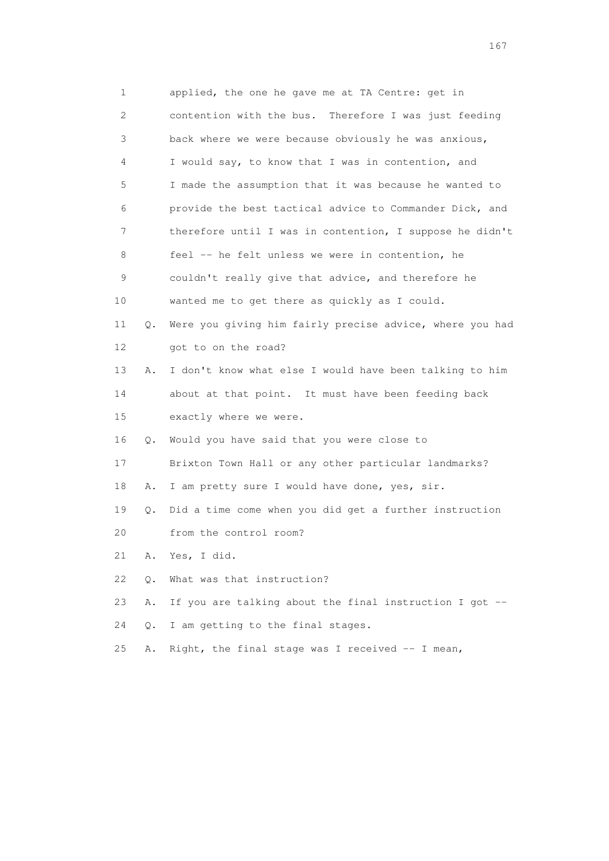1 applied, the one he gave me at TA Centre: get in 2 contention with the bus. Therefore I was just feeding 3 back where we were because obviously he was anxious, 4 I would say, to know that I was in contention, and 5 I made the assumption that it was because he wanted to 6 provide the best tactical advice to Commander Dick, and 7 therefore until I was in contention, I suppose he didn't 8 feel -- he felt unless we were in contention, he 9 couldn't really give that advice, and therefore he 10 wanted me to get there as quickly as I could. 11 Q. Were you giving him fairly precise advice, where you had 12 got to on the road? 13 A. I don't know what else I would have been talking to him 14 about at that point. It must have been feeding back 15 exactly where we were. 16 Q. Would you have said that you were close to 17 Brixton Town Hall or any other particular landmarks? 18 A. I am pretty sure I would have done, yes, sir. 19 Q. Did a time come when you did get a further instruction 20 from the control room? 21 A. Yes, I did. 22 Q. What was that instruction? 23 A. If you are talking about the final instruction I got -- 24 Q. I am getting to the final stages. 25 A. Right, the final stage was I received -- I mean,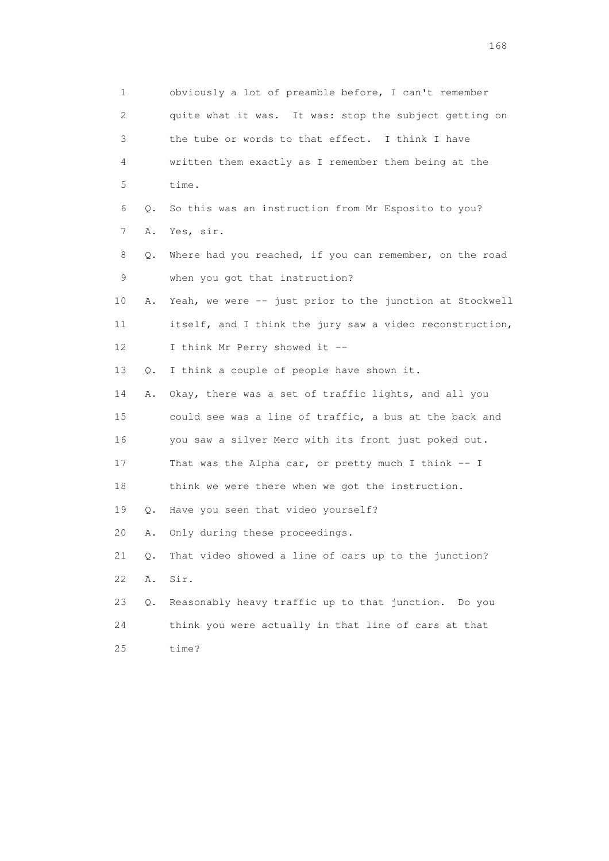1 obviously a lot of preamble before, I can't remember 2 quite what it was. It was: stop the subject getting on 3 the tube or words to that effect. I think I have 4 written them exactly as I remember them being at the 5 time. 6 Q. So this was an instruction from Mr Esposito to you? 7 A. Yes, sir. 8 Q. Where had you reached, if you can remember, on the road 9 when you got that instruction? 10 A. Yeah, we were -- just prior to the junction at Stockwell 11 itself, and I think the jury saw a video reconstruction, 12 I think Mr Perry showed it -- 13 Q. I think a couple of people have shown it. 14 A. Okay, there was a set of traffic lights, and all you 15 could see was a line of traffic, a bus at the back and 16 you saw a silver Merc with its front just poked out. 17 That was the Alpha car, or pretty much I think -- I 18 think we were there when we got the instruction. 19 Q. Have you seen that video yourself? 20 A. Only during these proceedings. 21 Q. That video showed a line of cars up to the junction? 22 A. Sir. 23 Q. Reasonably heavy traffic up to that junction. Do you 24 think you were actually in that line of cars at that 25 time?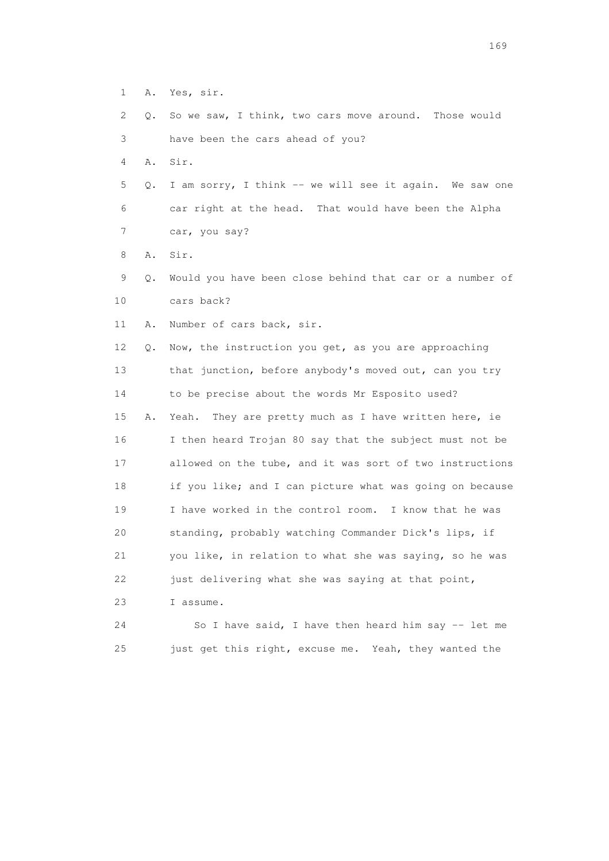| 1  | Α. | Yes, sir.                                                |
|----|----|----------------------------------------------------------|
| 2  | Q. | So we saw, I think, two cars move around. Those would    |
| 3  |    | have been the cars ahead of you?                         |
| 4  | Α. | Sir.                                                     |
| 5  | Q. | I am sorry, I think -- we will see it again. We saw one  |
| 6  |    | car right at the head. That would have been the Alpha    |
| 7  |    | car, you say?                                            |
| 8  | Α. | Sir.                                                     |
| 9  | Q. | Would you have been close behind that car or a number of |
| 10 |    | cars back?                                               |
| 11 | Α. | Number of cars back, sir.                                |
| 12 | Q. | Now, the instruction you get, as you are approaching     |
| 13 |    | that junction, before anybody's moved out, can you try   |
| 14 |    | to be precise about the words Mr Esposito used?          |
| 15 | Α. | Yeah.<br>They are pretty much as I have written here, ie |
| 16 |    | I then heard Trojan 80 say that the subject must not be  |
| 17 |    | allowed on the tube, and it was sort of two instructions |
| 18 |    | if you like; and I can picture what was going on because |
| 19 |    | I have worked in the control room. I know that he was    |
| 20 |    | standing, probably watching Commander Dick's lips, if    |
| 21 |    | you like, in relation to what she was saying, so he was  |
| 22 |    | just delivering what she was saying at that point,       |
| 23 |    | I assume.                                                |
| 24 |    | So I have said, I have then heard him say -- let me      |
| 25 |    | just get this right, excuse me. Yeah, they wanted the    |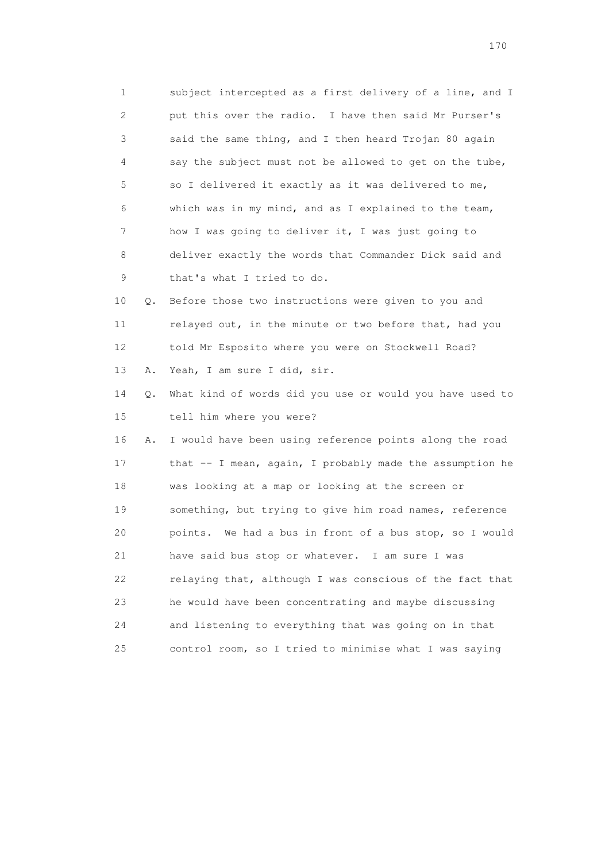1 subject intercepted as a first delivery of a line, and I 2 put this over the radio. I have then said Mr Purser's 3 said the same thing, and I then heard Trojan 80 again 4 say the subject must not be allowed to get on the tube, 5 so I delivered it exactly as it was delivered to me, 6 which was in my mind, and as I explained to the team, 7 how I was going to deliver it, I was just going to 8 deliver exactly the words that Commander Dick said and 9 that's what I tried to do. 10 Q. Before those two instructions were given to you and

 11 relayed out, in the minute or two before that, had you 12 told Mr Esposito where you were on Stockwell Road? 13 A. Yeah, I am sure I did, sir.

 14 Q. What kind of words did you use or would you have used to 15 tell him where you were?

 16 A. I would have been using reference points along the road 17 that -- I mean, again, I probably made the assumption he 18 was looking at a map or looking at the screen or 19 something, but trying to give him road names, reference 20 points. We had a bus in front of a bus stop, so I would 21 have said bus stop or whatever. I am sure I was 22 relaying that, although I was conscious of the fact that 23 he would have been concentrating and maybe discussing 24 and listening to everything that was going on in that 25 control room, so I tried to minimise what I was saying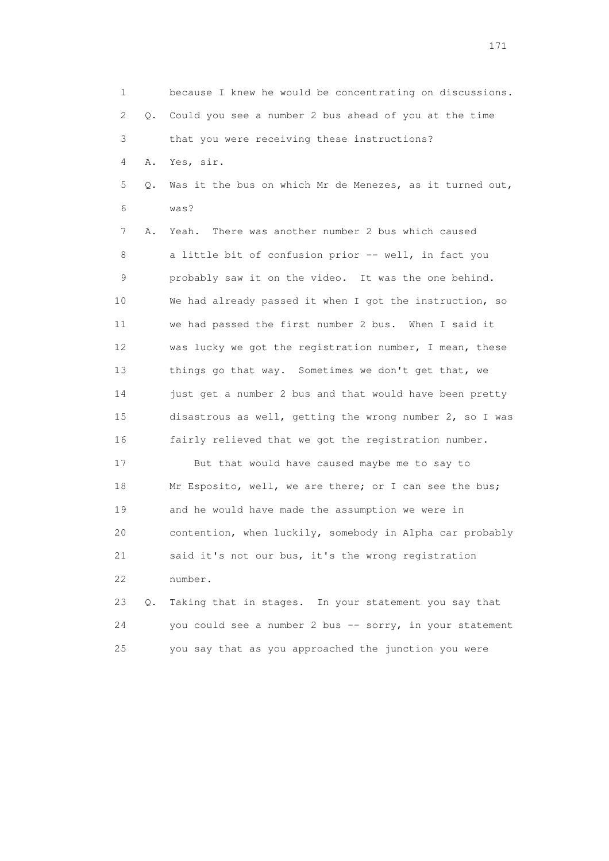1 because I knew he would be concentrating on discussions. 2 Q. Could you see a number 2 bus ahead of you at the time 3 that you were receiving these instructions? 4 A. Yes, sir. 5 Q. Was it the bus on which Mr de Menezes, as it turned out, 6 was? 7 A. Yeah. There was another number 2 bus which caused 8 a little bit of confusion prior -- well, in fact you 9 probably saw it on the video. It was the one behind. 10 We had already passed it when I got the instruction, so 11 we had passed the first number 2 bus. When I said it 12 was lucky we got the registration number, I mean, these 13 things go that way. Sometimes we don't get that, we 14 just get a number 2 bus and that would have been pretty 15 disastrous as well, getting the wrong number 2, so I was 16 fairly relieved that we got the registration number. 17 But that would have caused maybe me to say to 18 Mr Esposito, well, we are there; or I can see the bus; 19 and he would have made the assumption we were in 20 contention, when luckily, somebody in Alpha car probably 21 said it's not our bus, it's the wrong registration 22 number. 23 Q. Taking that in stages. In your statement you say that 24 you could see a number 2 bus -- sorry, in your statement 25 you say that as you approached the junction you were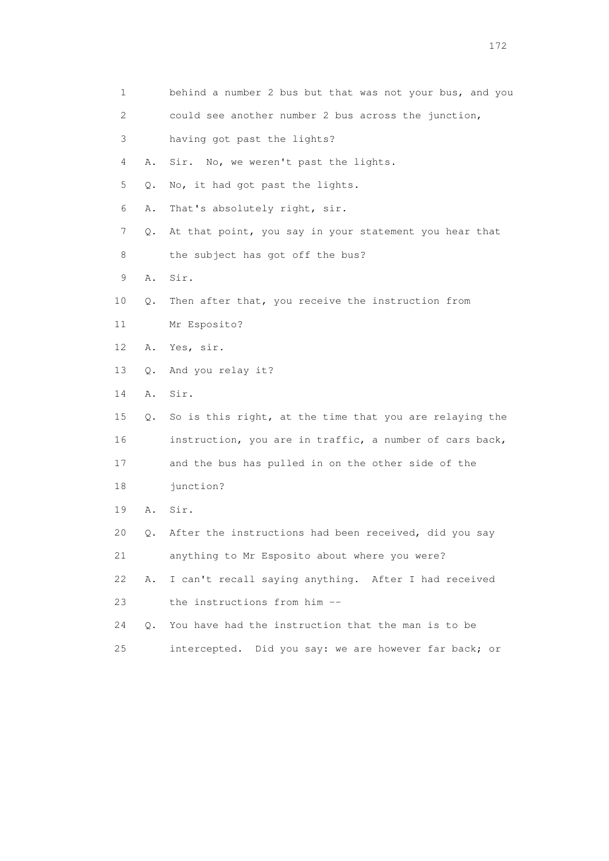| 1  |           | behind a number 2 bus but that was not your bus, and you |
|----|-----------|----------------------------------------------------------|
| 2  |           | could see another number 2 bus across the junction,      |
| 3  |           | having got past the lights?                              |
| 4  | Α.        | No, we weren't past the lights.<br>Sir.                  |
| 5  | Q.        | No, it had got past the lights.                          |
| 6  | Α.        | That's absolutely right, sir.                            |
| 7  | Q.        | At that point, you say in your statement you hear that   |
| 8  |           | the subject has got off the bus?                         |
| 9  | Α.        | Sir.                                                     |
| 10 | Q.        | Then after that, you receive the instruction from        |
| 11 |           | Mr Esposito?                                             |
| 12 | Α.        | Yes, sir.                                                |
| 13 | Q.        | And you relay it?                                        |
| 14 | Α.        | Sir.                                                     |
| 15 | Q.        | So is this right, at the time that you are relaying the  |
| 16 |           | instruction, you are in traffic, a number of cars back,  |
| 17 |           | and the bus has pulled in on the other side of the       |
| 18 |           | junction?                                                |
| 19 | Α.        | Sir.                                                     |
| 20 | Q.        | After the instructions had been received, did you say    |
| 21 |           | anything to Mr Esposito about where you were?            |
| 22 | Α.        | I can't recall saying anything. After I had received     |
| 23 |           | the instructions from him --                             |
| 24 | $\circ$ . | You have had the instruction that the man is to be       |
| 25 |           | Did you say: we are however far back; or<br>intercepted. |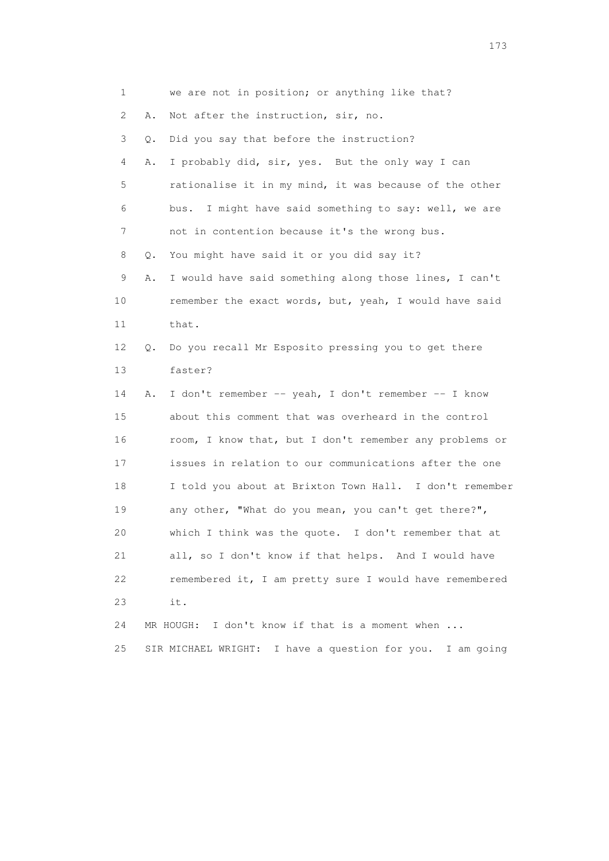| 1  |    | we are not in position; or anything like that?               |
|----|----|--------------------------------------------------------------|
| 2  | Α. | Not after the instruction, sir, no.                          |
| 3  | Q. | Did you say that before the instruction?                     |
| 4  | Α. | I probably did, sir, yes. But the only way I can             |
| 5  |    | rationalise it in my mind, it was because of the other       |
| 6  |    | I might have said something to say: well, we are<br>bus.     |
| 7  |    | not in contention because it's the wrong bus.                |
| 8  | Q. | You might have said it or you did say it?                    |
| 9  | Α. | I would have said something along those lines, I can't       |
| 10 |    | remember the exact words, but, yeah, I would have said       |
| 11 |    | that.                                                        |
| 12 | Q. | Do you recall Mr Esposito pressing you to get there          |
| 13 |    | faster?                                                      |
| 14 | Α. | I don't remember -- yeah, I don't remember -- I know         |
| 15 |    | about this comment that was overheard in the control         |
| 16 |    | room, I know that, but I don't remember any problems or      |
| 17 |    | issues in relation to our communications after the one       |
| 18 |    | I told you about at Brixton Town Hall. I don't remember      |
| 19 |    | any other, "What do you mean, you can't get there?",         |
| 20 |    | which I think was the quote. I don't remember that at        |
| 21 |    | all, so I don't know if that helps. And I would have         |
| 22 |    | remembered it, I am pretty sure I would have remembered      |
| 23 |    | it.                                                          |
| 24 |    | I don't know if that is a moment when<br>MR HOUGH:           |
| 25 |    | I have a question for you. I am going<br>SIR MICHAEL WRIGHT: |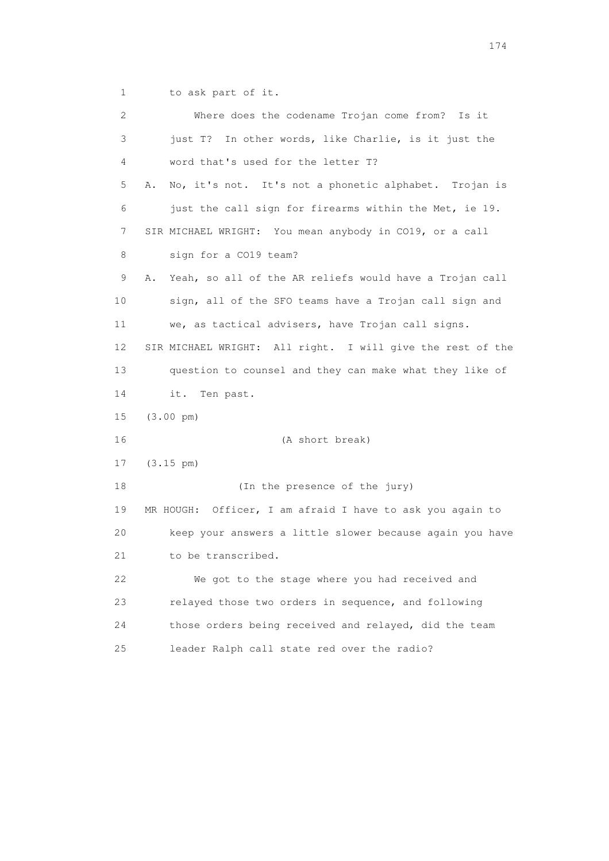1 to ask part of it.

| 2  | Where does the codename Trojan come from?<br>Is it            |
|----|---------------------------------------------------------------|
| 3  | just T? In other words, like Charlie, is it just the          |
| 4  | word that's used for the letter T?                            |
| 5  | No, it's not. It's not a phonetic alphabet. Trojan is<br>Α.   |
| 6  | just the call sign for firearms within the Met, ie 19.        |
| 7  | SIR MICHAEL WRIGHT: You mean anybody in CO19, or a call       |
| 8  | sign for a CO19 team?                                         |
| 9  | Yeah, so all of the AR reliefs would have a Trojan call<br>Α. |
| 10 | sign, all of the SFO teams have a Trojan call sign and        |
| 11 | we, as tactical advisers, have Trojan call signs.             |
| 12 | SIR MICHAEL WRIGHT: All right. I will give the rest of the    |
| 13 | question to counsel and they can make what they like of       |
| 14 | it.<br>Ten past.                                              |
| 15 | $(3.00 \text{ pm})$                                           |
| 16 | (A short break)                                               |
| 17 | $(3.15 \text{ pm})$                                           |
| 18 | (In the presence of the jury)                                 |
| 19 | MR HOUGH: Officer, I am afraid I have to ask you again to     |
| 20 | keep your answers a little slower because again you have      |
| 21 | to be transcribed.                                            |
| 22 | We got to the stage where you had received and                |
| 23 | relayed those two orders in sequence, and following           |
| 24 | those orders being received and relayed, did the team         |
| 25 | leader Ralph call state red over the radio?                   |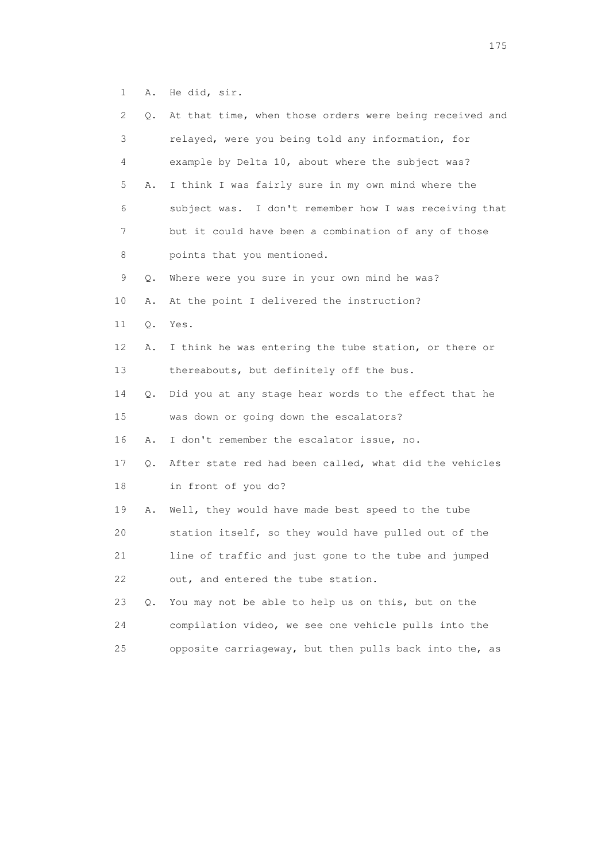1 A. He did, sir.

| 2  | Q. | At that time, when those orders were being received and |
|----|----|---------------------------------------------------------|
| 3  |    | relayed, were you being told any information, for       |
| 4  |    | example by Delta 10, about where the subject was?       |
| 5  | Α. | I think I was fairly sure in my own mind where the      |
| 6  |    | subject was. I don't remember how I was receiving that  |
| 7  |    | but it could have been a combination of any of those    |
| 8  |    | points that you mentioned.                              |
| 9  | Q. | Where were you sure in your own mind he was?            |
| 10 | Α. | At the point I delivered the instruction?               |
| 11 | Q. | Yes.                                                    |
| 12 | Α. | I think he was entering the tube station, or there or   |
| 13 |    | thereabouts, but definitely off the bus.                |
| 14 | Q. | Did you at any stage hear words to the effect that he   |
| 15 |    | was down or going down the escalators?                  |
| 16 | Α. | I don't remember the escalator issue, no.               |
| 17 | Q. | After state red had been called, what did the vehicles  |
| 18 |    | in front of you do?                                     |
| 19 | Α. | Well, they would have made best speed to the tube       |
| 20 |    | station itself, so they would have pulled out of the    |
| 21 |    | line of traffic and just gone to the tube and jumped    |
| 22 |    | out, and entered the tube station.                      |
| 23 | Q. | You may not be able to help us on this, but on the      |
| 24 |    | compilation video, we see one vehicle pulls into the    |
| 25 |    | opposite carriageway, but then pulls back into the, as  |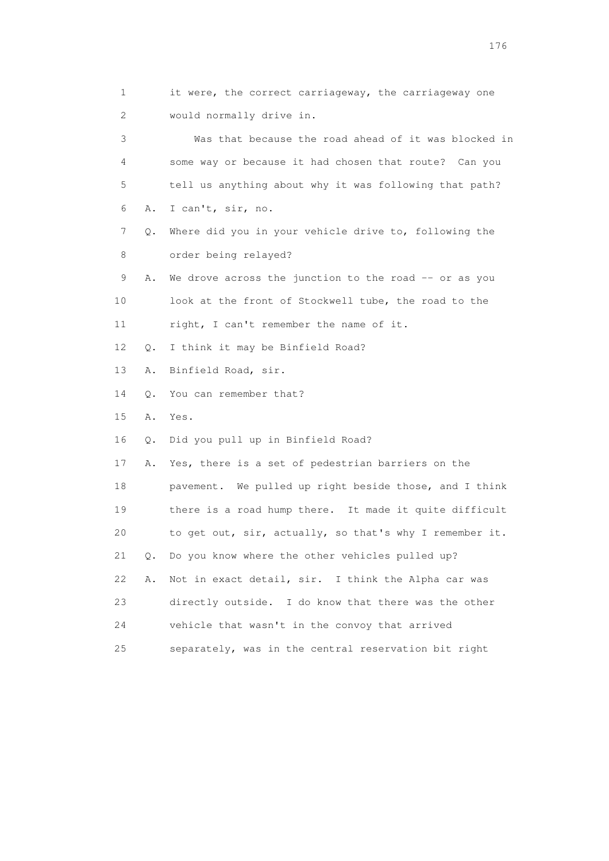1 it were, the correct carriageway, the carriageway one 2 would normally drive in. 3 Was that because the road ahead of it was blocked in 4 some way or because it had chosen that route? Can you 5 tell us anything about why it was following that path? 6 A. I can't, sir, no. 7 Q. Where did you in your vehicle drive to, following the 8 order being relayed? 9 A. We drove across the junction to the road -- or as you 10 look at the front of Stockwell tube, the road to the 11 right, I can't remember the name of it. 12 Q. I think it may be Binfield Road? 13 A. Binfield Road, sir. 14 Q. You can remember that? 15 A. Yes. 16 Q. Did you pull up in Binfield Road? 17 A. Yes, there is a set of pedestrian barriers on the 18 pavement. We pulled up right beside those, and I think 19 there is a road hump there. It made it quite difficult 20 to get out, sir, actually, so that's why I remember it. 21 Q. Do you know where the other vehicles pulled up? 22 A. Not in exact detail, sir. I think the Alpha car was 23 directly outside. I do know that there was the other 24 vehicle that wasn't in the convoy that arrived 25 separately, was in the central reservation bit right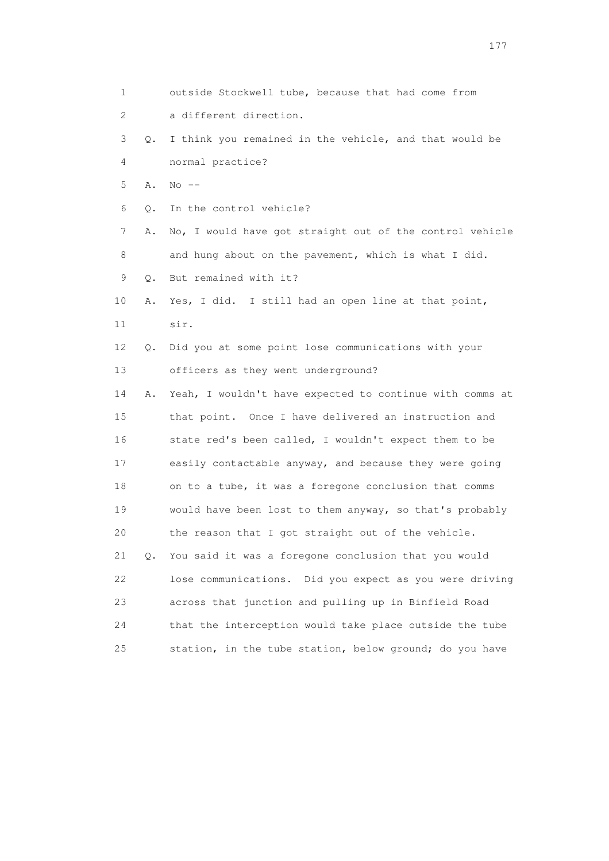1 outside Stockwell tube, because that had come from 2 a different direction. 3 Q. I think you remained in the vehicle, and that would be 4 normal practice? 5 A. No -- 6 Q. In the control vehicle? 7 A. No, I would have got straight out of the control vehicle 8 and hung about on the pavement, which is what I did. 9 Q. But remained with it? 10 A. Yes, I did. I still had an open line at that point, 11 sir. 12 Q. Did you at some point lose communications with your 13 officers as they went underground? 14 A. Yeah, I wouldn't have expected to continue with comms at 15 that point. Once I have delivered an instruction and 16 state red's been called, I wouldn't expect them to be 17 easily contactable anyway, and because they were going 18 on to a tube, it was a foregone conclusion that comms 19 would have been lost to them anyway, so that's probably 20 the reason that I got straight out of the vehicle. 21 Q. You said it was a foregone conclusion that you would 22 lose communications. Did you expect as you were driving 23 across that junction and pulling up in Binfield Road 24 that the interception would take place outside the tube 25 station, in the tube station, below ground; do you have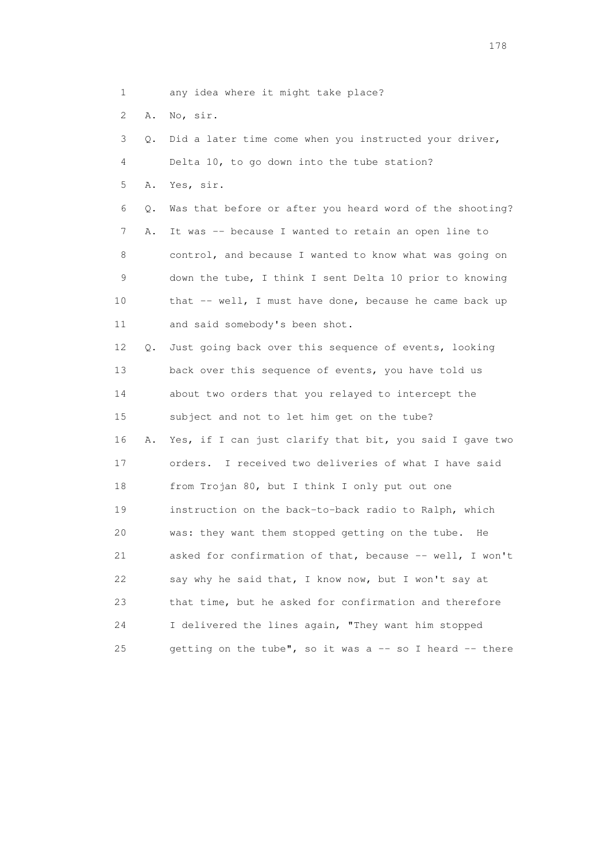1 any idea where it might take place?

2 A. No, sir.

 3 Q. Did a later time come when you instructed your driver, 4 Delta 10, to go down into the tube station? 5 A. Yes, sir. 6 Q. Was that before or after you heard word of the shooting? 7 A. It was -- because I wanted to retain an open line to 8 control, and because I wanted to know what was going on 9 down the tube, I think I sent Delta 10 prior to knowing 10 that -- well, I must have done, because he came back up 11 and said somebody's been shot. 12 Q. Just going back over this sequence of events, looking 13 back over this sequence of events, you have told us 14 about two orders that you relayed to intercept the 15 subject and not to let him get on the tube? 16 A. Yes, if I can just clarify that bit, you said I gave two 17 orders. I received two deliveries of what I have said 18 from Trojan 80, but I think I only put out one 19 instruction on the back-to-back radio to Ralph, which 20 was: they want them stopped getting on the tube. He 21 asked for confirmation of that, because -- well, I won't 22 say why he said that, I know now, but I won't say at 23 that time, but he asked for confirmation and therefore 24 I delivered the lines again, "They want him stopped 25 getting on the tube", so it was a  $-$  so I heard  $-$  there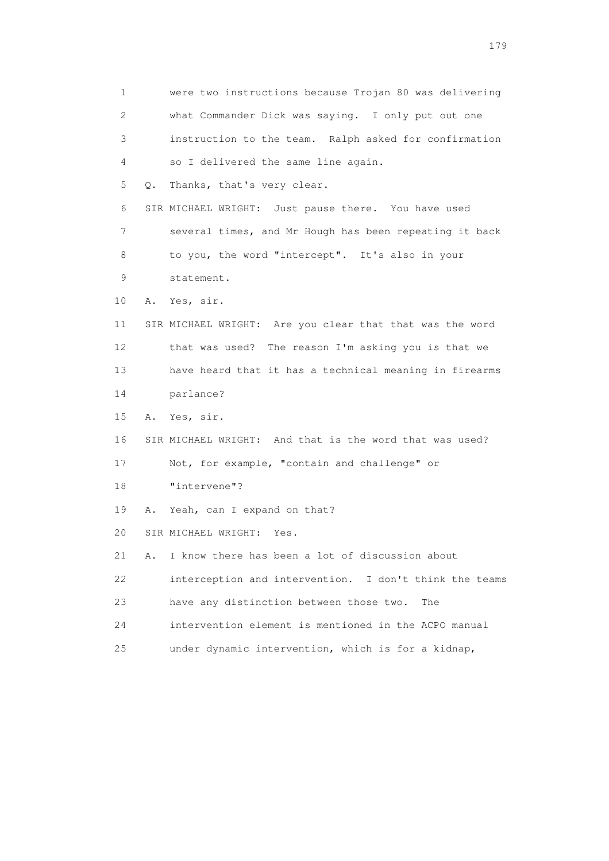1 were two instructions because Trojan 80 was delivering 2 what Commander Dick was saying. I only put out one 3 instruction to the team. Ralph asked for confirmation 4 so I delivered the same line again. 5 Q. Thanks, that's very clear. 6 SIR MICHAEL WRIGHT: Just pause there. You have used 7 several times, and Mr Hough has been repeating it back 8 to you, the word "intercept". It's also in your 9 statement. 10 A. Yes, sir. 11 SIR MICHAEL WRIGHT: Are you clear that that was the word 12 that was used? The reason I'm asking you is that we 13 have heard that it has a technical meaning in firearms 14 parlance? 15 A. Yes, sir. 16 SIR MICHAEL WRIGHT: And that is the word that was used? 17 Not, for example, "contain and challenge" or 18 "intervene"? 19 A. Yeah, can I expand on that? 20 SIR MICHAEL WRIGHT: Yes. 21 A. I know there has been a lot of discussion about 22 interception and intervention. I don't think the teams 23 have any distinction between those two. The 24 intervention element is mentioned in the ACPO manual 25 under dynamic intervention, which is for a kidnap,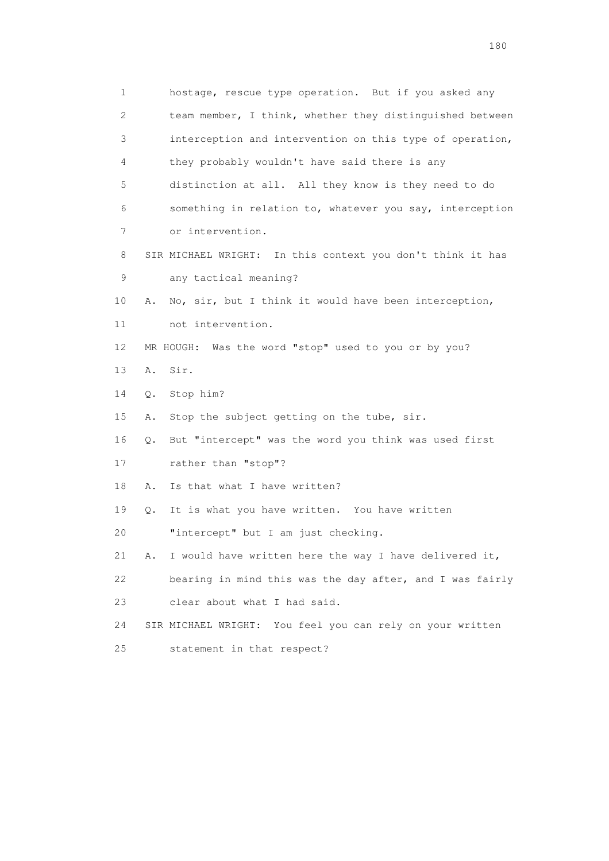1 hostage, rescue type operation. But if you asked any 2 team member, I think, whether they distinguished between 3 interception and intervention on this type of operation, 4 they probably wouldn't have said there is any 5 distinction at all. All they know is they need to do 6 something in relation to, whatever you say, interception 7 or intervention. 8 SIR MICHAEL WRIGHT: In this context you don't think it has 9 any tactical meaning? 10 A. No, sir, but I think it would have been interception, 11 not intervention. 12 MR HOUGH: Was the word "stop" used to you or by you? 13 A. Sir. 14 Q. Stop him? 15 A. Stop the subject getting on the tube, sir. 16 Q. But "intercept" was the word you think was used first 17 rather than "stop"? 18 A. Is that what I have written? 19 Q. It is what you have written. You have written 20 "intercept" but I am just checking. 21 A. I would have written here the way I have delivered it, 22 bearing in mind this was the day after, and I was fairly 23 clear about what I had said. 24 SIR MICHAEL WRIGHT: You feel you can rely on your written 25 statement in that respect?

180 and 180 and 180 and 180 and 180 and 180 and 180 and 180 and 180 and 180 and 180 and 180 and 180 and 180 and 180 and 180 and 180 and 180 and 180 and 180 and 180 and 180 and 180 and 180 and 180 and 180 and 180 and 180 an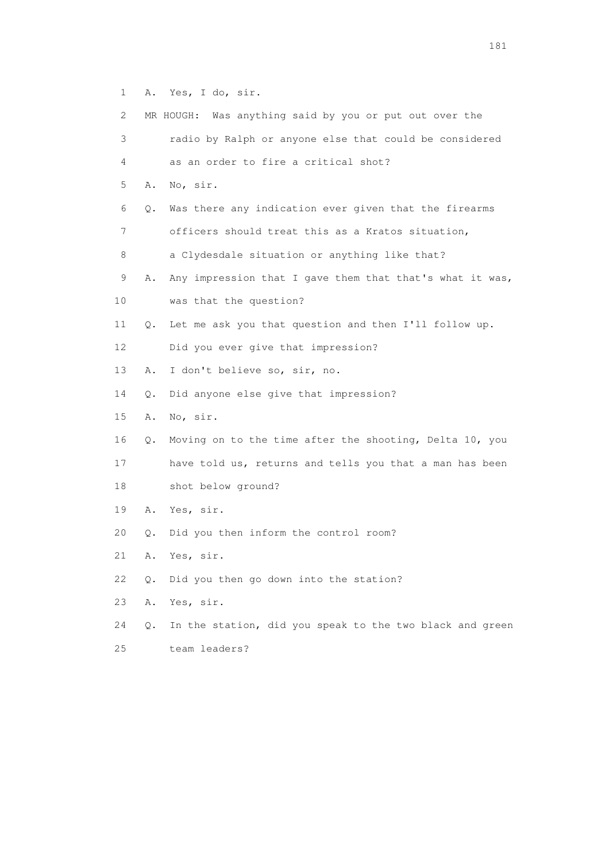1 A. Yes, I do, sir.

| 2               |    | MR HOUGH: Was anything said by you or put out over the   |
|-----------------|----|----------------------------------------------------------|
| 3               |    | radio by Ralph or anyone else that could be considered   |
| 4               |    | as an order to fire a critical shot?                     |
| 5               | Α. | No, sir.                                                 |
| 6               | Q. | Was there any indication ever given that the firearms    |
| 7               |    | officers should treat this as a Kratos situation,        |
| 8               |    | a Clydesdale situation or anything like that?            |
| 9               | Α. | Any impression that I gave them that that's what it was, |
| 10              |    | was that the question?                                   |
| 11              | Q. | Let me ask you that question and then I'll follow up.    |
| 12 <sup>°</sup> |    | Did you ever give that impression?                       |
| 13              | Α. | I don't believe so, sir, no.                             |
| 14              | Q. | Did anyone else give that impression?                    |
| 15              | Α. | No, sir.                                                 |
| 16              | Q. | Moving on to the time after the shooting, Delta 10, you  |
| 17              |    | have told us, returns and tells you that a man has been  |
| 18              |    | shot below ground?                                       |
| 19              | Α. | Yes, sir.                                                |
| 20              | 0. | Did you then inform the control room?                    |
| 21              | Α. | Yes, sir.                                                |
| 22              | О. | Did you then go down into the station?                   |
| 23              | Α. | Yes, sir.                                                |
| 24              | Q. | In the station, did you speak to the two black and green |

25 team leaders?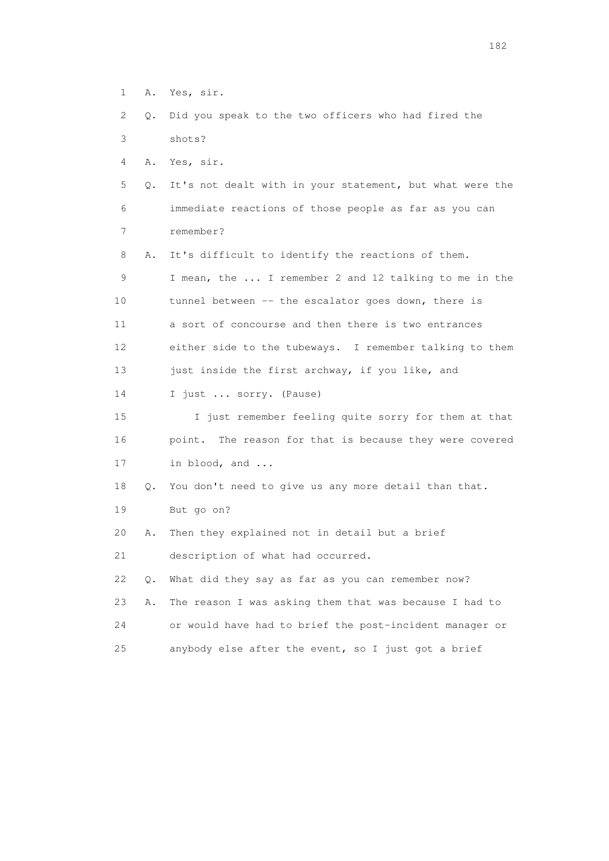- 1 A. Yes, sir.
- 2 Q. Did you speak to the two officers who had fired the 3 shots?

4 A. Yes, sir.

- 5 Q. It's not dealt with in your statement, but what were the 6 immediate reactions of those people as far as you can 7 remember?
- 8 A. It's difficult to identify the reactions of them. 9 I mean, the ... I remember 2 and 12 talking to me in the 10 tunnel between -- the escalator goes down, there is 11 a sort of concourse and then there is two entrances 12 either side to the tubeways. I remember talking to them 13 just inside the first archway, if you like, and 14 I just ... sorry. (Pause)
- 15 I just remember feeling quite sorry for them at that 16 point. The reason for that is because they were covered 17 in blood, and ...
- 18 Q. You don't need to give us any more detail than that. 19 But go on?
- 20 A. Then they explained not in detail but a brief

21 description of what had occurred.

 22 Q. What did they say as far as you can remember now? 23 A. The reason I was asking them that was because I had to

- 24 or would have had to brief the post-incident manager or
- 25 anybody else after the event, so I just got a brief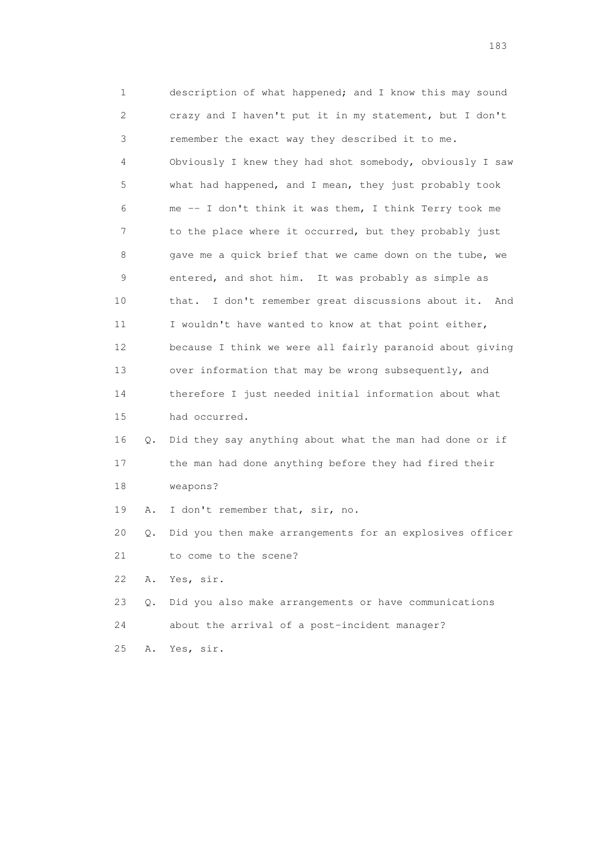1 description of what happened; and I know this may sound 2 crazy and I haven't put it in my statement, but I don't 3 remember the exact way they described it to me. 4 Obviously I knew they had shot somebody, obviously I saw 5 what had happened, and I mean, they just probably took 6 me -- I don't think it was them, I think Terry took me 7 to the place where it occurred, but they probably just 8 gave me a quick brief that we came down on the tube, we 9 entered, and shot him. It was probably as simple as 10 that. I don't remember great discussions about it. And 11 I wouldn't have wanted to know at that point either, 12 because I think we were all fairly paranoid about giving 13 over information that may be wrong subsequently, and 14 therefore I just needed initial information about what 15 had occurred. 16 Q. Did they say anything about what the man had done or if 17 the man had done anything before they had fired their 18 weapons? 19 A. I don't remember that, sir, no. 20 Q. Did you then make arrangements for an explosives officer 21 to come to the scene? 22 A. Yes, sir. 23 Q. Did you also make arrangements or have communications 24 about the arrival of a post-incident manager? 25 A. Yes, sir.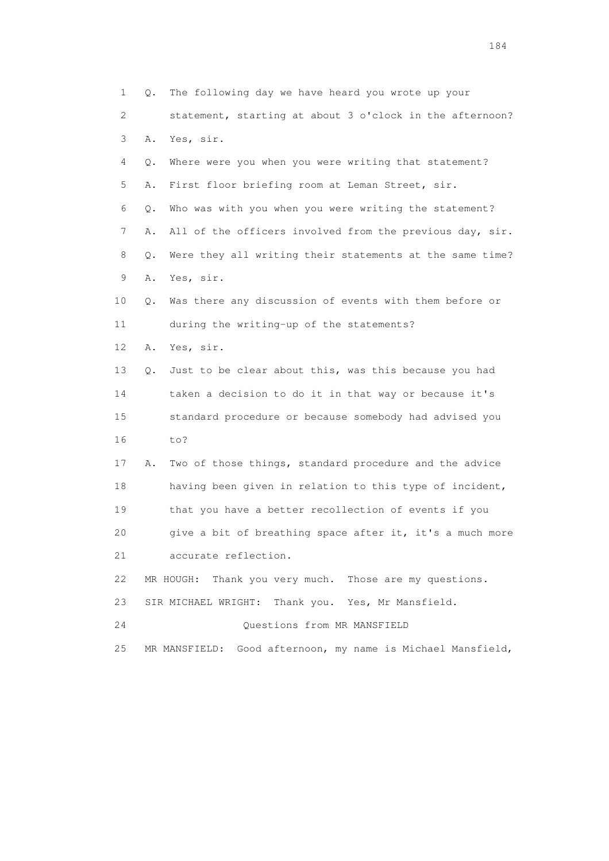1 Q. The following day we have heard you wrote up your 2 statement, starting at about 3 o'clock in the afternoon? 3 A. Yes, sir. 4 Q. Where were you when you were writing that statement? 5 A. First floor briefing room at Leman Street, sir. 6 Q. Who was with you when you were writing the statement? 7 A. All of the officers involved from the previous day, sir. 8 Q. Were they all writing their statements at the same time? 9 A. Yes, sir. 10 Q. Was there any discussion of events with them before or 11 during the writing-up of the statements? 12 A. Yes, sir. 13 Q. Just to be clear about this, was this because you had 14 taken a decision to do it in that way or because it's 15 standard procedure or because somebody had advised you 16 to? 17 A. Two of those things, standard procedure and the advice 18 having been given in relation to this type of incident, 19 that you have a better recollection of events if you 20 give a bit of breathing space after it, it's a much more 21 accurate reflection. 22 MR HOUGH: Thank you very much. Those are my questions. 23 SIR MICHAEL WRIGHT: Thank you. Yes, Mr Mansfield. 24 Questions from MR MANSFIELD 25 MR MANSFIELD: Good afternoon, my name is Michael Mansfield,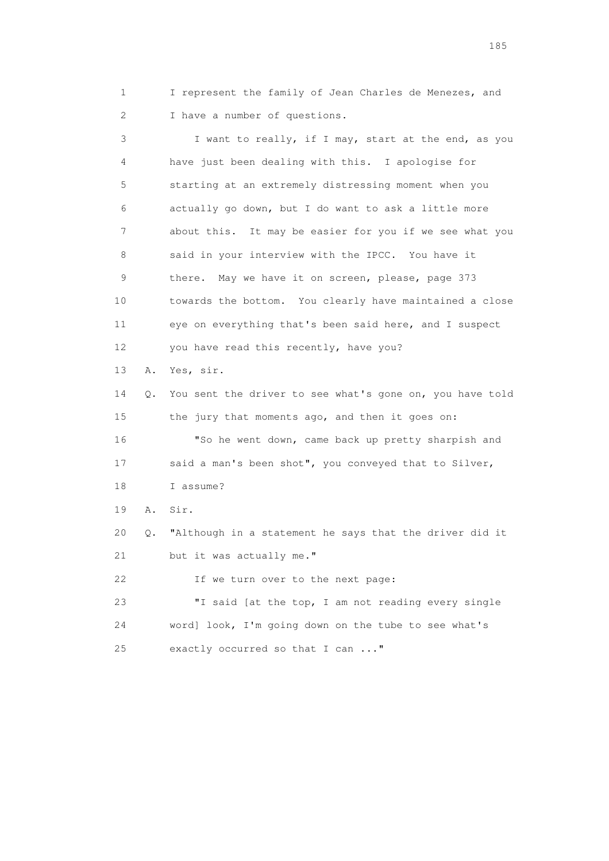1 I represent the family of Jean Charles de Menezes, and 2 I have a number of questions.

 3 I want to really, if I may, start at the end, as you 4 have just been dealing with this. I apologise for 5 starting at an extremely distressing moment when you 6 actually go down, but I do want to ask a little more 7 about this. It may be easier for you if we see what you 8 said in your interview with the IPCC. You have it 9 there. May we have it on screen, please, page 373 10 towards the bottom. You clearly have maintained a close 11 eye on everything that's been said here, and I suspect 12 you have read this recently, have you? 13 A. Yes, sir. 14 Q. You sent the driver to see what's gone on, you have told 15 the jury that moments ago, and then it goes on: 16 "So he went down, came back up pretty sharpish and 17 said a man's been shot", you conveyed that to Silver, 18 I assume? 19 A. Sir. 20 Q. "Although in a statement he says that the driver did it 21 but it was actually me." 22 If we turn over to the next page: 23 "I said [at the top, I am not reading every single 24 word] look, I'm going down on the tube to see what's 25 exactly occurred so that I can ..."

<u>185</u>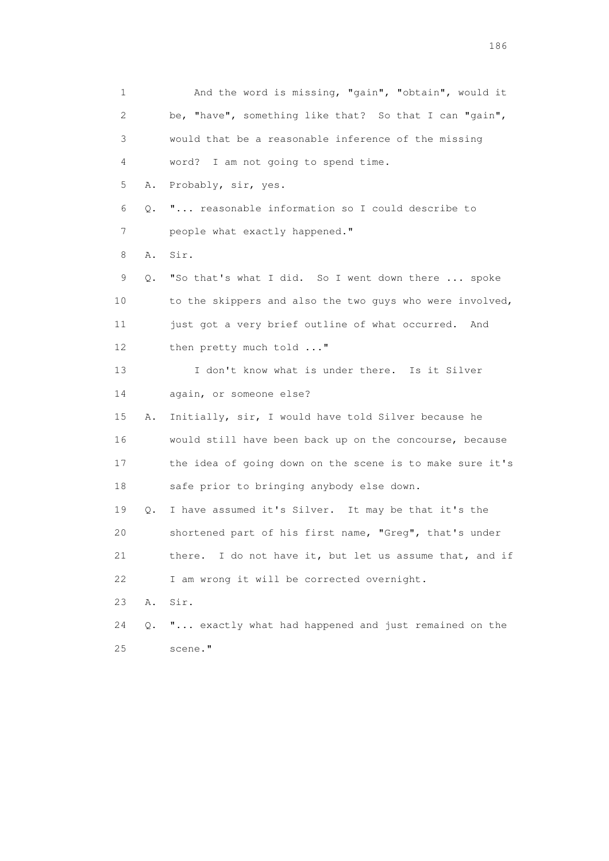1 And the word is missing, "gain", "obtain", would it 2 be, "have", something like that? So that I can "gain", 3 would that be a reasonable inference of the missing 4 word? I am not going to spend time. 5 A. Probably, sir, yes. 6 Q. "... reasonable information so I could describe to 7 people what exactly happened." 8 A. Sir. 9 Q. "So that's what I did. So I went down there ... spoke 10 to the skippers and also the two guys who were involved, 11 just got a very brief outline of what occurred. And 12 then pretty much told ..." 13 I don't know what is under there. Is it Silver 14 again, or someone else? 15 A. Initially, sir, I would have told Silver because he 16 would still have been back up on the concourse, because 17 the idea of going down on the scene is to make sure it's 18 safe prior to bringing anybody else down. 19 Q. I have assumed it's Silver. It may be that it's the 20 shortened part of his first name, "Greg", that's under 21 there. I do not have it, but let us assume that, and if 22 I am wrong it will be corrected overnight. 23 A. Sir. 24 Q. "... exactly what had happened and just remained on the 25 scene."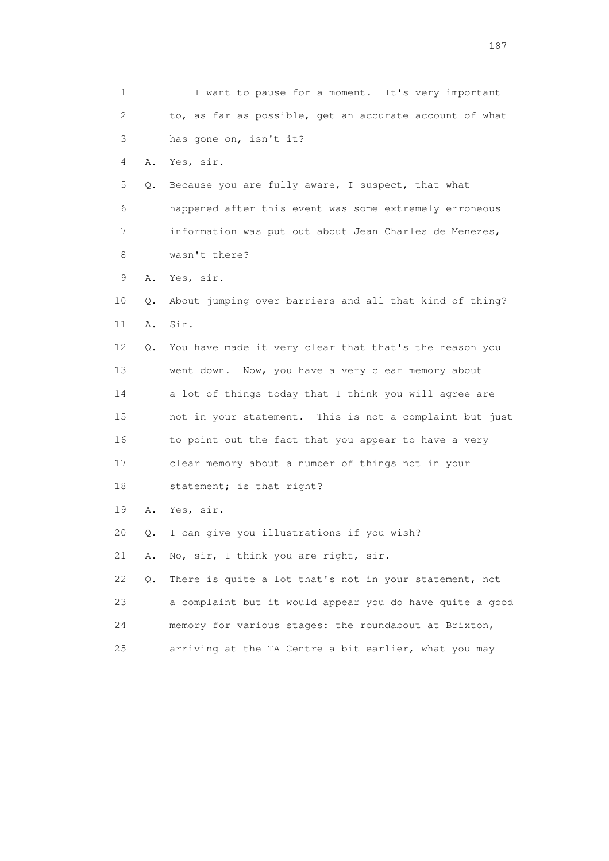1 I want to pause for a moment. It's very important 2 to, as far as possible, get an accurate account of what 3 has gone on, isn't it? 4 A. Yes, sir. 5 Q. Because you are fully aware, I suspect, that what 6 happened after this event was some extremely erroneous 7 information was put out about Jean Charles de Menezes, 8 wasn't there? 9 A. Yes, sir. 10 Q. About jumping over barriers and all that kind of thing? 11 A. Sir. 12 Q. You have made it very clear that that's the reason you 13 went down. Now, you have a very clear memory about 14 a lot of things today that I think you will agree are 15 not in your statement. This is not a complaint but just 16 to point out the fact that you appear to have a very 17 clear memory about a number of things not in your 18 statement; is that right? 19 A. Yes, sir. 20 Q. I can give you illustrations if you wish? 21 A. No, sir, I think you are right, sir. 22 Q. There is quite a lot that's not in your statement, not 23 a complaint but it would appear you do have quite a good 24 memory for various stages: the roundabout at Brixton, 25 arriving at the TA Centre a bit earlier, what you may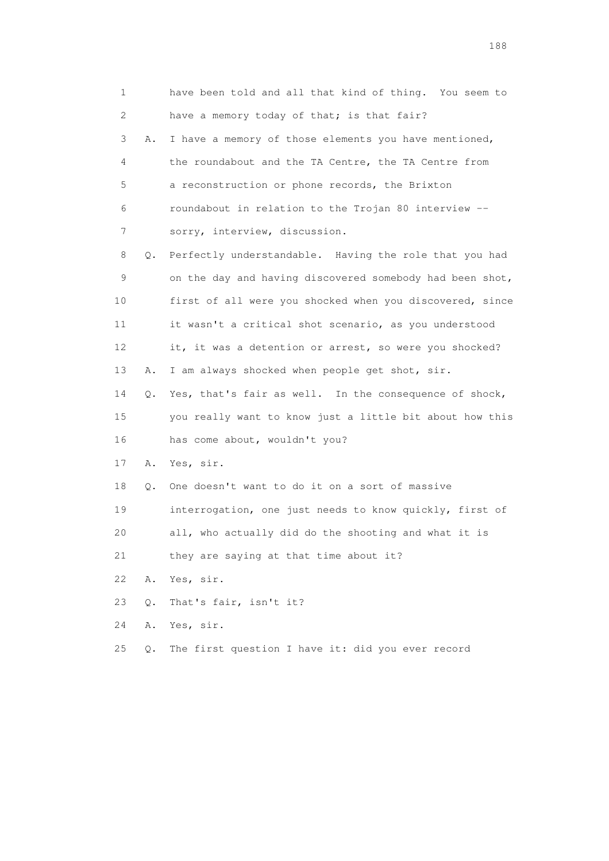1 have been told and all that kind of thing. You seem to 2 have a memory today of that; is that fair? 3 A. I have a memory of those elements you have mentioned, 4 the roundabout and the TA Centre, the TA Centre from 5 a reconstruction or phone records, the Brixton 6 roundabout in relation to the Trojan 80 interview -- 7 sorry, interview, discussion. 8 Q. Perfectly understandable. Having the role that you had 9 on the day and having discovered somebody had been shot, 10 first of all were you shocked when you discovered, since 11 it wasn't a critical shot scenario, as you understood 12 it, it was a detention or arrest, so were you shocked? 13 A. I am always shocked when people get shot, sir. 14 Q. Yes, that's fair as well. In the consequence of shock, 15 you really want to know just a little bit about how this 16 has come about, wouldn't you? 17 A. Yes, sir. 18 Q. One doesn't want to do it on a sort of massive 19 interrogation, one just needs to know quickly, first of 20 all, who actually did do the shooting and what it is 21 they are saying at that time about it? 22 A. Yes, sir. 23 Q. That's fair, isn't it? 24 A. Yes, sir. 25 Q. The first question I have it: did you ever record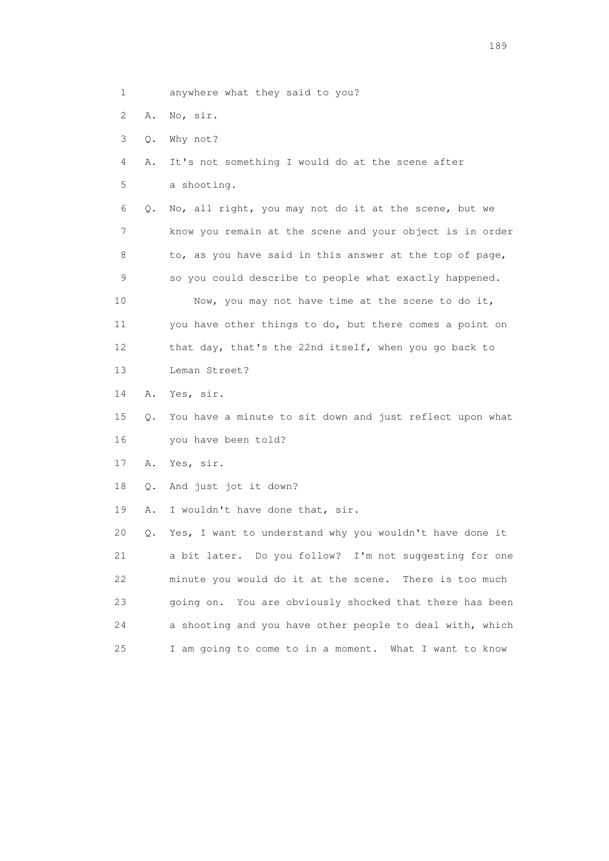- 1 anywhere what they said to you?
- 2 A. No, sir.
- 3 Q. Why not?
- 4 A. It's not something I would do at the scene after
- 5 a shooting.
- 6 Q. No, all right, you may not do it at the scene, but we 7 know you remain at the scene and your object is in order 8 to, as you have said in this answer at the top of page, 9 so you could describe to people what exactly happened. 10 Now, you may not have time at the scene to do it, 11 you have other things to do, but there comes a point on 12 that day, that's the 22nd itself, when you go back to 13 Leman Street?
- 14 A. Yes, sir.
- 15 Q. You have a minute to sit down and just reflect upon what 16 you have been told?
- 17 A. Yes, sir.
- 18 Q. And just jot it down?
- 19 A. I wouldn't have done that, sir.

 20 Q. Yes, I want to understand why you wouldn't have done it 21 a bit later. Do you follow? I'm not suggesting for one 22 minute you would do it at the scene. There is too much 23 going on. You are obviously shocked that there has been 24 a shooting and you have other people to deal with, which 25 I am going to come to in a moment. What I want to know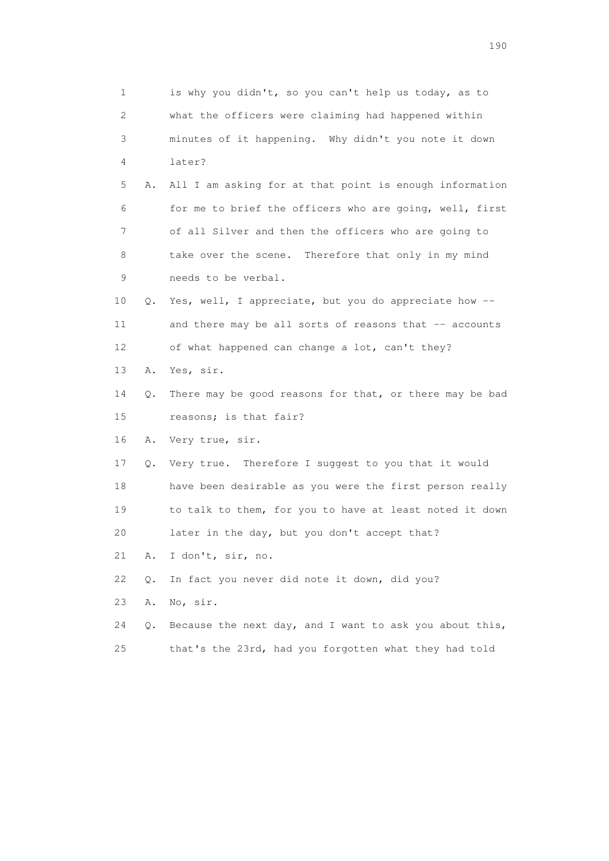1 is why you didn't, so you can't help us today, as to 2 what the officers were claiming had happened within 3 minutes of it happening. Why didn't you note it down 4 later? 5 A. All I am asking for at that point is enough information 6 for me to brief the officers who are going, well, first 7 of all Silver and then the officers who are going to 8 take over the scene. Therefore that only in my mind 9 needs to be verbal. 10 Q. Yes, well, I appreciate, but you do appreciate how -- 11 and there may be all sorts of reasons that -- accounts 12 of what happened can change a lot, can't they? 13 A. Yes, sir. 14 Q. There may be good reasons for that, or there may be bad 15 reasons; is that fair? 16 A. Very true, sir. 17 Q. Very true. Therefore I suggest to you that it would 18 have been desirable as you were the first person really 19 to talk to them, for you to have at least noted it down 20 later in the day, but you don't accept that? 21 A. I don't, sir, no. 22 Q. In fact you never did note it down, did you? 23 A. No, sir. 24 Q. Because the next day, and I want to ask you about this, 25 that's the 23rd, had you forgotten what they had told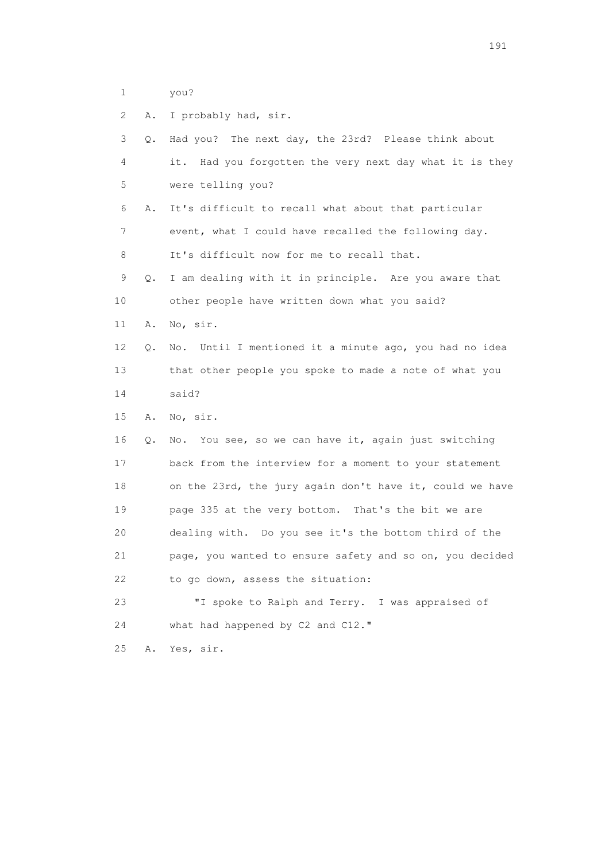1 you?

| 2  | Α. | I probably had, sir.                                       |
|----|----|------------------------------------------------------------|
| 3  | Q. | Had you? The next day, the 23rd? Please think about        |
| 4  |    | Had you forgotten the very next day what it is they<br>it. |
| 5  |    | were telling you?                                          |
| 6  | Α. | It's difficult to recall what about that particular        |
| 7  |    | event, what I could have recalled the following day.       |
| 8  |    | It's difficult now for me to recall that.                  |
| 9  | Q. | I am dealing with it in principle. Are you aware that      |
| 10 |    | other people have written down what you said?              |
| 11 | Α. | No, sir.                                                   |
| 12 | Q. | No. Until I mentioned it a minute ago, you had no idea     |
| 13 |    | that other people you spoke to made a note of what you     |
| 14 |    | said?                                                      |
| 15 | Α. | No, sir.                                                   |
| 16 | Q. | You see, so we can have it, again just switching<br>No.    |
| 17 |    | back from the interview for a moment to your statement     |
| 18 |    | on the 23rd, the jury again don't have it, could we have   |
| 19 |    | page 335 at the very bottom. That's the bit we are         |
| 20 |    | dealing with. Do you see it's the bottom third of the      |
| 21 |    | page, you wanted to ensure safety and so on, you decided   |
| 22 |    | to go down, assess the situation:                          |
| 23 |    | "I spoke to Ralph and Terry. I was appraised of            |
| 24 |    | what had happened by C2 and C12."                          |
| 25 | Α. | Yes, sir.                                                  |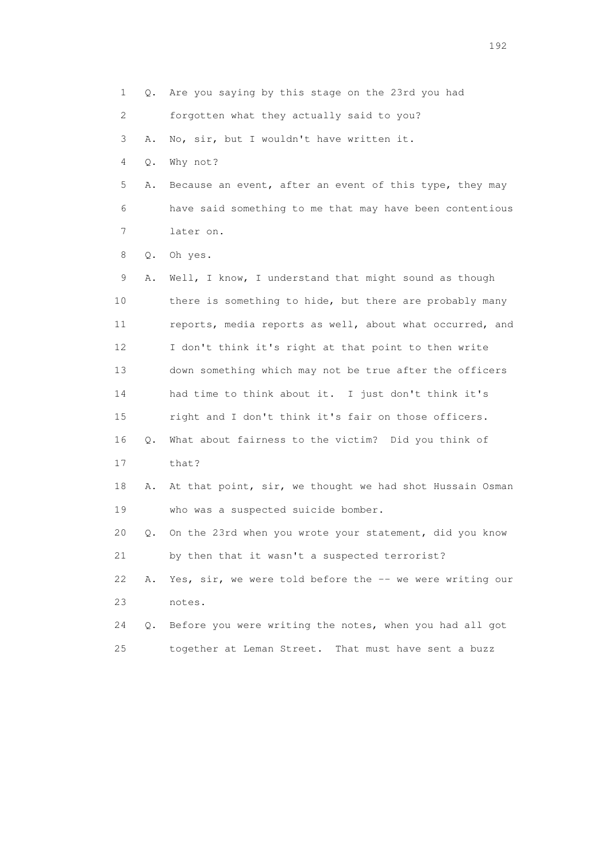1 Q. Are you saying by this stage on the 23rd you had 2 forgotten what they actually said to you? 3 A. No, sir, but I wouldn't have written it. 4 Q. Why not? 5 A. Because an event, after an event of this type, they may 6 have said something to me that may have been contentious 7 later on. 8 Q. Oh yes. 9 A. Well, I know, I understand that might sound as though 10 there is something to hide, but there are probably many 11 reports, media reports as well, about what occurred, and 12 I don't think it's right at that point to then write 13 down something which may not be true after the officers 14 had time to think about it. I just don't think it's 15 right and I don't think it's fair on those officers. 16 Q. What about fairness to the victim? Did you think of 17 that? 18 A. At that point, sir, we thought we had shot Hussain Osman 19 who was a suspected suicide bomber. 20 Q. On the 23rd when you wrote your statement, did you know 21 by then that it wasn't a suspected terrorist? 22 A. Yes, sir, we were told before the -- we were writing our 23 notes. 24 Q. Before you were writing the notes, when you had all got 25 together at Leman Street. That must have sent a buzz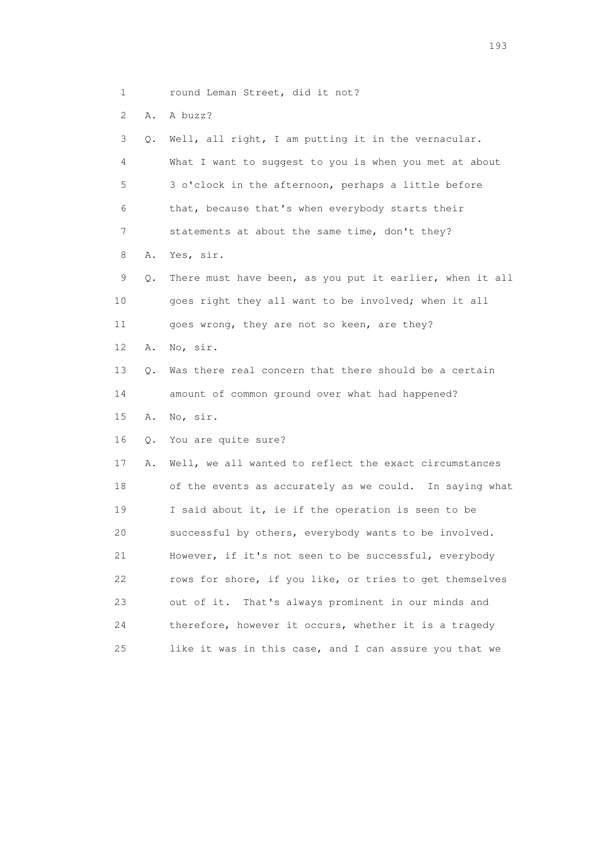- 1 round Leman Street, did it not?
- 2 A. A buzz?

 3 Q. Well, all right, I am putting it in the vernacular. 4 What I want to suggest to you is when you met at about 5 3 o'clock in the afternoon, perhaps a little before 6 that, because that's when everybody starts their 7 statements at about the same time, don't they? 8 A. Yes, sir. 9 Q. There must have been, as you put it earlier, when it all 10 goes right they all want to be involved; when it all 11 goes wrong, they are not so keen, are they? 12 A. No, sir. 13 Q. Was there real concern that there should be a certain 14 amount of common ground over what had happened? 15 A. No, sir. 16 Q. You are quite sure? 17 A. Well, we all wanted to reflect the exact circumstances 18 of the events as accurately as we could. In saying what 19 I said about it, ie if the operation is seen to be 20 successful by others, everybody wants to be involved. 21 However, if it's not seen to be successful, everybody 22 rows for shore, if you like, or tries to get themselves 23 out of it. That's always prominent in our minds and 24 therefore, however it occurs, whether it is a tragedy 25 like it was in this case, and I can assure you that we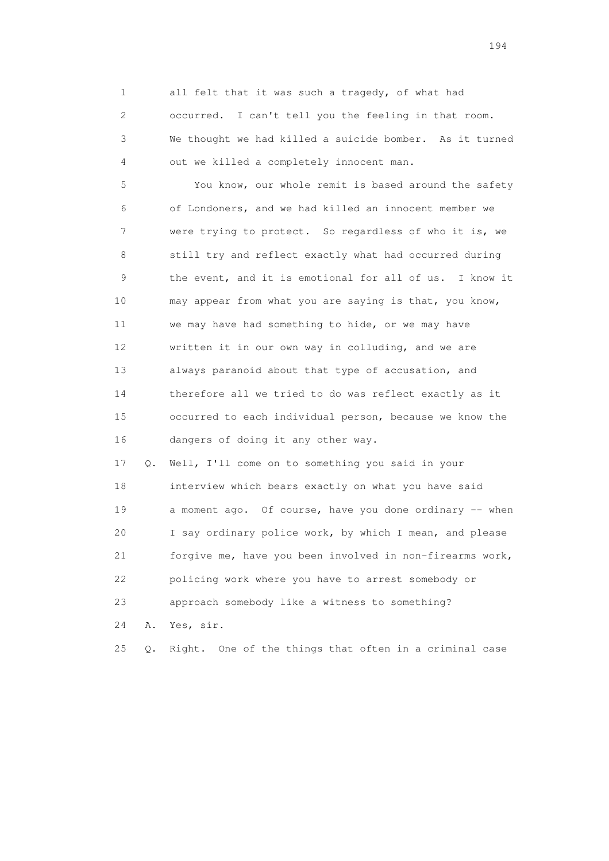1 all felt that it was such a tragedy, of what had 2 occurred. I can't tell you the feeling in that room. 3 We thought we had killed a suicide bomber. As it turned 4 out we killed a completely innocent man.

 5 You know, our whole remit is based around the safety 6 of Londoners, and we had killed an innocent member we 7 were trying to protect. So regardless of who it is, we 8 still try and reflect exactly what had occurred during 9 the event, and it is emotional for all of us. I know it 10 may appear from what you are saying is that, you know, 11 we may have had something to hide, or we may have 12 written it in our own way in colluding, and we are 13 always paranoid about that type of accusation, and 14 therefore all we tried to do was reflect exactly as it 15 occurred to each individual person, because we know the 16 dangers of doing it any other way.

 17 Q. Well, I'll come on to something you said in your 18 interview which bears exactly on what you have said 19 a moment ago. Of course, have you done ordinary -- when 20 I say ordinary police work, by which I mean, and please 21 forgive me, have you been involved in non-firearms work, 22 policing work where you have to arrest somebody or 23 approach somebody like a witness to something?

24 A. Yes, sir.

25 Q. Right. One of the things that often in a criminal case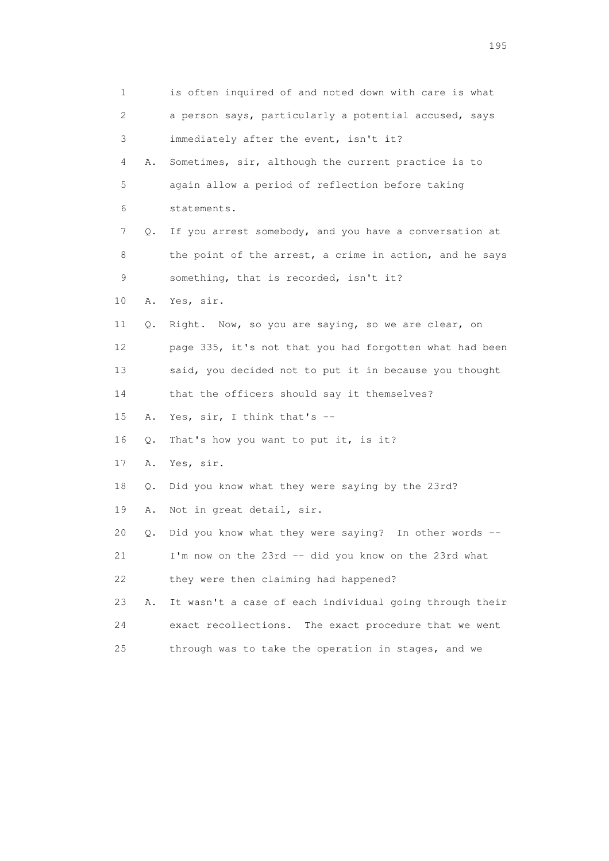1 is often inquired of and noted down with care is what 2 a person says, particularly a potential accused, says 3 immediately after the event, isn't it? 4 A. Sometimes, sir, although the current practice is to 5 again allow a period of reflection before taking 6 statements. 7 Q. If you arrest somebody, and you have a conversation at 8 the point of the arrest, a crime in action, and he says 9 something, that is recorded, isn't it? 10 A. Yes, sir. 11 Q. Right. Now, so you are saying, so we are clear, on 12 page 335, it's not that you had forgotten what had been 13 said, you decided not to put it in because you thought 14 that the officers should say it themselves? 15 A. Yes, sir, I think that's -- 16 Q. That's how you want to put it, is it? 17 A. Yes, sir. 18 Q. Did you know what they were saying by the 23rd? 19 A. Not in great detail, sir. 20 Q. Did you know what they were saying? In other words -- 21 I'm now on the 23rd -- did you know on the 23rd what 22 they were then claiming had happened? 23 A. It wasn't a case of each individual going through their 24 exact recollections. The exact procedure that we went 25 through was to take the operation in stages, and we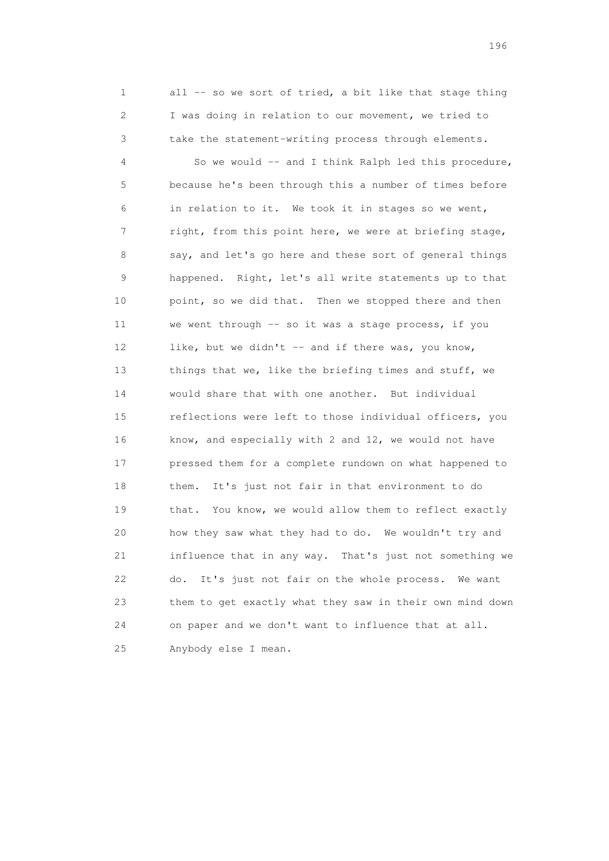1 all -- so we sort of tried, a bit like that stage thing 2 I was doing in relation to our movement, we tried to 3 take the statement-writing process through elements.

 4 So we would -- and I think Ralph led this procedure, 5 because he's been through this a number of times before 6 in relation to it. We took it in stages so we went, 7 right, from this point here, we were at briefing stage, 8 say, and let's go here and these sort of general things 9 happened. Right, let's all write statements up to that 10 point, so we did that. Then we stopped there and then 11 we went through -- so it was a stage process, if you 12 like, but we didn't -- and if there was, you know, 13 things that we, like the briefing times and stuff, we 14 would share that with one another. But individual 15 reflections were left to those individual officers, you 16 know, and especially with 2 and 12, we would not have 17 pressed them for a complete rundown on what happened to 18 them. It's just not fair in that environment to do 19 that. You know, we would allow them to reflect exactly 20 how they saw what they had to do. We wouldn't try and 21 influence that in any way. That's just not something we 22 do. It's just not fair on the whole process. We want 23 them to get exactly what they saw in their own mind down 24 on paper and we don't want to influence that at all. 25 Anybody else I mean.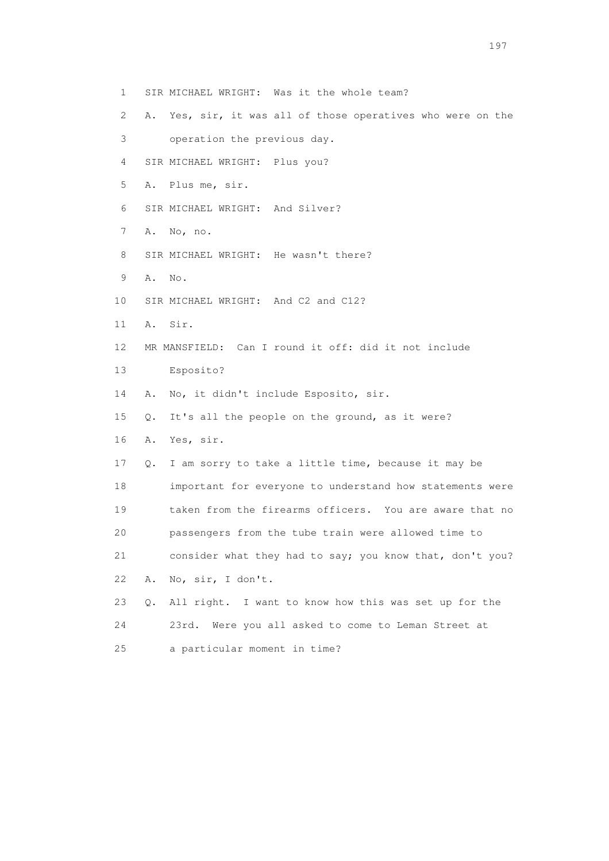- 1 SIR MICHAEL WRIGHT: Was it the whole team?
- 2 A. Yes, sir, it was all of those operatives who were on the
- 3 operation the previous day.
- 4 SIR MICHAEL WRIGHT: Plus you?
- 5 A. Plus me, sir.
- 6 SIR MICHAEL WRIGHT: And Silver?
- 7 A. No, no.
- 8 SIR MICHAEL WRIGHT: He wasn't there?
- 9 A. No.
- 10 SIR MICHAEL WRIGHT: And C2 and C12?
- 11 A. Sir.
- 12 MR MANSFIELD: Can I round it off: did it not include
- 13 Esposito?
- 14 A. No, it didn't include Esposito, sir.
- 15 Q. It's all the people on the ground, as it were?
- 16 A. Yes, sir.
- 17 Q. I am sorry to take a little time, because it may be 18 important for everyone to understand how statements were 19 taken from the firearms officers. You are aware that no 20 passengers from the tube train were allowed time to 21 consider what they had to say; you know that, don't you? 22 A. No, sir, I don't.
- 23 Q. All right. I want to know how this was set up for the 24 23rd. Were you all asked to come to Leman Street at 25 a particular moment in time?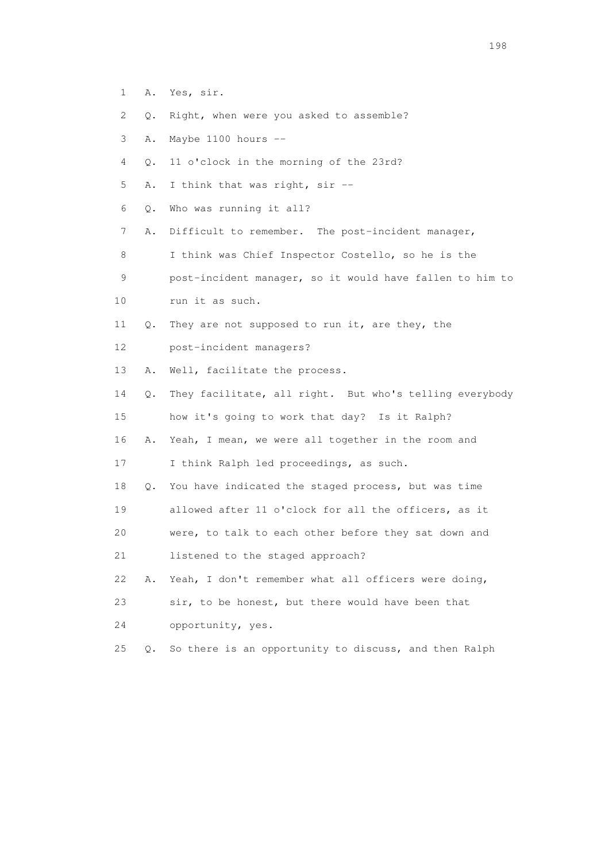- 1 A. Yes, sir.
- 2 Q. Right, when were you asked to assemble?
- 3 A. Maybe 1100 hours --
- 4 Q. 11 o'clock in the morning of the 23rd?
- 5 A. I think that was right, sir --
- 6 Q. Who was running it all?
- 7 A. Difficult to remember. The post-incident manager,
- 8 I think was Chief Inspector Costello, so he is the 9 post-incident manager, so it would have fallen to him to
- 
- 10 run it as such.
- 11 Q. They are not supposed to run it, are they, the
- 12 post-incident managers?
- 13 A. Well, facilitate the process.
- 14 Q. They facilitate, all right. But who's telling everybody 15 how it's going to work that day? Is it Ralph?
- 16 A. Yeah, I mean, we were all together in the room and
- 17 I think Ralph led proceedings, as such.
- 18 Q. You have indicated the staged process, but was time 19 allowed after 11 o'clock for all the officers, as it 20 were, to talk to each other before they sat down and
- 21 listened to the staged approach?
- 22 A. Yeah, I don't remember what all officers were doing,
- 23 sir, to be honest, but there would have been that
- 24 opportunity, yes.
- 25 Q. So there is an opportunity to discuss, and then Ralph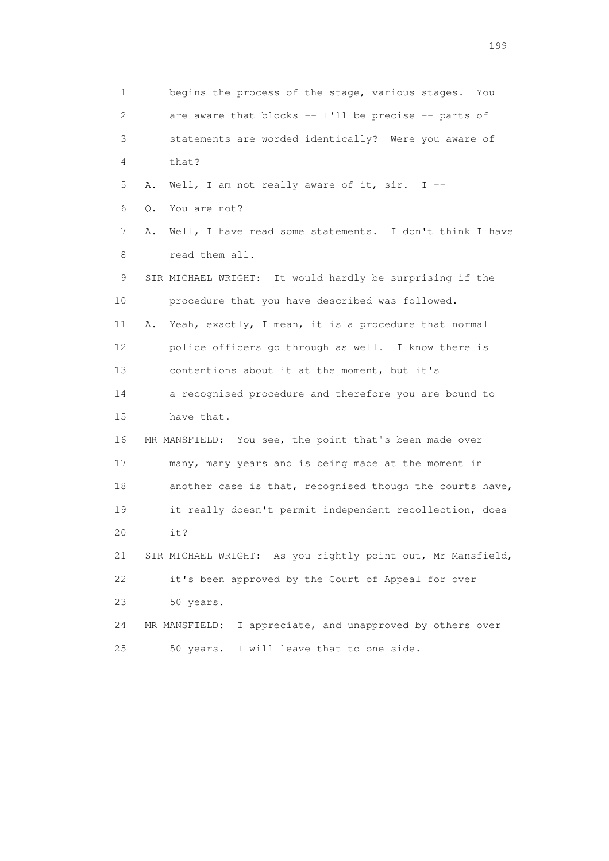1 begins the process of the stage, various stages. You 2 are aware that blocks -- I'll be precise -- parts of 3 statements are worded identically? Were you aware of 4 that? 5 A. Well, I am not really aware of it, sir. I -- 6 Q. You are not? 7 A. Well, I have read some statements. I don't think I have 8 read them all. 9 SIR MICHAEL WRIGHT: It would hardly be surprising if the 10 procedure that you have described was followed. 11 A. Yeah, exactly, I mean, it is a procedure that normal 12 police officers go through as well. I know there is 13 contentions about it at the moment, but it's 14 a recognised procedure and therefore you are bound to 15 have that. 16 MR MANSFIELD: You see, the point that's been made over 17 many, many years and is being made at the moment in 18 another case is that, recognised though the courts have, 19 it really doesn't permit independent recollection, does 20 it? 21 SIR MICHAEL WRIGHT: As you rightly point out, Mr Mansfield, 22 it's been approved by the Court of Appeal for over 23 50 years. 24 MR MANSFIELD: I appreciate, and unapproved by others over 25 50 years. I will leave that to one side.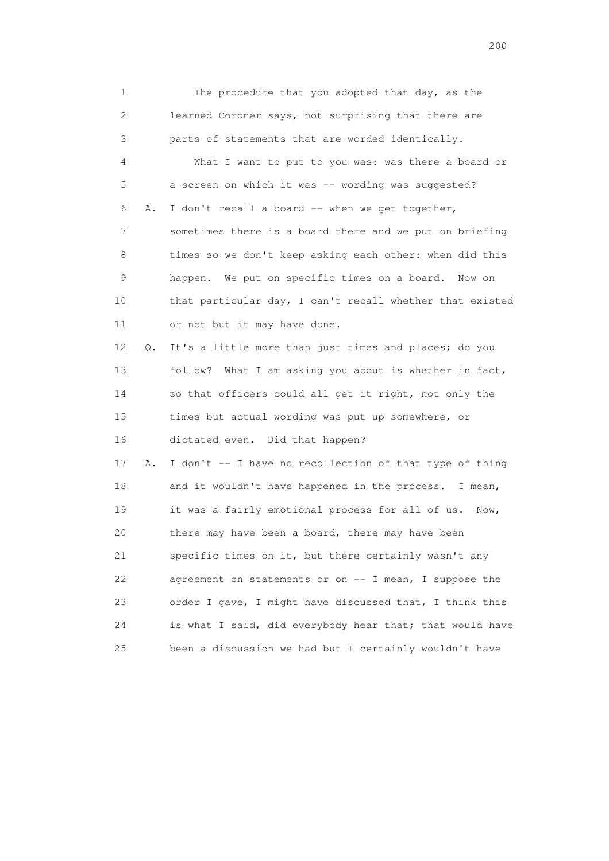1 The procedure that you adopted that day, as the 2 learned Coroner says, not surprising that there are 3 parts of statements that are worded identically. 4 What I want to put to you was: was there a board or 5 a screen on which it was -- wording was suggested? 6 A. I don't recall a board -- when we get together, 7 sometimes there is a board there and we put on briefing 8 times so we don't keep asking each other: when did this 9 happen. We put on specific times on a board. Now on 10 that particular day, I can't recall whether that existed 11 or not but it may have done. 12 Q. It's a little more than just times and places; do you 13 follow? What I am asking you about is whether in fact, 14 so that officers could all get it right, not only the 15 times but actual wording was put up somewhere, or 16 dictated even. Did that happen? 17 A. I don't -- I have no recollection of that type of thing 18 and it wouldn't have happened in the process. I mean, 19 it was a fairly emotional process for all of us. Now, 20 there may have been a board, there may have been 21 specific times on it, but there certainly wasn't any 22 agreement on statements or on -- I mean, I suppose the 23 order I gave, I might have discussed that, I think this 24 is what I said, did everybody hear that; that would have 25 been a discussion we had but I certainly wouldn't have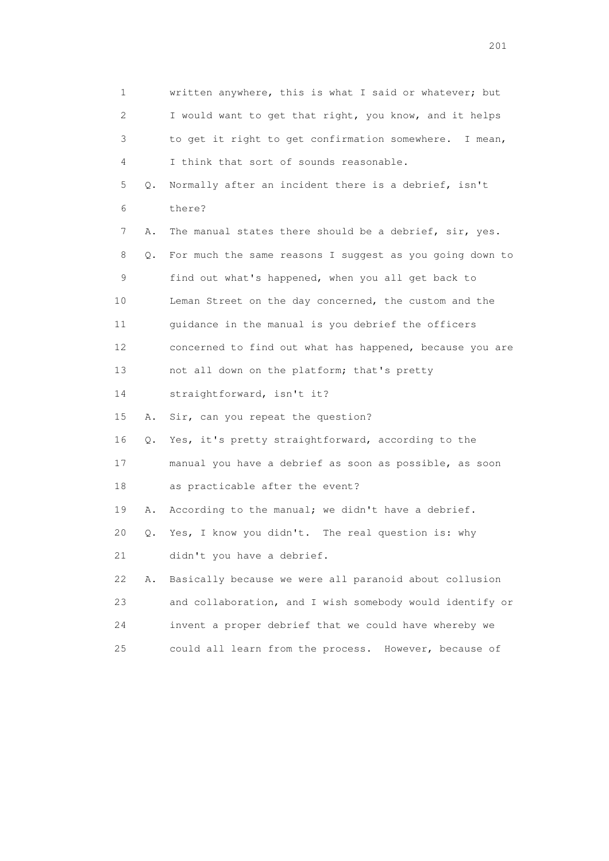1 written anywhere, this is what I said or whatever; but 2 I would want to get that right, you know, and it helps 3 to get it right to get confirmation somewhere. I mean, 4 I think that sort of sounds reasonable. 5 Q. Normally after an incident there is a debrief, isn't 6 there? 7 A. The manual states there should be a debrief, sir, yes. 8 Q. For much the same reasons I suggest as you going down to 9 find out what's happened, when you all get back to 10 Leman Street on the day concerned, the custom and the 11 guidance in the manual is you debrief the officers 12 concerned to find out what has happened, because you are 13 not all down on the platform; that's pretty 14 straightforward, isn't it? 15 A. Sir, can you repeat the question? 16 Q. Yes, it's pretty straightforward, according to the 17 manual you have a debrief as soon as possible, as soon 18 as practicable after the event? 19 A. According to the manual; we didn't have a debrief. 20 Q. Yes, I know you didn't. The real question is: why 21 didn't you have a debrief. 22 A. Basically because we were all paranoid about collusion 23 and collaboration, and I wish somebody would identify or 24 invent a proper debrief that we could have whereby we 25 could all learn from the process. However, because of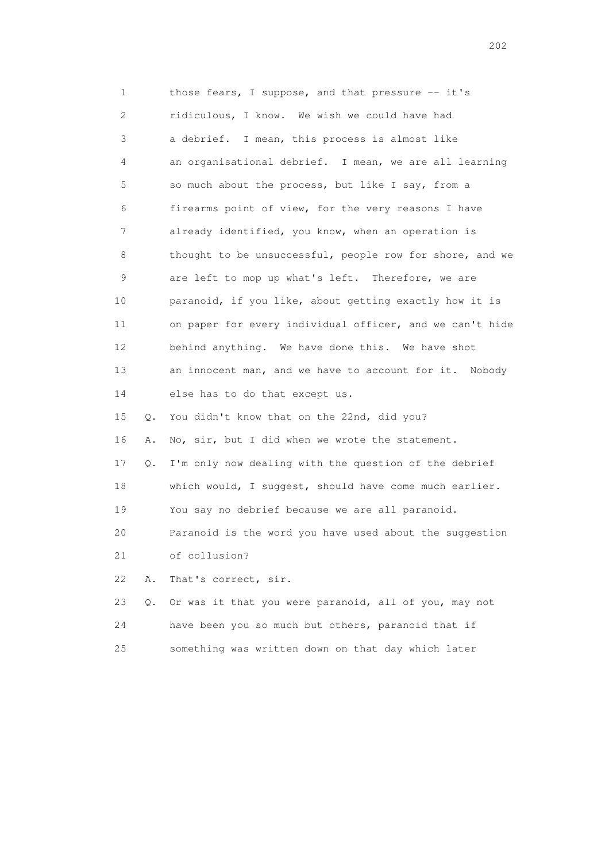1 those fears, I suppose, and that pressure -- it's 2 ridiculous, I know. We wish we could have had 3 a debrief. I mean, this process is almost like 4 an organisational debrief. I mean, we are all learning 5 so much about the process, but like I say, from a 6 firearms point of view, for the very reasons I have 7 already identified, you know, when an operation is 8 thought to be unsuccessful, people row for shore, and we 9 are left to mop up what's left. Therefore, we are 10 paranoid, if you like, about getting exactly how it is 11 on paper for every individual officer, and we can't hide 12 behind anything. We have done this. We have shot 13 an innocent man, and we have to account for it. Nobody 14 else has to do that except us. 15 Q. You didn't know that on the 22nd, did you? 16 A. No, sir, but I did when we wrote the statement. 17 Q. I'm only now dealing with the question of the debrief 18 which would, I suggest, should have come much earlier. 19 You say no debrief because we are all paranoid. 20 Paranoid is the word you have used about the suggestion 21 of collusion? 22 A. That's correct, sir. 23 Q. Or was it that you were paranoid, all of you, may not 24 have been you so much but others, paranoid that if 25 something was written down on that day which later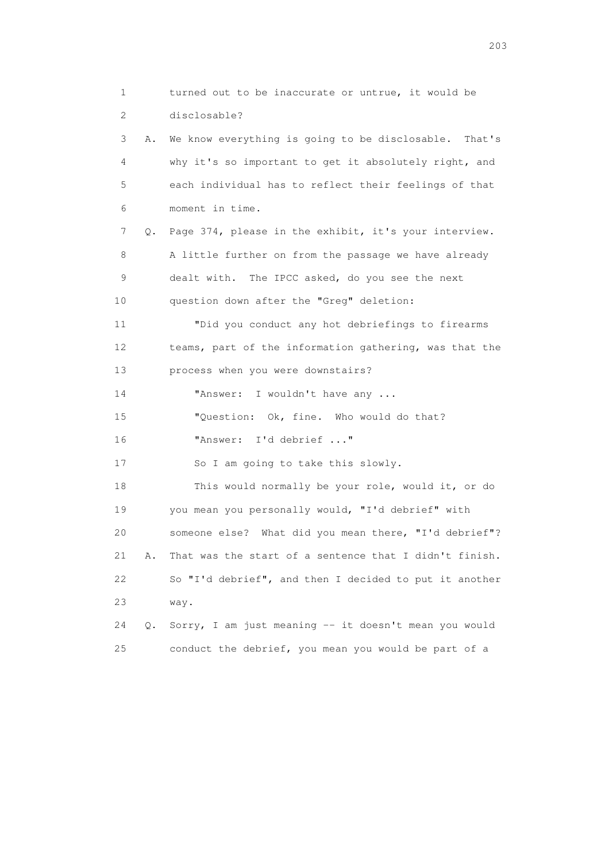1 turned out to be inaccurate or untrue, it would be 2 disclosable? 3 A. We know everything is going to be disclosable. That's 4 why it's so important to get it absolutely right, and 5 each individual has to reflect their feelings of that 6 moment in time. 7 Q. Page 374, please in the exhibit, it's your interview. 8 A little further on from the passage we have already 9 dealt with. The IPCC asked, do you see the next 10 question down after the "Greg" deletion: 11 "Did you conduct any hot debriefings to firearms 12 teams, part of the information gathering, was that the 13 process when you were downstairs? 14 "Answer: I wouldn't have any ... 15 "Question: Ok, fine. Who would do that? 16 "Answer: I'd debrief ..." 17 So I am going to take this slowly. 18 This would normally be your role, would it, or do 19 you mean you personally would, "I'd debrief" with 20 someone else? What did you mean there, "I'd debrief"? 21 A. That was the start of a sentence that I didn't finish. 22 So "I'd debrief", and then I decided to put it another 23 way. 24 Q. Sorry, I am just meaning -- it doesn't mean you would 25 conduct the debrief, you mean you would be part of a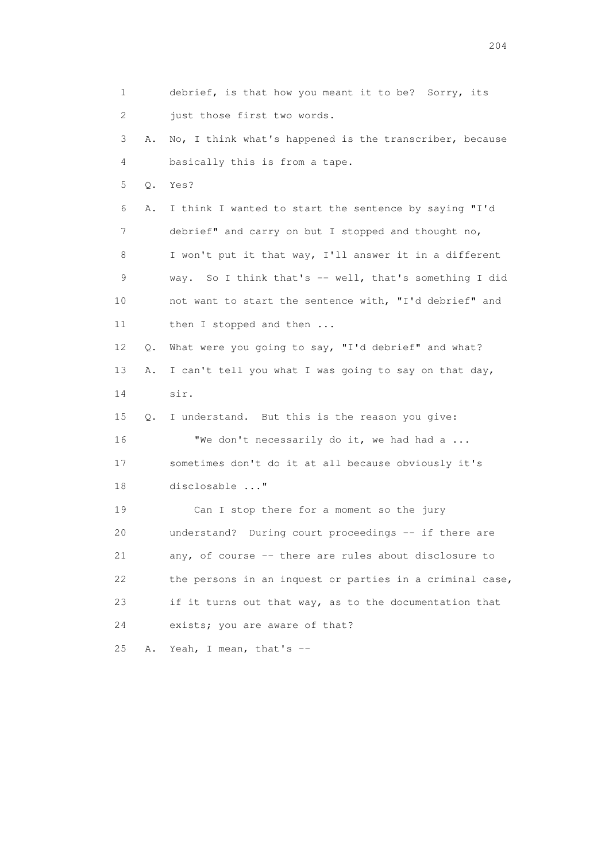1 debrief, is that how you meant it to be? Sorry, its 2 just those first two words. 3 A. No, I think what's happened is the transcriber, because 4 basically this is from a tape. 5 Q. Yes? 6 A. I think I wanted to start the sentence by saying "I'd 7 debrief" and carry on but I stopped and thought no, 8 I won't put it that way, I'll answer it in a different 9 way. So I think that's -- well, that's something I did 10 not want to start the sentence with, "I'd debrief" and 11 then I stopped and then ... 12 Q. What were you going to say, "I'd debrief" and what? 13 A. I can't tell you what I was going to say on that day, 14 sir. 15 Q. I understand. But this is the reason you give: 16 "We don't necessarily do it, we had had a ... 17 sometimes don't do it at all because obviously it's 18 disclosable ..." 19 Can I stop there for a moment so the jury 20 understand? During court proceedings -- if there are 21 any, of course -- there are rules about disclosure to 22 the persons in an inquest or parties in a criminal case, 23 if it turns out that way, as to the documentation that 24 exists; you are aware of that? 25 A. Yeah, I mean, that's --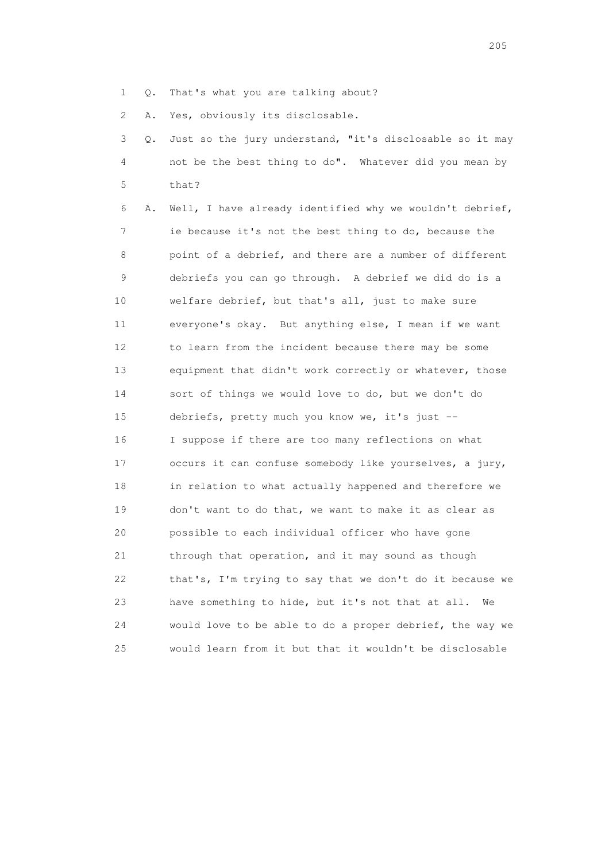1 Q. That's what you are talking about?

2 A. Yes, obviously its disclosable.

 3 Q. Just so the jury understand, "it's disclosable so it may 4 not be the best thing to do". Whatever did you mean by 5 that?

 6 A. Well, I have already identified why we wouldn't debrief, 7 ie because it's not the best thing to do, because the 8 point of a debrief, and there are a number of different 9 debriefs you can go through. A debrief we did do is a 10 welfare debrief, but that's all, just to make sure 11 everyone's okay. But anything else, I mean if we want 12 to learn from the incident because there may be some 13 equipment that didn't work correctly or whatever, those 14 sort of things we would love to do, but we don't do 15 debriefs, pretty much you know we, it's just -- 16 I suppose if there are too many reflections on what 17 occurs it can confuse somebody like yourselves, a jury, 18 in relation to what actually happened and therefore we 19 don't want to do that, we want to make it as clear as 20 possible to each individual officer who have gone 21 through that operation, and it may sound as though 22 that's, I'm trying to say that we don't do it because we 23 have something to hide, but it's not that at all. We 24 would love to be able to do a proper debrief, the way we 25 would learn from it but that it wouldn't be disclosable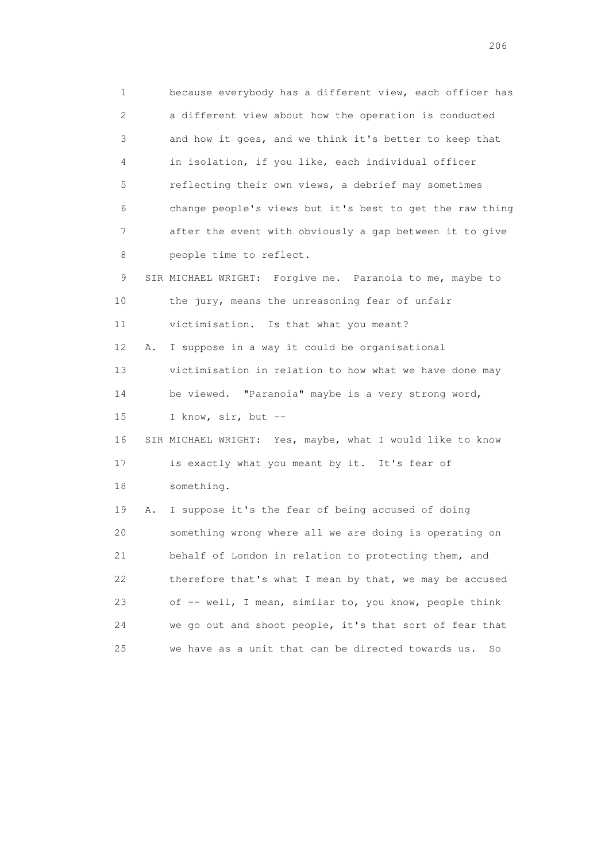1 because everybody has a different view, each officer has 2 a different view about how the operation is conducted 3 and how it goes, and we think it's better to keep that 4 in isolation, if you like, each individual officer 5 reflecting their own views, a debrief may sometimes 6 change people's views but it's best to get the raw thing 7 after the event with obviously a gap between it to give 8 people time to reflect. 9 SIR MICHAEL WRIGHT: Forgive me. Paranoia to me, maybe to 10 the jury, means the unreasoning fear of unfair 11 victimisation. Is that what you meant? 12 A. I suppose in a way it could be organisational 13 victimisation in relation to how what we have done may 14 be viewed. "Paranoia" maybe is a very strong word, 15 I know, sir, but -- 16 SIR MICHAEL WRIGHT: Yes, maybe, what I would like to know 17 is exactly what you meant by it. It's fear of 18 something. 19 A. I suppose it's the fear of being accused of doing 20 something wrong where all we are doing is operating on 21 behalf of London in relation to protecting them, and 22 therefore that's what I mean by that, we may be accused 23 of -- well, I mean, similar to, you know, people think 24 we go out and shoot people, it's that sort of fear that 25 we have as a unit that can be directed towards us. So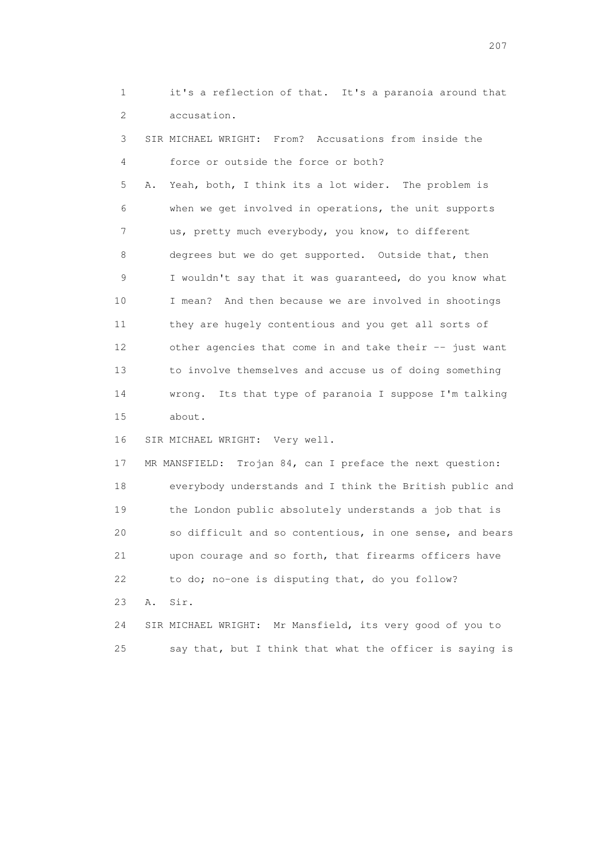1 it's a reflection of that. It's a paranoia around that 2 accusation.

 3 SIR MICHAEL WRIGHT: From? Accusations from inside the 4 force or outside the force or both? 5 A. Yeah, both, I think its a lot wider. The problem is 6 when we get involved in operations, the unit supports 7 us, pretty much everybody, you know, to different 8 degrees but we do get supported. Outside that, then 9 I wouldn't say that it was guaranteed, do you know what 10 I mean? And then because we are involved in shootings 11 they are hugely contentious and you get all sorts of 12 other agencies that come in and take their -- just want 13 to involve themselves and accuse us of doing something 14 wrong. Its that type of paranoia I suppose I'm talking 15 about.

16 SIR MICHAEL WRIGHT: Very well.

 17 MR MANSFIELD: Trojan 84, can I preface the next question: 18 everybody understands and I think the British public and 19 the London public absolutely understands a job that is 20 so difficult and so contentious, in one sense, and bears 21 upon courage and so forth, that firearms officers have 22 to do; no-one is disputing that, do you follow? 23 A. Sir.

 24 SIR MICHAEL WRIGHT: Mr Mansfield, its very good of you to 25 say that, but I think that what the officer is saying is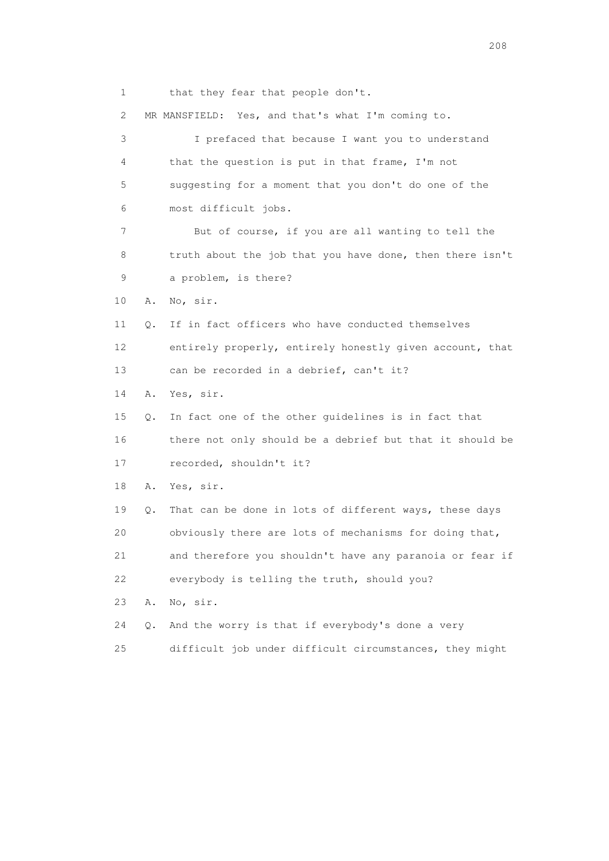1 that they fear that people don't.

2 MR MANSFIELD: Yes, and that's what I'm coming to.

 3 I prefaced that because I want you to understand 4 that the question is put in that frame, I'm not 5 suggesting for a moment that you don't do one of the 6 most difficult jobs. 7 But of course, if you are all wanting to tell the 8 truth about the job that you have done, then there isn't 9 a problem, is there? 10 A. No, sir. 11 Q. If in fact officers who have conducted themselves 12 entirely properly, entirely honestly given account, that 13 can be recorded in a debrief, can't it? 14 A. Yes, sir. 15 Q. In fact one of the other guidelines is in fact that 16 there not only should be a debrief but that it should be 17 recorded, shouldn't it? 18 A. Yes, sir. 19 Q. That can be done in lots of different ways, these days 20 obviously there are lots of mechanisms for doing that, 21 and therefore you shouldn't have any paranoia or fear if 22 everybody is telling the truth, should you? 23 A. No, sir. 24 Q. And the worry is that if everybody's done a very 25 difficult job under difficult circumstances, they might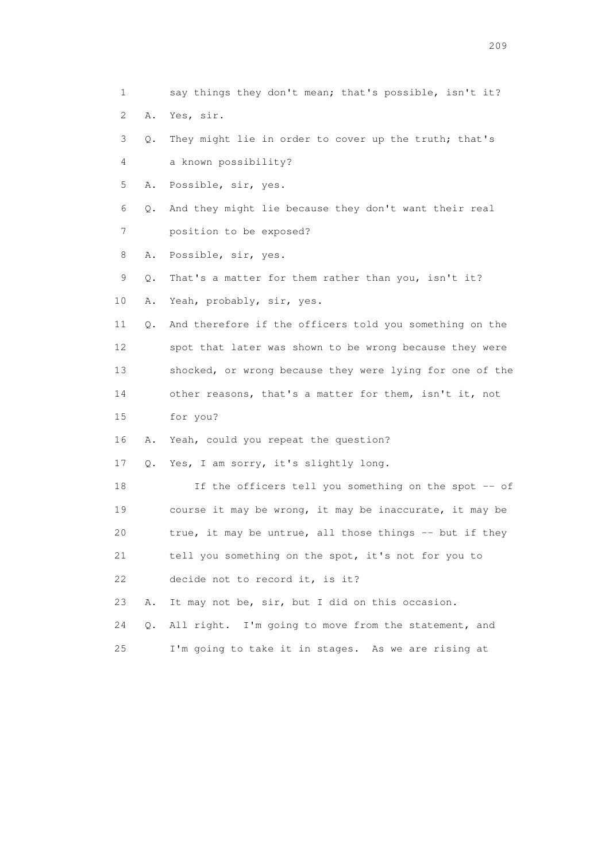1 say things they don't mean; that's possible, isn't it? 2 A. Yes, sir. 3 Q. They might lie in order to cover up the truth; that's 4 a known possibility? 5 A. Possible, sir, yes. 6 Q. And they might lie because they don't want their real 7 position to be exposed? 8 A. Possible, sir, yes. 9 Q. That's a matter for them rather than you, isn't it? 10 A. Yeah, probably, sir, yes. 11 Q. And therefore if the officers told you something on the 12 spot that later was shown to be wrong because they were 13 shocked, or wrong because they were lying for one of the 14 other reasons, that's a matter for them, isn't it, not 15 for you? 16 A. Yeah, could you repeat the question? 17 Q. Yes, I am sorry, it's slightly long. 18 If the officers tell you something on the spot -- of 19 course it may be wrong, it may be inaccurate, it may be 20 true, it may be untrue, all those things -- but if they 21 tell you something on the spot, it's not for you to 22 decide not to record it, is it? 23 A. It may not be, sir, but I did on this occasion. 24 Q. All right. I'm going to move from the statement, and 25 I'm going to take it in stages. As we are rising at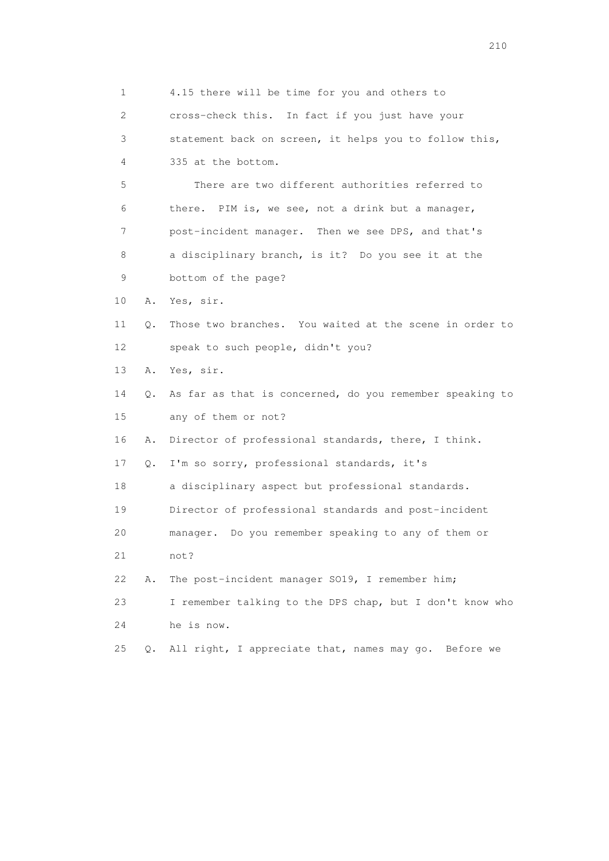1 4.15 there will be time for you and others to 2 cross-check this. In fact if you just have your 3 statement back on screen, it helps you to follow this, 4 335 at the bottom. 5 There are two different authorities referred to 6 there. PIM is, we see, not a drink but a manager, 7 post-incident manager. Then we see DPS, and that's 8 a disciplinary branch, is it? Do you see it at the 9 bottom of the page? 10 A. Yes, sir. 11 Q. Those two branches. You waited at the scene in order to 12 speak to such people, didn't you? 13 A. Yes, sir. 14 Q. As far as that is concerned, do you remember speaking to 15 any of them or not? 16 A. Director of professional standards, there, I think. 17 Q. I'm so sorry, professional standards, it's 18 a disciplinary aspect but professional standards. 19 Director of professional standards and post-incident 20 manager. Do you remember speaking to any of them or 21 not? 22 A. The post-incident manager SO19, I remember him; 23 I remember talking to the DPS chap, but I don't know who 24 he is now. 25 Q. All right, I appreciate that, names may go. Before we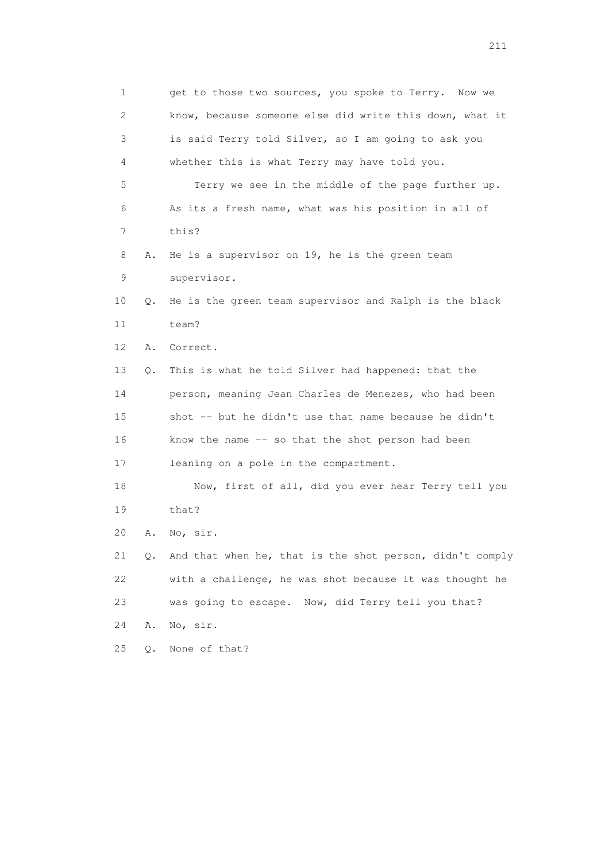1 get to those two sources, you spoke to Terry. Now we 2 know, because someone else did write this down, what it 3 is said Terry told Silver, so I am going to ask you 4 whether this is what Terry may have told you. 5 Terry we see in the middle of the page further up. 6 As its a fresh name, what was his position in all of 7 this? 8 A. He is a supervisor on 19, he is the green team 9 supervisor. 10 Q. He is the green team supervisor and Ralph is the black 11 team? 12 A. Correct. 13 Q. This is what he told Silver had happened: that the 14 person, meaning Jean Charles de Menezes, who had been 15 shot -- but he didn't use that name because he didn't 16 know the name -- so that the shot person had been 17 leaning on a pole in the compartment. 18 Now, first of all, did you ever hear Terry tell you 19 that? 20 A. No, sir. 21 Q. And that when he, that is the shot person, didn't comply 22 with a challenge, he was shot because it was thought he 23 was going to escape. Now, did Terry tell you that? 24 A. No, sir. 25 Q. None of that?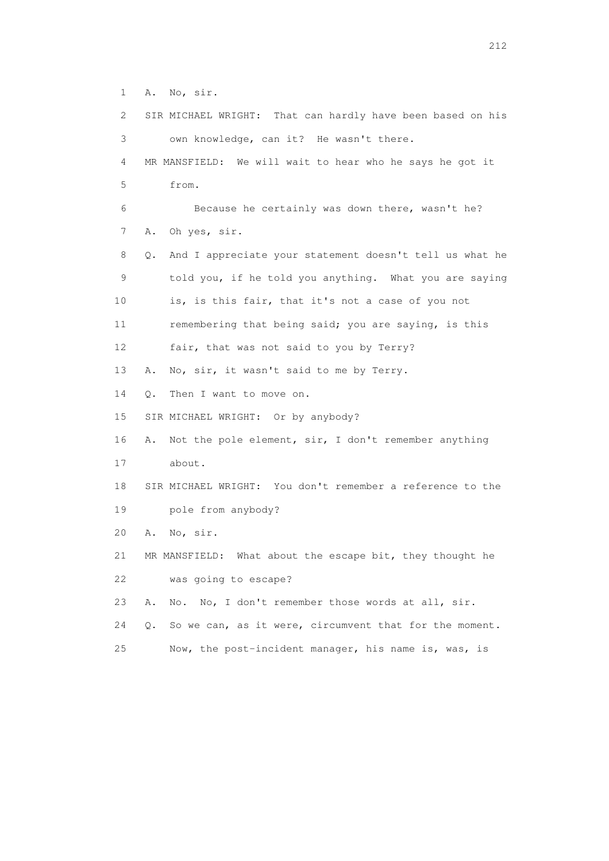1 A. No, sir.

|    | 2       | SIR MICHAEL WRIGHT: That can hardly have been based on his |
|----|---------|------------------------------------------------------------|
|    | 3       | own knowledge, can it? He wasn't there.                    |
|    | 4       | MR MANSFIELD: We will wait to hear who he says he got it   |
|    | 5       | from.                                                      |
|    | 6       | Because he certainly was down there, wasn't he?            |
|    | 7<br>Α. | Oh yes, sir.                                               |
|    | 8<br>Q. | And I appreciate your statement doesn't tell us what he    |
|    | 9       | told you, if he told you anything. What you are saying     |
| 10 |         | is, is this fair, that it's not a case of you not          |
| 11 |         | remembering that being said; you are saying, is this       |
| 12 |         | fair, that was not said to you by Terry?                   |
| 13 | Α.      | No, sir, it wasn't said to me by Terry.                    |
| 14 | О.      | Then I want to move on.                                    |
| 15 |         | SIR MICHAEL WRIGHT: Or by anybody?                         |
| 16 | Α.      | Not the pole element, sir, I don't remember anything       |
| 17 |         | about.                                                     |
| 18 |         | SIR MICHAEL WRIGHT: You don't remember a reference to the  |
| 19 |         | pole from anybody?                                         |
| 20 | Α.      | No, sir.                                                   |
| 21 |         | MR MANSFIELD: What about the escape bit, they thought he   |
| 22 |         | was going to escape?                                       |
| 23 | Α.      | No, I don't remember those words at all, sir.<br>No.       |
| 24 | О.      | So we can, as it were, circumvent that for the moment.     |
| 25 |         | Now, the post-incident manager, his name is, was, is       |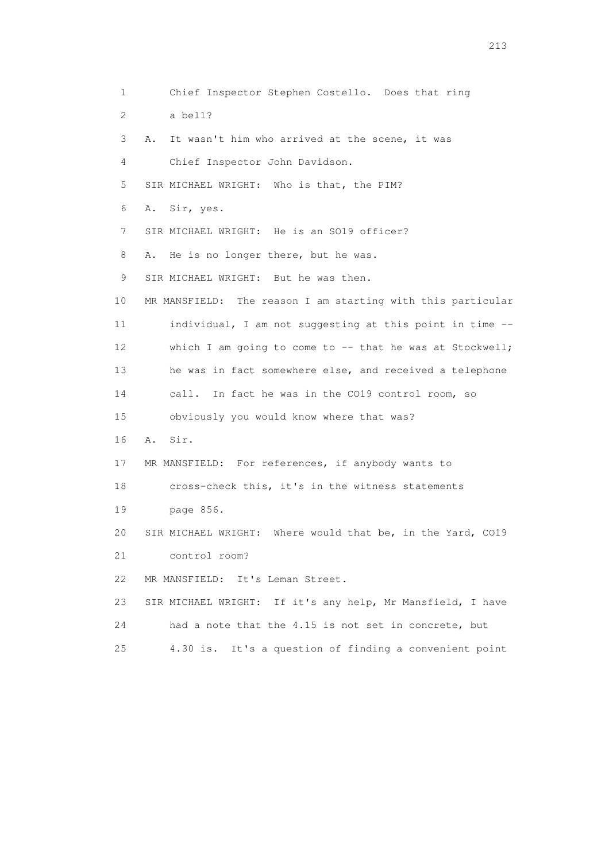1 Chief Inspector Stephen Costello. Does that ring 2 a bell? 3 A. It wasn't him who arrived at the scene, it was 4 Chief Inspector John Davidson. 5 SIR MICHAEL WRIGHT: Who is that, the PIM? 6 A. Sir, yes. 7 SIR MICHAEL WRIGHT: He is an SO19 officer? 8 A. He is no longer there, but he was. 9 SIR MICHAEL WRIGHT: But he was then. 10 MR MANSFIELD: The reason I am starting with this particular 11 individual, I am not suggesting at this point in time -- 12 which I am going to come to -- that he was at Stockwell; 13 he was in fact somewhere else, and received a telephone 14 call. In fact he was in the CO19 control room, so 15 obviously you would know where that was? 16 A. Sir. 17 MR MANSFIELD: For references, if anybody wants to 18 cross-check this, it's in the witness statements 19 page 856. 20 SIR MICHAEL WRIGHT: Where would that be, in the Yard, CO19 21 control room? 22 MR MANSFIELD: It's Leman Street. 23 SIR MICHAEL WRIGHT: If it's any help, Mr Mansfield, I have 24 had a note that the 4.15 is not set in concrete, but 25 4.30 is. It's a question of finding a convenient point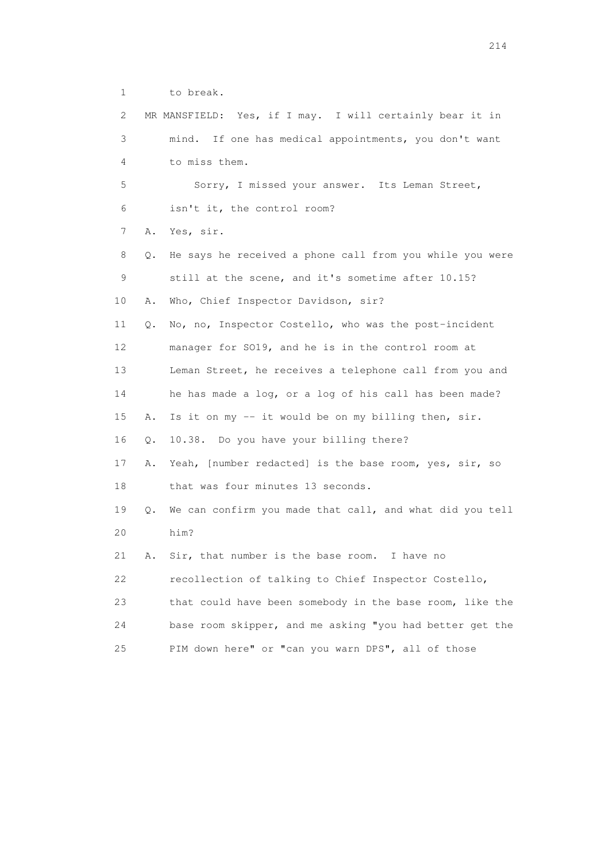1 to break.

| $\mathbf{2}^{\mathsf{I}}$ |    | MR MANSFIELD: Yes, if I may. I will certainly bear it in |
|---------------------------|----|----------------------------------------------------------|
| 3                         |    | If one has medical appointments, you don't want<br>mind. |
| 4                         |    | to miss them.                                            |
| 5                         |    | Sorry, I missed your answer. Its Leman Street,           |
| 6                         |    | isn't it, the control room?                              |
| 7                         | Α. | Yes, sir.                                                |
| 8                         | Q. | He says he received a phone call from you while you were |
| 9                         |    | still at the scene, and it's sometime after 10.15?       |
| 10                        | Α. | Who, Chief Inspector Davidson, sir?                      |
| 11                        | Q. | No, no, Inspector Costello, who was the post-incident    |
| 12                        |    | manager for SO19, and he is in the control room at       |
| 13                        |    | Leman Street, he receives a telephone call from you and  |
| 14                        |    | he has made a log, or a log of his call has been made?   |
| 15                        | Α. | Is it on my -- it would be on my billing then, sir.      |
| 16                        | Q. | 10.38. Do you have your billing there?                   |
| 17                        | Α. | Yeah, [number redacted] is the base room, yes, sir, so   |
| 18                        |    | that was four minutes 13 seconds.                        |
| 19                        | Q. | We can confirm you made that call, and what did you tell |
| 20                        |    | him?                                                     |
| 21                        | Α. | Sir, that number is the base room. I have no             |
| 22                        |    | recollection of talking to Chief Inspector Costello,     |
| 23                        |    | that could have been somebody in the base room, like the |
| 24                        |    | base room skipper, and me asking "you had better get the |
| 25                        |    | PIM down here" or "can you warn DPS", all of those       |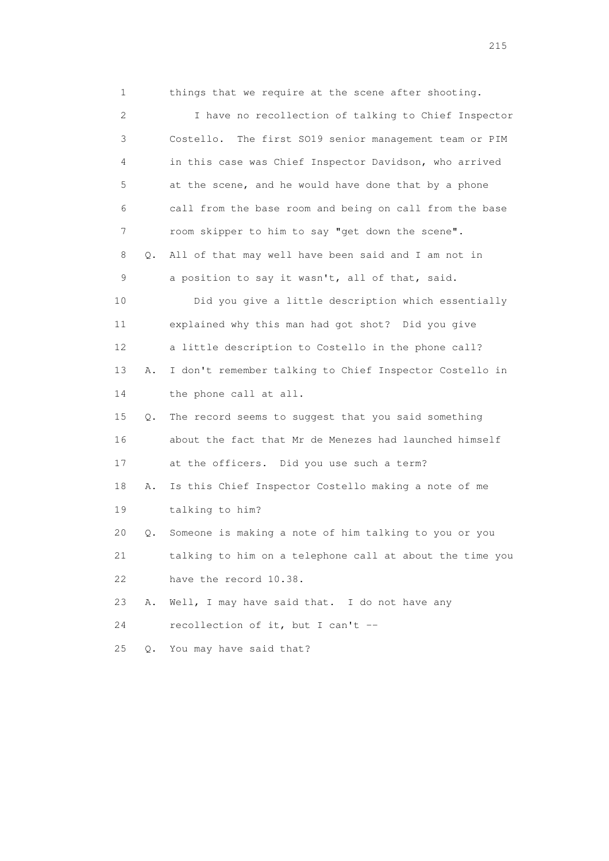1 things that we require at the scene after shooting. 2 I have no recollection of talking to Chief Inspector 3 Costello. The first SO19 senior management team or PIM 4 in this case was Chief Inspector Davidson, who arrived 5 at the scene, and he would have done that by a phone 6 call from the base room and being on call from the base 7 room skipper to him to say "get down the scene". 8 Q. All of that may well have been said and I am not in 9 a position to say it wasn't, all of that, said. 10 Did you give a little description which essentially 11 explained why this man had got shot? Did you give 12 a little description to Costello in the phone call? 13 A. I don't remember talking to Chief Inspector Costello in 14 the phone call at all. 15 Q. The record seems to suggest that you said something 16 about the fact that Mr de Menezes had launched himself 17 at the officers. Did you use such a term? 18 A. Is this Chief Inspector Costello making a note of me 19 talking to him? 20 Q. Someone is making a note of him talking to you or you 21 talking to him on a telephone call at about the time you 22 have the record 10.38. 23 A. Well, I may have said that. I do not have any 24 recollection of it, but I can't -- 25 Q. You may have said that?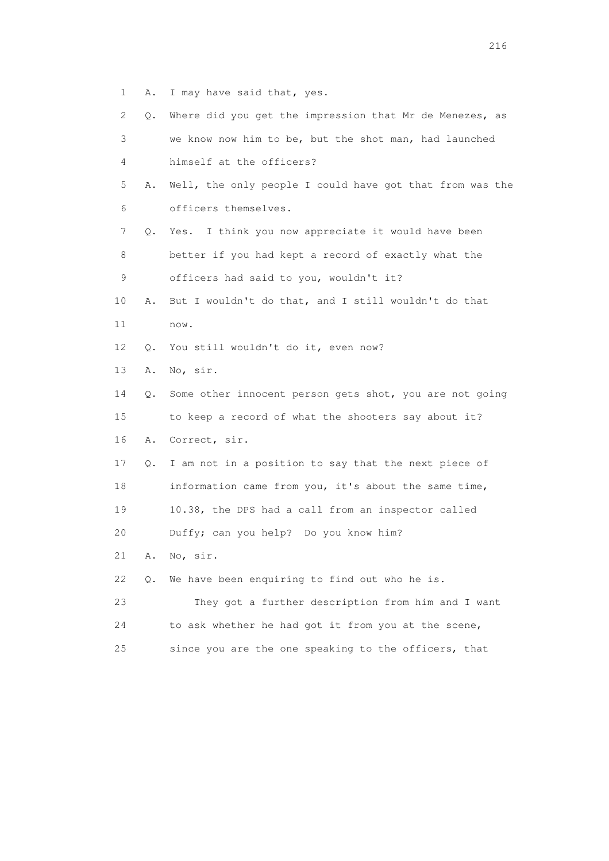1 A. I may have said that, yes.

| 2  | Q. | Where did you get the impression that Mr de Menezes, as  |
|----|----|----------------------------------------------------------|
| 3  |    | we know now him to be, but the shot man, had launched    |
| 4  |    | himself at the officers?                                 |
| 5  | Α. | Well, the only people I could have got that from was the |
| 6  |    | officers themselves.                                     |
| 7  | Q. | I think you now appreciate it would have been<br>Yes.    |
| 8  |    | better if you had kept a record of exactly what the      |
| 9  |    | officers had said to you, wouldn't it?                   |
| 10 | Α. | But I wouldn't do that, and I still wouldn't do that     |
| 11 |    | now.                                                     |
| 12 | Q. | You still wouldn't do it, even now?                      |
| 13 | Α. | No, sir.                                                 |
| 14 | Q. | Some other innocent person gets shot, you are not going  |
| 15 |    | to keep a record of what the shooters say about it?      |
| 16 | Α. | Correct, sir.                                            |
| 17 | Q. | I am not in a position to say that the next piece of     |
| 18 |    | information came from you, it's about the same time,     |
| 19 |    | 10.38, the DPS had a call from an inspector called       |
| 20 |    | Duffy; can you help? Do you know him?                    |
| 21 | Α. | No, sir.                                                 |
| 22 | О. | We have been enquiring to find out who he is.            |
| 23 |    | They got a further description from him and I want       |
| 24 |    | to ask whether he had got it from you at the scene,      |
| 25 |    | since you are the one speaking to the officers, that     |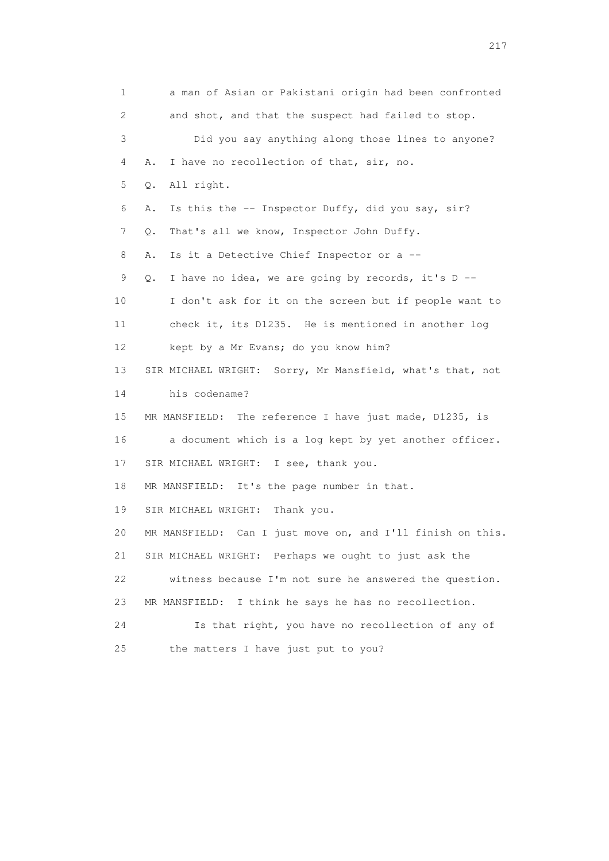1 a man of Asian or Pakistani origin had been confronted 2 and shot, and that the suspect had failed to stop. 3 Did you say anything along those lines to anyone? 4 A. I have no recollection of that, sir, no. 5 Q. All right. 6 A. Is this the -- Inspector Duffy, did you say, sir? 7 Q. That's all we know, Inspector John Duffy. 8 A. Is it a Detective Chief Inspector or a -- 9 Q. I have no idea, we are going by records, it's D -- 10 I don't ask for it on the screen but if people want to 11 check it, its D1235. He is mentioned in another log 12 kept by a Mr Evans; do you know him? 13 SIR MICHAEL WRIGHT: Sorry, Mr Mansfield, what's that, not 14 his codename? 15 MR MANSFIELD: The reference I have just made, D1235, is 16 a document which is a log kept by yet another officer. 17 SIR MICHAEL WRIGHT: I see, thank you. 18 MR MANSFIELD: It's the page number in that. 19 SIR MICHAEL WRIGHT: Thank you. 20 MR MANSFIELD: Can I just move on, and I'll finish on this. 21 SIR MICHAEL WRIGHT: Perhaps we ought to just ask the 22 witness because I'm not sure he answered the question. 23 MR MANSFIELD: I think he says he has no recollection. 24 Is that right, you have no recollection of any of 25 the matters I have just put to you?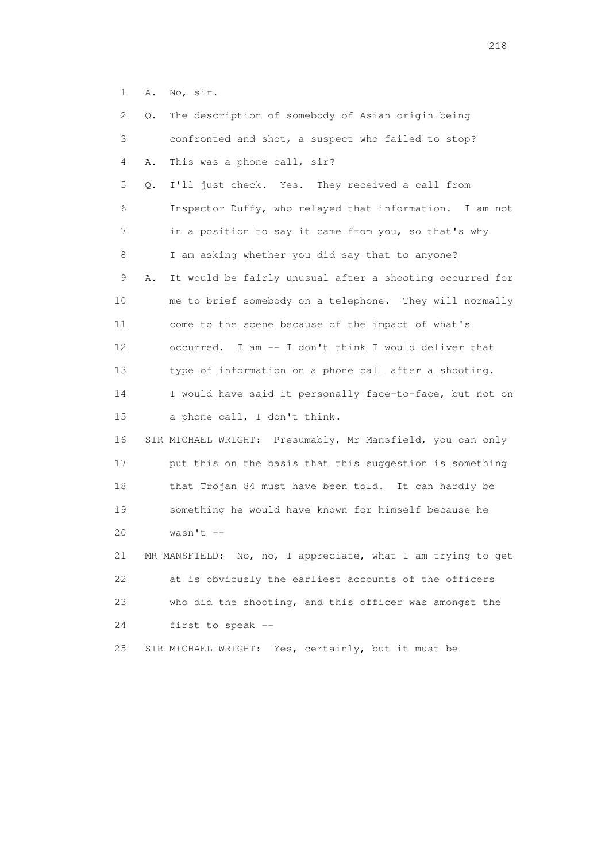1 A. No, sir.

| 2  | Q. | The description of somebody of Asian origin being              |
|----|----|----------------------------------------------------------------|
| 3  |    | confronted and shot, a suspect who failed to stop?             |
| 4  | Α. | This was a phone call, sir?                                    |
| 5  | Q. | I'll just check. Yes. They received a call from                |
| 6  |    | Inspector Duffy, who relayed that information. I am not        |
| 7  |    | in a position to say it came from you, so that's why           |
| 8  |    | I am asking whether you did say that to anyone?                |
| 9  | Α. | It would be fairly unusual after a shooting occurred for       |
| 10 |    | me to brief somebody on a telephone. They will normally        |
| 11 |    | come to the scene because of the impact of what's              |
| 12 |    | occurred. I am -- I don't think I would deliver that           |
| 13 |    | type of information on a phone call after a shooting.          |
| 14 |    | I would have said it personally face-to-face, but not on       |
| 15 |    | a phone call, I don't think.                                   |
| 16 |    | SIR MICHAEL WRIGHT: Presumably, Mr Mansfield, you can only     |
| 17 |    | put this on the basis that this suggestion is something        |
| 18 |    | that Trojan 84 must have been told. It can hardly be           |
| 19 |    | something he would have known for himself because he           |
| 20 |    | wasn't $--$                                                    |
| 21 |    | No, no, I appreciate, what I am trying to get<br>MR MANSFIELD: |
| 22 |    | at is obviously the earliest accounts of the officers          |
| 23 |    | who did the shooting, and this officer was amongst the         |
| 24 |    | first to speak --                                              |
| 25 |    | SIR MICHAEL WRIGHT: Yes, certainly, but it must be             |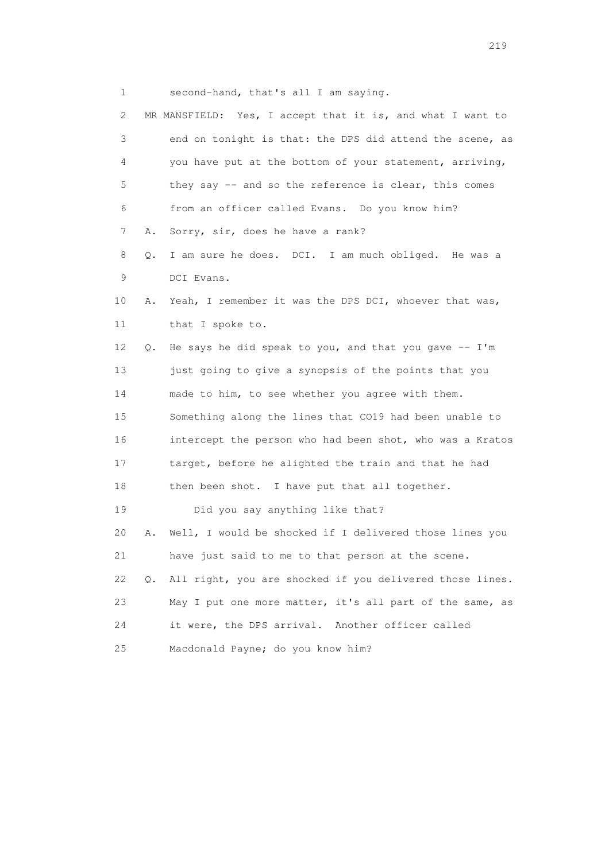1 second-hand, that's all I am saying.

| $\mathbf{2}^{\mathsf{I}}$ |    | MR MANSFIELD: Yes, I accept that it is, and what I want to |
|---------------------------|----|------------------------------------------------------------|
| 3                         |    | end on tonight is that: the DPS did attend the scene, as   |
| 4                         |    | you have put at the bottom of your statement, arriving,    |
| 5                         |    | they say -- and so the reference is clear, this comes      |
| 6                         |    | from an officer called Evans. Do you know him?             |
| 7                         | Α. | Sorry, sir, does he have a rank?                           |
| 8                         | Q. | I am sure he does. DCI. I am much obliged. He was a        |
| 9                         |    | DCI Evans.                                                 |
| 10                        | Α. | Yeah, I remember it was the DPS DCI, whoever that was,     |
| 11                        |    | that I spoke to.                                           |
| 12                        | Q. | He says he did speak to you, and that you gave -- I'm      |
| 13                        |    | just going to give a synopsis of the points that you       |
| 14                        |    | made to him, to see whether you agree with them.           |
| 15                        |    | Something along the lines that CO19 had been unable to     |
| 16                        |    | intercept the person who had been shot, who was a Kratos   |
| 17                        |    | target, before he alighted the train and that he had       |
| 18                        |    | then been shot. I have put that all together.              |
| 19                        |    | Did you say anything like that?                            |
| 20                        | Α. | Well, I would be shocked if I delivered those lines you    |
| 21                        |    | have just said to me to that person at the scene.          |
| 22                        | Q. | All right, you are shocked if you delivered those lines.   |
| 23                        |    | May I put one more matter, it's all part of the same, as   |
| 24                        |    | it were, the DPS arrival. Another officer called           |
| 25                        |    | Macdonald Payne; do you know him?                          |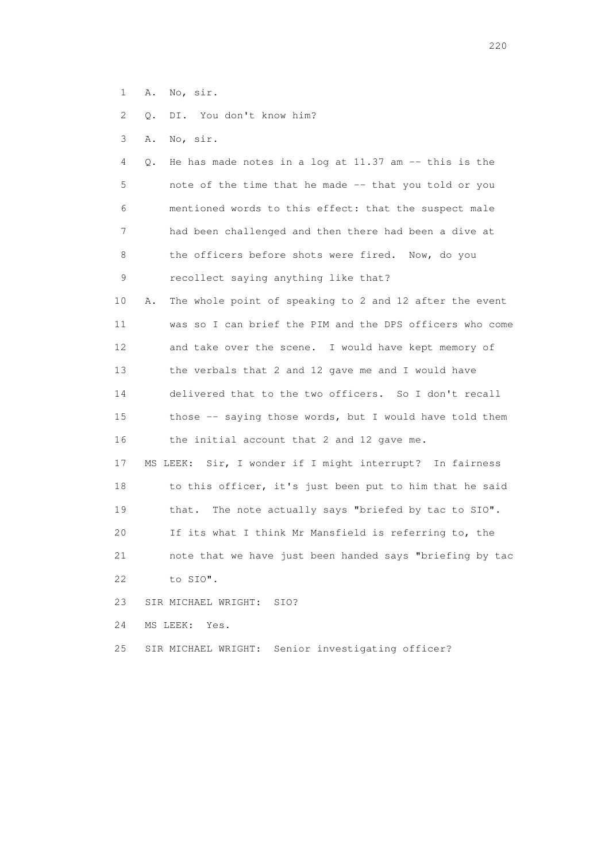1 A. No, sir.

2 Q. DI. You don't know him?

3 A. No, sir.

| 4               |    | Q. He has made notes in a log at 11.37 am -- this is the |
|-----------------|----|----------------------------------------------------------|
| 5               |    | note of the time that he made -- that you told or you    |
| 6               |    | mentioned words to this effect: that the suspect male    |
| 7               |    | had been challenged and then there had been a dive at    |
| 8               |    | the officers before shots were fired. Now, do you        |
| 9               |    | recollect saying anything like that?                     |
| 10              | Α. | The whole point of speaking to 2 and 12 after the event  |
| 11              |    | was so I can brief the PIM and the DPS officers who come |
| 12 <sup>°</sup> |    | and take over the scene. I would have kept memory of     |
| 13              |    | the verbals that 2 and 12 gave me and I would have       |
| 14              |    | delivered that to the two officers. So I don't recall    |
| 15              |    | those -- saying those words, but I would have told them  |
| 16              |    | the initial account that 2 and 12 gave me.               |
| 17              |    | MS LEEK: Sir, I wonder if I might interrupt? In fairness |
| 18              |    | to this officer, it's just been put to him that he said  |
| 19              |    | The note actually says "briefed by tac to SIO".<br>that. |
| 20              |    | If its what I think Mr Mansfield is referring to, the    |

 21 note that we have just been handed says "briefing by tac 22 to SIO".

23 SIR MICHAEL WRIGHT: SIO?

24 MS LEEK: Yes.

25 SIR MICHAEL WRIGHT: Senior investigating officer?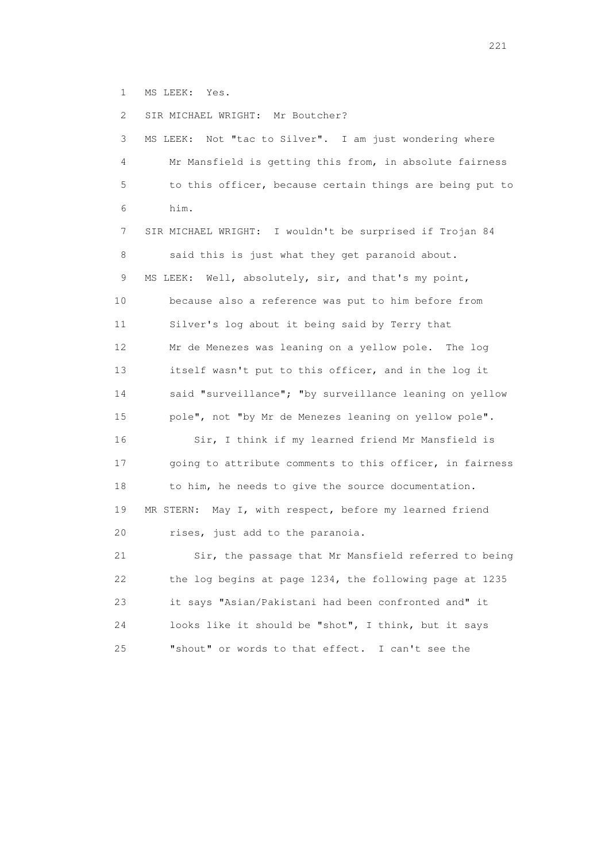1 MS LEEK: Yes.

2 SIR MICHAEL WRIGHT: Mr Boutcher?

 3 MS LEEK: Not "tac to Silver". I am just wondering where 4 Mr Mansfield is getting this from, in absolute fairness 5 to this officer, because certain things are being put to 6 him.

 7 SIR MICHAEL WRIGHT: I wouldn't be surprised if Trojan 84 8 said this is just what they get paranoid about. 9 MS LEEK: Well, absolutely, sir, and that's my point, 10 because also a reference was put to him before from 11 Silver's log about it being said by Terry that 12 Mr de Menezes was leaning on a yellow pole. The log 13 itself wasn't put to this officer, and in the log it 14 said "surveillance"; "by surveillance leaning on yellow 15 pole", not "by Mr de Menezes leaning on yellow pole". 16 Sir, I think if my learned friend Mr Mansfield is 17 going to attribute comments to this officer, in fairness 18 to him, he needs to give the source documentation. 19 MR STERN: May I, with respect, before my learned friend 20 rises, just add to the paranoia. 21 Sir, the passage that Mr Mansfield referred to being

 22 the log begins at page 1234, the following page at 1235 23 it says "Asian/Pakistani had been confronted and" it 24 looks like it should be "shot", I think, but it says 25 "shout" or words to that effect. I can't see the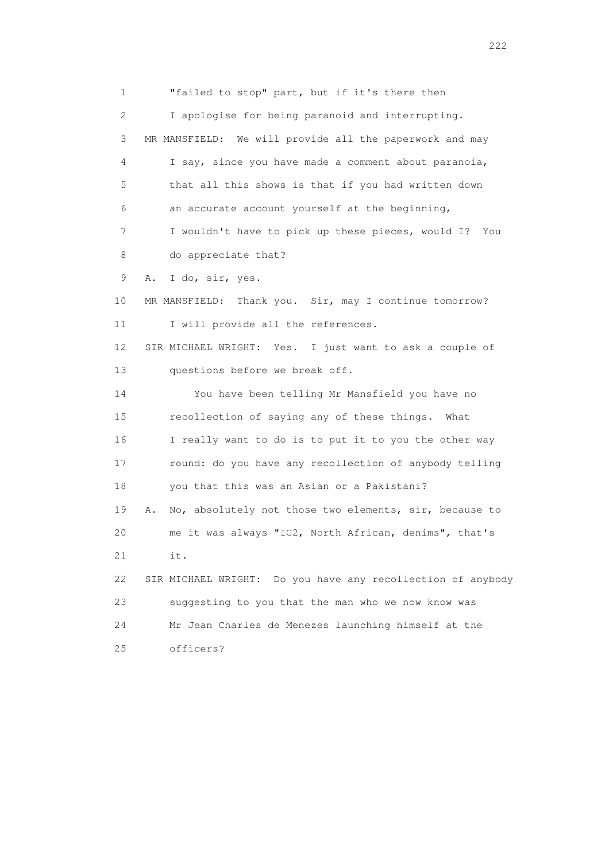1 "failed to stop" part, but if it's there then 2 I apologise for being paranoid and interrupting. 3 MR MANSFIELD: We will provide all the paperwork and may 4 I say, since you have made a comment about paranoia, 5 that all this shows is that if you had written down 6 an accurate account yourself at the beginning, 7 I wouldn't have to pick up these pieces, would I? You 8 do appreciate that? 9 A. I do, sir, yes. 10 MR MANSFIELD: Thank you. Sir, may I continue tomorrow? 11 I will provide all the references. 12 SIR MICHAEL WRIGHT: Yes. I just want to ask a couple of 13 questions before we break off. 14 You have been telling Mr Mansfield you have no 15 recollection of saying any of these things. What 16 I really want to do is to put it to you the other way 17 round: do you have any recollection of anybody telling 18 you that this was an Asian or a Pakistani? 19 A. No, absolutely not those two elements, sir, because to 20 me it was always "IC2, North African, denims", that's 21 it. 22 SIR MICHAEL WRIGHT: Do you have any recollection of anybody 23 suggesting to you that the man who we now know was 24 Mr Jean Charles de Menezes launching himself at the 25 officers?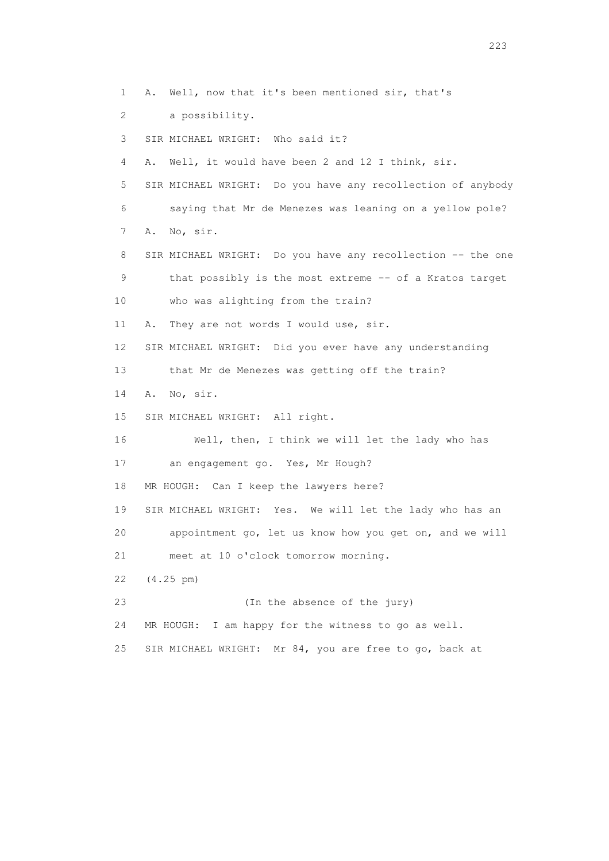1 A. Well, now that it's been mentioned sir, that's 2 a possibility. 3 SIR MICHAEL WRIGHT: Who said it? 4 A. Well, it would have been 2 and 12 I think, sir. 5 SIR MICHAEL WRIGHT: Do you have any recollection of anybody 6 saying that Mr de Menezes was leaning on a yellow pole? 7 A. No, sir. 8 SIR MICHAEL WRIGHT: Do you have any recollection -- the one 9 that possibly is the most extreme -- of a Kratos target 10 who was alighting from the train? 11 A. They are not words I would use, sir. 12 SIR MICHAEL WRIGHT: Did you ever have any understanding 13 that Mr de Menezes was getting off the train? 14 A. No, sir. 15 SIR MICHAEL WRIGHT: All right. 16 Well, then, I think we will let the lady who has 17 an engagement go. Yes, Mr Hough? 18 MR HOUGH: Can I keep the lawyers here? 19 SIR MICHAEL WRIGHT: Yes. We will let the lady who has an 20 appointment go, let us know how you get on, and we will 21 meet at 10 o'clock tomorrow morning. 22 (4.25 pm) 23 (In the absence of the jury) 24 MR HOUGH: I am happy for the witness to go as well. 25 SIR MICHAEL WRIGHT: Mr 84, you are free to go, back at

<u>223</u>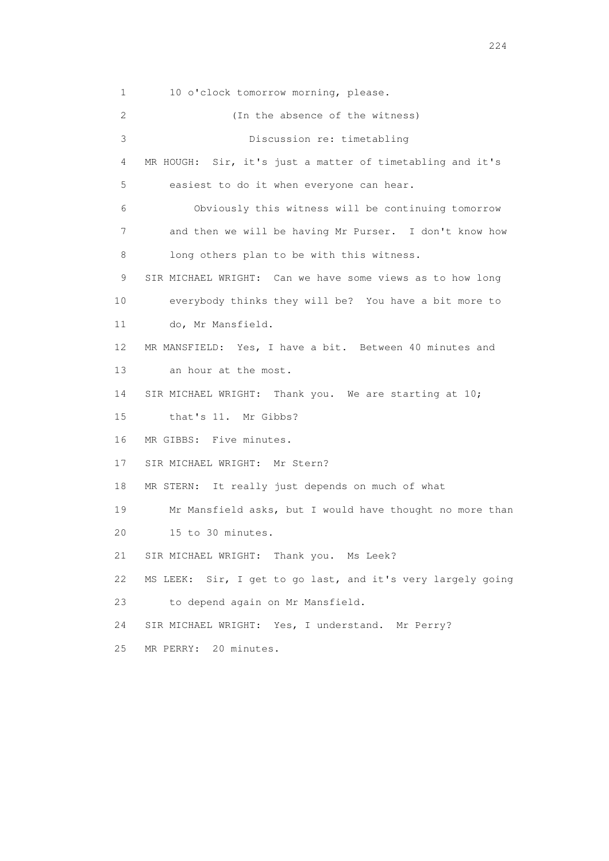1 10 o'clock tomorrow morning, please. 2 (In the absence of the witness) 3 Discussion re: timetabling 4 MR HOUGH: Sir, it's just a matter of timetabling and it's 5 easiest to do it when everyone can hear. 6 Obviously this witness will be continuing tomorrow 7 and then we will be having Mr Purser. I don't know how 8 long others plan to be with this witness. 9 SIR MICHAEL WRIGHT: Can we have some views as to how long 10 everybody thinks they will be? You have a bit more to 11 do, Mr Mansfield. 12 MR MANSFIELD: Yes, I have a bit. Between 40 minutes and 13 an hour at the most. 14 SIR MICHAEL WRIGHT: Thank you. We are starting at 10; 15 that's 11. Mr Gibbs? 16 MR GIBBS: Five minutes. 17 SIR MICHAEL WRIGHT: Mr Stern? 18 MR STERN: It really just depends on much of what 19 Mr Mansfield asks, but I would have thought no more than 20 15 to 30 minutes. 21 SIR MICHAEL WRIGHT: Thank you. Ms Leek? 22 MS LEEK: Sir, I get to go last, and it's very largely going 23 to depend again on Mr Mansfield. 24 SIR MICHAEL WRIGHT: Yes, I understand. Mr Perry? 25 MR PERRY: 20 minutes.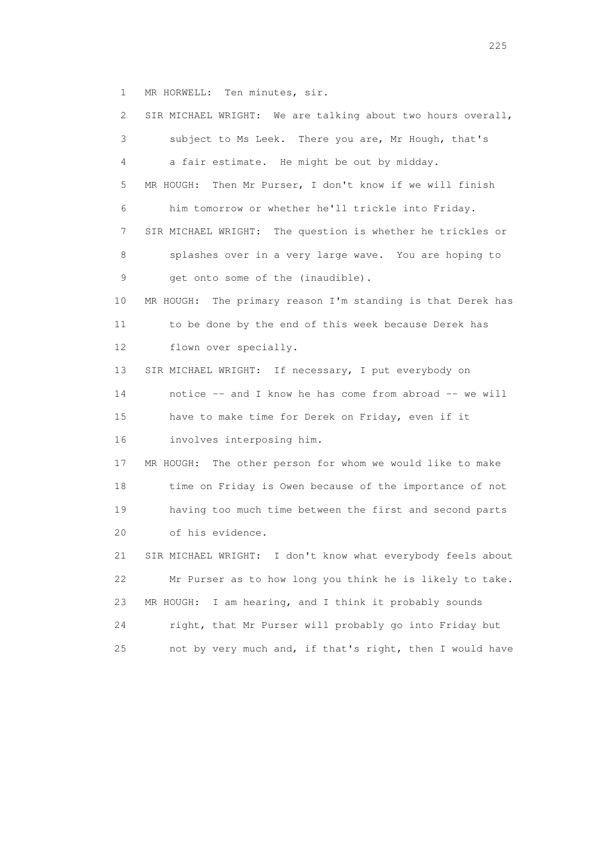1 MR HORWELL: Ten minutes, sir.

| 2  | SIR MICHAEL WRIGHT: We are talking about two hours overall,  |
|----|--------------------------------------------------------------|
| 3  | subject to Ms Leek. There you are, Mr Hough, that's          |
| 4  | a fair estimate. He might be out by midday.                  |
| 5  | Then Mr Purser, I don't know if we will finish<br>MR HOUGH:  |
| 6  | him tomorrow or whether he'll trickle into Friday.           |
| 7  | SIR MICHAEL WRIGHT: The question is whether he trickles or   |
| 8  | splashes over in a very large wave. You are hoping to        |
| 9  | get onto some of the (inaudible).                            |
| 10 | MR HOUGH: The primary reason I'm standing is that Derek has  |
| 11 | to be done by the end of this week because Derek has         |
| 12 | flown over specially.                                        |
| 13 | SIR MICHAEL WRIGHT: If necessary, I put everybody on         |
| 14 | notice -- and I know he has come from abroad -- we will      |
| 15 | have to make time for Derek on Friday, even if it            |
| 16 | involves interposing him.                                    |
| 17 | The other person for whom we would like to make<br>MR HOUGH: |
| 18 | time on Friday is Owen because of the importance of not      |
| 19 | having too much time between the first and second parts      |
| 20 | of his evidence.                                             |
| 21 | SIR MICHAEL WRIGHT: I don't know what everybody feels about  |
| 22 | Mr Purser as to how long you think he is likely to take.     |
| 23 | I am hearing, and I think it probably sounds<br>MR HOUGH:    |
| 24 | right, that Mr Purser will probably go into Friday but       |
| 25 | not by very much and, if that's right, then I would have     |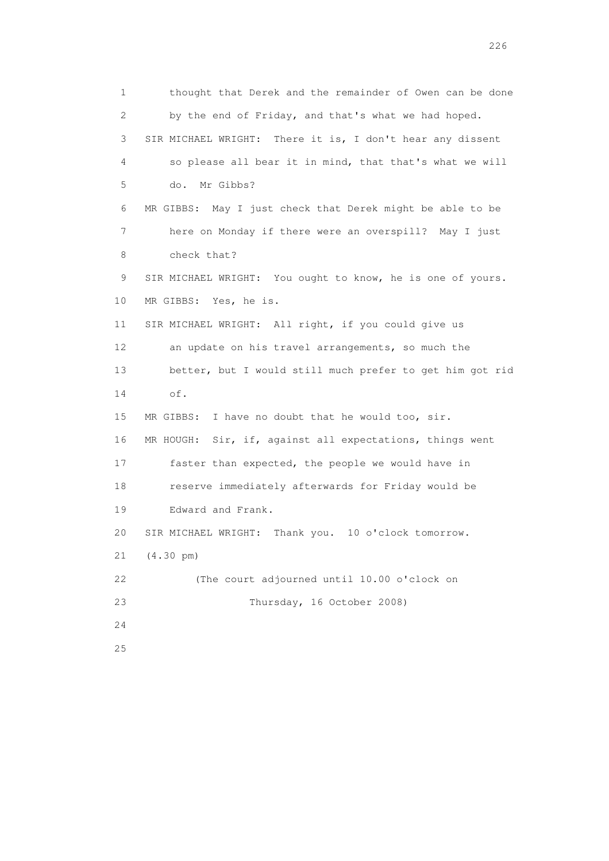1 thought that Derek and the remainder of Owen can be done 2 by the end of Friday, and that's what we had hoped. 3 SIR MICHAEL WRIGHT: There it is, I don't hear any dissent 4 so please all bear it in mind, that that's what we will 5 do. Mr Gibbs? 6 MR GIBBS: May I just check that Derek might be able to be 7 here on Monday if there were an overspill? May I just 8 check that? 9 SIR MICHAEL WRIGHT: You ought to know, he is one of yours. 10 MR GIBBS: Yes, he is. 11 SIR MICHAEL WRIGHT: All right, if you could give us 12 an update on his travel arrangements, so much the 13 better, but I would still much prefer to get him got rid 14 of. 15 MR GIBBS: I have no doubt that he would too, sir. 16 MR HOUGH: Sir, if, against all expectations, things went 17 faster than expected, the people we would have in 18 reserve immediately afterwards for Friday would be 19 Edward and Frank. 20 SIR MICHAEL WRIGHT: Thank you. 10 o'clock tomorrow. 21 (4.30 pm) 22 (The court adjourned until 10.00 o'clock on 23 Thursday, 16 October 2008) 24 25